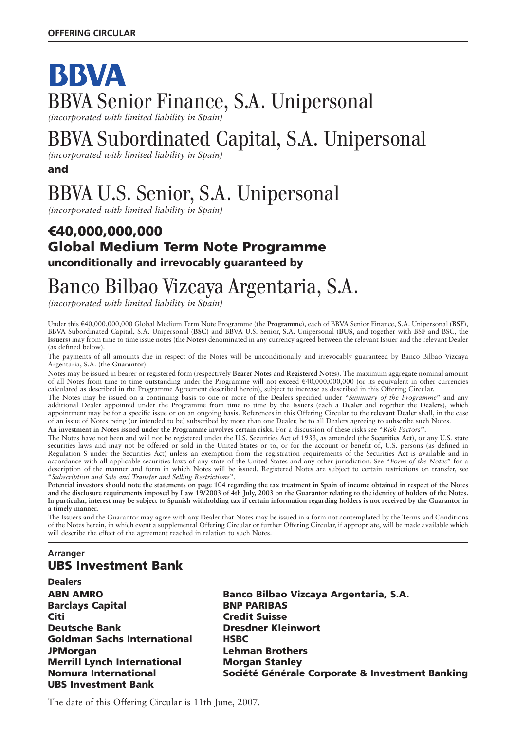# **BBVA** BBVA Senior Finance, S.A. Unipersonal *(incorporated with limited liability in Spain)*

BBVA Subordinated Capital, S.A. Unipersonal

*(incorporated with limited liability in Spain)*

**and**

# BBVA U.S. Senior, S.A. Unipersonal

*(incorporated with limited liability in Spain)*

### 7**40,000,000,000 Global Medium Term Note Programme unconditionally and irrevocably guaranteed by**

# Banco Bilbao Vizcaya Argentaria, S.A.

*(incorporated with limited liability in Spain)*

Under this  $\epsilon$ 40,000,000,000 Global Medium Term Note Programme (the **Programme**), each of BBVA Senior Finance, S.A. Unipersonal (BSF), BBVA Subordinated Capital, S.A. Unipersonal (**BSC**) and BBVA U.S. Senior, S.A. Unipersonal (**BUS**, and together with BSF and BSC, the **Issuers**) may from time to time issue notes (the **Notes**) denominated in any currency agreed between the relevant Issuer and the relevant Dealer (as defined below).

The payments of all amounts due in respect of the Notes will be unconditionally and irrevocably guaranteed by Banco Bilbao Vizcaya Argentaria, S.A. (the **Guarantor**).

Notes may be issued in bearer or registered form (respectively **Bearer Notes** and **Registered Notes**). The maximum aggregate nominal amount of all Notes from time to time outstanding under the Programme will not exceed  $\epsilon$ 40,000,000,000 (or its equivalent in other currencies calculated as described in the Programme Agreement described herein), subject to increase as described in this Offering Circular.

The Notes may be issued on a continuing basis to one or more of the Dealers specified under "*Summary of the Programme*" and any additional Dealer appointed under the Programme from time to time by the Issuers (each a **Dealer** and together the **Dealers**), which appointment may be for a specific issue or on an ongoing basis. References in this Offering Circular to the **relevant Dealer** shall, in the case of an issue of Notes being (or intended to be) subscribed by more than one Dealer, be to all Dealers agreeing to subscribe such Notes.

**An investment in Notes issued under the Programme involves certain risks.** For a discussion of these risks see "*Risk Factors*".

The Notes have not been and will not be registered under the U.S. Securities Act of 1933, as amended (the **Securities Act**), or any U.S. state securities laws and may not be offered or sold in the United States or to, or for the account or benefit of, U.S. persons (as defined in Regulation S under the Securities Act) unless an exemption from the registration requirements of the Securities Act is available and in accordance with all applicable securities laws of any state of the United States and any other jurisdiction. See "*Form of the Notes*" for a description of the manner and form in which Notes will be issued. Registered Notes are subject to certain restrictions on transfer, see "*Subscription and Sale and Transfer and Selling Restrictions*".

**Potential investors should note the statements on page 104 regarding the tax treatment in Spain of income obtained in respect of the Notes and the disclosure requirements imposed by Law 19/2003 of 4th July, 2003 on the Guarantor relating to the identity of holders of the Notes. In particular, interest may be subject to Spanish withholding tax if certain information regarding holders is not received by the Guarantor in a timely manner.**

The Issuers and the Guarantor may agree with any Dealer that Notes may be issued in a form not contemplated by the Terms and Conditions of the Notes herein, in which event a supplemental Offering Circular or further Offering Circular, if appropriate, will be made available which will describe the effect of the agreement reached in relation to such Notes.

### **Arranger UBS Investment Bank**

**Dealers Barclays Capital BNP PARIBAS Citi Credit Suisse Deutsche Bank Christian Bresdner Kleinwort Goldman Sachs International HSBC JPMorgan Lehman Brothers Merrill Lynch International Morgan Stanley UBS Investment Bank**

**ABN AMRO Banco Bilbao Vizcaya Argentaria, S.A. Nomura International Société Générale Corporate & Investment Banking**

The date of this Offering Circular is 11th June, 2007.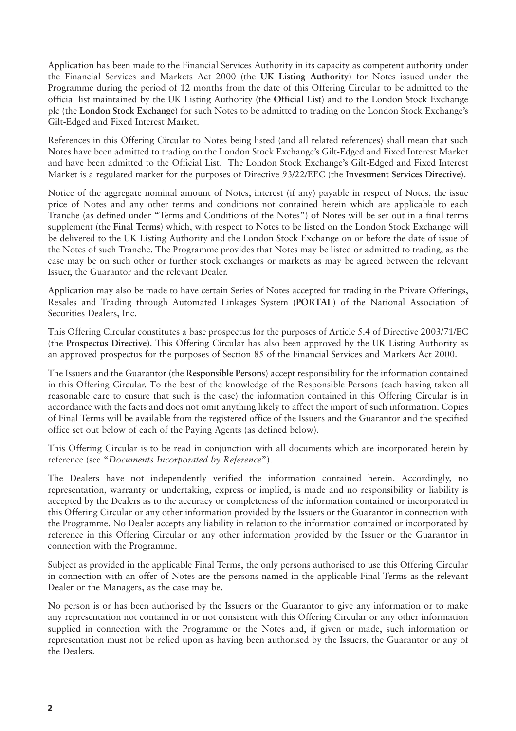Application has been made to the Financial Services Authority in its capacity as competent authority under the Financial Services and Markets Act 2000 (the **UK Listing Authority**) for Notes issued under the Programme during the period of 12 months from the date of this Offering Circular to be admitted to the official list maintained by the UK Listing Authority (the **Official List**) and to the London Stock Exchange plc (the **London Stock Exchange**) for such Notes to be admitted to trading on the London Stock Exchange's Gilt-Edged and Fixed Interest Market.

References in this Offering Circular to Notes being listed (and all related references) shall mean that such Notes have been admitted to trading on the London Stock Exchange's Gilt-Edged and Fixed Interest Market and have been admitted to the Official List. The London Stock Exchange's Gilt-Edged and Fixed Interest Market is a regulated market for the purposes of Directive 93/22/EEC (the **Investment Services Directive**).

Notice of the aggregate nominal amount of Notes, interest (if any) payable in respect of Notes, the issue price of Notes and any other terms and conditions not contained herein which are applicable to each Tranche (as defined under "Terms and Conditions of the Notes") of Notes will be set out in a final terms supplement (the **Final Terms**) which, with respect to Notes to be listed on the London Stock Exchange will be delivered to the UK Listing Authority and the London Stock Exchange on or before the date of issue of the Notes of such Tranche. The Programme provides that Notes may be listed or admitted to trading, as the case may be on such other or further stock exchanges or markets as may be agreed between the relevant Issuer, the Guarantor and the relevant Dealer.

Application may also be made to have certain Series of Notes accepted for trading in the Private Offerings, Resales and Trading through Automated Linkages System (**PORTAL**) of the National Association of Securities Dealers, Inc.

This Offering Circular constitutes a base prospectus for the purposes of Article 5.4 of Directive 2003/71/EC (the **Prospectus Directive**). This Offering Circular has also been approved by the UK Listing Authority as an approved prospectus for the purposes of Section 85 of the Financial Services and Markets Act 2000.

The Issuers and the Guarantor (the **Responsible Persons**) accept responsibility for the information contained in this Offering Circular. To the best of the knowledge of the Responsible Persons (each having taken all reasonable care to ensure that such is the case) the information contained in this Offering Circular is in accordance with the facts and does not omit anything likely to affect the import of such information. Copies of Final Terms will be available from the registered office of the Issuers and the Guarantor and the specified office set out below of each of the Paying Agents (as defined below).

This Offering Circular is to be read in conjunction with all documents which are incorporated herein by reference (see "*Documents Incorporated by Reference*").

The Dealers have not independently verified the information contained herein. Accordingly, no representation, warranty or undertaking, express or implied, is made and no responsibility or liability is accepted by the Dealers as to the accuracy or completeness of the information contained or incorporated in this Offering Circular or any other information provided by the Issuers or the Guarantor in connection with the Programme. No Dealer accepts any liability in relation to the information contained or incorporated by reference in this Offering Circular or any other information provided by the Issuer or the Guarantor in connection with the Programme.

Subject as provided in the applicable Final Terms, the only persons authorised to use this Offering Circular in connection with an offer of Notes are the persons named in the applicable Final Terms as the relevant Dealer or the Managers, as the case may be.

No person is or has been authorised by the Issuers or the Guarantor to give any information or to make any representation not contained in or not consistent with this Offering Circular or any other information supplied in connection with the Programme or the Notes and, if given or made, such information or representation must not be relied upon as having been authorised by the Issuers, the Guarantor or any of the Dealers.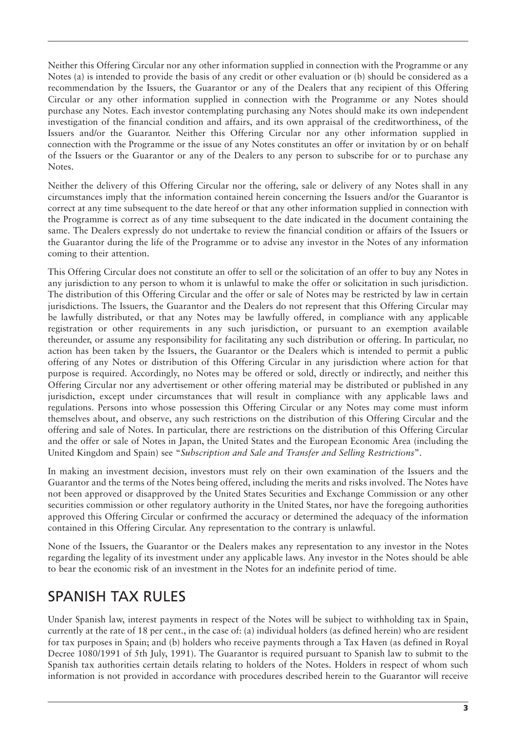Neither this Offering Circular nor any other information supplied in connection with the Programme or any Notes (a) is intended to provide the basis of any credit or other evaluation or (b) should be considered as a recommendation by the Issuers, the Guarantor or any of the Dealers that any recipient of this Offering Circular or any other information supplied in connection with the Programme or any Notes should purchase any Notes. Each investor contemplating purchasing any Notes should make its own independent investigation of the financial condition and affairs, and its own appraisal of the creditworthiness, of the Issuers and/or the Guarantor. Neither this Offering Circular nor any other information supplied in connection with the Programme or the issue of any Notes constitutes an offer or invitation by or on behalf of the Issuers or the Guarantor or any of the Dealers to any person to subscribe for or to purchase any Notes.

Neither the delivery of this Offering Circular nor the offering, sale or delivery of any Notes shall in any circumstances imply that the information contained herein concerning the Issuers and/or the Guarantor is correct at any time subsequent to the date hereof or that any other information supplied in connection with the Programme is correct as of any time subsequent to the date indicated in the document containing the same. The Dealers expressly do not undertake to review the financial condition or affairs of the Issuers or the Guarantor during the life of the Programme or to advise any investor in the Notes of any information coming to their attention.

This Offering Circular does not constitute an offer to sell or the solicitation of an offer to buy any Notes in any jurisdiction to any person to whom it is unlawful to make the offer or solicitation in such jurisdiction. The distribution of this Offering Circular and the offer or sale of Notes may be restricted by law in certain jurisdictions. The Issuers, the Guarantor and the Dealers do not represent that this Offering Circular may be lawfully distributed, or that any Notes may be lawfully offered, in compliance with any applicable registration or other requirements in any such jurisdiction, or pursuant to an exemption available thereunder, or assume any responsibility for facilitating any such distribution or offering. In particular, no action has been taken by the Issuers, the Guarantor or the Dealers which is intended to permit a public offering of any Notes or distribution of this Offering Circular in any jurisdiction where action for that purpose is required. Accordingly, no Notes may be offered or sold, directly or indirectly, and neither this Offering Circular nor any advertisement or other offering material may be distributed or published in any jurisdiction, except under circumstances that will result in compliance with any applicable laws and regulations. Persons into whose possession this Offering Circular or any Notes may come must inform themselves about, and observe, any such restrictions on the distribution of this Offering Circular and the offering and sale of Notes. In particular, there are restrictions on the distribution of this Offering Circular and the offer or sale of Notes in Japan, the United States and the European Economic Area (including the United Kingdom and Spain) see "*Subscription and Sale and Transfer and Selling Restrictions*".

In making an investment decision, investors must rely on their own examination of the Issuers and the Guarantor and the terms of the Notes being offered, including the merits and risks involved. The Notes have not been approved or disapproved by the United States Securities and Exchange Commission or any other securities commission or other regulatory authority in the United States, nor have the foregoing authorities approved this Offering Circular or confirmed the accuracy or determined the adequacy of the information contained in this Offering Circular. Any representation to the contrary is unlawful.

None of the Issuers, the Guarantor or the Dealers makes any representation to any investor in the Notes regarding the legality of its investment under any applicable laws. Any investor in the Notes should be able to bear the economic risk of an investment in the Notes for an indefinite period of time.

### SPANISH TAX RULES

Under Spanish law, interest payments in respect of the Notes will be subject to withholding tax in Spain, currently at the rate of 18 per cent., in the case of: (a) individual holders (as defined herein) who are resident for tax purposes in Spain; and (b) holders who receive payments through a Tax Haven (as defined in Royal Decree 1080/1991 of 5th July, 1991). The Guarantor is required pursuant to Spanish law to submit to the Spanish tax authorities certain details relating to holders of the Notes. Holders in respect of whom such information is not provided in accordance with procedures described herein to the Guarantor will receive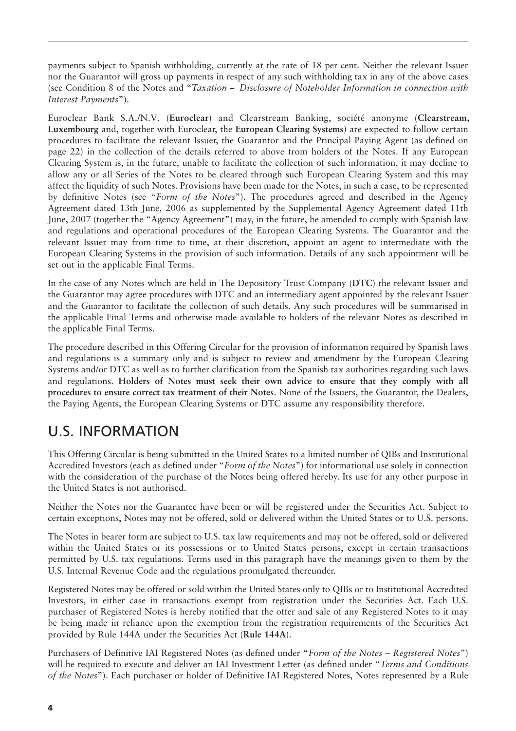payments subject to Spanish withholding, currently at the rate of 18 per cent. Neither the relevant Issuer nor the Guarantor will gross up payments in respect of any such withholding tax in any of the above cases (see Condition 8 of the Notes and "*Taxation – Disclosure of Noteholder Information in connection with Interest Payments*").

Euroclear Bank S.A./N.V. (**Euroclear**) and Clearstream Banking, société anonyme (**Clearstream, Luxembourg** and, together with Euroclear, the **European Clearing Systems**) are expected to follow certain procedures to facilitate the relevant Issuer, the Guarantor and the Principal Paying Agent (as defined on page 22) in the collection of the details referred to above from holders of the Notes. If any European Clearing System is, in the future, unable to facilitate the collection of such information, it may decline to allow any or all Series of the Notes to be cleared through such European Clearing System and this may affect the liquidity of such Notes. Provisions have been made for the Notes, in such a case, to be represented by definitive Notes (see "*Form of the Notes*"). The procedures agreed and described in the Agency Agreement dated 13th June, 2006 as supplemented by the Supplemental Agency Agreement dated 11th June, 2007 (together the "Agency Agreement") may, in the future, be amended to comply with Spanish law and regulations and operational procedures of the European Clearing Systems. The Guarantor and the relevant Issuer may from time to time, at their discretion, appoint an agent to intermediate with the European Clearing Systems in the provision of such information. Details of any such appointment will be set out in the applicable Final Terms.

In the case of any Notes which are held in The Depository Trust Company (**DTC**) the relevant Issuer and the Guarantor may agree procedures with DTC and an intermediary agent appointed by the relevant Issuer and the Guarantor to facilitate the collection of such details. Any such procedures will be summarised in the applicable Final Terms and otherwise made available to holders of the relevant Notes as described in the applicable Final Terms.

The procedure described in this Offering Circular for the provision of information required by Spanish laws and regulations is a summary only and is subject to review and amendment by the European Clearing Systems and/or DTC as well as to further clarification from the Spanish tax authorities regarding such laws and regulations. **Holders of Notes must seek their own advice to ensure that they comply with all procedures to ensure correct tax treatment of their Notes**. None of the Issuers, the Guarantor, the Dealers, the Paying Agents, the European Clearing Systems or DTC assume any responsibility therefore.

## U.S. INFORMATION

This Offering Circular is being submitted in the United States to a limited number of QIBs and Institutional Accredited Investors (each as defined under "*Form of the Notes*") for informational use solely in connection with the consideration of the purchase of the Notes being offered hereby. Its use for any other purpose in the United States is not authorised.

Neither the Notes nor the Guarantee have been or will be registered under the Securities Act. Subject to certain exceptions, Notes may not be offered, sold or delivered within the United States or to U.S. persons.

The Notes in bearer form are subject to U.S. tax law requirements and may not be offered, sold or delivered within the United States or its possessions or to United States persons, except in certain transactions permitted by U.S. tax regulations. Terms used in this paragraph have the meanings given to them by the U.S. Internal Revenue Code and the regulations promulgated thereunder.

Registered Notes may be offered or sold within the United States only to QIBs or to Institutional Accredited Investors, in either case in transactions exempt from registration under the Securities Act. Each U.S. purchaser of Registered Notes is hereby notified that the offer and sale of any Registered Notes to it may be being made in reliance upon the exemption from the registration requirements of the Securities Act provided by Rule 144A under the Securities Act (**Rule 144A**).

Purchasers of Definitive IAI Registered Notes (as defined under "*Form of the Notes – Registered Notes*") will be required to execute and deliver an IAI Investment Letter (as defined under "*Terms and Conditions of the Notes*"). Each purchaser or holder of Definitive IAI Registered Notes, Notes represented by a Rule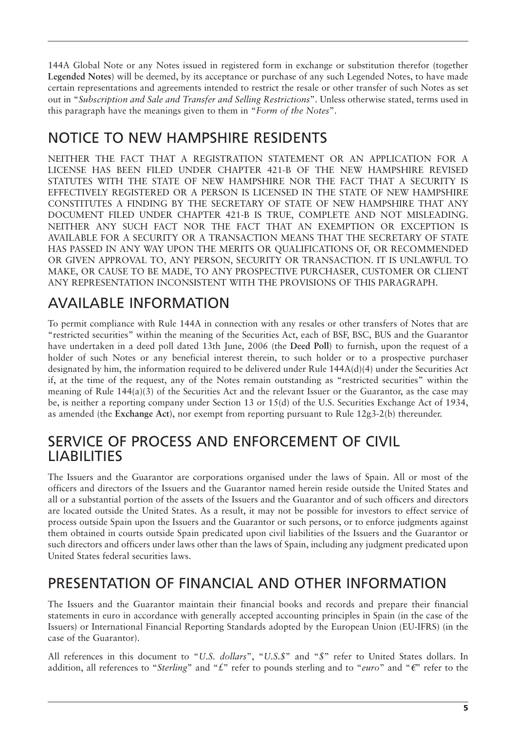144A Global Note or any Notes issued in registered form in exchange or substitution therefor (together **Legended Notes**) will be deemed, by its acceptance or purchase of any such Legended Notes, to have made certain representations and agreements intended to restrict the resale or other transfer of such Notes as set out in "*Subscription and Sale and Transfer and Selling Restrictions*". Unless otherwise stated, terms used in this paragraph have the meanings given to them in "*Form of the Notes*".

## NOTICE TO NEW HAMPSHIRE RESIDENTS

NEITHER THE FACT THAT A REGISTRATION STATEMENT OR AN APPLICATION FOR A LICENSE HAS BEEN FILED UNDER CHAPTER 421-B OF THE NEW HAMPSHIRE REVISED STATUTES WITH THE STATE OF NEW HAMPSHIRE NOR THE FACT THAT A SECURITY IS EFFECTIVELY REGISTERED OR A PERSON IS LICENSED IN THE STATE OF NEW HAMPSHIRE CONSTITUTES A FINDING BY THE SECRETARY OF STATE OF NEW HAMPSHIRE THAT ANY DOCUMENT FILED UNDER CHAPTER 421-B IS TRUE, COMPLETE AND NOT MISLEADING. NEITHER ANY SUCH FACT NOR THE FACT THAT AN EXEMPTION OR EXCEPTION IS AVAILABLE FOR A SECURITY OR A TRANSACTION MEANS THAT THE SECRETARY OF STATE HAS PASSED IN ANY WAY UPON THE MERITS OR QUALIFICATIONS OF, OR RECOMMENDED OR GIVEN APPROVAL TO, ANY PERSON, SECURITY OR TRANSACTION. IT IS UNLAWFUL TO MAKE, OR CAUSE TO BE MADE, TO ANY PROSPECTIVE PURCHASER, CUSTOMER OR CLIENT ANY REPRESENTATION INCONSISTENT WITH THE PROVISIONS OF THIS PARAGRAPH.

## AVAILABLE INFORMATION

To permit compliance with Rule 144A in connection with any resales or other transfers of Notes that are "restricted securities" within the meaning of the Securities Act, each of BSF, BSC, BUS and the Guarantor have undertaken in a deed poll dated 13th June, 2006 (the **Deed Poll**) to furnish, upon the request of a holder of such Notes or any beneficial interest therein, to such holder or to a prospective purchaser designated by him, the information required to be delivered under Rule 144A(d)(4) under the Securities Act if, at the time of the request, any of the Notes remain outstanding as "restricted securities" within the meaning of Rule 144(a)(3) of the Securities Act and the relevant Issuer or the Guarantor, as the case may be, is neither a reporting company under Section 13 or 15(d) of the U.S. Securities Exchange Act of 1934, as amended (the **Exchange Act**), nor exempt from reporting pursuant to Rule 12g3-2(b) thereunder.

### SERVICE OF PROCESS AND ENFORCEMENT OF CIVIL LIABILITIES

The Issuers and the Guarantor are corporations organised under the laws of Spain. All or most of the officers and directors of the Issuers and the Guarantor named herein reside outside the United States and all or a substantial portion of the assets of the Issuers and the Guarantor and of such officers and directors are located outside the United States. As a result, it may not be possible for investors to effect service of process outside Spain upon the Issuers and the Guarantor or such persons, or to enforce judgments against them obtained in courts outside Spain predicated upon civil liabilities of the Issuers and the Guarantor or such directors and officers under laws other than the laws of Spain, including any judgment predicated upon United States federal securities laws.

### PRESENTATION OF FINANCIAL AND OTHER INFORMATION

The Issuers and the Guarantor maintain their financial books and records and prepare their financial statements in euro in accordance with generally accepted accounting principles in Spain (in the case of the Issuers) or International Financial Reporting Standards adopted by the European Union (EU-IFRS) (in the case of the Guarantor).

All references in this document to "*U.S. dollars*", "*U.S.\$*" and "*\$*" refer to United States dollars. In addition, all references to "*Sterling*" and " $\pounds$ " refer to pounds sterling and to "*euro*" and " $\pounds$ " refer to the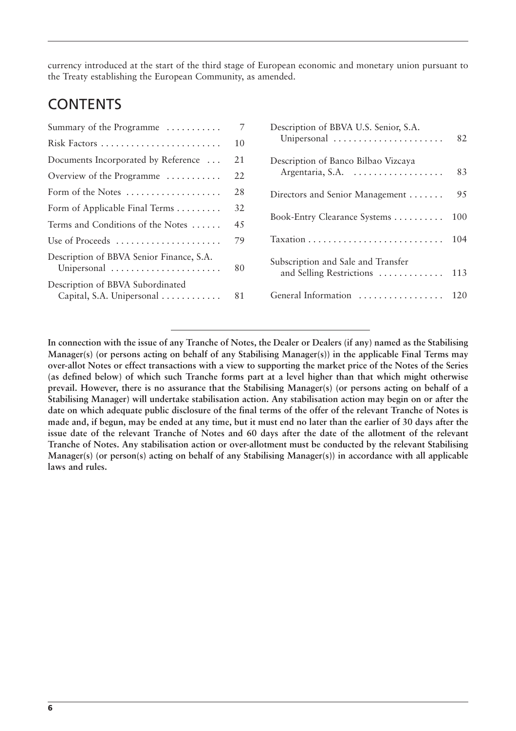currency introduced at the start of the third stage of European economic and monetary union pursuant to the Treaty establishing the European Community, as amended.

## **CONTENTS**

| Summary of the Programme                                      | 7  |
|---------------------------------------------------------------|----|
| Risk Factors                                                  | 10 |
| Documents Incorporated by Reference                           | 21 |
| Overview of the Programme                                     | 22 |
| Form of the Notes                                             | 28 |
| Form of Applicable Final Terms                                | 32 |
| Terms and Conditions of the Notes                             | 45 |
| Use of Proceeds                                               | 79 |
| Description of BBVA Senior Finance, S.A.<br>Unipersonal       | 80 |
| Description of BBVA Subordinated<br>Capital, S.A. Unipersonal | 81 |

| Description of BBVA U.S. Senior, S.A.<br>Unipersonal           | 82  |
|----------------------------------------------------------------|-----|
| Description of Banco Bilbao Vizcaya<br>Argentaria, S.A.        | 83  |
| Directors and Senior Management                                | 95  |
| Book-Entry Clearance Systems                                   | 100 |
|                                                                | 104 |
| Subscription and Sale and Transfer<br>and Selling Restrictions | 113 |
| General Information                                            | 120 |

**In connection with the issue of any Tranche of Notes, the Dealer or Dealers (if any) named as the Stabilising Manager(s) (or persons acting on behalf of any Stabilising Manager(s)) in the applicable Final Terms may over-allot Notes or effect transactions with a view to supporting the market price of the Notes of the Series (as defined below) of which such Tranche forms part at a level higher than that which might otherwise prevail. However, there is no assurance that the Stabilising Manager(s) (or persons acting on behalf of a Stabilising Manager) will undertake stabilisation action. Any stabilisation action may begin on or after the date on which adequate public disclosure of the final terms of the offer of the relevant Tranche of Notes is made and, if begun, may be ended at any time, but it must end no later than the earlier of 30 days after the issue date of the relevant Tranche of Notes and 60 days after the date of the allotment of the relevant Tranche of Notes. Any stabilisation action or over-allotment must be conducted by the relevant Stabilising Manager(s) (or person(s) acting on behalf of any Stabilising Manager(s)) in accordance with all applicable laws and rules.**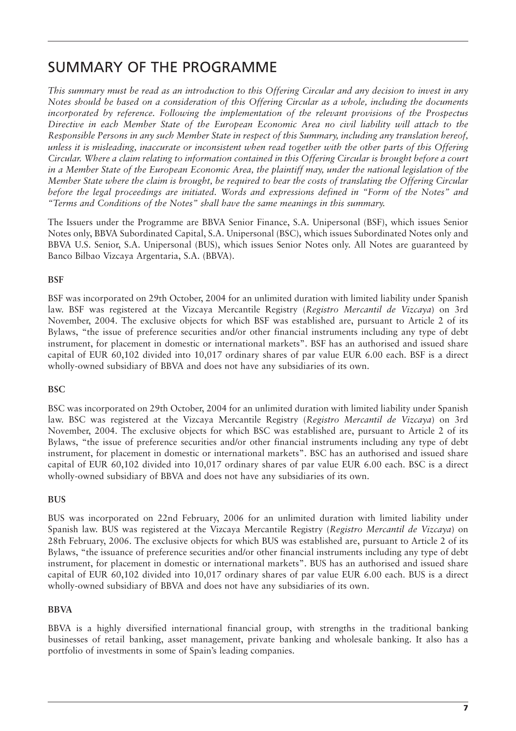### SUMMARY OF THE PROGRAMME

*This summary must be read as an introduction to this Offering Circular and any decision to invest in any Notes should be based on a consideration of this Offering Circular as a whole, including the documents incorporated by reference. Following the implementation of the relevant provisions of the Prospectus Directive in each Member State of the European Economic Area no civil liability will attach to the Responsible Persons in any such Member State in respect of this Summary, including any translation hereof, unless it is misleading, inaccurate or inconsistent when read together with the other parts of this Offering Circular. Where a claim relating to information contained in this Offering Circular is brought before a court in a Member State of the European Economic Area, the plaintiff may, under the national legislation of the Member State where the claim is brought, be required to bear the costs of translating the Offering Circular before the legal proceedings are initiated. Words and expressions defined in "Form of the Notes" and "Terms and Conditions of the Notes" shall have the same meanings in this summary.*

The Issuers under the Programme are BBVA Senior Finance, S.A. Unipersonal (BSF), which issues Senior Notes only, BBVA Subordinated Capital, S.A. Unipersonal (BSC), which issues Subordinated Notes only and BBVA U.S. Senior, S.A. Unipersonal (BUS), which issues Senior Notes only. All Notes are guaranteed by Banco Bilbao Vizcaya Argentaria, S.A. (BBVA).

#### **BSF**

BSF was incorporated on 29th October, 2004 for an unlimited duration with limited liability under Spanish law. BSF was registered at the Vizcaya Mercantile Registry (*Registro Mercantil de Vizcaya*) on 3rd November, 2004. The exclusive objects for which BSF was established are, pursuant to Article 2 of its Bylaws, "the issue of preference securities and/or other financial instruments including any type of debt instrument, for placement in domestic or international markets". BSF has an authorised and issued share capital of EUR 60,102 divided into 10,017 ordinary shares of par value EUR 6.00 each. BSF is a direct wholly-owned subsidiary of BBVA and does not have any subsidiaries of its own.

#### **BSC**

BSC was incorporated on 29th October, 2004 for an unlimited duration with limited liability under Spanish law. BSC was registered at the Vizcaya Mercantile Registry (*Registro Mercantil de Vizcaya*) on 3rd November, 2004. The exclusive objects for which BSC was established are, pursuant to Article 2 of its Bylaws, "the issue of preference securities and/or other financial instruments including any type of debt instrument, for placement in domestic or international markets". BSC has an authorised and issued share capital of EUR 60,102 divided into 10,017 ordinary shares of par value EUR 6.00 each. BSC is a direct wholly-owned subsidiary of BBVA and does not have any subsidiaries of its own.

#### **BUS**

BUS was incorporated on 22nd February, 2006 for an unlimited duration with limited liability under Spanish law. BUS was registered at the Vizcaya Mercantile Registry (*Registro Mercantil de Vizcaya*) on 28th February, 2006. The exclusive objects for which BUS was established are, pursuant to Article 2 of its Bylaws, "the issuance of preference securities and/or other financial instruments including any type of debt instrument, for placement in domestic or international markets". BUS has an authorised and issued share capital of EUR 60,102 divided into 10,017 ordinary shares of par value EUR 6.00 each. BUS is a direct wholly-owned subsidiary of BBVA and does not have any subsidiaries of its own.

### **BBVA**

BBVA is a highly diversified international financial group, with strengths in the traditional banking businesses of retail banking, asset management, private banking and wholesale banking. It also has a portfolio of investments in some of Spain's leading companies.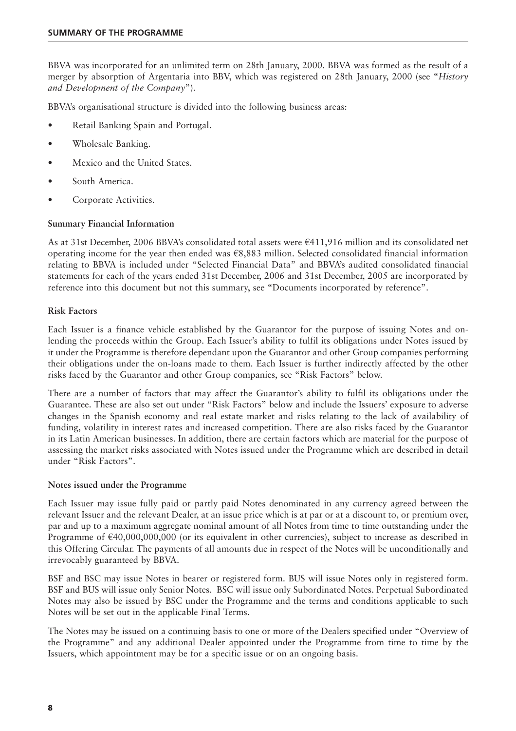BBVA was incorporated for an unlimited term on 28th January, 2000. BBVA was formed as the result of a merger by absorption of Argentaria into BBV, which was registered on 28th January, 2000 (see "*History and Development of the Company*").

BBVA's organisational structure is divided into the following business areas:

- Retail Banking Spain and Portugal.
- Wholesale Banking.
- Mexico and the United States.
- South America.
- Corporate Activities.

#### **Summary Financial Information**

As at 31st December, 2006 BBVA's consolidated total assets were €411,916 million and its consolidated net operating income for the year then ended was  $\epsilon$ 8,883 million. Selected consolidated financial information relating to BBVA is included under "Selected Financial Data" and BBVA's audited consolidated financial statements for each of the years ended 31st December, 2006 and 31st December, 2005 are incorporated by reference into this document but not this summary, see "Documents incorporated by reference".

#### **Risk Factors**

Each Issuer is a finance vehicle established by the Guarantor for the purpose of issuing Notes and onlending the proceeds within the Group. Each Issuer's ability to fulfil its obligations under Notes issued by it under the Programme is therefore dependant upon the Guarantor and other Group companies performing their obligations under the on-loans made to them. Each Issuer is further indirectly affected by the other risks faced by the Guarantor and other Group companies, see "Risk Factors" below.

There are a number of factors that may affect the Guarantor's ability to fulfil its obligations under the Guarantee. These are also set out under "Risk Factors" below and include the Issuers' exposure to adverse changes in the Spanish economy and real estate market and risks relating to the lack of availability of funding, volatility in interest rates and increased competition. There are also risks faced by the Guarantor in its Latin American businesses. In addition, there are certain factors which are material for the purpose of assessing the market risks associated with Notes issued under the Programme which are described in detail under "Risk Factors".

#### **Notes issued under the Programme**

Each Issuer may issue fully paid or partly paid Notes denominated in any currency agreed between the relevant Issuer and the relevant Dealer, at an issue price which is at par or at a discount to, or premium over, par and up to a maximum aggregate nominal amount of all Notes from time to time outstanding under the Programme of €40,000,000,000 (or its equivalent in other currencies), subject to increase as described in this Offering Circular. The payments of all amounts due in respect of the Notes will be unconditionally and irrevocably guaranteed by BBVA.

BSF and BSC may issue Notes in bearer or registered form. BUS will issue Notes only in registered form. BSF and BUS will issue only Senior Notes. BSC will issue only Subordinated Notes. Perpetual Subordinated Notes may also be issued by BSC under the Programme and the terms and conditions applicable to such Notes will be set out in the applicable Final Terms.

The Notes may be issued on a continuing basis to one or more of the Dealers specified under "Overview of the Programme" and any additional Dealer appointed under the Programme from time to time by the Issuers, which appointment may be for a specific issue or on an ongoing basis.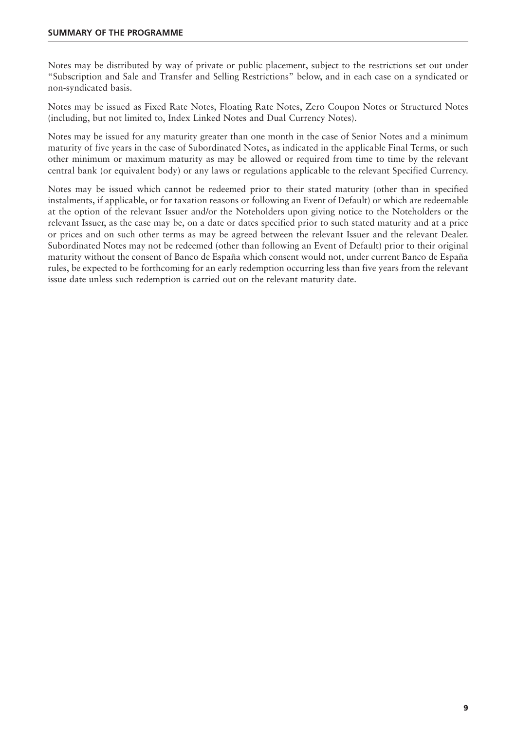Notes may be distributed by way of private or public placement, subject to the restrictions set out under "Subscription and Sale and Transfer and Selling Restrictions" below, and in each case on a syndicated or non-syndicated basis.

Notes may be issued as Fixed Rate Notes, Floating Rate Notes, Zero Coupon Notes or Structured Notes (including, but not limited to, Index Linked Notes and Dual Currency Notes).

Notes may be issued for any maturity greater than one month in the case of Senior Notes and a minimum maturity of five years in the case of Subordinated Notes, as indicated in the applicable Final Terms, or such other minimum or maximum maturity as may be allowed or required from time to time by the relevant central bank (or equivalent body) or any laws or regulations applicable to the relevant Specified Currency.

Notes may be issued which cannot be redeemed prior to their stated maturity (other than in specified instalments, if applicable, or for taxation reasons or following an Event of Default) or which are redeemable at the option of the relevant Issuer and/or the Noteholders upon giving notice to the Noteholders or the relevant Issuer, as the case may be, on a date or dates specified prior to such stated maturity and at a price or prices and on such other terms as may be agreed between the relevant Issuer and the relevant Dealer. Subordinated Notes may not be redeemed (other than following an Event of Default) prior to their original maturity without the consent of Banco de España which consent would not, under current Banco de España rules, be expected to be forthcoming for an early redemption occurring less than five years from the relevant issue date unless such redemption is carried out on the relevant maturity date.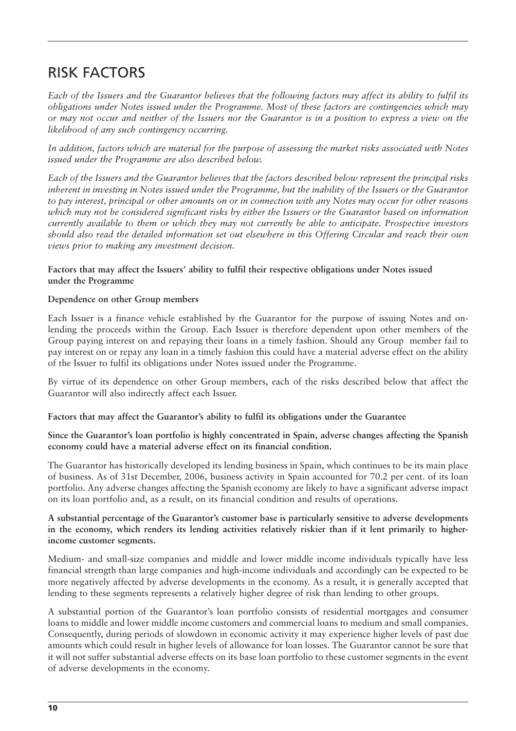### RISK FACTORS

*Each of the Issuers and the Guarantor believes that the following factors may affect its ability to fulfil its obligations under Notes issued under the Programme. Most of these factors are contingencies which may or may not occur and neither of the Issuers nor the Guarantor is in a position to express a view on the likelihood of any such contingency occurring.*

*In addition, factors which are material for the purpose of assessing the market risks associated with Notes issued under the Programme are also described below.*

*Each of the Issuers and the Guarantor believes that the factors described below represent the principal risks inherent in investing in Notes issued under the Programme, but the inability of the Issuers or the Guarantor to pay interest, principal or other amounts on or in connection with any Notes may occur for other reasons which may not be considered significant risks by either the Issuers or the Guarantor based on information currently available to them or which they may not currently be able to anticipate. Prospective investors should also read the detailed information set out elsewhere in this Offering Circular and reach their own views prior to making any investment decision.*

#### **Factors that may affect the Issuers' ability to fulfil their respective obligations under Notes issued under the Programme**

#### **Dependence on other Group members**

Each Issuer is a finance vehicle established by the Guarantor for the purpose of issuing Notes and onlending the proceeds within the Group. Each Issuer is therefore dependent upon other members of the Group paying interest on and repaying their loans in a timely fashion. Should any Group member fail to pay interest on or repay any loan in a timely fashion this could have a material adverse effect on the ability of the Issuer to fulfil its obligations under Notes issued under the Programme.

By virtue of its dependence on other Group members, each of the risks described below that affect the Guarantor will also indirectly affect each Issuer.

#### **Factors that may affect the Guarantor's ability to fulfil its obligations under the Guarantee**

#### **Since the Guarantor's loan portfolio is highly concentrated in Spain, adverse changes affecting the Spanish economy could have a material adverse effect on its financial condition.**

The Guarantor has historically developed its lending business in Spain, which continues to be its main place of business. As of 31st December, 2006, business activity in Spain accounted for 70.2 per cent. of its loan portfolio. Any adverse changes affecting the Spanish economy are likely to have a significant adverse impact on its loan portfolio and, as a result, on its financial condition and results of operations.

#### **A substantial percentage of the Guarantor's customer base is particularly sensitive to adverse developments in the economy, which renders its lending activities relatively riskier than if it lent primarily to higherincome customer segments.**

Medium- and small-size companies and middle and lower middle income individuals typically have less financial strength than large companies and high-income individuals and accordingly can be expected to be more negatively affected by adverse developments in the economy. As a result, it is generally accepted that lending to these segments represents a relatively higher degree of risk than lending to other groups.

A substantial portion of the Guarantor's loan portfolio consists of residential mortgages and consumer loans to middle and lower middle income customers and commercial loans to medium and small companies. Consequently, during periods of slowdown in economic activity it may experience higher levels of past due amounts which could result in higher levels of allowance for loan losses. The Guarantor cannot be sure that it will not suffer substantial adverse effects on its base loan portfolio to these customer segments in the event of adverse developments in the economy.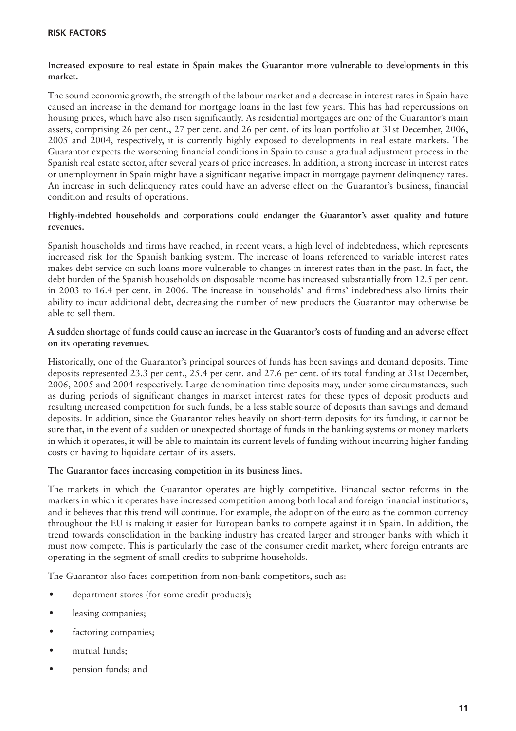#### **Increased exposure to real estate in Spain makes the Guarantor more vulnerable to developments in this market.**

The sound economic growth, the strength of the labour market and a decrease in interest rates in Spain have caused an increase in the demand for mortgage loans in the last few years. This has had repercussions on housing prices, which have also risen significantly. As residential mortgages are one of the Guarantor's main assets, comprising 26 per cent., 27 per cent. and 26 per cent. of its loan portfolio at 31st December, 2006, 2005 and 2004, respectively, it is currently highly exposed to developments in real estate markets. The Guarantor expects the worsening financial conditions in Spain to cause a gradual adjustment process in the Spanish real estate sector, after several years of price increases. In addition, a strong increase in interest rates or unemployment in Spain might have a significant negative impact in mortgage payment delinquency rates. An increase in such delinquency rates could have an adverse effect on the Guarantor's business, financial condition and results of operations.

#### **Highly-indebted households and corporations could endanger the Guarantor's asset quality and future revenues.**

Spanish households and firms have reached, in recent years, a high level of indebtedness, which represents increased risk for the Spanish banking system. The increase of loans referenced to variable interest rates makes debt service on such loans more vulnerable to changes in interest rates than in the past. In fact, the debt burden of the Spanish households on disposable income has increased substantially from 12.5 per cent. in 2003 to 16.4 per cent. in 2006. The increase in households' and firms' indebtedness also limits their ability to incur additional debt, decreasing the number of new products the Guarantor may otherwise be able to sell them.

#### **A sudden shortage of funds could cause an increase in the Guarantor's costs of funding and an adverse effect on its operating revenues.**

Historically, one of the Guarantor's principal sources of funds has been savings and demand deposits. Time deposits represented 23.3 per cent., 25.4 per cent. and 27.6 per cent. of its total funding at 31st December, 2006, 2005 and 2004 respectively. Large-denomination time deposits may, under some circumstances, such as during periods of significant changes in market interest rates for these types of deposit products and resulting increased competition for such funds, be a less stable source of deposits than savings and demand deposits. In addition, since the Guarantor relies heavily on short-term deposits for its funding, it cannot be sure that, in the event of a sudden or unexpected shortage of funds in the banking systems or money markets in which it operates, it will be able to maintain its current levels of funding without incurring higher funding costs or having to liquidate certain of its assets.

#### **The Guarantor faces increasing competition in its business lines.**

The markets in which the Guarantor operates are highly competitive. Financial sector reforms in the markets in which it operates have increased competition among both local and foreign financial institutions, and it believes that this trend will continue. For example, the adoption of the euro as the common currency throughout the EU is making it easier for European banks to compete against it in Spain. In addition, the trend towards consolidation in the banking industry has created larger and stronger banks with which it must now compete. This is particularly the case of the consumer credit market, where foreign entrants are operating in the segment of small credits to subprime households.

The Guarantor also faces competition from non-bank competitors, such as:

- department stores (for some credit products);
- leasing companies;
- factoring companies;
- mutual funds;
- pension funds; and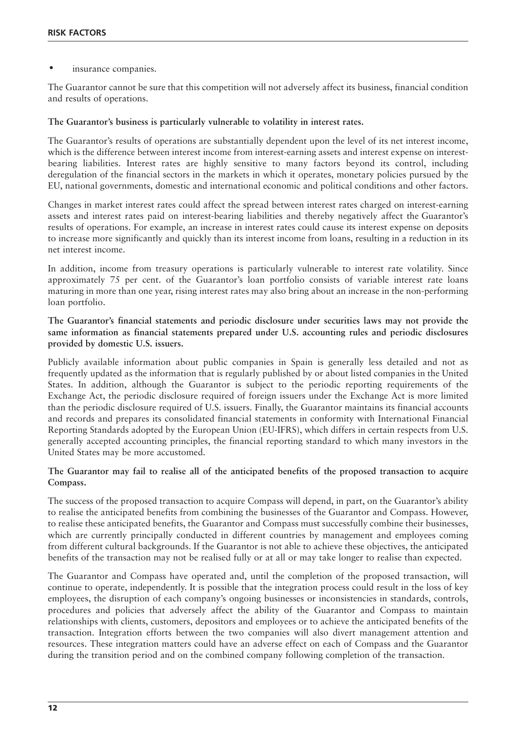insurance companies.

The Guarantor cannot be sure that this competition will not adversely affect its business, financial condition and results of operations.

#### **The Guarantor's business is particularly vulnerable to volatility in interest rates.**

The Guarantor's results of operations are substantially dependent upon the level of its net interest income, which is the difference between interest income from interest-earning assets and interest expense on interestbearing liabilities. Interest rates are highly sensitive to many factors beyond its control, including deregulation of the financial sectors in the markets in which it operates, monetary policies pursued by the EU, national governments, domestic and international economic and political conditions and other factors.

Changes in market interest rates could affect the spread between interest rates charged on interest-earning assets and interest rates paid on interest-bearing liabilities and thereby negatively affect the Guarantor's results of operations. For example, an increase in interest rates could cause its interest expense on deposits to increase more significantly and quickly than its interest income from loans, resulting in a reduction in its net interest income.

In addition, income from treasury operations is particularly vulnerable to interest rate volatility. Since approximately 75 per cent. of the Guarantor's loan portfolio consists of variable interest rate loans maturing in more than one year, rising interest rates may also bring about an increase in the non-performing loan portfolio.

**The Guarantor's financial statements and periodic disclosure under securities laws may not provide the same information as financial statements prepared under U.S. accounting rules and periodic disclosures provided by domestic U.S. issuers.** 

Publicly available information about public companies in Spain is generally less detailed and not as frequently updated as the information that is regularly published by or about listed companies in the United States. In addition, although the Guarantor is subject to the periodic reporting requirements of the Exchange Act, the periodic disclosure required of foreign issuers under the Exchange Act is more limited than the periodic disclosure required of U.S. issuers. Finally, the Guarantor maintains its financial accounts and records and prepares its consolidated financial statements in conformity with International Financial Reporting Standards adopted by the European Union (EU-IFRS), which differs in certain respects from U.S. generally accepted accounting principles, the financial reporting standard to which many investors in the United States may be more accustomed.

**The Guarantor may fail to realise all of the anticipated benefits of the proposed transaction to acquire Compass.** 

The success of the proposed transaction to acquire Compass will depend, in part, on the Guarantor's ability to realise the anticipated benefits from combining the businesses of the Guarantor and Compass. However, to realise these anticipated benefits, the Guarantor and Compass must successfully combine their businesses, which are currently principally conducted in different countries by management and employees coming from different cultural backgrounds. If the Guarantor is not able to achieve these objectives, the anticipated benefits of the transaction may not be realised fully or at all or may take longer to realise than expected.

The Guarantor and Compass have operated and, until the completion of the proposed transaction, will continue to operate, independently. It is possible that the integration process could result in the loss of key employees, the disruption of each company's ongoing businesses or inconsistencies in standards, controls, procedures and policies that adversely affect the ability of the Guarantor and Compass to maintain relationships with clients, customers, depositors and employees or to achieve the anticipated benefits of the transaction. Integration efforts between the two companies will also divert management attention and resources. These integration matters could have an adverse effect on each of Compass and the Guarantor during the transition period and on the combined company following completion of the transaction.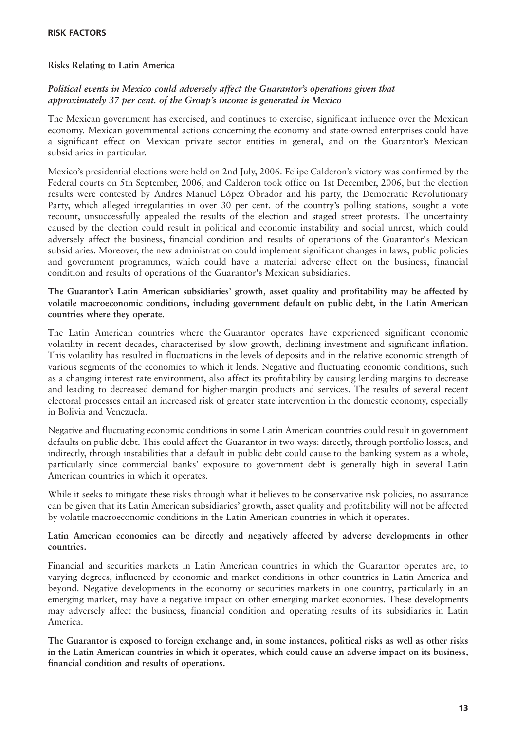#### **Risks Relating to Latin America**

#### *Political events in Mexico could adversely affect the Guarantor's operations given that approximately 37 per cent. of the Group's income is generated in Mexico*

The Mexican government has exercised, and continues to exercise, significant influence over the Mexican economy. Mexican governmental actions concerning the economy and state-owned enterprises could have a significant effect on Mexican private sector entities in general, and on the Guarantor's Mexican subsidiaries in particular.

Mexico's presidential elections were held on 2nd July, 2006. Felipe Calderon's victory was confirmed by the Federal courts on 5th September, 2006, and Calderon took office on 1st December, 2006, but the election results were contested by Andres Manuel López Obrador and his party, the Democratic Revolutionary Party, which alleged irregularities in over 30 per cent. of the country's polling stations, sought a vote recount, unsuccessfully appealed the results of the election and staged street protests. The uncertainty caused by the election could result in political and economic instability and social unrest, which could adversely affect the business, financial condition and results of operations of the Guarantor's Mexican subsidiaries. Moreover, the new administration could implement significant changes in laws, public policies and government programmes, which could have a material adverse effect on the business, financial condition and results of operations of the Guarantor's Mexican subsidiaries.

**The Guarantor's Latin American subsidiaries' growth, asset quality and profitability may be affected by volatile macroeconomic conditions, including government default on public debt, in the Latin American countries where they operate.** 

The Latin American countries where the Guarantor operates have experienced significant economic volatility in recent decades, characterised by slow growth, declining investment and significant inflation. This volatility has resulted in fluctuations in the levels of deposits and in the relative economic strength of various segments of the economies to which it lends. Negative and fluctuating economic conditions, such as a changing interest rate environment, also affect its profitability by causing lending margins to decrease and leading to decreased demand for higher-margin products and services. The results of several recent electoral processes entail an increased risk of greater state intervention in the domestic economy, especially in Bolivia and Venezuela.

Negative and fluctuating economic conditions in some Latin American countries could result in government defaults on public debt. This could affect the Guarantor in two ways: directly, through portfolio losses, and indirectly, through instabilities that a default in public debt could cause to the banking system as a whole, particularly since commercial banks' exposure to government debt is generally high in several Latin American countries in which it operates.

While it seeks to mitigate these risks through what it believes to be conservative risk policies, no assurance can be given that its Latin American subsidiaries' growth, asset quality and profitability will not be affected by volatile macroeconomic conditions in the Latin American countries in which it operates.

#### **Latin American economies can be directly and negatively affected by adverse developments in other countries.**

Financial and securities markets in Latin American countries in which the Guarantor operates are, to varying degrees, influenced by economic and market conditions in other countries in Latin America and beyond. Negative developments in the economy or securities markets in one country, particularly in an emerging market, may have a negative impact on other emerging market economies. These developments may adversely affect the business, financial condition and operating results of its subsidiaries in Latin America.

**The Guarantor is exposed to foreign exchange and, in some instances, political risks as well as other risks in the Latin American countries in which it operates, which could cause an adverse impact on its business, financial condition and results of operations.**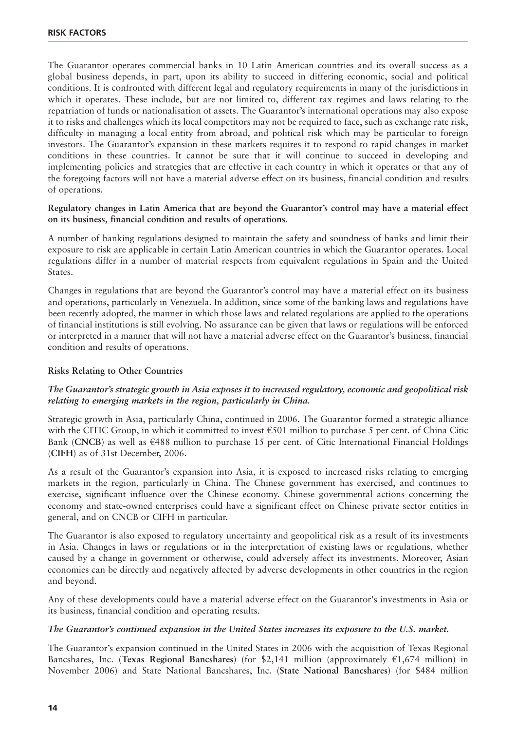The Guarantor operates commercial banks in 10 Latin American countries and its overall success as a global business depends, in part, upon its ability to succeed in differing economic, social and political conditions. It is confronted with different legal and regulatory requirements in many of the jurisdictions in which it operates. These include, but are not limited to, different tax regimes and laws relating to the repatriation of funds or nationalisation of assets. The Guarantor's international operations may also expose it to risks and challenges which its local competitors may not be required to face, such as exchange rate risk, difficulty in managing a local entity from abroad, and political risk which may be particular to foreign investors. The Guarantor's expansion in these markets requires it to respond to rapid changes in market conditions in these countries. It cannot be sure that it will continue to succeed in developing and implementing policies and strategies that are effective in each country in which it operates or that any of the foregoing factors will not have a material adverse effect on its business, financial condition and results of operations.

#### **Regulatory changes in Latin America that are beyond the Guarantor's control may have a material effect on its business, financial condition and results of operations.**

A number of banking regulations designed to maintain the safety and soundness of banks and limit their exposure to risk are applicable in certain Latin American countries in which the Guarantor operates. Local regulations differ in a number of material respects from equivalent regulations in Spain and the United States.

Changes in regulations that are beyond the Guarantor's control may have a material effect on its business and operations, particularly in Venezuela. In addition, since some of the banking laws and regulations have been recently adopted, the manner in which those laws and related regulations are applied to the operations of financial institutions is still evolving. No assurance can be given that laws or regulations will be enforced or interpreted in a manner that will not have a material adverse effect on the Guarantor's business, financial condition and results of operations.

#### **Risks Relating to Other Countries**

#### *The Guarantor's strategic growth in Asia exposes it to increased regulatory, economic and geopolitical risk relating to emerging markets in the region, particularly in China.*

Strategic growth in Asia, particularly China, continued in 2006. The Guarantor formed a strategic alliance with the CITIC Group, in which it committed to invest  $\epsilon$ 501 million to purchase 5 per cent. of China Citic Bank (CNCB) as well as  $\in$ 488 million to purchase 15 per cent. of Citic International Financial Holdings (**CIFH**) as of 31st December, 2006.

As a result of the Guarantor's expansion into Asia, it is exposed to increased risks relating to emerging markets in the region, particularly in China. The Chinese government has exercised, and continues to exercise, significant influence over the Chinese economy. Chinese governmental actions concerning the economy and state-owned enterprises could have a significant effect on Chinese private sector entities in general, and on CNCB or CIFH in particular.

The Guarantor is also exposed to regulatory uncertainty and geopolitical risk as a result of its investments in Asia. Changes in laws or regulations or in the interpretation of existing laws or regulations, whether caused by a change in government or otherwise, could adversely affect its investments. Moreover, Asian economies can be directly and negatively affected by adverse developments in other countries in the region and beyond.

Any of these developments could have a material adverse effect on the Guarantor's investments in Asia or its business, financial condition and operating results.

#### *The Guarantor's continued expansion in the United States increases its exposure to the U.S. market.*

The Guarantor's expansion continued in the United States in 2006 with the acquisition of Texas Regional Bancshares, Inc. (**Texas Regional Bancshares**) (for \$2,141 million (approximately €1,674 million) in November 2006) and State National Bancshares, Inc. (**State National Bancshares**) (for \$484 million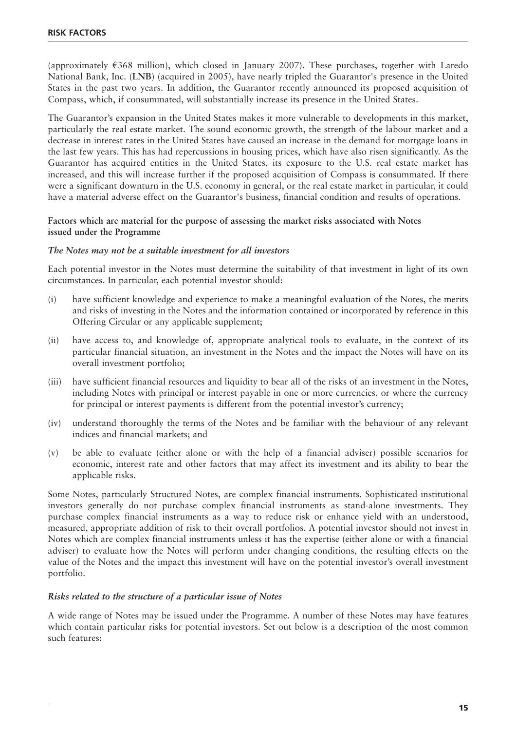(approximately  $\epsilon$ 368 million), which closed in January 2007). These purchases, together with Laredo National Bank, Inc. (**LNB**) (acquired in 2005), have nearly tripled the Guarantor's presence in the United States in the past two years. In addition, the Guarantor recently announced its proposed acquisition of Compass, which, if consummated, will substantially increase its presence in the United States.

The Guarantor's expansion in the United States makes it more vulnerable to developments in this market, particularly the real estate market. The sound economic growth, the strength of the labour market and a decrease in interest rates in the United States have caused an increase in the demand for mortgage loans in the last few years. This has had repercussions in housing prices, which have also risen significantly. As the Guarantor has acquired entities in the United States, its exposure to the U.S. real estate market has increased, and this will increase further if the proposed acquisition of Compass is consummated. If there were a significant downturn in the U.S. economy in general, or the real estate market in particular, it could have a material adverse effect on the Guarantor's business, financial condition and results of operations.

#### **Factors which are material for the purpose of assessing the market risks associated with Notes issued under the Programme**

#### *The Notes may not be a suitable investment for all investors*

Each potential investor in the Notes must determine the suitability of that investment in light of its own circumstances. In particular, each potential investor should:

- (i) have sufficient knowledge and experience to make a meaningful evaluation of the Notes, the merits and risks of investing in the Notes and the information contained or incorporated by reference in this Offering Circular or any applicable supplement;
- (ii) have access to, and knowledge of, appropriate analytical tools to evaluate, in the context of its particular financial situation, an investment in the Notes and the impact the Notes will have on its overall investment portfolio;
- (iii) have sufficient financial resources and liquidity to bear all of the risks of an investment in the Notes, including Notes with principal or interest payable in one or more currencies, or where the currency for principal or interest payments is different from the potential investor's currency;
- (iv) understand thoroughly the terms of the Notes and be familiar with the behaviour of any relevant indices and financial markets; and
- (v) be able to evaluate (either alone or with the help of a financial adviser) possible scenarios for economic, interest rate and other factors that may affect its investment and its ability to bear the applicable risks.

Some Notes, particularly Structured Notes, are complex financial instruments. Sophisticated institutional investors generally do not purchase complex financial instruments as stand-alone investments. They purchase complex financial instruments as a way to reduce risk or enhance yield with an understood, measured, appropriate addition of risk to their overall portfolios. A potential investor should not invest in Notes which are complex financial instruments unless it has the expertise (either alone or with a financial adviser) to evaluate how the Notes will perform under changing conditions, the resulting effects on the value of the Notes and the impact this investment will have on the potential investor's overall investment portfolio.

#### *Risks related to the structure of a particular issue of Notes*

A wide range of Notes may be issued under the Programme. A number of these Notes may have features which contain particular risks for potential investors. Set out below is a description of the most common such features: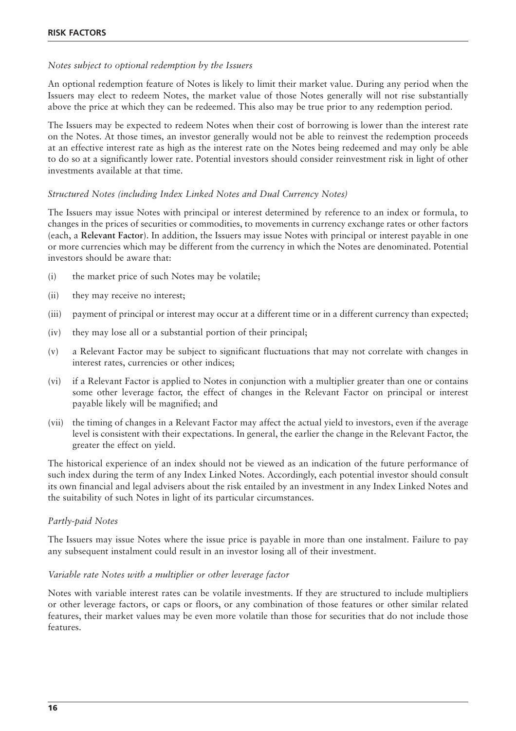#### *Notes subject to optional redemption by the Issuers*

An optional redemption feature of Notes is likely to limit their market value. During any period when the Issuers may elect to redeem Notes, the market value of those Notes generally will not rise substantially above the price at which they can be redeemed. This also may be true prior to any redemption period.

The Issuers may be expected to redeem Notes when their cost of borrowing is lower than the interest rate on the Notes. At those times, an investor generally would not be able to reinvest the redemption proceeds at an effective interest rate as high as the interest rate on the Notes being redeemed and may only be able to do so at a significantly lower rate. Potential investors should consider reinvestment risk in light of other investments available at that time.

#### *Structured Notes (including Index Linked Notes and Dual Currency Notes)*

The Issuers may issue Notes with principal or interest determined by reference to an index or formula, to changes in the prices of securities or commodities, to movements in currency exchange rates or other factors (each, a **Relevant Factor**). In addition, the Issuers may issue Notes with principal or interest payable in one or more currencies which may be different from the currency in which the Notes are denominated. Potential investors should be aware that:

- (i) the market price of such Notes may be volatile;
- (ii) they may receive no interest;
- (iii) payment of principal or interest may occur at a different time or in a different currency than expected;
- (iv) they may lose all or a substantial portion of their principal;
- (v) a Relevant Factor may be subject to significant fluctuations that may not correlate with changes in interest rates, currencies or other indices;
- (vi) if a Relevant Factor is applied to Notes in conjunction with a multiplier greater than one or contains some other leverage factor, the effect of changes in the Relevant Factor on principal or interest payable likely will be magnified; and
- (vii) the timing of changes in a Relevant Factor may affect the actual yield to investors, even if the average level is consistent with their expectations. In general, the earlier the change in the Relevant Factor, the greater the effect on yield.

The historical experience of an index should not be viewed as an indication of the future performance of such index during the term of any Index Linked Notes. Accordingly, each potential investor should consult its own financial and legal advisers about the risk entailed by an investment in any Index Linked Notes and the suitability of such Notes in light of its particular circumstances.

#### *Partly-paid Notes*

The Issuers may issue Notes where the issue price is payable in more than one instalment. Failure to pay any subsequent instalment could result in an investor losing all of their investment.

#### *Variable rate Notes with a multiplier or other leverage factor*

Notes with variable interest rates can be volatile investments. If they are structured to include multipliers or other leverage factors, or caps or floors, or any combination of those features or other similar related features, their market values may be even more volatile than those for securities that do not include those features.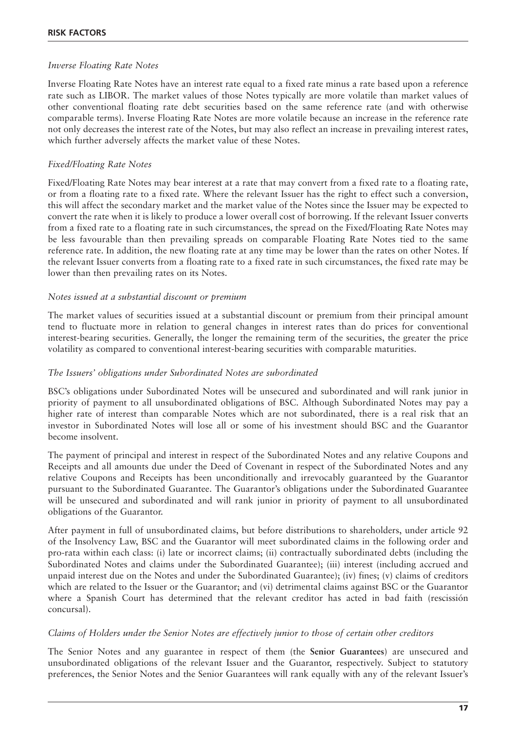#### *Inverse Floating Rate Notes*

Inverse Floating Rate Notes have an interest rate equal to a fixed rate minus a rate based upon a reference rate such as LIBOR. The market values of those Notes typically are more volatile than market values of other conventional floating rate debt securities based on the same reference rate (and with otherwise comparable terms). Inverse Floating Rate Notes are more volatile because an increase in the reference rate not only decreases the interest rate of the Notes, but may also reflect an increase in prevailing interest rates, which further adversely affects the market value of these Notes.

#### *Fixed/Floating Rate Notes*

Fixed/Floating Rate Notes may bear interest at a rate that may convert from a fixed rate to a floating rate, or from a floating rate to a fixed rate. Where the relevant Issuer has the right to effect such a conversion, this will affect the secondary market and the market value of the Notes since the Issuer may be expected to convert the rate when it is likely to produce a lower overall cost of borrowing. If the relevant Issuer converts from a fixed rate to a floating rate in such circumstances, the spread on the Fixed/Floating Rate Notes may be less favourable than then prevailing spreads on comparable Floating Rate Notes tied to the same reference rate. In addition, the new floating rate at any time may be lower than the rates on other Notes. If the relevant Issuer converts from a floating rate to a fixed rate in such circumstances, the fixed rate may be lower than then prevailing rates on its Notes.

#### *Notes issued at a substantial discount or premium*

The market values of securities issued at a substantial discount or premium from their principal amount tend to fluctuate more in relation to general changes in interest rates than do prices for conventional interest-bearing securities. Generally, the longer the remaining term of the securities, the greater the price volatility as compared to conventional interest-bearing securities with comparable maturities.

#### *The Issuers' obligations under Subordinated Notes are subordinated*

BSC's obligations under Subordinated Notes will be unsecured and subordinated and will rank junior in priority of payment to all unsubordinated obligations of BSC. Although Subordinated Notes may pay a higher rate of interest than comparable Notes which are not subordinated, there is a real risk that an investor in Subordinated Notes will lose all or some of his investment should BSC and the Guarantor become insolvent.

The payment of principal and interest in respect of the Subordinated Notes and any relative Coupons and Receipts and all amounts due under the Deed of Covenant in respect of the Subordinated Notes and any relative Coupons and Receipts has been unconditionally and irrevocably guaranteed by the Guarantor pursuant to the Subordinated Guarantee. The Guarantor's obligations under the Subordinated Guarantee will be unsecured and subordinated and will rank junior in priority of payment to all unsubordinated obligations of the Guarantor.

After payment in full of unsubordinated claims, but before distributions to shareholders, under article 92 of the Insolvency Law, BSC and the Guarantor will meet subordinated claims in the following order and pro-rata within each class: (i) late or incorrect claims; (ii) contractually subordinated debts (including the Subordinated Notes and claims under the Subordinated Guarantee); (iii) interest (including accrued and unpaid interest due on the Notes and under the Subordinated Guarantee); (iv) fines; (v) claims of creditors which are related to the Issuer or the Guarantor; and (vi) detrimental claims against BSC or the Guarantor where a Spanish Court has determined that the relevant creditor has acted in bad faith (rescissión concursal).

#### *Claims of Holders under the Senior Notes are effectively junior to those of certain other creditors*

The Senior Notes and any guarantee in respect of them (the **Senior Guarantees**) are unsecured and unsubordinated obligations of the relevant Issuer and the Guarantor, respectively. Subject to statutory preferences, the Senior Notes and the Senior Guarantees will rank equally with any of the relevant Issuer's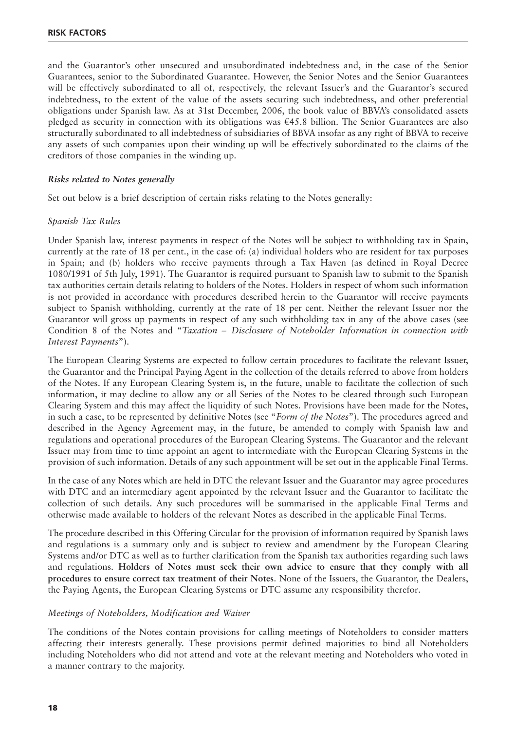and the Guarantor's other unsecured and unsubordinated indebtedness and, in the case of the Senior Guarantees, senior to the Subordinated Guarantee. However, the Senior Notes and the Senior Guarantees will be effectively subordinated to all of, respectively, the relevant Issuer's and the Guarantor's secured indebtedness, to the extent of the value of the assets securing such indebtedness, and other preferential obligations under Spanish law. As at 31st December, 2006, the book value of BBVA's consolidated assets pledged as security in connection with its obligations was €45.8 billion. The Senior Guarantees are also structurally subordinated to all indebtedness of subsidiaries of BBVA insofar as any right of BBVA to receive any assets of such companies upon their winding up will be effectively subordinated to the claims of the creditors of those companies in the winding up.

#### *Risks related to Notes generally*

Set out below is a brief description of certain risks relating to the Notes generally:

#### *Spanish Tax Rules*

Under Spanish law, interest payments in respect of the Notes will be subject to withholding tax in Spain, currently at the rate of 18 per cent., in the case of: (a) individual holders who are resident for tax purposes in Spain; and (b) holders who receive payments through a Tax Haven (as defined in Royal Decree 1080/1991 of 5th July, 1991). The Guarantor is required pursuant to Spanish law to submit to the Spanish tax authorities certain details relating to holders of the Notes. Holders in respect of whom such information is not provided in accordance with procedures described herein to the Guarantor will receive payments subject to Spanish withholding, currently at the rate of 18 per cent. Neither the relevant Issuer nor the Guarantor will gross up payments in respect of any such withholding tax in any of the above cases (see Condition 8 of the Notes and "*Taxation – Disclosure of Noteholder Information in connection with Interest Payments*").

The European Clearing Systems are expected to follow certain procedures to facilitate the relevant Issuer, the Guarantor and the Principal Paying Agent in the collection of the details referred to above from holders of the Notes. If any European Clearing System is, in the future, unable to facilitate the collection of such information, it may decline to allow any or all Series of the Notes to be cleared through such European Clearing System and this may affect the liquidity of such Notes. Provisions have been made for the Notes, in such a case, to be represented by definitive Notes (see "*Form of the Notes*"). The procedures agreed and described in the Agency Agreement may, in the future, be amended to comply with Spanish law and regulations and operational procedures of the European Clearing Systems. The Guarantor and the relevant Issuer may from time to time appoint an agent to intermediate with the European Clearing Systems in the provision of such information. Details of any such appointment will be set out in the applicable Final Terms.

In the case of any Notes which are held in DTC the relevant Issuer and the Guarantor may agree procedures with DTC and an intermediary agent appointed by the relevant Issuer and the Guarantor to facilitate the collection of such details. Any such procedures will be summarised in the applicable Final Terms and otherwise made available to holders of the relevant Notes as described in the applicable Final Terms.

The procedure described in this Offering Circular for the provision of information required by Spanish laws and regulations is a summary only and is subject to review and amendment by the European Clearing Systems and/or DTC as well as to further clarification from the Spanish tax authorities regarding such laws and regulations. **Holders of Notes must seek their own advice to ensure that they comply with all procedures to ensure correct tax treatment of their Notes**. None of the Issuers, the Guarantor, the Dealers, the Paying Agents, the European Clearing Systems or DTC assume any responsibility therefor.

#### *Meetings of Noteholders, Modification and Waiver*

The conditions of the Notes contain provisions for calling meetings of Noteholders to consider matters affecting their interests generally. These provisions permit defined majorities to bind all Noteholders including Noteholders who did not attend and vote at the relevant meeting and Noteholders who voted in a manner contrary to the majority.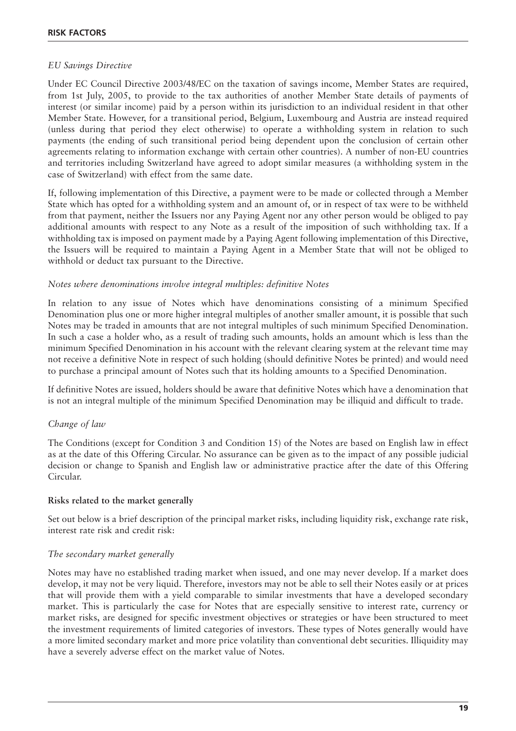#### *EU Savings Directive*

Under EC Council Directive 2003/48/EC on the taxation of savings income, Member States are required, from 1st July, 2005, to provide to the tax authorities of another Member State details of payments of interest (or similar income) paid by a person within its jurisdiction to an individual resident in that other Member State. However, for a transitional period, Belgium, Luxembourg and Austria are instead required (unless during that period they elect otherwise) to operate a withholding system in relation to such payments (the ending of such transitional period being dependent upon the conclusion of certain other agreements relating to information exchange with certain other countries). A number of non-EU countries and territories including Switzerland have agreed to adopt similar measures (a withholding system in the case of Switzerland) with effect from the same date.

If, following implementation of this Directive, a payment were to be made or collected through a Member State which has opted for a withholding system and an amount of, or in respect of tax were to be withheld from that payment, neither the Issuers nor any Paying Agent nor any other person would be obliged to pay additional amounts with respect to any Note as a result of the imposition of such withholding tax. If a withholding tax is imposed on payment made by a Paying Agent following implementation of this Directive, the Issuers will be required to maintain a Paying Agent in a Member State that will not be obliged to withhold or deduct tax pursuant to the Directive.

#### *Notes where denominations involve integral multiples: definitive Notes*

In relation to any issue of Notes which have denominations consisting of a minimum Specified Denomination plus one or more higher integral multiples of another smaller amount, it is possible that such Notes may be traded in amounts that are not integral multiples of such minimum Specified Denomination. In such a case a holder who, as a result of trading such amounts, holds an amount which is less than the minimum Specified Denomination in his account with the relevant clearing system at the relevant time may not receive a definitive Note in respect of such holding (should definitive Notes be printed) and would need to purchase a principal amount of Notes such that its holding amounts to a Specified Denomination.

If definitive Notes are issued, holders should be aware that definitive Notes which have a denomination that is not an integral multiple of the minimum Specified Denomination may be illiquid and difficult to trade.

#### *Change of law*

The Conditions (except for Condition 3 and Condition 15) of the Notes are based on English law in effect as at the date of this Offering Circular. No assurance can be given as to the impact of any possible judicial decision or change to Spanish and English law or administrative practice after the date of this Offering Circular.

#### **Risks related to the market generally**

Set out below is a brief description of the principal market risks, including liquidity risk, exchange rate risk, interest rate risk and credit risk:

#### *The secondary market generally*

Notes may have no established trading market when issued, and one may never develop. If a market does develop, it may not be very liquid. Therefore, investors may not be able to sell their Notes easily or at prices that will provide them with a yield comparable to similar investments that have a developed secondary market. This is particularly the case for Notes that are especially sensitive to interest rate, currency or market risks, are designed for specific investment objectives or strategies or have been structured to meet the investment requirements of limited categories of investors. These types of Notes generally would have a more limited secondary market and more price volatility than conventional debt securities. Illiquidity may have a severely adverse effect on the market value of Notes.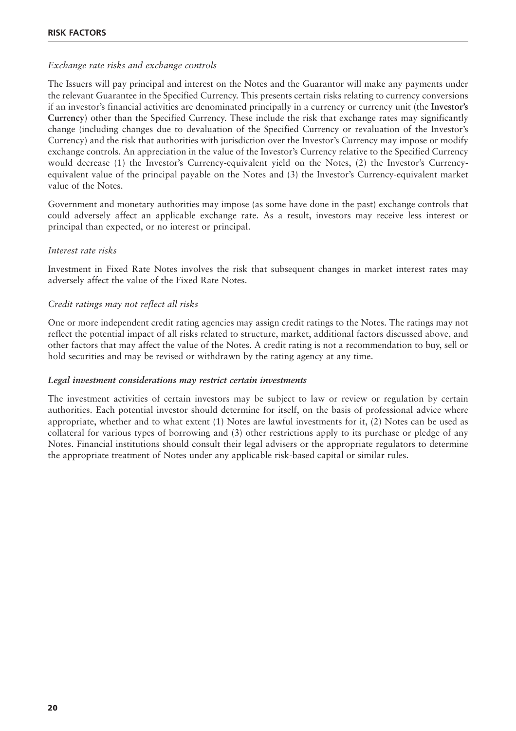#### *Exchange rate risks and exchange controls*

The Issuers will pay principal and interest on the Notes and the Guarantor will make any payments under the relevant Guarantee in the Specified Currency. This presents certain risks relating to currency conversions if an investor's financial activities are denominated principally in a currency or currency unit (the **Investor's Currency**) other than the Specified Currency. These include the risk that exchange rates may significantly change (including changes due to devaluation of the Specified Currency or revaluation of the Investor's Currency) and the risk that authorities with jurisdiction over the Investor's Currency may impose or modify exchange controls. An appreciation in the value of the Investor's Currency relative to the Specified Currency would decrease (1) the Investor's Currency-equivalent yield on the Notes, (2) the Investor's Currencyequivalent value of the principal payable on the Notes and (3) the Investor's Currency-equivalent market value of the Notes.

Government and monetary authorities may impose (as some have done in the past) exchange controls that could adversely affect an applicable exchange rate. As a result, investors may receive less interest or principal than expected, or no interest or principal.

#### *Interest rate risks*

Investment in Fixed Rate Notes involves the risk that subsequent changes in market interest rates may adversely affect the value of the Fixed Rate Notes.

#### *Credit ratings may not reflect all risks*

One or more independent credit rating agencies may assign credit ratings to the Notes. The ratings may not reflect the potential impact of all risks related to structure, market, additional factors discussed above, and other factors that may affect the value of the Notes. A credit rating is not a recommendation to buy, sell or hold securities and may be revised or withdrawn by the rating agency at any time.

#### *Legal investment considerations may restrict certain investments*

The investment activities of certain investors may be subject to law or review or regulation by certain authorities. Each potential investor should determine for itself, on the basis of professional advice where appropriate, whether and to what extent (1) Notes are lawful investments for it, (2) Notes can be used as collateral for various types of borrowing and (3) other restrictions apply to its purchase or pledge of any Notes. Financial institutions should consult their legal advisers or the appropriate regulators to determine the appropriate treatment of Notes under any applicable risk-based capital or similar rules.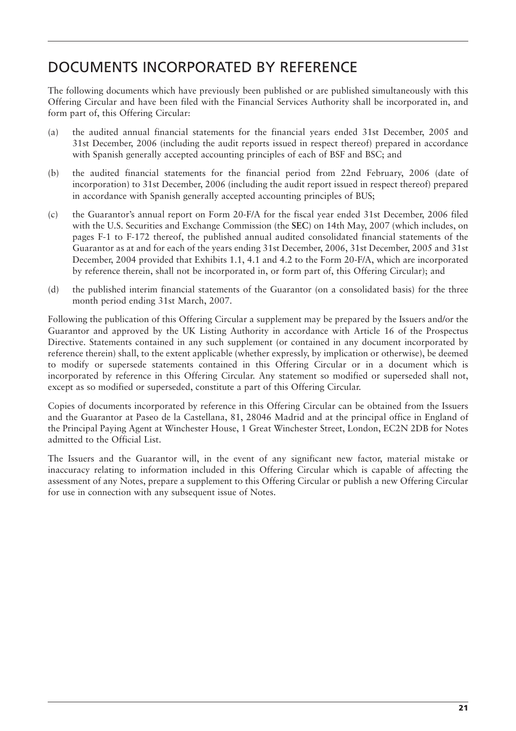### DOCUMENTS INCORPORATED BY REFERENCE

The following documents which have previously been published or are published simultaneously with this Offering Circular and have been filed with the Financial Services Authority shall be incorporated in, and form part of, this Offering Circular:

- (a) the audited annual financial statements for the financial years ended 31st December, 2005 and 31st December, 2006 (including the audit reports issued in respect thereof) prepared in accordance with Spanish generally accepted accounting principles of each of BSF and BSC; and
- (b) the audited financial statements for the financial period from 22nd February, 2006 (date of incorporation) to 31st December, 2006 (including the audit report issued in respect thereof) prepared in accordance with Spanish generally accepted accounting principles of BUS;
- (c) the Guarantor's annual report on Form 20-F/A for the fiscal year ended 31st December, 2006 filed with the U.S. Securities and Exchange Commission (the **SEC**) on 14th May, 2007 (which includes, on pages F-1 to F-172 thereof, the published annual audited consolidated financial statements of the Guarantor as at and for each of the years ending 31st December, 2006, 31st December, 2005 and 31st December, 2004 provided that Exhibits 1.1, 4.1 and 4.2 to the Form 20-F/A, which are incorporated by reference therein, shall not be incorporated in, or form part of, this Offering Circular); and
- (d) the published interim financial statements of the Guarantor (on a consolidated basis) for the three month period ending 31st March, 2007.

Following the publication of this Offering Circular a supplement may be prepared by the Issuers and/or the Guarantor and approved by the UK Listing Authority in accordance with Article 16 of the Prospectus Directive. Statements contained in any such supplement (or contained in any document incorporated by reference therein) shall, to the extent applicable (whether expressly, by implication or otherwise), be deemed to modify or supersede statements contained in this Offering Circular or in a document which is incorporated by reference in this Offering Circular. Any statement so modified or superseded shall not, except as so modified or superseded, constitute a part of this Offering Circular.

Copies of documents incorporated by reference in this Offering Circular can be obtained from the Issuers and the Guarantor at Paseo de la Castellana, 81, 28046 Madrid and at the principal office in England of the Principal Paying Agent at Winchester House, 1 Great Winchester Street, London, EC2N 2DB for Notes admitted to the Official List.

The Issuers and the Guarantor will, in the event of any significant new factor, material mistake or inaccuracy relating to information included in this Offering Circular which is capable of affecting the assessment of any Notes, prepare a supplement to this Offering Circular or publish a new Offering Circular for use in connection with any subsequent issue of Notes.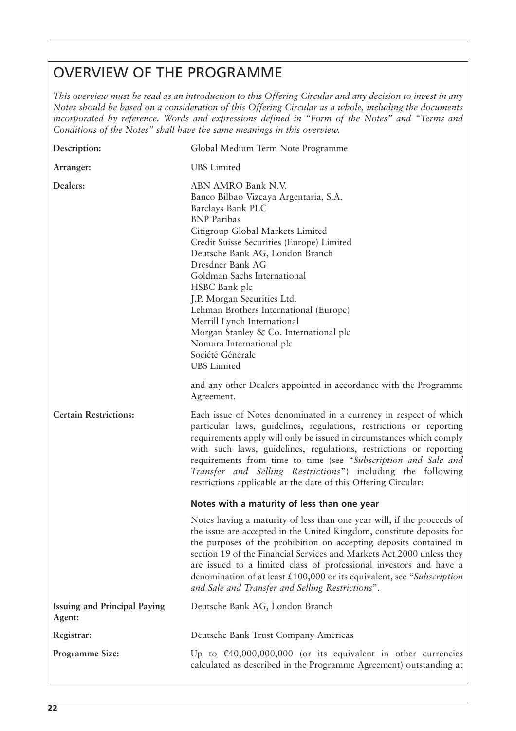### OVERVIEW OF THE PROGRAMME

*This overview must be read as an introduction to this Offering Circular and any decision to invest in any Notes should be based on a consideration of this Offering Circular as a whole, including the documents incorporated by reference. Words and expressions defined in "Form of the Notes" and "Terms and Conditions of the Notes" shall have the same meanings in this overview.*

| Description:<br>Global Medium Term Note Programme |                                                                                                                                                                                                                                                                                                                                                                                                                                                                                                                        |  |
|---------------------------------------------------|------------------------------------------------------------------------------------------------------------------------------------------------------------------------------------------------------------------------------------------------------------------------------------------------------------------------------------------------------------------------------------------------------------------------------------------------------------------------------------------------------------------------|--|
| Arranger:                                         | <b>UBS</b> Limited                                                                                                                                                                                                                                                                                                                                                                                                                                                                                                     |  |
| Dealers:                                          | ABN AMRO Bank N.V.<br>Banco Bilbao Vizcaya Argentaria, S.A.<br>Barclays Bank PLC<br><b>BNP</b> Paribas<br>Citigroup Global Markets Limited<br>Credit Suisse Securities (Europe) Limited<br>Deutsche Bank AG, London Branch<br>Dresdner Bank AG<br>Goldman Sachs International<br>HSBC Bank plc<br>J.P. Morgan Securities Ltd.<br>Lehman Brothers International (Europe)<br>Merrill Lynch International<br>Morgan Stanley & Co. International plc<br>Nomura International plc<br>Société Générale<br><b>UBS</b> Limited |  |
|                                                   | and any other Dealers appointed in accordance with the Programme<br>Agreement.                                                                                                                                                                                                                                                                                                                                                                                                                                         |  |
| <b>Certain Restrictions:</b>                      | Each issue of Notes denominated in a currency in respect of which<br>particular laws, guidelines, regulations, restrictions or reporting<br>requirements apply will only be issued in circumstances which comply<br>with such laws, guidelines, regulations, restrictions or reporting<br>requirements from time to time (see "Subscription and Sale and<br><i>Transfer and Selling Restrictions</i> ") including the following<br>restrictions applicable at the date of this Offering Circular:                      |  |
|                                                   | Notes with a maturity of less than one year                                                                                                                                                                                                                                                                                                                                                                                                                                                                            |  |
|                                                   | Notes having a maturity of less than one year will, if the proceeds of<br>the issue are accepted in the United Kingdom, constitute deposits for<br>the purposes of the prohibition on accepting deposits contained in<br>section 19 of the Financial Services and Markets Act 2000 unless they<br>are issued to a limited class of professional investors and have a<br>denomination of at least $£100,000$ or its equivalent, see "Subscription"<br>and Sale and Transfer and Selling Restrictions".                  |  |
| <b>Issuing and Principal Paying</b><br>Agent:     | Deutsche Bank AG, London Branch                                                                                                                                                                                                                                                                                                                                                                                                                                                                                        |  |
| Registrar:                                        | Deutsche Bank Trust Company Americas                                                                                                                                                                                                                                                                                                                                                                                                                                                                                   |  |
| Programme Size:                                   | Up to $\text{\textsterling}40,000,000,000$ (or its equivalent in other currencies<br>calculated as described in the Programme Agreement) outstanding at                                                                                                                                                                                                                                                                                                                                                                |  |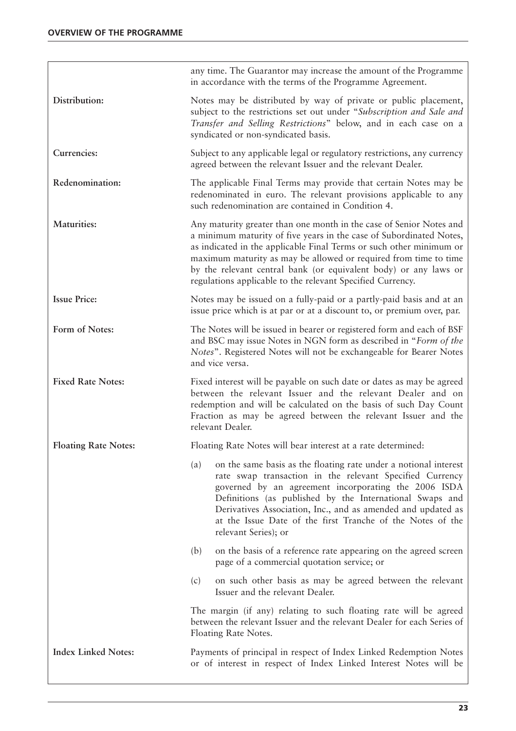|                             | any time. The Guarantor may increase the amount of the Programme<br>in accordance with the terms of the Programme Agreement.                                                                                                                                                                                                                                                                                            |  |
|-----------------------------|-------------------------------------------------------------------------------------------------------------------------------------------------------------------------------------------------------------------------------------------------------------------------------------------------------------------------------------------------------------------------------------------------------------------------|--|
| Distribution:               | Notes may be distributed by way of private or public placement,<br>subject to the restrictions set out under "Subscription and Sale and<br>Transfer and Selling Restrictions" below, and in each case on a<br>syndicated or non-syndicated basis.                                                                                                                                                                       |  |
| Currencies:                 | Subject to any applicable legal or regulatory restrictions, any currency<br>agreed between the relevant Issuer and the relevant Dealer.                                                                                                                                                                                                                                                                                 |  |
| Redenomination:             | The applicable Final Terms may provide that certain Notes may be<br>redenominated in euro. The relevant provisions applicable to any<br>such redenomination are contained in Condition 4.                                                                                                                                                                                                                               |  |
| <b>Maturities:</b>          | Any maturity greater than one month in the case of Senior Notes and<br>a minimum maturity of five years in the case of Subordinated Notes,<br>as indicated in the applicable Final Terms or such other minimum or<br>maximum maturity as may be allowed or required from time to time<br>by the relevant central bank (or equivalent body) or any laws or<br>regulations applicable to the relevant Specified Currency. |  |
| <b>Issue Price:</b>         | Notes may be issued on a fully-paid or a partly-paid basis and at an<br>issue price which is at par or at a discount to, or premium over, par.                                                                                                                                                                                                                                                                          |  |
| Form of Notes:              | The Notes will be issued in bearer or registered form and each of BSF<br>and BSC may issue Notes in NGN form as described in "Form of the<br>Notes". Registered Notes will not be exchangeable for Bearer Notes<br>and vice versa.                                                                                                                                                                                      |  |
| <b>Fixed Rate Notes:</b>    | Fixed interest will be payable on such date or dates as may be agreed<br>between the relevant Issuer and the relevant Dealer and on<br>redemption and will be calculated on the basis of such Day Count<br>Fraction as may be agreed between the relevant Issuer and the<br>relevant Dealer.                                                                                                                            |  |
| <b>Floating Rate Notes:</b> | Floating Rate Notes will bear interest at a rate determined:                                                                                                                                                                                                                                                                                                                                                            |  |
|                             | on the same basis as the floating rate under a notional interest<br>(a)<br>rate swap transaction in the relevant Specified Currency<br>governed by an agreement incorporating the 2006 ISDA<br>Definitions (as published by the International Swaps and<br>Derivatives Association, Inc., and as amended and updated as<br>at the Issue Date of the first Tranche of the Notes of the<br>relevant Series); or           |  |
|                             | on the basis of a reference rate appearing on the agreed screen<br>(b)<br>page of a commercial quotation service; or                                                                                                                                                                                                                                                                                                    |  |
|                             | on such other basis as may be agreed between the relevant<br>(c)<br>Issuer and the relevant Dealer.                                                                                                                                                                                                                                                                                                                     |  |
|                             | The margin (if any) relating to such floating rate will be agreed<br>between the relevant Issuer and the relevant Dealer for each Series of<br>Floating Rate Notes.                                                                                                                                                                                                                                                     |  |
| <b>Index Linked Notes:</b>  | Payments of principal in respect of Index Linked Redemption Notes<br>or of interest in respect of Index Linked Interest Notes will be                                                                                                                                                                                                                                                                                   |  |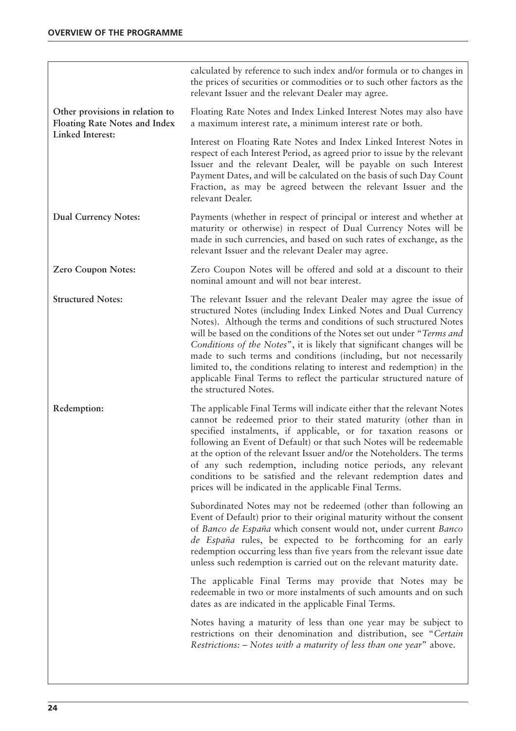|                                                                         | calculated by reference to such index and/or formula or to changes in<br>the prices of securities or commodities or to such other factors as the<br>relevant Issuer and the relevant Dealer may agree.                                                                                                                                                                                                                                                                                                                                                                                                            |
|-------------------------------------------------------------------------|-------------------------------------------------------------------------------------------------------------------------------------------------------------------------------------------------------------------------------------------------------------------------------------------------------------------------------------------------------------------------------------------------------------------------------------------------------------------------------------------------------------------------------------------------------------------------------------------------------------------|
| Other provisions in relation to<br><b>Floating Rate Notes and Index</b> | Floating Rate Notes and Index Linked Interest Notes may also have<br>a maximum interest rate, a minimum interest rate or both.                                                                                                                                                                                                                                                                                                                                                                                                                                                                                    |
| <b>Linked Interest:</b>                                                 | Interest on Floating Rate Notes and Index Linked Interest Notes in<br>respect of each Interest Period, as agreed prior to issue by the relevant<br>Issuer and the relevant Dealer, will be payable on such Interest<br>Payment Dates, and will be calculated on the basis of such Day Count<br>Fraction, as may be agreed between the relevant Issuer and the<br>relevant Dealer.                                                                                                                                                                                                                                 |
| <b>Dual Currency Notes:</b>                                             | Payments (whether in respect of principal or interest and whether at<br>maturity or otherwise) in respect of Dual Currency Notes will be<br>made in such currencies, and based on such rates of exchange, as the<br>relevant Issuer and the relevant Dealer may agree.                                                                                                                                                                                                                                                                                                                                            |
| <b>Zero Coupon Notes:</b>                                               | Zero Coupon Notes will be offered and sold at a discount to their<br>nominal amount and will not bear interest.                                                                                                                                                                                                                                                                                                                                                                                                                                                                                                   |
| <b>Structured Notes:</b>                                                | The relevant Issuer and the relevant Dealer may agree the issue of<br>structured Notes (including Index Linked Notes and Dual Currency<br>Notes). Although the terms and conditions of such structured Notes<br>will be based on the conditions of the Notes set out under "Terms and<br>Conditions of the Notes", it is likely that significant changes will be<br>made to such terms and conditions (including, but not necessarily<br>limited to, the conditions relating to interest and redemption) in the<br>applicable Final Terms to reflect the particular structured nature of<br>the structured Notes. |
| Redemption:                                                             | The applicable Final Terms will indicate either that the relevant Notes<br>cannot be redeemed prior to their stated maturity (other than in<br>specified instalments, if applicable, or for taxation reasons or<br>following an Event of Default) or that such Notes will be redeemable<br>at the option of the relevant Issuer and/or the Noteholders. The terms<br>of any such redemption, including notice periods, any relevant<br>conditions to be satisfied and the relevant redemption dates and<br>prices will be indicated in the applicable Final Terms.                                                |
|                                                                         | Subordinated Notes may not be redeemed (other than following an<br>Event of Default) prior to their original maturity without the consent<br>of Banco de España which consent would not, under current Banco<br>de España rules, be expected to be forthcoming for an early<br>redemption occurring less than five years from the relevant issue date<br>unless such redemption is carried out on the relevant maturity date.                                                                                                                                                                                     |
|                                                                         | The applicable Final Terms may provide that Notes may be<br>redeemable in two or more instalments of such amounts and on such<br>dates as are indicated in the applicable Final Terms.                                                                                                                                                                                                                                                                                                                                                                                                                            |
|                                                                         | Notes having a maturity of less than one year may be subject to<br>restrictions on their denomination and distribution, see "Certain<br>Restrictions: – Notes with a maturity of less than one year" above.                                                                                                                                                                                                                                                                                                                                                                                                       |
|                                                                         |                                                                                                                                                                                                                                                                                                                                                                                                                                                                                                                                                                                                                   |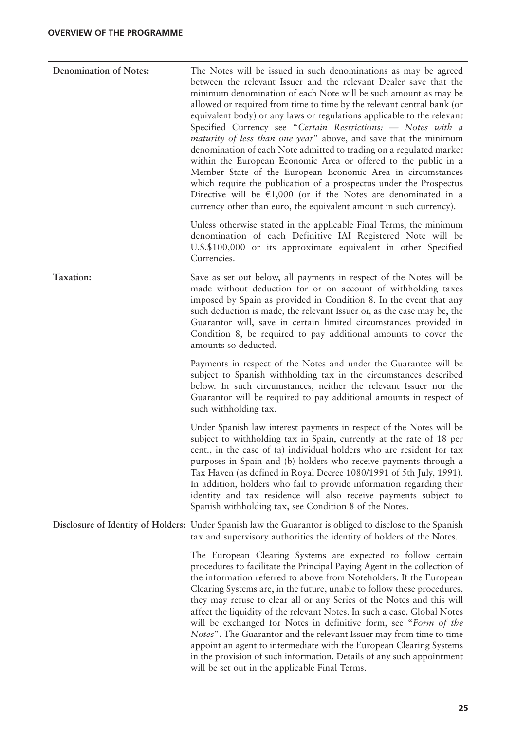| <b>Denomination of Notes:</b> | The Notes will be issued in such denominations as may be agreed<br>between the relevant Issuer and the relevant Dealer save that the<br>minimum denomination of each Note will be such amount as may be<br>allowed or required from time to time by the relevant central bank (or<br>equivalent body) or any laws or regulations applicable to the relevant<br>Specified Currency see "Certain Restrictions: - Notes with a<br><i>maturity of less than one year</i> " above, and save that the minimum<br>denomination of each Note admitted to trading on a regulated market<br>within the European Economic Area or offered to the public in a<br>Member State of the European Economic Area in circumstances<br>which require the publication of a prospectus under the Prospectus<br>Directive will be $\epsilon$ 1,000 (or if the Notes are denominated in a<br>currency other than euro, the equivalent amount in such currency). |
|-------------------------------|------------------------------------------------------------------------------------------------------------------------------------------------------------------------------------------------------------------------------------------------------------------------------------------------------------------------------------------------------------------------------------------------------------------------------------------------------------------------------------------------------------------------------------------------------------------------------------------------------------------------------------------------------------------------------------------------------------------------------------------------------------------------------------------------------------------------------------------------------------------------------------------------------------------------------------------|
|                               | Unless otherwise stated in the applicable Final Terms, the minimum<br>denomination of each Definitive IAI Registered Note will be<br>U.S.\$100,000 or its approximate equivalent in other Specified<br>Currencies.                                                                                                                                                                                                                                                                                                                                                                                                                                                                                                                                                                                                                                                                                                                       |
| Taxation:                     | Save as set out below, all payments in respect of the Notes will be<br>made without deduction for or on account of withholding taxes<br>imposed by Spain as provided in Condition 8. In the event that any<br>such deduction is made, the relevant Issuer or, as the case may be, the<br>Guarantor will, save in certain limited circumstances provided in<br>Condition 8, be required to pay additional amounts to cover the<br>amounts so deducted.                                                                                                                                                                                                                                                                                                                                                                                                                                                                                    |
|                               | Payments in respect of the Notes and under the Guarantee will be<br>subject to Spanish withholding tax in the circumstances described<br>below. In such circumstances, neither the relevant Issuer nor the<br>Guarantor will be required to pay additional amounts in respect of<br>such withholding tax.                                                                                                                                                                                                                                                                                                                                                                                                                                                                                                                                                                                                                                |
|                               | Under Spanish law interest payments in respect of the Notes will be<br>subject to withholding tax in Spain, currently at the rate of 18 per<br>cent., in the case of (a) individual holders who are resident for tax<br>purposes in Spain and (b) holders who receive payments through a<br>Tax Haven (as defined in Royal Decree 1080/1991 of 5th July, 1991).<br>In addition, holders who fail to provide information regarding their<br>identity and tax residence will also receive payments subject to<br>Spanish withholding tax, see Condition 8 of the Notes.                                                                                                                                                                                                                                                                                                                                                                    |
|                               | Disclosure of Identity of Holders: Under Spanish law the Guarantor is obliged to disclose to the Spanish<br>tax and supervisory authorities the identity of holders of the Notes.                                                                                                                                                                                                                                                                                                                                                                                                                                                                                                                                                                                                                                                                                                                                                        |
|                               | The European Clearing Systems are expected to follow certain<br>procedures to facilitate the Principal Paying Agent in the collection of<br>the information referred to above from Noteholders. If the European<br>Clearing Systems are, in the future, unable to follow these procedures,<br>they may refuse to clear all or any Series of the Notes and this will<br>affect the liquidity of the relevant Notes. In such a case, Global Notes<br>will be exchanged for Notes in definitive form, see "Form of the<br>Notes". The Guarantor and the relevant Issuer may from time to time<br>appoint an agent to intermediate with the European Clearing Systems<br>in the provision of such information. Details of any such appointment<br>will be set out in the applicable Final Terms.                                                                                                                                             |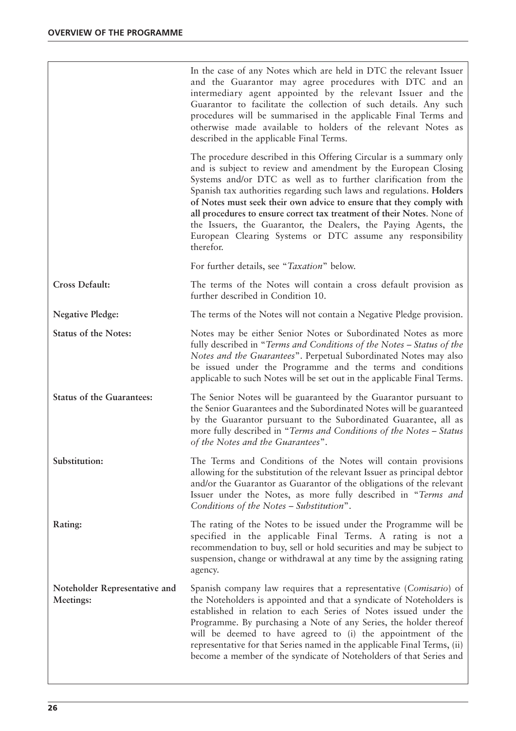|                                            | In the case of any Notes which are held in DTC the relevant Issuer<br>and the Guarantor may agree procedures with DTC and an<br>intermediary agent appointed by the relevant Issuer and the<br>Guarantor to facilitate the collection of such details. Any such<br>procedures will be summarised in the applicable Final Terms and<br>otherwise made available to holders of the relevant Notes as<br>described in the applicable Final Terms.                                                                                                                                  |
|--------------------------------------------|---------------------------------------------------------------------------------------------------------------------------------------------------------------------------------------------------------------------------------------------------------------------------------------------------------------------------------------------------------------------------------------------------------------------------------------------------------------------------------------------------------------------------------------------------------------------------------|
|                                            | The procedure described in this Offering Circular is a summary only<br>and is subject to review and amendment by the European Closing<br>Systems and/or DTC as well as to further clarification from the<br>Spanish tax authorities regarding such laws and regulations. Holders<br>of Notes must seek their own advice to ensure that they comply with<br>all procedures to ensure correct tax treatment of their Notes. None of<br>the Issuers, the Guarantor, the Dealers, the Paying Agents, the<br>European Clearing Systems or DTC assume any responsibility<br>therefor. |
|                                            | For further details, see "Taxation" below.                                                                                                                                                                                                                                                                                                                                                                                                                                                                                                                                      |
| <b>Cross Default:</b>                      | The terms of the Notes will contain a cross default provision as<br>further described in Condition 10.                                                                                                                                                                                                                                                                                                                                                                                                                                                                          |
| <b>Negative Pledge:</b>                    | The terms of the Notes will not contain a Negative Pledge provision.                                                                                                                                                                                                                                                                                                                                                                                                                                                                                                            |
| <b>Status of the Notes:</b>                | Notes may be either Senior Notes or Subordinated Notes as more<br>fully described in "Terms and Conditions of the Notes - Status of the<br>Notes and the Guarantees". Perpetual Subordinated Notes may also<br>be issued under the Programme and the terms and conditions<br>applicable to such Notes will be set out in the applicable Final Terms.                                                                                                                                                                                                                            |
| <b>Status of the Guarantees:</b>           | The Senior Notes will be guaranteed by the Guarantor pursuant to<br>the Senior Guarantees and the Subordinated Notes will be guaranteed<br>by the Guarantor pursuant to the Subordinated Guarantee, all as<br>more fully described in "Terms and Conditions of the Notes - Status<br>of the Notes and the Guarantees".                                                                                                                                                                                                                                                          |
| Substitution:                              | The Terms and Conditions of the Notes will contain provisions<br>allowing for the substitution of the relevant Issuer as principal debtor<br>and/or the Guarantor as Guarantor of the obligations of the relevant<br>Issuer under the Notes, as more fully described in "Terms and<br>Conditions of the Notes - Substitution".                                                                                                                                                                                                                                                  |
| Rating:                                    | The rating of the Notes to be issued under the Programme will be<br>specified in the applicable Final Terms. A rating is not a<br>recommendation to buy, sell or hold securities and may be subject to<br>suspension, change or withdrawal at any time by the assigning rating<br>agency.                                                                                                                                                                                                                                                                                       |
| Noteholder Representative and<br>Meetings: | Spanish company law requires that a representative (Comisario) of<br>the Noteholders is appointed and that a syndicate of Noteholders is<br>established in relation to each Series of Notes issued under the<br>Programme. By purchasing a Note of any Series, the holder thereof<br>will be deemed to have agreed to (i) the appointment of the<br>representative for that Series named in the applicable Final Terms, (ii)<br>become a member of the syndicate of Noteholders of that Series and                                                                              |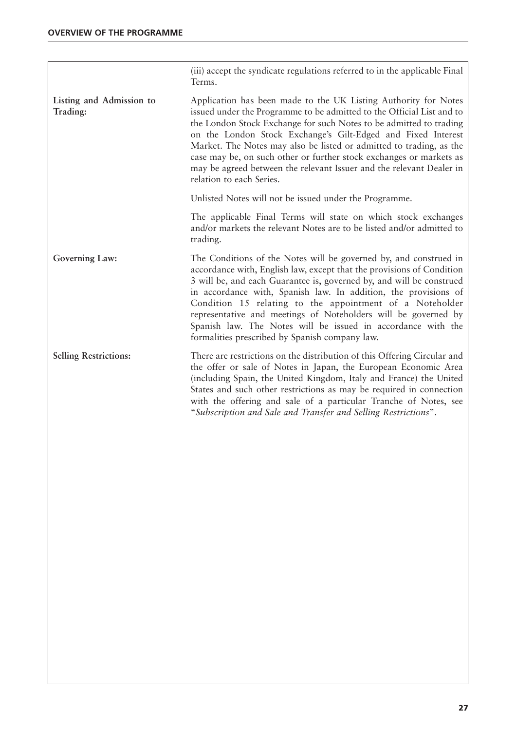|                                      | (iii) accept the syndicate regulations referred to in the applicable Final<br>Terms.                                                                                                                                                                                                                                                                                                                                                                                                                                                  |
|--------------------------------------|---------------------------------------------------------------------------------------------------------------------------------------------------------------------------------------------------------------------------------------------------------------------------------------------------------------------------------------------------------------------------------------------------------------------------------------------------------------------------------------------------------------------------------------|
| Listing and Admission to<br>Trading: | Application has been made to the UK Listing Authority for Notes<br>issued under the Programme to be admitted to the Official List and to<br>the London Stock Exchange for such Notes to be admitted to trading<br>on the London Stock Exchange's Gilt-Edged and Fixed Interest<br>Market. The Notes may also be listed or admitted to trading, as the<br>case may be, on such other or further stock exchanges or markets as<br>may be agreed between the relevant Issuer and the relevant Dealer in<br>relation to each Series.      |
|                                      | Unlisted Notes will not be issued under the Programme.                                                                                                                                                                                                                                                                                                                                                                                                                                                                                |
|                                      | The applicable Final Terms will state on which stock exchanges<br>and/or markets the relevant Notes are to be listed and/or admitted to<br>trading.                                                                                                                                                                                                                                                                                                                                                                                   |
| Governing Law:                       | The Conditions of the Notes will be governed by, and construed in<br>accordance with, English law, except that the provisions of Condition<br>3 will be, and each Guarantee is, governed by, and will be construed<br>in accordance with, Spanish law. In addition, the provisions of<br>Condition 15 relating to the appointment of a Noteholder<br>representative and meetings of Noteholders will be governed by<br>Spanish law. The Notes will be issued in accordance with the<br>formalities prescribed by Spanish company law. |
| <b>Selling Restrictions:</b>         | There are restrictions on the distribution of this Offering Circular and<br>the offer or sale of Notes in Japan, the European Economic Area<br>(including Spain, the United Kingdom, Italy and France) the United<br>States and such other restrictions as may be required in connection<br>with the offering and sale of a particular Tranche of Notes, see<br>"Subscription and Sale and Transfer and Selling Restrictions".                                                                                                        |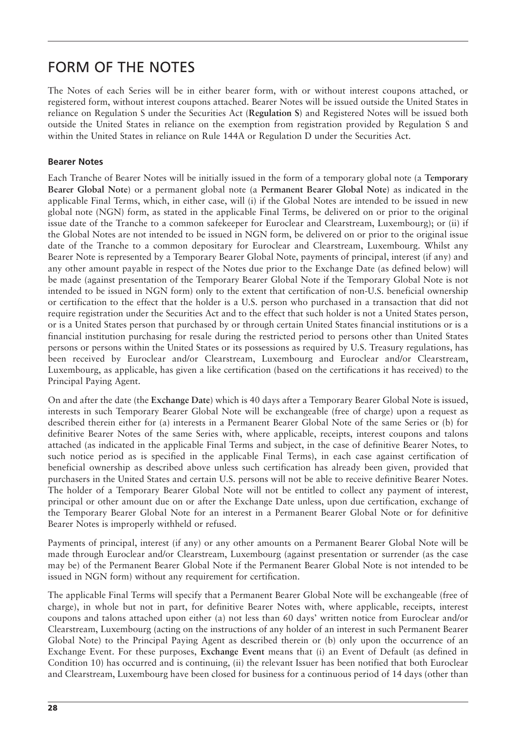### FORM OF THE NOTES

The Notes of each Series will be in either bearer form, with or without interest coupons attached, or registered form, without interest coupons attached. Bearer Notes will be issued outside the United States in reliance on Regulation S under the Securities Act (**Regulation S**) and Registered Notes will be issued both outside the United States in reliance on the exemption from registration provided by Regulation S and within the United States in reliance on Rule 144A or Regulation D under the Securities Act.

#### **Bearer Notes**

Each Tranche of Bearer Notes will be initially issued in the form of a temporary global note (a **Temporary Bearer Global Note**) or a permanent global note (a **Permanent Bearer Global Note**) as indicated in the applicable Final Terms, which, in either case, will (i) if the Global Notes are intended to be issued in new global note (NGN) form, as stated in the applicable Final Terms, be delivered on or prior to the original issue date of the Tranche to a common safekeeper for Euroclear and Clearstream, Luxembourg); or (ii) if the Global Notes are not intended to be issued in NGN form, be delivered on or prior to the original issue date of the Tranche to a common depositary for Euroclear and Clearstream, Luxembourg. Whilst any Bearer Note is represented by a Temporary Bearer Global Note, payments of principal, interest (if any) and any other amount payable in respect of the Notes due prior to the Exchange Date (as defined below) will be made (against presentation of the Temporary Bearer Global Note if the Temporary Global Note is not intended to be issued in NGN form) only to the extent that certification of non-U.S. beneficial ownership or certification to the effect that the holder is a U.S. person who purchased in a transaction that did not require registration under the Securities Act and to the effect that such holder is not a United States person, or is a United States person that purchased by or through certain United States financial institutions or is a financial institution purchasing for resale during the restricted period to persons other than United States persons or persons within the United States or its possessions as required by U.S. Treasury regulations, has been received by Euroclear and/or Clearstream, Luxembourg and Euroclear and/or Clearstream, Luxembourg, as applicable, has given a like certification (based on the certifications it has received) to the Principal Paying Agent.

On and after the date (the **Exchange Date**) which is 40 days after a Temporary Bearer Global Note is issued, interests in such Temporary Bearer Global Note will be exchangeable (free of charge) upon a request as described therein either for (a) interests in a Permanent Bearer Global Note of the same Series or (b) for definitive Bearer Notes of the same Series with, where applicable, receipts, interest coupons and talons attached (as indicated in the applicable Final Terms and subject, in the case of definitive Bearer Notes, to such notice period as is specified in the applicable Final Terms), in each case against certification of beneficial ownership as described above unless such certification has already been given, provided that purchasers in the United States and certain U.S. persons will not be able to receive definitive Bearer Notes. The holder of a Temporary Bearer Global Note will not be entitled to collect any payment of interest, principal or other amount due on or after the Exchange Date unless, upon due certification, exchange of the Temporary Bearer Global Note for an interest in a Permanent Bearer Global Note or for definitive Bearer Notes is improperly withheld or refused.

Payments of principal, interest (if any) or any other amounts on a Permanent Bearer Global Note will be made through Euroclear and/or Clearstream, Luxembourg (against presentation or surrender (as the case may be) of the Permanent Bearer Global Note if the Permanent Bearer Global Note is not intended to be issued in NGN form) without any requirement for certification.

The applicable Final Terms will specify that a Permanent Bearer Global Note will be exchangeable (free of charge), in whole but not in part, for definitive Bearer Notes with, where applicable, receipts, interest coupons and talons attached upon either (a) not less than 60 days' written notice from Euroclear and/or Clearstream, Luxembourg (acting on the instructions of any holder of an interest in such Permanent Bearer Global Note) to the Principal Paying Agent as described therein or (b) only upon the occurrence of an Exchange Event. For these purposes, **Exchange Event** means that (i) an Event of Default (as defined in Condition 10) has occurred and is continuing, (ii) the relevant Issuer has been notified that both Euroclear and Clearstream, Luxembourg have been closed for business for a continuous period of 14 days (other than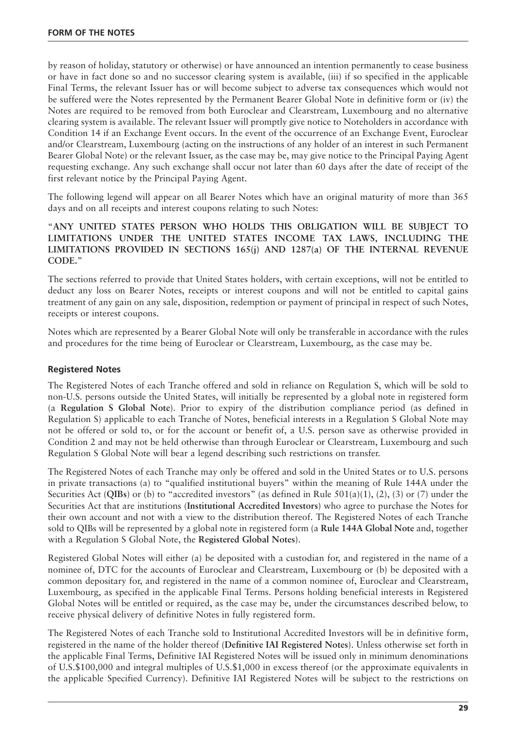by reason of holiday, statutory or otherwise) or have announced an intention permanently to cease business or have in fact done so and no successor clearing system is available, (iii) if so specified in the applicable Final Terms, the relevant Issuer has or will become subject to adverse tax consequences which would not be suffered were the Notes represented by the Permanent Bearer Global Note in definitive form or (iv) the Notes are required to be removed from both Euroclear and Clearstream, Luxembourg and no alternative clearing system is available. The relevant Issuer will promptly give notice to Noteholders in accordance with Condition 14 if an Exchange Event occurs. In the event of the occurrence of an Exchange Event, Euroclear and/or Clearstream, Luxembourg (acting on the instructions of any holder of an interest in such Permanent Bearer Global Note) or the relevant Issuer, as the case may be, may give notice to the Principal Paying Agent requesting exchange. Any such exchange shall occur not later than 60 days after the date of receipt of the first relevant notice by the Principal Paying Agent.

The following legend will appear on all Bearer Notes which have an original maturity of more than 365 days and on all receipts and interest coupons relating to such Notes:

"**ANY UNITED STATES PERSON WHO HOLDS THIS OBLIGATION WILL BE SUBJECT TO LIMITATIONS UNDER THE UNITED STATES INCOME TAX LAWS, INCLUDING THE LIMITATIONS PROVIDED IN SECTIONS 165(j) AND 1287(a) OF THE INTERNAL REVENUE CODE.**"

The sections referred to provide that United States holders, with certain exceptions, will not be entitled to deduct any loss on Bearer Notes, receipts or interest coupons and will not be entitled to capital gains treatment of any gain on any sale, disposition, redemption or payment of principal in respect of such Notes, receipts or interest coupons.

Notes which are represented by a Bearer Global Note will only be transferable in accordance with the rules and procedures for the time being of Euroclear or Clearstream, Luxembourg, as the case may be.

#### **Registered Notes**

The Registered Notes of each Tranche offered and sold in reliance on Regulation S, which will be sold to non-U.S. persons outside the United States, will initially be represented by a global note in registered form (a **Regulation S Global Note**). Prior to expiry of the distribution compliance period (as defined in Regulation S) applicable to each Tranche of Notes, beneficial interests in a Regulation S Global Note may not be offered or sold to, or for the account or benefit of, a U.S. person save as otherwise provided in Condition 2 and may not be held otherwise than through Euroclear or Clearstream, Luxembourg and such Regulation S Global Note will bear a legend describing such restrictions on transfer.

The Registered Notes of each Tranche may only be offered and sold in the United States or to U.S. persons in private transactions (a) to "qualified institutional buyers" within the meaning of Rule 144A under the Securities Act (**QIBs**) or (b) to "accredited investors" (as defined in Rule 501(a)(1), (2), (3) or (7) under the Securities Act that are institutions (**Institutional Accredited Investors**) who agree to purchase the Notes for their own account and not with a view to the distribution thereof. The Registered Notes of each Tranche sold to QIBs will be represented by a global note in registered form (a **Rule 144A Global Note** and, together with a Regulation S Global Note, the **Registered Global Notes**).

Registered Global Notes will either (a) be deposited with a custodian for, and registered in the name of a nominee of, DTC for the accounts of Euroclear and Clearstream, Luxembourg or (b) be deposited with a common depositary for, and registered in the name of a common nominee of, Euroclear and Clearstream, Luxembourg, as specified in the applicable Final Terms. Persons holding beneficial interests in Registered Global Notes will be entitled or required, as the case may be, under the circumstances described below, to receive physical delivery of definitive Notes in fully registered form.

The Registered Notes of each Tranche sold to Institutional Accredited Investors will be in definitive form, registered in the name of the holder thereof (**Definitive IAI Registered Notes**). Unless otherwise set forth in the applicable Final Terms, Definitive IAI Registered Notes will be issued only in minimum denominations of U.S.\$100,000 and integral multiples of U.S.\$1,000 in excess thereof (or the approximate equivalents in the applicable Specified Currency). Definitive IAI Registered Notes will be subject to the restrictions on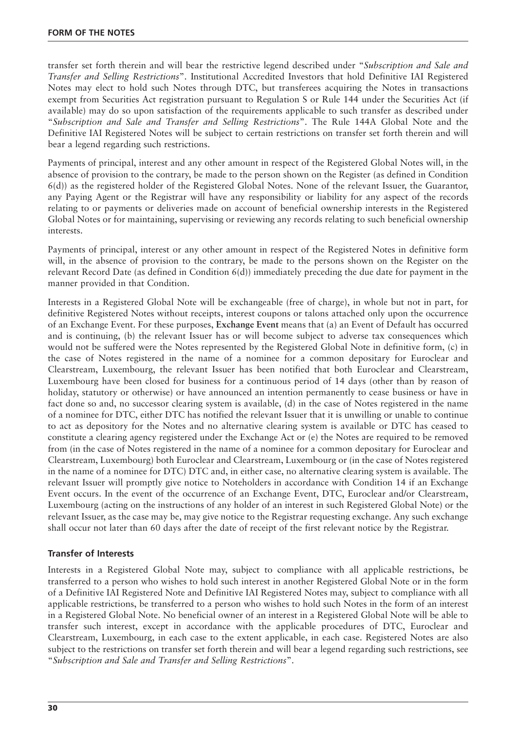transfer set forth therein and will bear the restrictive legend described under "*Subscription and Sale and Transfer and Selling Restrictions*". Institutional Accredited Investors that hold Definitive IAI Registered Notes may elect to hold such Notes through DTC, but transferees acquiring the Notes in transactions exempt from Securities Act registration pursuant to Regulation S or Rule 144 under the Securities Act (if available) may do so upon satisfaction of the requirements applicable to such transfer as described under "*Subscription and Sale and Transfer and Selling Restrictions*". The Rule 144A Global Note and the Definitive IAI Registered Notes will be subject to certain restrictions on transfer set forth therein and will bear a legend regarding such restrictions.

Payments of principal, interest and any other amount in respect of the Registered Global Notes will, in the absence of provision to the contrary, be made to the person shown on the Register (as defined in Condition 6(d)) as the registered holder of the Registered Global Notes. None of the relevant Issuer, the Guarantor, any Paying Agent or the Registrar will have any responsibility or liability for any aspect of the records relating to or payments or deliveries made on account of beneficial ownership interests in the Registered Global Notes or for maintaining, supervising or reviewing any records relating to such beneficial ownership interests.

Payments of principal, interest or any other amount in respect of the Registered Notes in definitive form will, in the absence of provision to the contrary, be made to the persons shown on the Register on the relevant Record Date (as defined in Condition 6(d)) immediately preceding the due date for payment in the manner provided in that Condition.

Interests in a Registered Global Note will be exchangeable (free of charge), in whole but not in part, for definitive Registered Notes without receipts, interest coupons or talons attached only upon the occurrence of an Exchange Event. For these purposes, **Exchange Event** means that (a) an Event of Default has occurred and is continuing, (b) the relevant Issuer has or will become subject to adverse tax consequences which would not be suffered were the Notes represented by the Registered Global Note in definitive form, (c) in the case of Notes registered in the name of a nominee for a common depositary for Euroclear and Clearstream, Luxembourg, the relevant Issuer has been notified that both Euroclear and Clearstream, Luxembourg have been closed for business for a continuous period of 14 days (other than by reason of holiday, statutory or otherwise) or have announced an intention permanently to cease business or have in fact done so and, no successor clearing system is available, (d) in the case of Notes registered in the name of a nominee for DTC, either DTC has notified the relevant Issuer that it is unwilling or unable to continue to act as depository for the Notes and no alternative clearing system is available or DTC has ceased to constitute a clearing agency registered under the Exchange Act or (e) the Notes are required to be removed from (in the case of Notes registered in the name of a nominee for a common depositary for Euroclear and Clearstream, Luxembourg) both Euroclear and Clearstream, Luxembourg or (in the case of Notes registered in the name of a nominee for DTC) DTC and, in either case, no alternative clearing system is available. The relevant Issuer will promptly give notice to Noteholders in accordance with Condition 14 if an Exchange Event occurs. In the event of the occurrence of an Exchange Event, DTC, Euroclear and/or Clearstream, Luxembourg (acting on the instructions of any holder of an interest in such Registered Global Note) or the relevant Issuer, as the case may be, may give notice to the Registrar requesting exchange. Any such exchange shall occur not later than 60 days after the date of receipt of the first relevant notice by the Registrar.

#### **Transfer of Interests**

Interests in a Registered Global Note may, subject to compliance with all applicable restrictions, be transferred to a person who wishes to hold such interest in another Registered Global Note or in the form of a Definitive IAI Registered Note and Definitive IAI Registered Notes may, subject to compliance with all applicable restrictions, be transferred to a person who wishes to hold such Notes in the form of an interest in a Registered Global Note. No beneficial owner of an interest in a Registered Global Note will be able to transfer such interest, except in accordance with the applicable procedures of DTC, Euroclear and Clearstream, Luxembourg, in each case to the extent applicable, in each case. Registered Notes are also subject to the restrictions on transfer set forth therein and will bear a legend regarding such restrictions, see "*Subscription and Sale and Transfer and Selling Restrictions*".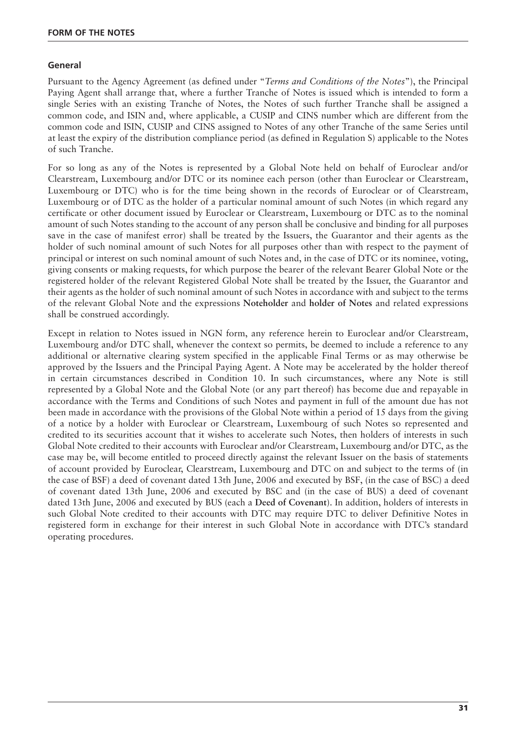#### **General**

Pursuant to the Agency Agreement (as defined under "*Terms and Conditions of the Notes*"), the Principal Paying Agent shall arrange that, where a further Tranche of Notes is issued which is intended to form a single Series with an existing Tranche of Notes, the Notes of such further Tranche shall be assigned a common code, and ISIN and, where applicable, a CUSIP and CINS number which are different from the common code and ISIN, CUSIP and CINS assigned to Notes of any other Tranche of the same Series until at least the expiry of the distribution compliance period (as defined in Regulation S) applicable to the Notes of such Tranche.

For so long as any of the Notes is represented by a Global Note held on behalf of Euroclear and/or Clearstream, Luxembourg and/or DTC or its nominee each person (other than Euroclear or Clearstream, Luxembourg or DTC) who is for the time being shown in the records of Euroclear or of Clearstream, Luxembourg or of DTC as the holder of a particular nominal amount of such Notes (in which regard any certificate or other document issued by Euroclear or Clearstream, Luxembourg or DTC as to the nominal amount of such Notes standing to the account of any person shall be conclusive and binding for all purposes save in the case of manifest error) shall be treated by the Issuers, the Guarantor and their agents as the holder of such nominal amount of such Notes for all purposes other than with respect to the payment of principal or interest on such nominal amount of such Notes and, in the case of DTC or its nominee, voting, giving consents or making requests, for which purpose the bearer of the relevant Bearer Global Note or the registered holder of the relevant Registered Global Note shall be treated by the Issuer, the Guarantor and their agents as the holder of such nominal amount of such Notes in accordance with and subject to the terms of the relevant Global Note and the expressions **Noteholder** and **holder of Notes** and related expressions shall be construed accordingly.

Except in relation to Notes issued in NGN form, any reference herein to Euroclear and/or Clearstream, Luxembourg and/or DTC shall, whenever the context so permits, be deemed to include a reference to any additional or alternative clearing system specified in the applicable Final Terms or as may otherwise be approved by the Issuers and the Principal Paying Agent. A Note may be accelerated by the holder thereof in certain circumstances described in Condition 10. In such circumstances, where any Note is still represented by a Global Note and the Global Note (or any part thereof) has become due and repayable in accordance with the Terms and Conditions of such Notes and payment in full of the amount due has not been made in accordance with the provisions of the Global Note within a period of 15 days from the giving of a notice by a holder with Euroclear or Clearstream, Luxembourg of such Notes so represented and credited to its securities account that it wishes to accelerate such Notes, then holders of interests in such Global Note credited to their accounts with Euroclear and/or Clearstream, Luxembourg and/or DTC, as the case may be, will become entitled to proceed directly against the relevant Issuer on the basis of statements of account provided by Euroclear, Clearstream, Luxembourg and DTC on and subject to the terms of (in the case of BSF) a deed of covenant dated 13th June, 2006 and executed by BSF, (in the case of BSC) a deed of covenant dated 13th June, 2006 and executed by BSC and (in the case of BUS) a deed of covenant dated 13th June, 2006 and executed by BUS (each a **Deed of Covenant**). In addition, holders of interests in such Global Note credited to their accounts with DTC may require DTC to deliver Definitive Notes in registered form in exchange for their interest in such Global Note in accordance with DTC's standard operating procedures.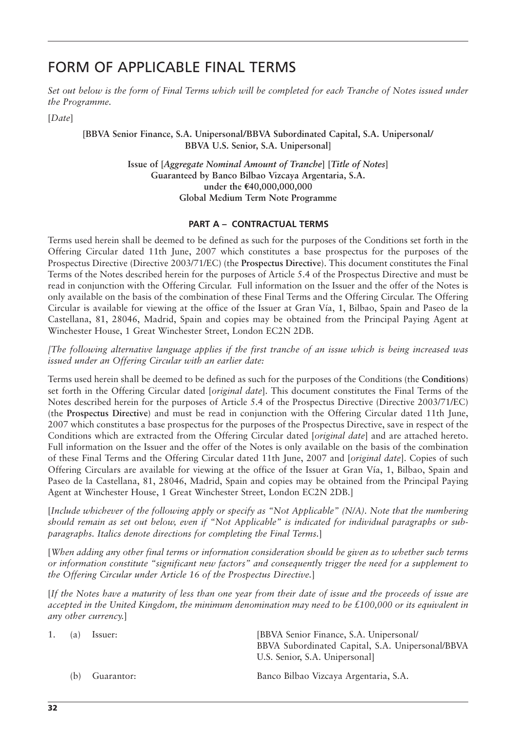### FORM OF APPLICABLE FINAL TERMS

*Set out below is the form of Final Terms which will be completed for each Tranche of Notes issued under the Programme.*

[*Date*]

**[BBVA Senior Finance, S.A. Unipersonal/BBVA Subordinated Capital, S.A. Unipersonal/ BBVA U.S. Senior, S.A. Unipersonal]**

> **Issue of [***Aggregate Nominal Amount of Tranche***] [***Title of Notes***] Guaranteed by Banco Bilbao Vizcaya Argentaria, S.A. under the** E**40,000,000,000 Global Medium Term Note Programme**

#### **PART A – CONTRACTUAL TERMS**

Terms used herein shall be deemed to be defined as such for the purposes of the Conditions set forth in the Offering Circular dated 11th June, 2007 which constitutes a base prospectus for the purposes of the Prospectus Directive (Directive 2003/71/EC) (the **Prospectus Directive**). This document constitutes the Final Terms of the Notes described herein for the purposes of Article 5.4 of the Prospectus Directive and must be read in conjunction with the Offering Circular. Full information on the Issuer and the offer of the Notes is only available on the basis of the combination of these Final Terms and the Offering Circular. The Offering Circular is available for viewing at the office of the Issuer at Gran Vía, 1, Bilbao, Spain and Paseo de la Castellana, 81, 28046, Madrid, Spain and copies may be obtained from the Principal Paying Agent at Winchester House, 1 Great Winchester Street, London EC2N 2DB.

*[The following alternative language applies if the first tranche of an issue which is being increased was issued under an Offering Circular with an earlier date:*

Terms used herein shall be deemed to be defined as such for the purposes of the Conditions (the **Conditions**) set forth in the Offering Circular dated [*original date*]. This document constitutes the Final Terms of the Notes described herein for the purposes of Article 5.4 of the Prospectus Directive (Directive 2003/71/EC) (the **Prospectus Directive**) and must be read in conjunction with the Offering Circular dated 11th June, 2007 which constitutes a base prospectus for the purposes of the Prospectus Directive, save in respect of the Conditions which are extracted from the Offering Circular dated [*original date*] and are attached hereto. Full information on the Issuer and the offer of the Notes is only available on the basis of the combination of these Final Terms and the Offering Circular dated 11th June, 2007 and [*original date*]. Copies of such Offering Circulars are available for viewing at the office of the Issuer at Gran Vía, 1, Bilbao, Spain and Paseo de la Castellana, 81, 28046, Madrid, Spain and copies may be obtained from the Principal Paying Agent at Winchester House, 1 Great Winchester Street, London EC2N 2DB.]

[*Include whichever of the following apply or specify as "Not Applicable" (N/A). Note that the numbering should remain as set out below, even if "Not Applicable" is indicated for individual paragraphs or subparagraphs. Italics denote directions for completing the Final Terms.*]

[*When adding any other final terms or information consideration should be given as to whether such terms or information constitute "significant new factors" and consequently trigger the need for a supplement to the Offering Circular under Article 16 of the Prospectus Directive.*]

[*If the Notes have a maturity of less than one year from their date of issue and the proceeds of issue are accepted in the United Kingdom, the minimum denomination may need to be £100,000 or its equivalent in any other currency.*]

| 1. | (a) | Issuer:    | [BBVA Senior Finance, S.A. Unipersonal/<br>BBVA Subordinated Capital, S.A. Unipersonal/BBVA<br>U.S. Senior, S.A. Unipersonal |
|----|-----|------------|------------------------------------------------------------------------------------------------------------------------------|
|    | (b) | Guarantor: | Banco Bilbao Vizcaya Argentaria, S.A.                                                                                        |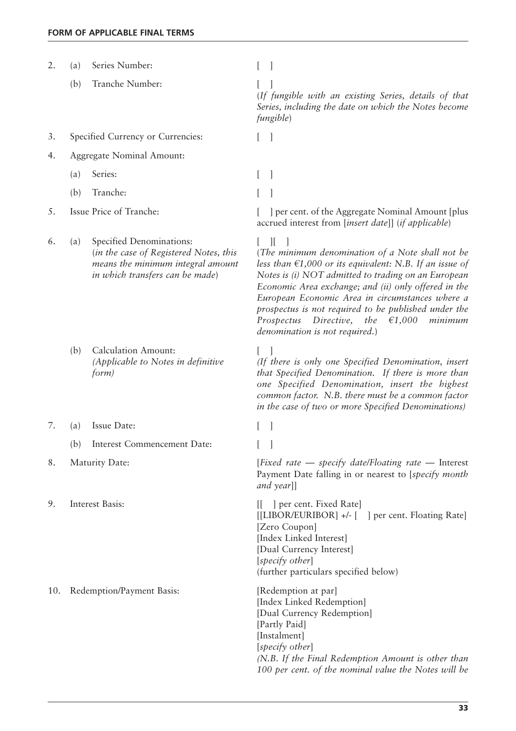2. (a) Series Number: [ ] (b) Tranche Number: 3. Specified Currency or Currencies:  $\begin{bmatrix} \quad \end{bmatrix}$ 4. Aggregate Nominal Amount: (a) Series: [ ] (b) Tranche: [ ] 6. (a) Specified Denominations: [ ][ ] (b) Calculation Amount: [ ] 7. (a) Issue Date: [ ] (b) Interest Commencement Date: [ ] 9. Interest Basis: [[ ] per cent. Fixed Rate] 10. Redemption/Payment Basis: [Redemption at par] *(Applicable to Notes in definitive form)* (*in the case of Registered Notes, this means the minimum integral amount in which transfers can be made*)

(*If fungible with an existing Series, details of that Series, including the date on which the Notes become fungible*)

5. Issue Price of Tranche: [ ] per cent. of the Aggregate Nominal Amount [plus accrued interest from [*insert date*]] (*if applicable*)

(*The minimum denomination of a Note shall not be less than €1,000 or its equivalent: N.B. If an issue of Notes is (i) NOT admitted to trading on an European Economic Area exchange; and (ii) only offered in the European Economic Area in circumstances where a prospectus is not required to be published under the Prospectus Directive, the €1,000 minimum denomination is not required.*)

*(If there is only one Specified Denomination, insert that Specified Denomination. If there is more than one Specified Denomination, insert the highest common factor. N.B. there must be a common factor in the case of two or more Specified Denominations)*

8. Maturity Date: [*Fixed rate — specify date/Floating rate* — Interest Payment Date falling in or nearest to [*specify month and year*]]

> [[LIBOR/EURIBOR] +/- [ ] per cent. Floating Rate] [Zero Coupon] [Index Linked Interest] [Dual Currency Interest] [*specify other*] (further particulars specified below)

> [Index Linked Redemption] [Dual Currency Redemption] [Partly Paid] [Instalment] [*specify other*] *(N.B. If the Final Redemption Amount is other than 100 per cent. of the nominal value the Notes will be*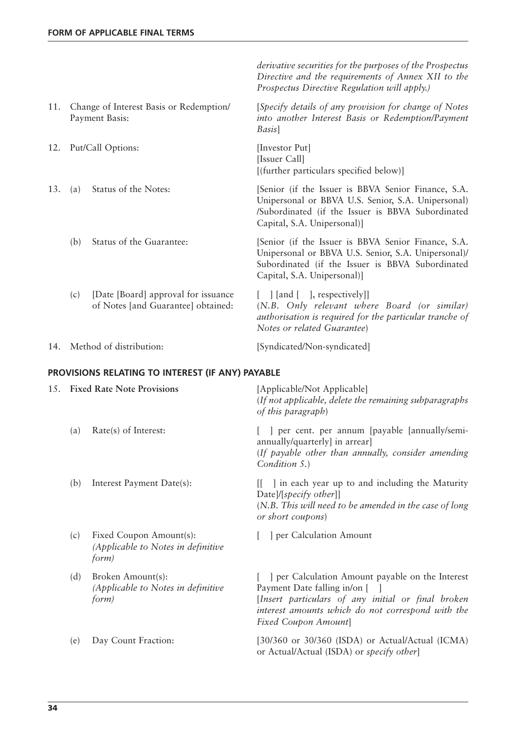|     |                   |                                                                           | Directive and the requirements of Annex XII to the<br>Prospectus Directive Regulation will apply.)                                                                                              |
|-----|-------------------|---------------------------------------------------------------------------|-------------------------------------------------------------------------------------------------------------------------------------------------------------------------------------------------|
| 11. |                   | Change of Interest Basis or Redemption/<br>Payment Basis:                 | [Specify details of any provision for change of Notes<br>into another Interest Basis or Redemption/Payment<br>Basis]                                                                            |
| 12. | Put/Call Options: |                                                                           | [Investor Put]<br>[Issuer Call]<br>[(further particulars specified below)]                                                                                                                      |
| 13. | (a)               | Status of the Notes:                                                      | [Senior (if the Issuer is BBVA Senior Finance, S.A.<br>Unipersonal or BBVA U.S. Senior, S.A. Unipersonal)<br>/Subordinated (if the Issuer is BBVA Subordinated<br>Capital, S.A. Unipersonal)]   |
|     | (b)               | Status of the Guarantee:                                                  | [Senior (if the Issuer is BBVA Senior Finance, S.A.<br>Unipersonal or BBVA U.S. Senior, S.A. Unipersonal)/<br>Subordinated (if the Issuer is BBVA Subordinated<br>Capital, S.A. Unipersonal)]   |
|     | (c)               | [Date [Board] approval for issuance<br>of Notes [and Guarantee] obtained: | $\lbrack$ [ $\lbrack$ and $\lbrack$ ], respectively]]<br>(N.B. Only relevant where Board (or similar)<br>authorisation is required for the particular tranche of<br>Notes or related Guarantee) |
| 14. |                   | Method of distribution:                                                   | [Syndicated/Non-syndicated]                                                                                                                                                                     |

*derivative securities for the purposes of the Prospectus*

### **PROVISIONS RELATING TO INTEREST (IF ANY) PAYABLE**

|     | 15. Fixed Rate Note Provisions                                         | [Applicable/Not Applicable]<br>(If not applicable, delete the remaining subparagraphs<br>of this paragraph)                                                                                                             |
|-----|------------------------------------------------------------------------|-------------------------------------------------------------------------------------------------------------------------------------------------------------------------------------------------------------------------|
| (a) | Rate(s) of Interest:                                                   | [ ] per cent. per annum [payable [annually/semi-<br>annually/quarterly] in arrear]<br>(If payable other than annually, consider amending<br>Condition 5.)                                                               |
| (b) | Interest Payment Date(s):                                              | [[ ] in each year up to and including the Maturity<br>$Date]/[specificity\ other]]$<br>$(N.B. This will need to be amended in the case of long$<br>or short coupons)                                                    |
| (c) | Fixed Coupon Amount(s):<br>(Applicable to Notes in definitive<br>form) | ] per Calculation Amount                                                                                                                                                                                                |
| (d) | Broken Amount(s):<br>(Applicable to Notes in definitive<br>form)       | per Calculation Amount payable on the Interest<br>Payment Date falling in/on [<br>[Insert particulars of any initial or final broken<br>interest amounts which do not correspond with the<br><b>Fixed Coupon Amount</b> |
| (e) | Day Count Fraction:                                                    | $[30/360$ or $30/360$ (ISDA) or Actual/Actual (ICMA)<br>or Actual/Actual (ISDA) or <i>specify other</i> ]                                                                                                               |
|     |                                                                        |                                                                                                                                                                                                                         |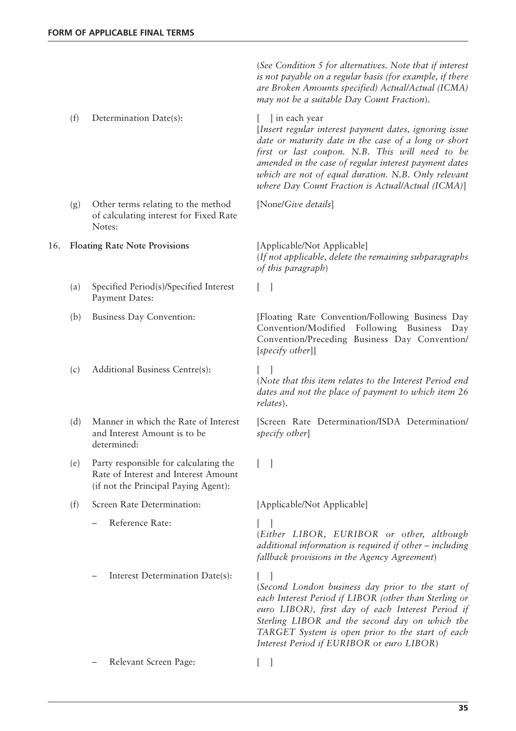|     |     |                                                                                                                       | (See Condition 5 for alternatives. Note that if interest<br>is not payable on a regular basis (for example, if there<br>are Broken Amounts specified) Actual/Actual (ICMA)<br>may not be a suitable Day Count Fraction).                                                                                                                                 |
|-----|-----|-----------------------------------------------------------------------------------------------------------------------|----------------------------------------------------------------------------------------------------------------------------------------------------------------------------------------------------------------------------------------------------------------------------------------------------------------------------------------------------------|
|     | (f) | Determination Date(s):                                                                                                | ] in each year<br>[Insert regular interest payment dates, ignoring issue<br>date or maturity date in the case of a long or short<br>first or last coupon. N.B. This will need to be<br>amended in the case of regular interest payment dates<br>which are not of equal duration. N.B. Only relevant<br>where Day Count Fraction is Actual/Actual (ICMA)] |
|     | (g) | Other terms relating to the method<br>of calculating interest for Fixed Rate<br>Notes:                                | [None/Give details]                                                                                                                                                                                                                                                                                                                                      |
| 16. |     | <b>Floating Rate Note Provisions</b>                                                                                  | [Applicable/Not Applicable]<br>(If not applicable, delete the remaining subparagraphs)<br>of this paragraph)                                                                                                                                                                                                                                             |
|     | (a) | Specified Period(s)/Specified Interest<br>Payment Dates:                                                              | J<br>$\mathbf{L}$                                                                                                                                                                                                                                                                                                                                        |
|     | (b) | Business Day Convention:                                                                                              | [Floating Rate Convention/Following Business Day<br>Following Business<br>Convention/Modified<br>Day<br>Convention/Preceding Business Day Convention/<br>$[specify\ other]]$                                                                                                                                                                             |
|     | (c) | Additional Business Centre(s):                                                                                        | (Note that this item relates to the Interest Period end<br>dates and not the place of payment to which item 26<br>relates).                                                                                                                                                                                                                              |
|     | (d) | Manner in which the Rate of Interest<br>and Interest Amount is to be<br>determined:                                   | [Screen Rate Determination/ISDA Determination/<br>specify other]                                                                                                                                                                                                                                                                                         |
|     | (e) | Party responsible for calculating the<br>Rate of Interest and Interest Amount<br>(if not the Principal Paying Agent): |                                                                                                                                                                                                                                                                                                                                                          |
|     | (f) | Screen Rate Determination:                                                                                            | [Applicable/Not Applicable]                                                                                                                                                                                                                                                                                                                              |
|     |     | Reference Rate:                                                                                                       | (Either LIBOR, EURIBOR or other, although<br>additional information is required if other – including<br>fallback provisions in the Agency Agreement)                                                                                                                                                                                                     |
|     |     | Interest Determination Date(s):                                                                                       | (Second London business day prior to the start of<br>each Interest Period if LIBOR (other than Sterling or<br>euro LIBOR), first day of each Interest Period if<br>Sterling LIBOR and the second day on which the<br>TARGET System is open prior to the start of each<br>Interest Period if EURIBOR or euro LIBOR)                                       |
|     |     | Relevant Screen Page:                                                                                                 | $\overline{\phantom{a}}$<br>$\mathsf{L}$                                                                                                                                                                                                                                                                                                                 |
|     |     |                                                                                                                       |                                                                                                                                                                                                                                                                                                                                                          |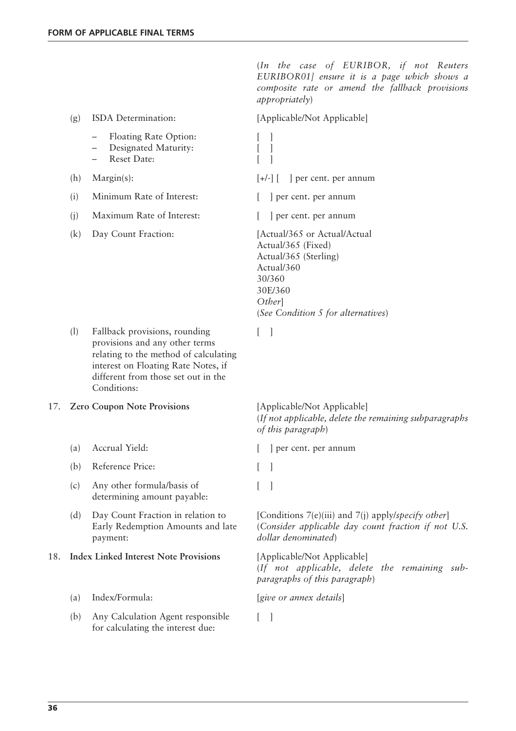(l) Fallback provisions, rounding [ ] provisions and any other terms relating to the method of calculating interest on Floating Rate Notes, if different from those set out in the Conditions:

#### 17. **Zero Coupon Note Provisions** [Applicable/Not Applicable]

- 
- (b) Reference Price: [ ]
- (c) Any other formula/basis of  $[$  ] determining amount payable:
- Day Count Fraction in relation to Early Redemption Amounts and late payment:

#### 18. **Index Linked Interest Note Provisions** [Applicable/Not Applicable]

- 
- (b) Any Calculation Agent responsible  $\begin{bmatrix} \phantom{-} \end{bmatrix}$ for calculating the interest due:

(*In the case of EURIBOR, if not Reuters EURIBOR01] ensure it is a page which shows a composite rate or amend the fallback provisions appropriately*)

(g) ISDA Determination: [Applicable/Not Applicable]

Floating Rate Option: [ ] – Designated Maturity: [ ] – Reset Date: [ ] (h) Margin(s):  $[+/] [$   $]$  per cent. per annum (i) Minimum Rate of Interest:  $\begin{bmatrix} \cdot & \cdot & \cdot \\ \cdot & \cdot & \cdot \\ \cdot & \cdot & \cdot \end{bmatrix}$  per cent. per annum (j) Maximum Rate of Interest:  $\begin{bmatrix} \n\end{bmatrix}$  per cent. per annum (k) Day Count Fraction: [Actual/365 or Actual/Actual Actual/365 (Fixed) Actual/365 (Sterling) Actual/360 30/360 30E/360 *Other*] (*See Condition 5 for alternatives*)

(*If not applicable, delete the remaining subparagraphs of this paragraph*)

- (a) Accrual Yield:  $\begin{bmatrix} \quad \end{bmatrix}$  per cent. per annum
	-
	-

(d) Day Count Fraction in relation to [Conditions 7(e)(iii) and 7(j) apply/*specify other*] (*Consider applicable day count fraction if not U.S. dollar denominated*)

> (*If not applicable, delete the remaining subparagraphs of this paragraph*)

(a) Index/Formula: [*give or annex details*]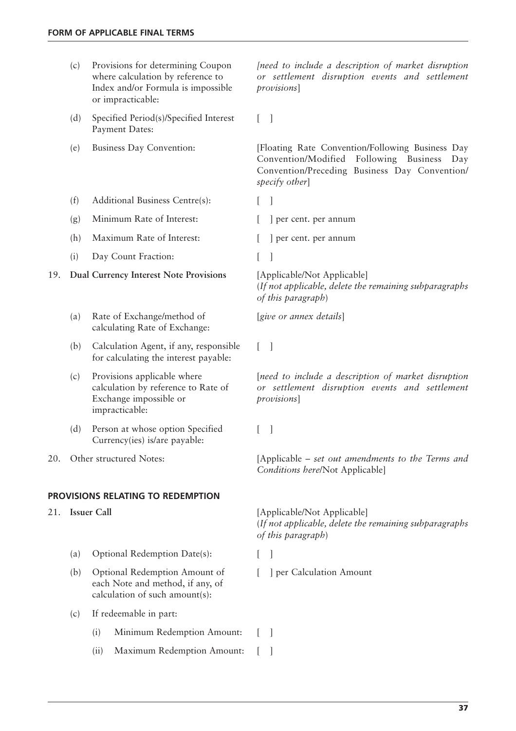- Provisions for determining Coupon where calculation by reference to Index and/or Formula is impossible or impracticable:
- (d) Specified Period(s)/Specified Interest [ ] Payment Dates:
- 
- (f) Additional Business Centre(s): [ ]
- (g) Minimum Rate of Interest: [ ] per cent. per annum
- (h) Maximum Rate of Interest:  $\lceil \cdot \rceil$  per cent. per annum
- (i) Day Count Fraction: [ ]
- 19. **Dual Currency Interest Note Provisions** [Applicable/Not Applicable]
	- (a) [*give or annex details*] Rate of Exchange/method of calculating Rate of Exchange:
	- (b) Calculation Agent, if any, responsible [ ] for calculating the interest payable:
	- Provisions applicable where calculation by reference to Rate of Exchange impossible or impracticable:
	- (d) Person at whose option Specified [ ] Currency(ies) is/are payable:
- 

# **PROVISIONS RELATING TO REDEMPTION**

- - (a) Optional Redemption Date(s):  $\begin{bmatrix} \phantom{-} \end{bmatrix}$
	- (b) Optional Redemption Amount of [ ] per Calculation Amount each Note and method, if any, of calculation of such amount(s):
	- (c) If redeemable in part:
		- (i) Minimum Redemption Amount: [ ]
		- (ii) Maximum Redemption Amount: [ ]

(c) *[need to include a description of market disruption or settlement disruption events and settlement provisions*]

(e) Business Day Convention: [Floating Rate Convention/Following Business Day Convention/Modified Following Business Day Convention/Preceding Business Day Convention/ *specify other*]

(*If not applicable, delete the remaining subparagraphs of this paragraph*)

(c) [*need to include a description of market disruption or settlement disruption events and settlement provisions*]

20. Other structured Notes: [Applicable – *set out amendments to the Terms and Conditions here*/Not Applicable]

21. **Issuer Call** [Applicable/Not Applicable] (*If not applicable, delete the remaining subparagraphs of this paragraph*)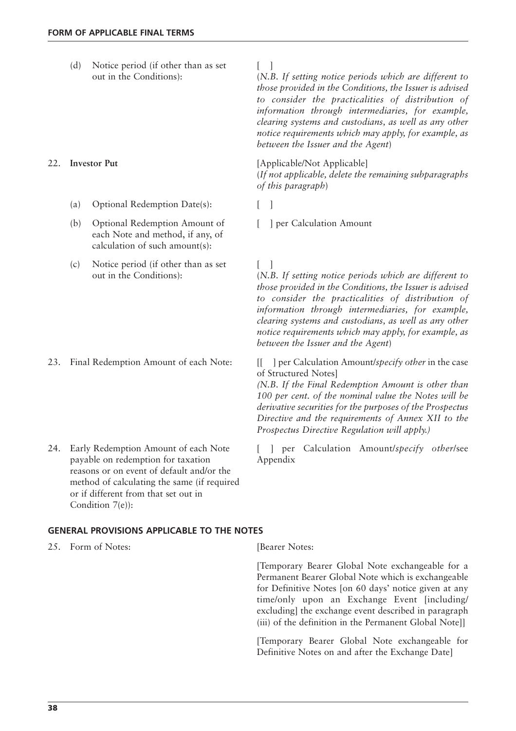(d) Notice period (if other than as set  $[$ ] out in the Conditions):

- (a) Optional Redemption Date(s): [ ]
- (b) Optional Redemption Amount of [ ] per Calculation Amount each Note and method, if any, of calculation of such amount(s):
- (c) Notice period (if other than as set  $[$ ] out in the Conditions):

24. Early Redemption Amount of each Note payable on redemption for taxation reasons or on event of default and/or the method of calculating the same (if required or if different from that set out in Condition 7(e)):

# **GENERAL PROVISIONS APPLICABLE TO THE NOTES**

25. Form of Notes: [Bearer Notes:

(*N.B. If setting notice periods which are different to those provided in the Conditions, the Issuer is advised to consider the practicalities of distribution of information through intermediaries, for example, clearing systems and custodians, as well as any other notice requirements which may apply, for example, as between the Issuer and the Agent*)

#### 22. **Investor Put** [Applicable/Not Applicable]

(*If not applicable, delete the remaining subparagraphs of this paragraph*)

(*N.B. If setting notice periods which are different to those provided in the Conditions, the Issuer is advised to consider the practicalities of distribution of information through intermediaries, for example, clearing systems and custodians, as well as any other notice requirements which may apply, for example, as between the Issuer and the Agent*)

23. Final Redemption Amount of each Note: [[ ] per Calculation Amount/*specify other* in the case of Structured Notes]

> *(N.B. If the Final Redemption Amount is other than 100 per cent. of the nominal value the Notes will be derivative securities for the purposes of the Prospectus Directive and the requirements of Annex XII to the Prospectus Directive Regulation will apply.)*

> 24. [ ] per Calculation Amount/*specify other*/see Appendix

[Temporary Bearer Global Note exchangeable for a Permanent Bearer Global Note which is exchangeable for Definitive Notes [on 60 days' notice given at any time/only upon an Exchange Event [including/ excluding] the exchange event described in paragraph (iii) of the definition in the Permanent Global Note]]

[Temporary Bearer Global Note exchangeable for Definitive Notes on and after the Exchange Date]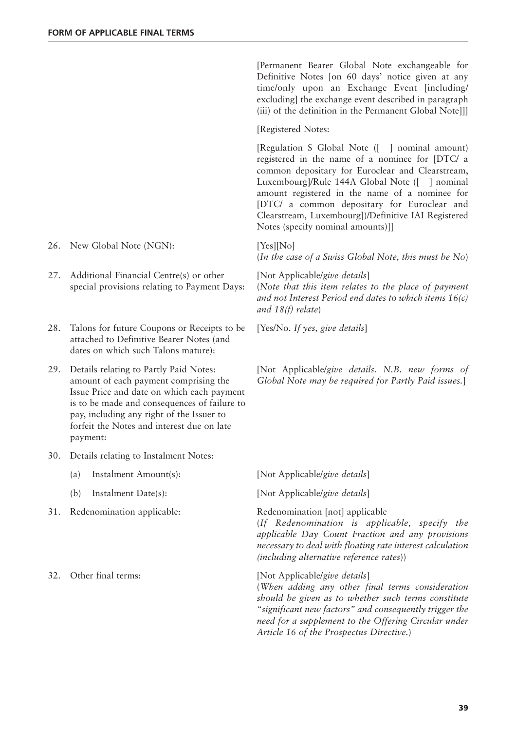[Permanent Bearer Global Note exchangeable for Definitive Notes [on 60 days' notice given at any time/only upon an Exchange Event [including/ excluding] the exchange event described in paragraph (iii) of the definition in the Permanent Global Note]]]

[Registered Notes:

[Regulation S Global Note ([ ] nominal amount) registered in the name of a nominee for [DTC/ a common depositary for Euroclear and Clearstream, Luxembourg]/Rule 144A Global Note ([ ] nominal amount registered in the name of a nominee for [DTC/ a common depositary for Euroclear and Clearstream, Luxembourg])/Definitive IAI Registered Notes (specify nominal amounts)]]

(*In the case of a Swiss Global Note, this must be No*)

(*Note that this item relates to the place of payment and not Interest Period end dates to which items 16(c) and 18(f) relate*)

29. [Not Applicable/*give details. N.B. new forms of Global Note may be required for Partly Paid issues.*]

(b) Instalment Date(s): [Not Applicable/*give details*]

(*If Redenomination is applicable, specify the applicable Day Count Fraction and any provisions necessary to deal with floating rate interest calculation (including alternative reference rates*))

32. Other final terms: [Not Applicable/*give details*]

(*When adding any other final terms consideration should be given as to whether such terms constitute "significant new factors" and consequently trigger the need for a supplement to the Offering Circular under Article 16 of the Prospectus Directive.*)

#### 26. New Global Note (NGN): [Yes][No]

- 27. Additional Financial Centre(s) or other [Not Applicable/give details] special provisions relating to Payment Days:
- 28. Talons for future Coupons or Receipts to be [Yes/No. If yes, give details] attached to Definitive Bearer Notes (and dates on which such Talons mature):
- 29. Details relating to Partly Paid Notes: amount of each payment comprising the Issue Price and date on which each payment is to be made and consequences of failure to pay, including any right of the Issuer to forfeit the Notes and interest due on late payment:
- 30. Details relating to Instalment Notes:
	- (a) Instalment Amount(s): [Not Applicable/*give details*]
	-
- 31. Redenomination applicable: Redenomination [not] applicable
-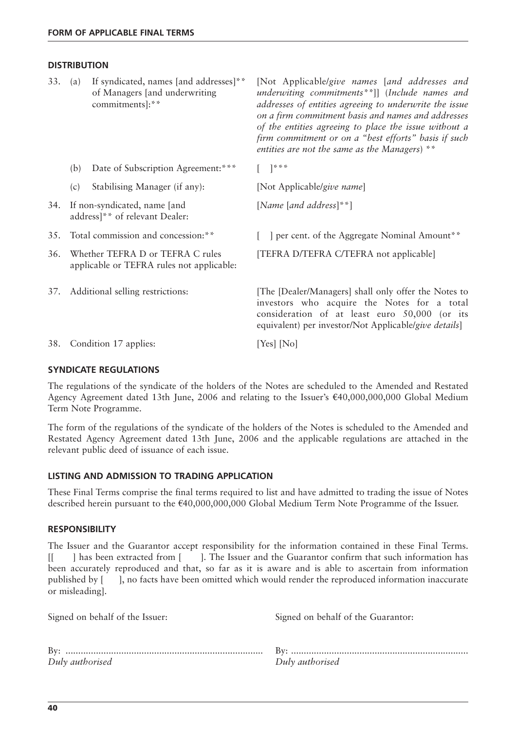# **DISTRIBUTION**

| 33. | (a) | If syndicated, names [and addresses]**<br>of Managers [and underwriting]<br>commitments]:** | [Not Applicable/give names [and addresses and<br>underwiting commitments**]] (Include names and<br>addresses of entities agreeing to underwrite the issue<br>on a firm commitment basis and names and addresses<br>of the entities agreeing to place the issue without a<br>firm commitment or on a "best efforts" basis if such<br>entities are not the same as the Managers) $**$ |
|-----|-----|---------------------------------------------------------------------------------------------|-------------------------------------------------------------------------------------------------------------------------------------------------------------------------------------------------------------------------------------------------------------------------------------------------------------------------------------------------------------------------------------|
|     | (b) | Date of Subscription Agreement:***                                                          | $\Big] \stackrel{\text{\tiny def}}{=} \begin{array}{l} \ast \ast \ast \end{array}$                                                                                                                                                                                                                                                                                                  |
|     | (c) | Stabilising Manager (if any):                                                               | [Not Applicable/give name]                                                                                                                                                                                                                                                                                                                                                          |
| 34. |     | If non-syndicated, name [and<br>address]** of relevant Dealer:                              | [Name [and address]**]                                                                                                                                                                                                                                                                                                                                                              |
| 35. |     | Total commission and concession:**                                                          | per cent. of the Aggregate Nominal Amount <sup>**</sup>                                                                                                                                                                                                                                                                                                                             |
| 36. |     | Whether TEFRA D or TEFRA C rules<br>applicable or TEFRA rules not applicable:               | [TEFRA D/TEFRA C/TEFRA not applicable]                                                                                                                                                                                                                                                                                                                                              |
| 37. |     | Additional selling restrictions:                                                            | [The [Dealer/Managers] shall only offer the Notes to<br>investors who acquire the Notes for a total<br>consideration of at least euro 50,000 (or its<br>equivalent) per investor/Not Applicable/give details]                                                                                                                                                                       |
| 38. |     | Condition 17 applies:                                                                       | [Yes] [No]                                                                                                                                                                                                                                                                                                                                                                          |
|     |     |                                                                                             |                                                                                                                                                                                                                                                                                                                                                                                     |

#### **SYNDICATE REGULATIONS**

The regulations of the syndicate of the holders of the Notes are scheduled to the Amended and Restated Agency Agreement dated 13th June, 2006 and relating to the Issuer's  $\epsilon$ 40,000,000,000 Global Medium Term Note Programme.

The form of the regulations of the syndicate of the holders of the Notes is scheduled to the Amended and Restated Agency Agreement dated 13th June, 2006 and the applicable regulations are attached in the relevant public deed of issuance of each issue.

#### **LISTING AND ADMISSION TO TRADING APPLICATION**

These Final Terms comprise the final terms required to list and have admitted to trading the issue of Notes described herein pursuant to the  $€40,000,000,000$  Global Medium Term Note Programme of the Issuer.

#### **RESPONSIBILITY**

The Issuer and the Guarantor accept responsibility for the information contained in these Final Terms. [[ ] has been extracted from [ ]. The Issuer and the Guarantor confirm that such information has been accurately reproduced and that, so far as it is aware and is able to ascertain from information published by [ ], no facts have been omitted which would render the reproduced information inaccurate or misleading].

| Signed on behalf of the Issuer: | Signed on behalf of the Guarantor: |
|---------------------------------|------------------------------------|
|                                 |                                    |
|                                 |                                    |
| Duly authorised                 | Duly authorised                    |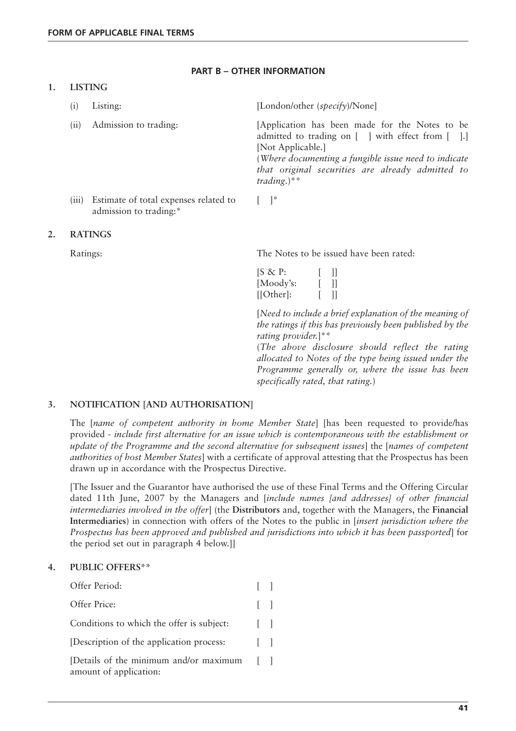# **PART B – OTHER INFORMATION**

#### **1. LISTING**

| (1)   | Listing:                                                        | [London/other $(specify)/\text{None}$ ]                                                                                                                                                                                                             |
|-------|-----------------------------------------------------------------|-----------------------------------------------------------------------------------------------------------------------------------------------------------------------------------------------------------------------------------------------------|
| (ii)  | Admission to trading:                                           | [Application has been made for the Notes to be<br>admitted to trading on [ ] with effect from [ ].]<br>[Not Applicable.]<br>(Where documenting a fungible issue need to indicate<br>that original securities are already admitted to<br>trading.)** |
| (iii) | Estimate of total expenses related to<br>admission to trading:* | $\vert \vert^*$                                                                                                                                                                                                                                     |

#### **2. RATINGS**

Ratings: The Notes to be issued have been rated:

| $[S \& P:$ | $\mathbf{H}$ |
|------------|--------------|
| [Moody's:  | $\mathbf{I}$ |
| [[Other]:  | $\mathbf{I}$ |

[*Need to include a brief explanation of the meaning of the ratings if this has previously been published by the rating provider.*]\*\*

(*The above disclosure should reflect the rating allocated to Notes of the type being issued under the Programme generally or, where the issue has been specifically rated, that rating.*)

# **3. NOTIFICATION [AND AUTHORISATION]**

The [*name of competent authority in home Member State*] [has been requested to provide/has provided - *include first alternative for an issue which is contemporaneous with the establishment or update of the Programme and the second alternative for subsequent issues*] the [*names of competent authorities of host Member States*] with a certificate of approval attesting that the Prospectus has been drawn up in accordance with the Prospectus Directive.

[The Issuer and the Guarantor have authorised the use of these Final Terms and the Offering Circular dated 11th June, 2007 by the Managers and [*include names [and addresses] of other financial intermediaries involved in the offer*] (the **Distributors** and, together with the Managers, the **Financial Intermediaries**) in connection with offers of the Notes to the public in [*insert jurisdiction where the Prospectus has been approved and published and jurisdictions into which it has been passported*] for the period set out in paragraph 4 below.]]

# **4. PUBLIC OFFERS\*\***

| Offer Period:                                                         | $\perp$      |  |
|-----------------------------------------------------------------------|--------------|--|
| Offer Price:                                                          | $\perp$      |  |
| Conditions to which the offer is subject:                             | $\mathbf{1}$ |  |
| [Description of the application process:                              | $\mathbf{1}$ |  |
| [Details of the minimum and/or maximum [12]<br>amount of application: |              |  |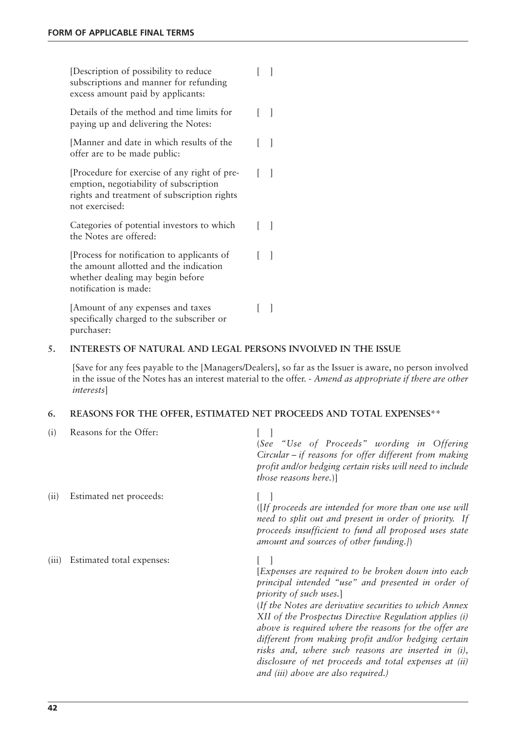| [Description of possibility to reduce]<br>subscriptions and manner for refunding<br>excess amount paid by applicants:                                   |                   | $\overline{\phantom{a}}$ |  |
|---------------------------------------------------------------------------------------------------------------------------------------------------------|-------------------|--------------------------|--|
| Details of the method and time limits for<br>paying up and delivering the Notes:                                                                        | $\lceil - \rceil$ |                          |  |
| [Manner and date in which results of the<br>offer are to be made public:                                                                                |                   | 1                        |  |
| [Procedure for exercise of any right of pre-<br>emption, negotiability of subscription<br>rights and treatment of subscription rights<br>not exercised: | L                 | $\Box$                   |  |
| Categories of potential investors to which<br>the Notes are offered:                                                                                    | $\lceil$ 1        |                          |  |
| Process for notification to applicants of<br>the amount allotted and the indication<br>whether dealing may begin before<br>notification is made:        |                   | 1                        |  |
| [Amount of any expenses and taxes]<br>specifically charged to the subscriber or<br>purchaser:                                                           |                   |                          |  |

# **5. INTERESTS OF NATURAL AND LEGAL PERSONS INVOLVED IN THE ISSUE**

[Save for any fees payable to the [Managers/Dealers], so far as the Issuer is aware, no person involved in the issue of the Notes has an interest material to the offer. - *Amend as appropriate if there are other interests*]

# **6. REASONS FOR THE OFFER, ESTIMATED NET PROCEEDS AND TOTAL EXPENSES\*\***

| (i)   | Reasons for the Offer:    | (See "Use of Proceeds" wording in Offering<br>$Circular - if reasons for offer different from making$<br>profit and/or hedging certain risks will need to include<br><i>those reasons here.</i> )]                                                                                                                                                                                                                                                                                                                           |
|-------|---------------------------|------------------------------------------------------------------------------------------------------------------------------------------------------------------------------------------------------------------------------------------------------------------------------------------------------------------------------------------------------------------------------------------------------------------------------------------------------------------------------------------------------------------------------|
| (i)   | Estimated net proceeds:   | ( $If$ proceeds are intended for more than one use will<br>need to split out and present in order of priority. If<br>proceeds insufficient to fund all proposed uses state<br>amount and sources of other funding.])                                                                                                                                                                                                                                                                                                         |
| (iii) | Estimated total expenses: | [Expenses are required to be broken down into each<br>principal intended "use" and presented in order of<br>priority of such uses.<br>(If the Notes are derivative securities to which Annex<br>XII of the Prospectus Directive Regulation applies (i)<br>above is required where the reasons for the offer are<br>different from making profit and/or hedging certain<br>risks and, where such reasons are inserted in (i),<br>disclosure of net proceeds and total expenses at (ii)<br>and (iii) above are also required.) |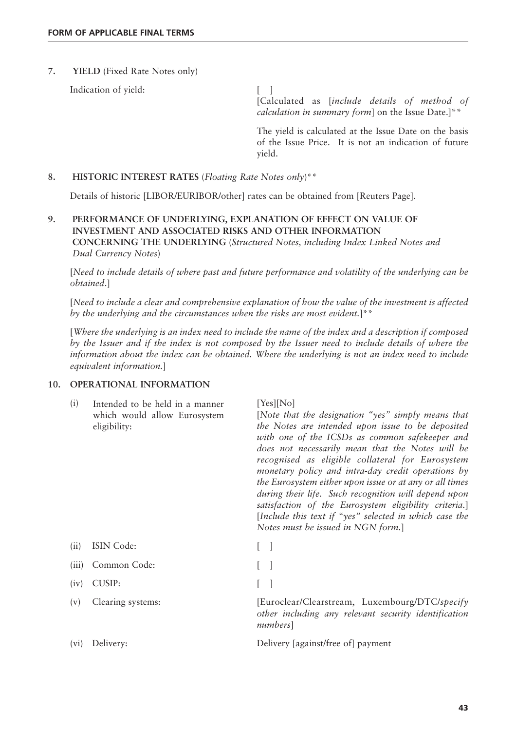**7. YIELD** (Fixed Rate Notes only)

Indication of yield: [ ]

[Calculated as [*include details of method of calculation in summary form*] on the Issue Date.]\*\*

The yield is calculated at the Issue Date on the basis of the Issue Price. It is not an indication of future yield.

#### **8. HISTORIC INTEREST RATES** (*Floating Rate Notes only*)\*\*

Details of historic [LIBOR/EURIBOR/other] rates can be obtained from [Reuters Page].

# **9. PERFORMANCE OF UNDERLYING, EXPLANATION OF EFFECT ON VALUE OF INVESTMENT AND ASSOCIATED RISKS AND OTHER INFORMATION CONCERNING THE UNDERLYING** (*Structured Notes, including Index Linked Notes and Dual Currency Notes*)

[*Need to include details of where past and future performance and volatility of the underlying can be obtained*.]

[*Need to include a clear and comprehensive explanation of how the value of the investment is affected by the underlying and the circumstances when the risks are most evident.*]\*\*

[*Where the underlying is an index need to include the name of the index and a description if composed by the Issuer and if the index is not composed by the Issuer need to include details of where the information about the index can be obtained. Where the underlying is not an index need to include equivalent information.*]

#### **10. OPERATIONAL INFORMATION**

| (i)   | Intended to be held in a manner<br>which would allow Eurosystem<br>eligibility: | [Yes][No]<br>[Note that the designation "yes" simply means that<br>the Notes are intended upon issue to be deposited<br>with one of the ICSDs as common safekeeper and<br>does not necessarily mean that the Notes will be<br>recognised as eligible collateral for Eurosystem<br>monetary policy and intra-day credit operations by<br>the Eurosystem either upon issue or at any or all times<br>during their life. Such recognition will depend upon<br>satisfaction of the Eurosystem eligibility criteria.]<br>[Include this text if "yes" selected in which case the<br>Notes must be issued in NGN form.] |
|-------|---------------------------------------------------------------------------------|------------------------------------------------------------------------------------------------------------------------------------------------------------------------------------------------------------------------------------------------------------------------------------------------------------------------------------------------------------------------------------------------------------------------------------------------------------------------------------------------------------------------------------------------------------------------------------------------------------------|
| (ii)  | ISIN Code:                                                                      |                                                                                                                                                                                                                                                                                                                                                                                                                                                                                                                                                                                                                  |
| (iii) | Common Code:                                                                    |                                                                                                                                                                                                                                                                                                                                                                                                                                                                                                                                                                                                                  |
| (iv)  | <b>CUSIP:</b>                                                                   |                                                                                                                                                                                                                                                                                                                                                                                                                                                                                                                                                                                                                  |
| (v)   | Clearing systems:                                                               | [Euroclear/Clearstream, Luxembourg/DTC/specify<br>other including any relevant security identification<br>numbers]                                                                                                                                                                                                                                                                                                                                                                                                                                                                                               |
| (vi)  | Delivery:                                                                       | Delivery [against/free of] payment                                                                                                                                                                                                                                                                                                                                                                                                                                                                                                                                                                               |
|       |                                                                                 |                                                                                                                                                                                                                                                                                                                                                                                                                                                                                                                                                                                                                  |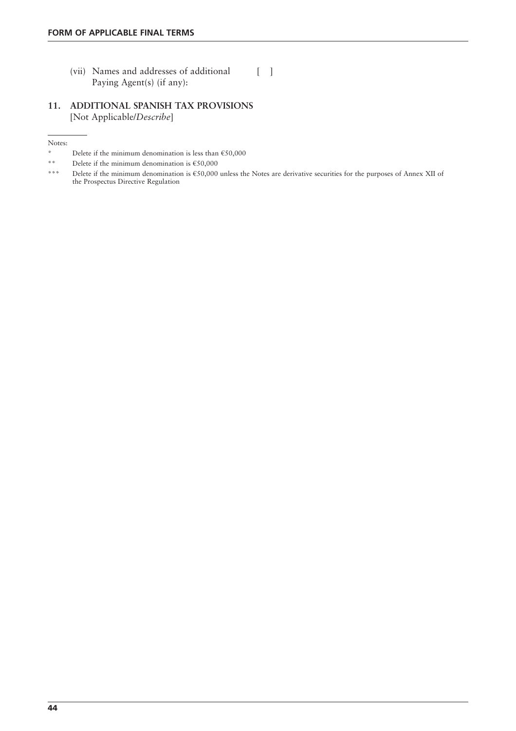- (vii) Names and addresses of additional [ ] Paying Agent(s) (if any):
- **11. ADDITIONAL SPANISH TAX PROVISIONS** [Not Applicable/*Describe*]

Notes:

\* Delete if the minimum denomination is less than €50,000

\*\* Delete if the minimum denomination is €50,000

<sup>\*\*\*</sup> Delete if the minimum denomination is €50,000 unless the Notes are derivative securities for the purposes of Annex XII of the Prospectus Directive Regulation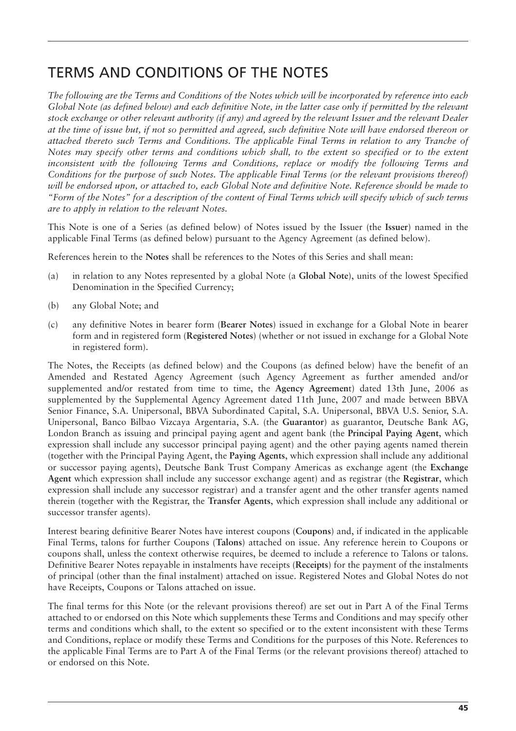# TERMS AND CONDITIONS OF THE NOTES

*The following are the Terms and Conditions of the Notes which will be incorporated by reference into each Global Note (as defined below) and each definitive Note, in the latter case only if permitted by the relevant stock exchange or other relevant authority (if any) and agreed by the relevant Issuer and the relevant Dealer at the time of issue but, if not so permitted and agreed, such definitive Note will have endorsed thereon or attached thereto such Terms and Conditions. The applicable Final Terms in relation to any Tranche of Notes may specify other terms and conditions which shall, to the extent so specified or to the extent inconsistent with the following Terms and Conditions, replace or modify the following Terms and Conditions for the purpose of such Notes. The applicable Final Terms (or the relevant provisions thereof) will be endorsed upon, or attached to, each Global Note and definitive Note. Reference should be made to "Form of the Notes" for a description of the content of Final Terms which will specify which of such terms are to apply in relation to the relevant Notes.*

This Note is one of a Series (as defined below) of Notes issued by the Issuer (the **Issuer**) named in the applicable Final Terms (as defined below) pursuant to the Agency Agreement (as defined below).

References herein to the **Notes** shall be references to the Notes of this Series and shall mean:

- (a) in relation to any Notes represented by a global Note (a **Global Note**), units of the lowest Specified Denomination in the Specified Currency;
- (b) any Global Note; and
- (c) any definitive Notes in bearer form (**Bearer Notes**) issued in exchange for a Global Note in bearer form and in registered form (**Registered Notes**) (whether or not issued in exchange for a Global Note in registered form).

The Notes, the Receipts (as defined below) and the Coupons (as defined below) have the benefit of an Amended and Restated Agency Agreement (such Agency Agreement as further amended and/or supplemented and/or restated from time to time, the **Agency Agreemen**t) dated 13th June, 2006 as supplemented by the Supplemental Agency Agreement dated 11th June, 2007 and made between BBVA Senior Finance, S.A. Unipersonal, BBVA Subordinated Capital, S.A. Unipersonal, BBVA U.S. Senior, S.A. Unipersonal, Banco Bilbao Vizcaya Argentaria, S.A. (the **Guarantor**) as guarantor, Deutsche Bank AG, London Branch as issuing and principal paying agent and agent bank (the **Principal Paying Agent**, which expression shall include any successor principal paying agent) and the other paying agents named therein (together with the Principal Paying Agent, the **Paying Agents**, which expression shall include any additional or successor paying agents), Deutsche Bank Trust Company Americas as exchange agent (the **Exchange Agent** which expression shall include any successor exchange agent) and as registrar (the **Registrar**, which expression shall include any successor registrar) and a transfer agent and the other transfer agents named therein (together with the Registrar, the **Transfer Agents**, which expression shall include any additional or successor transfer agents).

Interest bearing definitive Bearer Notes have interest coupons (**Coupons**) and, if indicated in the applicable Final Terms, talons for further Coupons (**Talons**) attached on issue. Any reference herein to Coupons or coupons shall, unless the context otherwise requires, be deemed to include a reference to Talons or talons. Definitive Bearer Notes repayable in instalments have receipts (**Receipts**) for the payment of the instalments of principal (other than the final instalment) attached on issue. Registered Notes and Global Notes do not have Receipts, Coupons or Talons attached on issue.

The final terms for this Note (or the relevant provisions thereof) are set out in Part A of the Final Terms attached to or endorsed on this Note which supplements these Terms and Conditions and may specify other terms and conditions which shall, to the extent so specified or to the extent inconsistent with these Terms and Conditions, replace or modify these Terms and Conditions for the purposes of this Note. References to the applicable Final Terms are to Part A of the Final Terms (or the relevant provisions thereof) attached to or endorsed on this Note.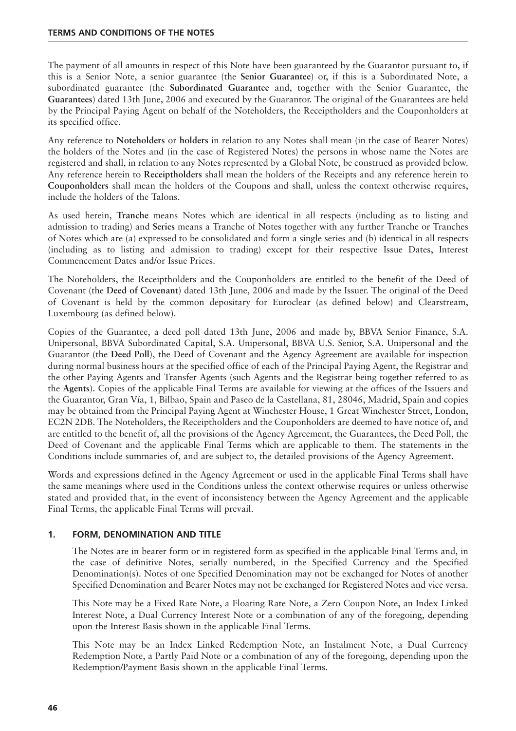The payment of all amounts in respect of this Note have been guaranteed by the Guarantor pursuant to, if this is a Senior Note, a senior guarantee (the **Senior Guarantee**) or, if this is a Subordinated Note, a subordinated guarantee (the **Subordinated Guarantee** and, together with the Senior Guarantee, the **Guarantees**) dated 13th June, 2006 and executed by the Guarantor. The original of the Guarantees are held by the Principal Paying Agent on behalf of the Noteholders, the Receiptholders and the Couponholders at its specified office.

Any reference to **Noteholders** or **holders** in relation to any Notes shall mean (in the case of Bearer Notes) the holders of the Notes and (in the case of Registered Notes) the persons in whose name the Notes are registered and shall, in relation to any Notes represented by a Global Note, be construed as provided below. Any reference herein to **Receiptholders** shall mean the holders of the Receipts and any reference herein to **Couponholders** shall mean the holders of the Coupons and shall, unless the context otherwise requires, include the holders of the Talons.

As used herein, **Tranche** means Notes which are identical in all respects (including as to listing and admission to trading) and **Series** means a Tranche of Notes together with any further Tranche or Tranches of Notes which are (a) expressed to be consolidated and form a single series and (b) identical in all respects (including as to listing and admission to trading) except for their respective Issue Dates, Interest Commencement Dates and/or Issue Prices.

The Noteholders, the Receiptholders and the Couponholders are entitled to the benefit of the Deed of Covenant (the **Deed of Covenant**) dated 13th June, 2006 and made by the Issuer. The original of the Deed of Covenant is held by the common depositary for Euroclear (as defined below) and Clearstream, Luxembourg (as defined below).

Copies of the Guarantee, a deed poll dated 13th June, 2006 and made by, BBVA Senior Finance, S.A. Unipersonal, BBVA Subordinated Capital, S.A. Unipersonal, BBVA U.S. Senior, S.A. Unipersonal and the Guarantor (the **Deed Poll**), the Deed of Covenant and the Agency Agreement are available for inspection during normal business hours at the specified office of each of the Principal Paying Agent, the Registrar and the other Paying Agents and Transfer Agents (such Agents and the Registrar being together referred to as the **Agents**). Copies of the applicable Final Terms are available for viewing at the offices of the Issuers and the Guarantor, Gran Vía, 1, Bilbao, Spain and Paseo de la Castellana, 81, 28046, Madrid, Spain and copies may be obtained from the Principal Paying Agent at Winchester House, 1 Great Winchester Street, London, EC2N 2DB. The Noteholders, the Receiptholders and the Couponholders are deemed to have notice of, and are entitled to the benefit of, all the provisions of the Agency Agreement, the Guarantees, the Deed Poll, the Deed of Covenant and the applicable Final Terms which are applicable to them. The statements in the Conditions include summaries of, and are subject to, the detailed provisions of the Agency Agreement.

Words and expressions defined in the Agency Agreement or used in the applicable Final Terms shall have the same meanings where used in the Conditions unless the context otherwise requires or unless otherwise stated and provided that, in the event of inconsistency between the Agency Agreement and the applicable Final Terms, the applicable Final Terms will prevail.

# **1. FORM, DENOMINATION AND TITLE**

The Notes are in bearer form or in registered form as specified in the applicable Final Terms and, in the case of definitive Notes, serially numbered, in the Specified Currency and the Specified Denomination(s). Notes of one Specified Denomination may not be exchanged for Notes of another Specified Denomination and Bearer Notes may not be exchanged for Registered Notes and vice versa.

This Note may be a Fixed Rate Note, a Floating Rate Note, a Zero Coupon Note, an Index Linked Interest Note, a Dual Currency Interest Note or a combination of any of the foregoing, depending upon the Interest Basis shown in the applicable Final Terms.

This Note may be an Index Linked Redemption Note, an Instalment Note, a Dual Currency Redemption Note, a Partly Paid Note or a combination of any of the foregoing, depending upon the Redemption/Payment Basis shown in the applicable Final Terms.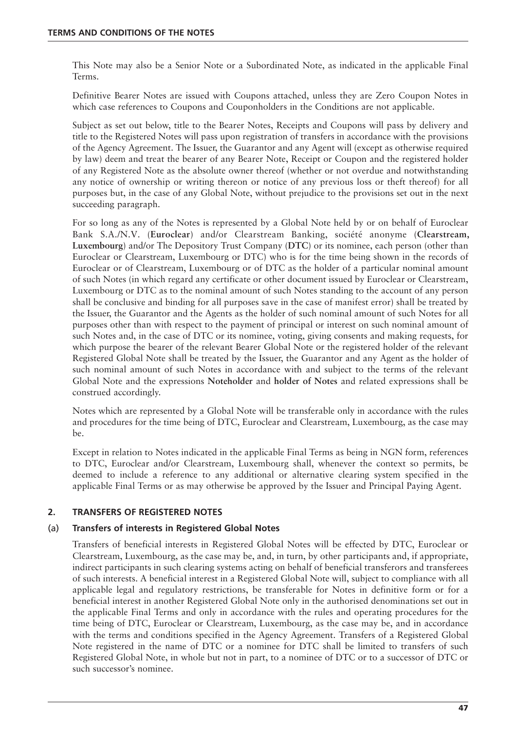This Note may also be a Senior Note or a Subordinated Note, as indicated in the applicable Final Terms.

Definitive Bearer Notes are issued with Coupons attached, unless they are Zero Coupon Notes in which case references to Coupons and Couponholders in the Conditions are not applicable.

Subject as set out below, title to the Bearer Notes, Receipts and Coupons will pass by delivery and title to the Registered Notes will pass upon registration of transfers in accordance with the provisions of the Agency Agreement. The Issuer, the Guarantor and any Agent will (except as otherwise required by law) deem and treat the bearer of any Bearer Note, Receipt or Coupon and the registered holder of any Registered Note as the absolute owner thereof (whether or not overdue and notwithstanding any notice of ownership or writing thereon or notice of any previous loss or theft thereof) for all purposes but, in the case of any Global Note, without prejudice to the provisions set out in the next succeeding paragraph.

For so long as any of the Notes is represented by a Global Note held by or on behalf of Euroclear Bank S.A./N.V. (**Euroclear**) and/or Clearstream Banking, société anonyme (**Clearstream, Luxembourg**) and/or The Depository Trust Company (**DTC**) or its nominee, each person (other than Euroclear or Clearstream, Luxembourg or DTC) who is for the time being shown in the records of Euroclear or of Clearstream, Luxembourg or of DTC as the holder of a particular nominal amount of such Notes (in which regard any certificate or other document issued by Euroclear or Clearstream, Luxembourg or DTC as to the nominal amount of such Notes standing to the account of any person shall be conclusive and binding for all purposes save in the case of manifest error) shall be treated by the Issuer, the Guarantor and the Agents as the holder of such nominal amount of such Notes for all purposes other than with respect to the payment of principal or interest on such nominal amount of such Notes and, in the case of DTC or its nominee, voting, giving consents and making requests, for which purpose the bearer of the relevant Bearer Global Note or the registered holder of the relevant Registered Global Note shall be treated by the Issuer, the Guarantor and any Agent as the holder of such nominal amount of such Notes in accordance with and subject to the terms of the relevant Global Note and the expressions **Noteholder** and **holder of Notes** and related expressions shall be construed accordingly.

Notes which are represented by a Global Note will be transferable only in accordance with the rules and procedures for the time being of DTC, Euroclear and Clearstream, Luxembourg, as the case may be.

Except in relation to Notes indicated in the applicable Final Terms as being in NGN form, references to DTC, Euroclear and/or Clearstream, Luxembourg shall, whenever the context so permits, be deemed to include a reference to any additional or alternative clearing system specified in the applicable Final Terms or as may otherwise be approved by the Issuer and Principal Paying Agent.

# **2. TRANSFERS OF REGISTERED NOTES**

# (a) **Transfers of interests in Registered Global Notes**

Transfers of beneficial interests in Registered Global Notes will be effected by DTC, Euroclear or Clearstream, Luxembourg, as the case may be, and, in turn, by other participants and, if appropriate, indirect participants in such clearing systems acting on behalf of beneficial transferors and transferees of such interests. A beneficial interest in a Registered Global Note will, subject to compliance with all applicable legal and regulatory restrictions, be transferable for Notes in definitive form or for a beneficial interest in another Registered Global Note only in the authorised denominations set out in the applicable Final Terms and only in accordance with the rules and operating procedures for the time being of DTC, Euroclear or Clearstream, Luxembourg, as the case may be, and in accordance with the terms and conditions specified in the Agency Agreement. Transfers of a Registered Global Note registered in the name of DTC or a nominee for DTC shall be limited to transfers of such Registered Global Note, in whole but not in part, to a nominee of DTC or to a successor of DTC or such successor's nominee.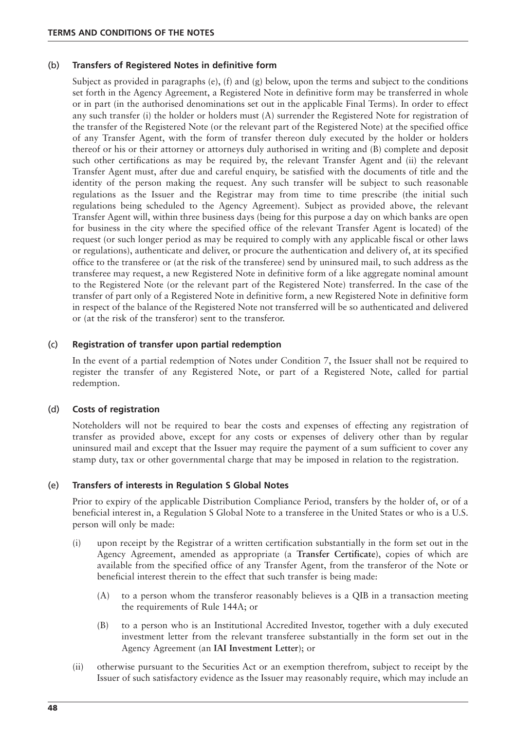#### (b) **Transfers of Registered Notes in definitive form**

Subject as provided in paragraphs (e), (f) and (g) below, upon the terms and subject to the conditions set forth in the Agency Agreement, a Registered Note in definitive form may be transferred in whole or in part (in the authorised denominations set out in the applicable Final Terms). In order to effect any such transfer (i) the holder or holders must (A) surrender the Registered Note for registration of the transfer of the Registered Note (or the relevant part of the Registered Note) at the specified office of any Transfer Agent, with the form of transfer thereon duly executed by the holder or holders thereof or his or their attorney or attorneys duly authorised in writing and (B) complete and deposit such other certifications as may be required by, the relevant Transfer Agent and (ii) the relevant Transfer Agent must, after due and careful enquiry, be satisfied with the documents of title and the identity of the person making the request. Any such transfer will be subject to such reasonable regulations as the Issuer and the Registrar may from time to time prescribe (the initial such regulations being scheduled to the Agency Agreement). Subject as provided above, the relevant Transfer Agent will, within three business days (being for this purpose a day on which banks are open for business in the city where the specified office of the relevant Transfer Agent is located) of the request (or such longer period as may be required to comply with any applicable fiscal or other laws or regulations), authenticate and deliver, or procure the authentication and delivery of, at its specified office to the transferee or (at the risk of the transferee) send by uninsured mail, to such address as the transferee may request, a new Registered Note in definitive form of a like aggregate nominal amount to the Registered Note (or the relevant part of the Registered Note) transferred. In the case of the transfer of part only of a Registered Note in definitive form, a new Registered Note in definitive form in respect of the balance of the Registered Note not transferred will be so authenticated and delivered or (at the risk of the transferor) sent to the transferor.

## (c) **Registration of transfer upon partial redemption**

In the event of a partial redemption of Notes under Condition 7, the Issuer shall not be required to register the transfer of any Registered Note, or part of a Registered Note, called for partial redemption.

#### (d) **Costs of registration**

Noteholders will not be required to bear the costs and expenses of effecting any registration of transfer as provided above, except for any costs or expenses of delivery other than by regular uninsured mail and except that the Issuer may require the payment of a sum sufficient to cover any stamp duty, tax or other governmental charge that may be imposed in relation to the registration.

#### (e) **Transfers of interests in Regulation S Global Notes**

Prior to expiry of the applicable Distribution Compliance Period, transfers by the holder of, or of a beneficial interest in, a Regulation S Global Note to a transferee in the United States or who is a U.S. person will only be made:

- (i) upon receipt by the Registrar of a written certification substantially in the form set out in the Agency Agreement, amended as appropriate (a **Transfer Certificate**), copies of which are available from the specified office of any Transfer Agent, from the transferor of the Note or beneficial interest therein to the effect that such transfer is being made:
	- (A) to a person whom the transferor reasonably believes is a QIB in a transaction meeting the requirements of Rule 144A; or
	- (B) to a person who is an Institutional Accredited Investor, together with a duly executed investment letter from the relevant transferee substantially in the form set out in the Agency Agreement (an **IAI Investment Letter**); or
- (ii) otherwise pursuant to the Securities Act or an exemption therefrom, subject to receipt by the Issuer of such satisfactory evidence as the Issuer may reasonably require, which may include an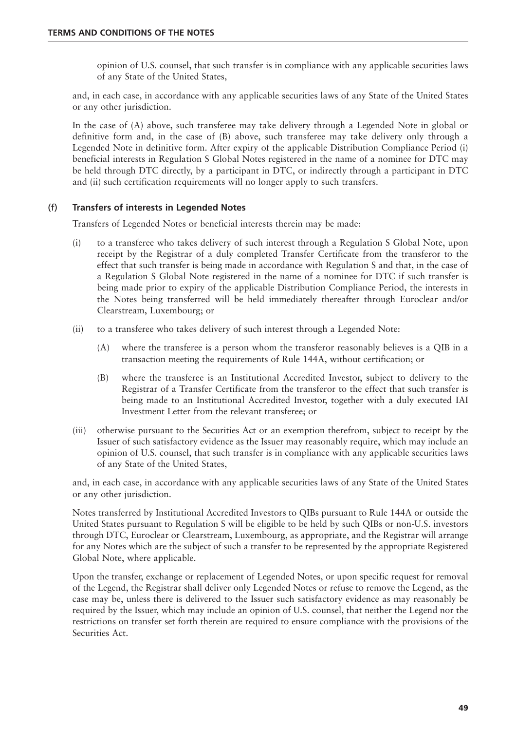opinion of U.S. counsel, that such transfer is in compliance with any applicable securities laws of any State of the United States,

and, in each case, in accordance with any applicable securities laws of any State of the United States or any other jurisdiction.

In the case of (A) above, such transferee may take delivery through a Legended Note in global or definitive form and, in the case of (B) above, such transferee may take delivery only through a Legended Note in definitive form. After expiry of the applicable Distribution Compliance Period (i) beneficial interests in Regulation S Global Notes registered in the name of a nominee for DTC may be held through DTC directly, by a participant in DTC, or indirectly through a participant in DTC and (ii) such certification requirements will no longer apply to such transfers.

# (f) **Transfers of interests in Legended Notes**

Transfers of Legended Notes or beneficial interests therein may be made:

- (i) to a transferee who takes delivery of such interest through a Regulation S Global Note, upon receipt by the Registrar of a duly completed Transfer Certificate from the transferor to the effect that such transfer is being made in accordance with Regulation S and that, in the case of a Regulation S Global Note registered in the name of a nominee for DTC if such transfer is being made prior to expiry of the applicable Distribution Compliance Period, the interests in the Notes being transferred will be held immediately thereafter through Euroclear and/or Clearstream, Luxembourg; or
- (ii) to a transferee who takes delivery of such interest through a Legended Note:
	- (A) where the transferee is a person whom the transferor reasonably believes is a QIB in a transaction meeting the requirements of Rule 144A, without certification; or
	- (B) where the transferee is an Institutional Accredited Investor, subject to delivery to the Registrar of a Transfer Certificate from the transferor to the effect that such transfer is being made to an Institutional Accredited Investor, together with a duly executed IAI Investment Letter from the relevant transferee; or
- (iii) otherwise pursuant to the Securities Act or an exemption therefrom, subject to receipt by the Issuer of such satisfactory evidence as the Issuer may reasonably require, which may include an opinion of U.S. counsel, that such transfer is in compliance with any applicable securities laws of any State of the United States,

and, in each case, in accordance with any applicable securities laws of any State of the United States or any other jurisdiction.

Notes transferred by Institutional Accredited Investors to QIBs pursuant to Rule 144A or outside the United States pursuant to Regulation S will be eligible to be held by such QIBs or non-U.S. investors through DTC, Euroclear or Clearstream, Luxembourg, as appropriate, and the Registrar will arrange for any Notes which are the subject of such a transfer to be represented by the appropriate Registered Global Note, where applicable.

Upon the transfer, exchange or replacement of Legended Notes, or upon specific request for removal of the Legend, the Registrar shall deliver only Legended Notes or refuse to remove the Legend, as the case may be, unless there is delivered to the Issuer such satisfactory evidence as may reasonably be required by the Issuer, which may include an opinion of U.S. counsel, that neither the Legend nor the restrictions on transfer set forth therein are required to ensure compliance with the provisions of the Securities Act.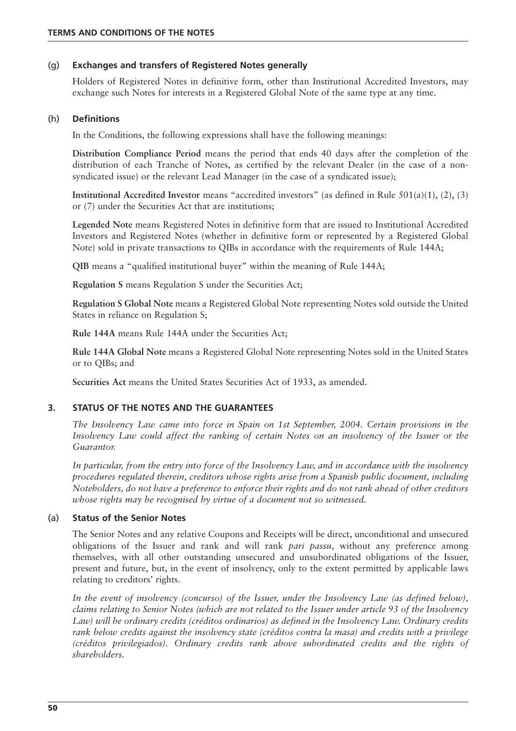#### (g) **Exchanges and transfers of Registered Notes generally**

Holders of Registered Notes in definitive form, other than Institutional Accredited Investors, may exchange such Notes for interests in a Registered Global Note of the same type at any time.

#### (h) **Definitions**

In the Conditions, the following expressions shall have the following meanings:

**Distribution Compliance Period** means the period that ends 40 days after the completion of the distribution of each Tranche of Notes, as certified by the relevant Dealer (in the case of a nonsyndicated issue) or the relevant Lead Manager (in the case of a syndicated issue);

**Institutional Accredited Investor** means "accredited investors" (as defined in Rule 501(a)(1), (2), (3) or (7) under the Securities Act that are institutions;

**Legended Note** means Registered Notes in definitive form that are issued to Institutional Accredited Investors and Registered Notes (whether in definitive form or represented by a Registered Global Note) sold in private transactions to QIBs in accordance with the requirements of Rule 144A;

**QIB** means a "qualified institutional buyer" within the meaning of Rule 144A;

**Regulation S** means Regulation S under the Securities Act;

**Regulation S Global Note** means a Registered Global Note representing Notes sold outside the United States in reliance on Regulation S;

**Rule 144A** means Rule 144A under the Securities Act;

**Rule 144A Global Note** means a Registered Global Note representing Notes sold in the United States or to QIBs; and

**Securities Act** means the United States Securities Act of 1933, as amended.

# **3. STATUS OF THE NOTES AND THE GUARANTEES**

*The Insolvency Law came into force in Spain on 1st September, 2004. Certain provisions in the Insolvency Law could affect the ranking of certain Notes on an insolvency of the Issuer or the Guarantor.*

*In particular, from the entry into force of the Insolvency Law, and in accordance with the insolvency procedures regulated therein, creditors whose rights arise from a Spanish public document, including Noteholders, do not have a preference to enforce their rights and do not rank ahead of other creditors whose rights may be recognised by virtue of a document not so witnessed.*

#### (a) **Status of the Senior Notes**

The Senior Notes and any relative Coupons and Receipts will be direct, unconditional and unsecured obligations of the Issuer and rank and will rank *pari passu*, without any preference among themselves, with all other outstanding unsecured and unsubordinated obligations of the Issuer, present and future, but, in the event of insolvency, only to the extent permitted by applicable laws relating to creditors' rights.

*In the event of insolvency (concurso) of the Issuer, under the Insolvency Law (as defined below), claims relating to Senior Notes (which are not related to the Issuer under article 93 of the Insolvency Law) will be ordinary credits (créditos ordinarios) as defined in the Insolvency Law. Ordinary credits rank below credits against the insolvency state (créditos contra la masa) and credits with a privilege (créditos privilegiados). Ordinary credits rank above subordinated credits and the rights of shareholders.*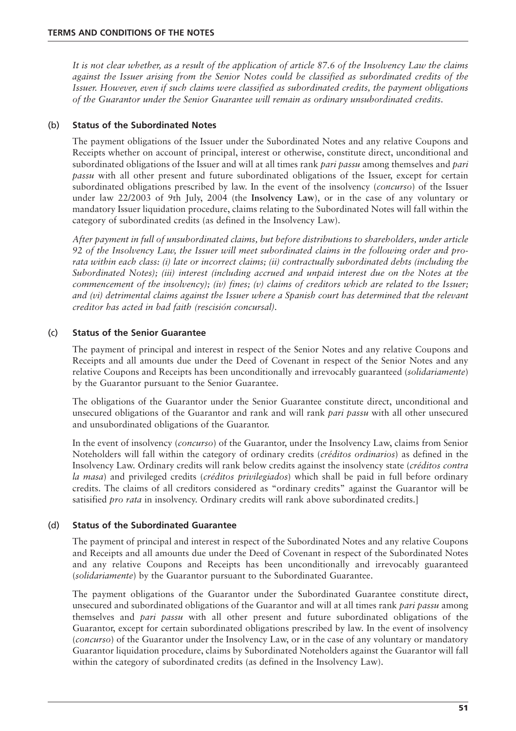*It is not clear whether, as a result of the application of article 87.6 of the Insolvency Law the claims against the Issuer arising from the Senior Notes could be classified as subordinated credits of the Issuer. However, even if such claims were classified as subordinated credits, the payment obligations of the Guarantor under the Senior Guarantee will remain as ordinary unsubordinated credits.*

# (b) **Status of the Subordinated Notes**

The payment obligations of the Issuer under the Subordinated Notes and any relative Coupons and Receipts whether on account of principal, interest or otherwise, constitute direct, unconditional and subordinated obligations of the Issuer and will at all times rank *pari passu* among themselves and *pari passu* with all other present and future subordinated obligations of the Issuer, except for certain subordinated obligations prescribed by law. In the event of the insolvency (*concurso*) of the Issuer under law 22/2003 of 9th July, 2004 (the **Insolvency Law**), or in the case of any voluntary or mandatory Issuer liquidation procedure, claims relating to the Subordinated Notes will fall within the category of subordinated credits (as defined in the Insolvency Law).

*After payment in full of unsubordinated claims, but before distributions to shareholders, under article 92 of the Insolvency Law, the Issuer will meet subordinated claims in the following order and prorata within each class: (i) late or incorrect claims; (ii) contractually subordinated debts (including the Subordinated Notes); (iii) interest (including accrued and unpaid interest due on the Notes at the commencement of the insolvency); (iv) fines; (v) claims of creditors which are related to the Issuer; and (vi) detrimental claims against the Issuer where a Spanish court has determined that the relevant creditor has acted in bad faith (rescisión concursal).*

# (c) **Status of the Senior Guarantee**

The payment of principal and interest in respect of the Senior Notes and any relative Coupons and Receipts and all amounts due under the Deed of Covenant in respect of the Senior Notes and any relative Coupons and Receipts has been unconditionally and irrevocably guaranteed (*solidariamente*) by the Guarantor pursuant to the Senior Guarantee.

The obligations of the Guarantor under the Senior Guarantee constitute direct, unconditional and unsecured obligations of the Guarantor and rank and will rank *pari passu* with all other unsecured and unsubordinated obligations of the Guarantor.

In the event of insolvency (*concurso*) of the Guarantor, under the Insolvency Law, claims from Senior Noteholders will fall within the category of ordinary credits (*créditos ordinarios*) as defined in the Insolvency Law. Ordinary credits will rank below credits against the insolvency state (*créditos contra la masa*) and privileged credits (*créditos privilegiados*) which shall be paid in full before ordinary credits. The claims of all creditors considered as "ordinary credits" against the Guarantor will be satisified *pro rata* in insolvency. Ordinary credits will rank above subordinated credits.]

# (d) **Status of the Subordinated Guarantee**

The payment of principal and interest in respect of the Subordinated Notes and any relative Coupons and Receipts and all amounts due under the Deed of Covenant in respect of the Subordinated Notes and any relative Coupons and Receipts has been unconditionally and irrevocably guaranteed (*solidariamente*) by the Guarantor pursuant to the Subordinated Guarantee.

The payment obligations of the Guarantor under the Subordinated Guarantee constitute direct, unsecured and subordinated obligations of the Guarantor and will at all times rank *pari passu* among themselves and *pari passu* with all other present and future subordinated obligations of the Guarantor, except for certain subordinated obligations prescribed by law. In the event of insolvency (*concurso*) of the Guarantor under the Insolvency Law, or in the case of any voluntary or mandatory Guarantor liquidation procedure, claims by Subordinated Noteholders against the Guarantor will fall within the category of subordinated credits (as defined in the Insolvency Law).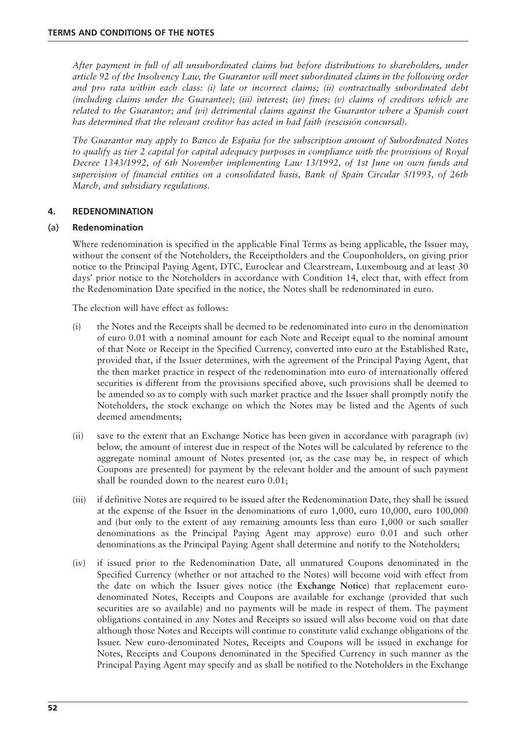*After payment in full of all unsubordinated claims but before distributions to shareholders, under article 92 of the Insolvency Law, the Guarantor will meet subordinated claims in the following order and pro rata within each class: (i) late or incorrect claims; (ii) contractually subordinated debt (including claims under the Guarantee); (iii) interest; (iv) fines; (v) claims of creditors which are related to the Guarantor; and (vi) detrimental claims against the Guarantor where a Spanish court has determined that the relevant creditor has acted in bad faith (rescisión concursal).* 

*The Guarantor may apply to Banco de España for the subscription amount of Subordinated Notes to qualify as tier 2 capital for capital adequacy purposes in compliance with the provisions of Royal Decree 1343/1992, of 6th November implementing Law 13/1992, of 1st June on own funds and supervision of financial entities on a consolidated basis, Bank of Spain Circular 5/1993, of 26th March, and subsidiary regulations.*

## **4. REDENOMINATION**

#### (a) **Redenomination**

Where redenomination is specified in the applicable Final Terms as being applicable, the Issuer may, without the consent of the Noteholders, the Receiptholders and the Couponholders, on giving prior notice to the Principal Paying Agent, DTC, Euroclear and Clearstream, Luxembourg and at least 30 days' prior notice to the Noteholders in accordance with Condition 14, elect that, with effect from the Redenomination Date specified in the notice, the Notes shall be redenominated in euro.

The election will have effect as follows:

- (i) the Notes and the Receipts shall be deemed to be redenominated into euro in the denomination of euro 0.01 with a nominal amount for each Note and Receipt equal to the nominal amount of that Note or Receipt in the Specified Currency, converted into euro at the Established Rate, provided that, if the Issuer determines, with the agreement of the Principal Paying Agent, that the then market practice in respect of the redenomination into euro of internationally offered securities is different from the provisions specified above, such provisions shall be deemed to be amended so as to comply with such market practice and the Issuer shall promptly notify the Noteholders, the stock exchange on which the Notes may be listed and the Agents of such deemed amendments;
- (ii) save to the extent that an Exchange Notice has been given in accordance with paragraph (iv) below, the amount of interest due in respect of the Notes will be calculated by reference to the aggregate nominal amount of Notes presented (or, as the case may be, in respect of which Coupons are presented) for payment by the relevant holder and the amount of such payment shall be rounded down to the nearest euro 0.01;
- (iii) if definitive Notes are required to be issued after the Redenomination Date, they shall be issued at the expense of the Issuer in the denominations of euro 1,000, euro 10,000, euro 100,000 and (but only to the extent of any remaining amounts less than euro 1,000 or such smaller denominations as the Principal Paying Agent may approve) euro 0.01 and such other denominations as the Principal Paying Agent shall determine and notify to the Noteholders;
- (iv) if issued prior to the Redenomination Date, all unmatured Coupons denominated in the Specified Currency (whether or not attached to the Notes) will become void with effect from the date on which the Issuer gives notice (the **Exchange Notice**) that replacement eurodenominated Notes, Receipts and Coupons are available for exchange (provided that such securities are so available) and no payments will be made in respect of them. The payment obligations contained in any Notes and Receipts so issued will also become void on that date although those Notes and Receipts will continue to constitute valid exchange obligations of the Issuer. New euro-denominated Notes, Receipts and Coupons will be issued in exchange for Notes, Receipts and Coupons denominated in the Specified Currency in such manner as the Principal Paying Agent may specify and as shall be notified to the Noteholders in the Exchange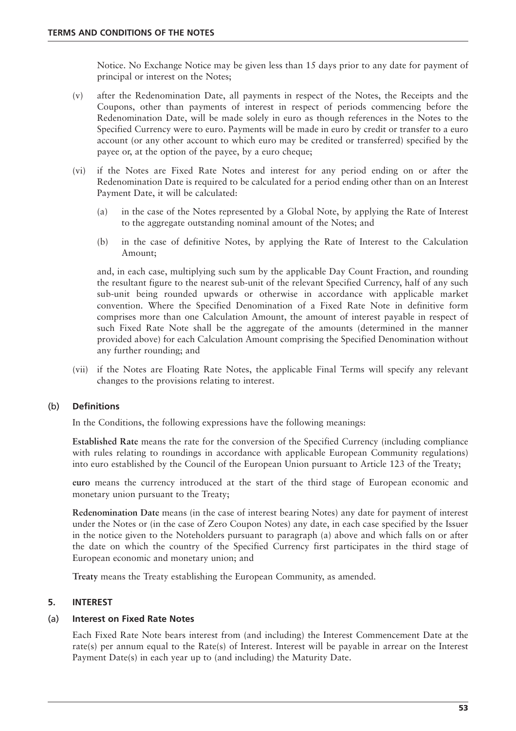Notice. No Exchange Notice may be given less than 15 days prior to any date for payment of principal or interest on the Notes;

- (v) after the Redenomination Date, all payments in respect of the Notes, the Receipts and the Coupons, other than payments of interest in respect of periods commencing before the Redenomination Date, will be made solely in euro as though references in the Notes to the Specified Currency were to euro. Payments will be made in euro by credit or transfer to a euro account (or any other account to which euro may be credited or transferred) specified by the payee or, at the option of the payee, by a euro cheque;
- (vi) if the Notes are Fixed Rate Notes and interest for any period ending on or after the Redenomination Date is required to be calculated for a period ending other than on an Interest Payment Date, it will be calculated:
	- (a) in the case of the Notes represented by a Global Note, by applying the Rate of Interest to the aggregate outstanding nominal amount of the Notes; and
	- (b) in the case of definitive Notes, by applying the Rate of Interest to the Calculation Amount;

and, in each case, multiplying such sum by the applicable Day Count Fraction, and rounding the resultant figure to the nearest sub-unit of the relevant Specified Currency, half of any such sub-unit being rounded upwards or otherwise in accordance with applicable market convention. Where the Specified Denomination of a Fixed Rate Note in definitive form comprises more than one Calculation Amount, the amount of interest payable in respect of such Fixed Rate Note shall be the aggregate of the amounts (determined in the manner provided above) for each Calculation Amount comprising the Specified Denomination without any further rounding; and

(vii) if the Notes are Floating Rate Notes, the applicable Final Terms will specify any relevant changes to the provisions relating to interest.

# (b) **Definitions**

In the Conditions, the following expressions have the following meanings:

**Established Rate** means the rate for the conversion of the Specified Currency (including compliance with rules relating to roundings in accordance with applicable European Community regulations) into euro established by the Council of the European Union pursuant to Article 123 of the Treaty;

**euro** means the currency introduced at the start of the third stage of European economic and monetary union pursuant to the Treaty;

**Redenomination Date** means (in the case of interest bearing Notes) any date for payment of interest under the Notes or (in the case of Zero Coupon Notes) any date, in each case specified by the Issuer in the notice given to the Noteholders pursuant to paragraph (a) above and which falls on or after the date on which the country of the Specified Currency first participates in the third stage of European economic and monetary union; and

**Treaty** means the Treaty establishing the European Community, as amended.

# **5. INTEREST**

#### (a) **Interest on Fixed Rate Notes**

Each Fixed Rate Note bears interest from (and including) the Interest Commencement Date at the rate(s) per annum equal to the Rate(s) of Interest. Interest will be payable in arrear on the Interest Payment Date(s) in each year up to (and including) the Maturity Date.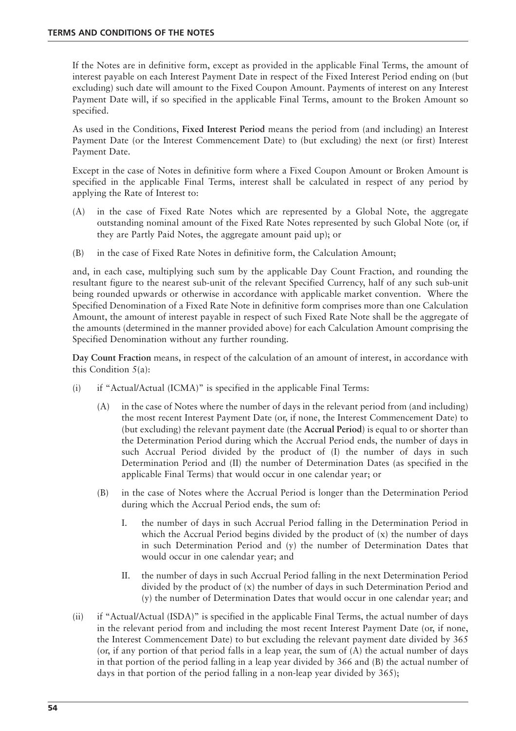If the Notes are in definitive form, except as provided in the applicable Final Terms, the amount of interest payable on each Interest Payment Date in respect of the Fixed Interest Period ending on (but excluding) such date will amount to the Fixed Coupon Amount. Payments of interest on any Interest Payment Date will, if so specified in the applicable Final Terms, amount to the Broken Amount so specified.

As used in the Conditions, **Fixed Interest Period** means the period from (and including) an Interest Payment Date (or the Interest Commencement Date) to (but excluding) the next (or first) Interest Payment Date.

Except in the case of Notes in definitive form where a Fixed Coupon Amount or Broken Amount is specified in the applicable Final Terms, interest shall be calculated in respect of any period by applying the Rate of Interest to:

- (A) in the case of Fixed Rate Notes which are represented by a Global Note, the aggregate outstanding nominal amount of the Fixed Rate Notes represented by such Global Note (or, if they are Partly Paid Notes, the aggregate amount paid up); or
- (B) in the case of Fixed Rate Notes in definitive form, the Calculation Amount;

and, in each case, multiplying such sum by the applicable Day Count Fraction, and rounding the resultant figure to the nearest sub-unit of the relevant Specified Currency, half of any such sub-unit being rounded upwards or otherwise in accordance with applicable market convention. Where the Specified Denomination of a Fixed Rate Note in definitive form comprises more than one Calculation Amount, the amount of interest payable in respect of such Fixed Rate Note shall be the aggregate of the amounts (determined in the manner provided above) for each Calculation Amount comprising the Specified Denomination without any further rounding.

**Day Count Fraction** means, in respect of the calculation of an amount of interest, in accordance with this Condition 5(a):

- (i) if "Actual/Actual (ICMA)" is specified in the applicable Final Terms:
	- (A) in the case of Notes where the number of days in the relevant period from (and including) the most recent Interest Payment Date (or, if none, the Interest Commencement Date) to (but excluding) the relevant payment date (the **Accrual Period**) is equal to or shorter than the Determination Period during which the Accrual Period ends, the number of days in such Accrual Period divided by the product of (I) the number of days in such Determination Period and (II) the number of Determination Dates (as specified in the applicable Final Terms) that would occur in one calendar year; or
	- (B) in the case of Notes where the Accrual Period is longer than the Determination Period during which the Accrual Period ends, the sum of:
		- I. the number of days in such Accrual Period falling in the Determination Period in which the Accrual Period begins divided by the product of  $(x)$  the number of days in such Determination Period and (y) the number of Determination Dates that would occur in one calendar year; and
		- II. the number of days in such Accrual Period falling in the next Determination Period divided by the product of (x) the number of days in such Determination Period and (y) the number of Determination Dates that would occur in one calendar year; and
- (ii) if "Actual/Actual (ISDA)" is specified in the applicable Final Terms, the actual number of days in the relevant period from and including the most recent Interest Payment Date (or, if none, the Interest Commencement Date) to but excluding the relevant payment date divided by 365 (or, if any portion of that period falls in a leap year, the sum of (A) the actual number of days in that portion of the period falling in a leap year divided by 366 and (B) the actual number of days in that portion of the period falling in a non-leap year divided by 365);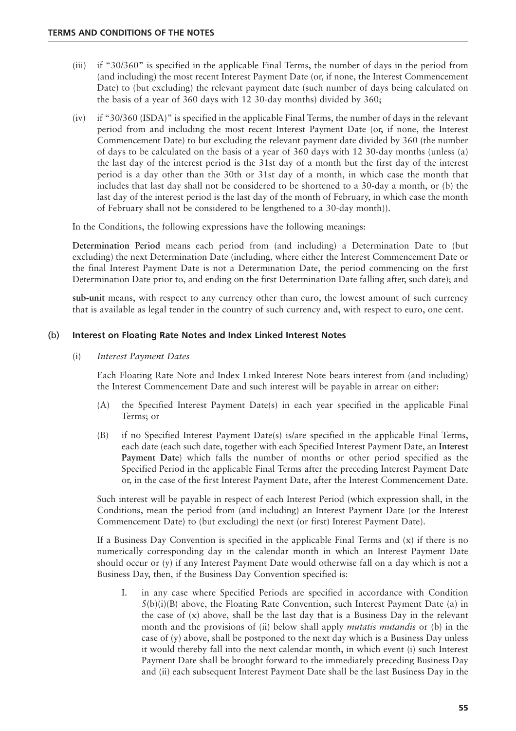- (iii) if "30/360" is specified in the applicable Final Terms, the number of days in the period from (and including) the most recent Interest Payment Date (or, if none, the Interest Commencement Date) to (but excluding) the relevant payment date (such number of days being calculated on the basis of a year of 360 days with 12 30-day months) divided by 360;
- (iv) if "30/360 (ISDA)" is specified in the applicable Final Terms, the number of days in the relevant period from and including the most recent Interest Payment Date (or, if none, the Interest Commencement Date) to but excluding the relevant payment date divided by 360 (the number of days to be calculated on the basis of a year of 360 days with 12 30-day months (unless (a) the last day of the interest period is the 31st day of a month but the first day of the interest period is a day other than the 30th or 31st day of a month, in which case the month that includes that last day shall not be considered to be shortened to a 30-day a month, or (b) the last day of the interest period is the last day of the month of February, in which case the month of February shall not be considered to be lengthened to a 30-day month)).

In the Conditions, the following expressions have the following meanings:

**Determination Period** means each period from (and including) a Determination Date to (but excluding) the next Determination Date (including, where either the Interest Commencement Date or the final Interest Payment Date is not a Determination Date, the period commencing on the first Determination Date prior to, and ending on the first Determination Date falling after, such date); and

**sub-unit** means, with respect to any currency other than euro, the lowest amount of such currency that is available as legal tender in the country of such currency and, with respect to euro, one cent.

# (b) **Interest on Floating Rate Notes and Index Linked Interest Notes**

## (i) *Interest Payment Dates*

Each Floating Rate Note and Index Linked Interest Note bears interest from (and including) the Interest Commencement Date and such interest will be payable in arrear on either:

- (A) the Specified Interest Payment Date(s) in each year specified in the applicable Final Terms; or
- (B) if no Specified Interest Payment Date(s) is/are specified in the applicable Final Terms, each date (each such date, together with each Specified Interest Payment Date, an **Interest Payment Date**) which falls the number of months or other period specified as the Specified Period in the applicable Final Terms after the preceding Interest Payment Date or, in the case of the first Interest Payment Date, after the Interest Commencement Date.

Such interest will be payable in respect of each Interest Period (which expression shall, in the Conditions, mean the period from (and including) an Interest Payment Date (or the Interest Commencement Date) to (but excluding) the next (or first) Interest Payment Date).

If a Business Day Convention is specified in the applicable Final Terms and  $(x)$  if there is no numerically corresponding day in the calendar month in which an Interest Payment Date should occur or (y) if any Interest Payment Date would otherwise fall on a day which is not a Business Day, then, if the Business Day Convention specified is:

I. in any case where Specified Periods are specified in accordance with Condition  $5(b)(i)(B)$  above, the Floating Rate Convention, such Interest Payment Date (a) in the case of  $(x)$  above, shall be the last day that is a Business Day in the relevant month and the provisions of (ii) below shall apply *mutatis mutandis* or (b) in the case of (y) above, shall be postponed to the next day which is a Business Day unless it would thereby fall into the next calendar month, in which event (i) such Interest Payment Date shall be brought forward to the immediately preceding Business Day and (ii) each subsequent Interest Payment Date shall be the last Business Day in the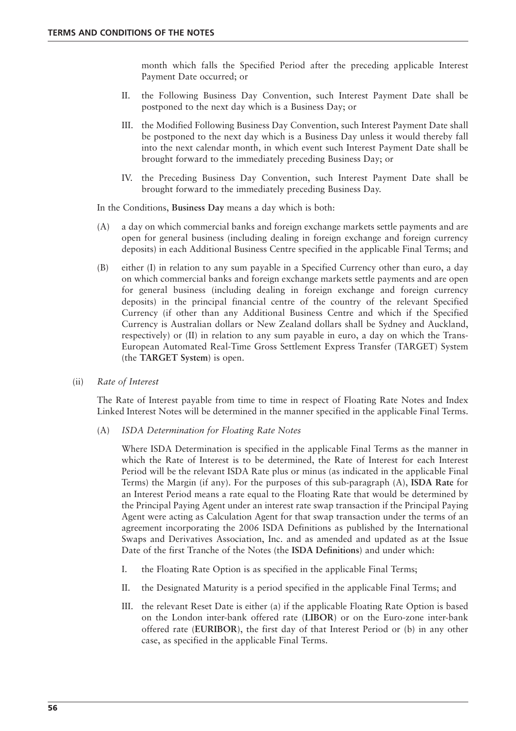month which falls the Specified Period after the preceding applicable Interest Payment Date occurred; or

- II. the Following Business Day Convention, such Interest Payment Date shall be postponed to the next day which is a Business Day; or
- III. the Modified Following Business Day Convention, such Interest Payment Date shall be postponed to the next day which is a Business Day unless it would thereby fall into the next calendar month, in which event such Interest Payment Date shall be brought forward to the immediately preceding Business Day; or
- IV. the Preceding Business Day Convention, such Interest Payment Date shall be brought forward to the immediately preceding Business Day.

In the Conditions, **Business Day** means a day which is both:

- (A) a day on which commercial banks and foreign exchange markets settle payments and are open for general business (including dealing in foreign exchange and foreign currency deposits) in each Additional Business Centre specified in the applicable Final Terms; and
- (B) either (I) in relation to any sum payable in a Specified Currency other than euro, a day on which commercial banks and foreign exchange markets settle payments and are open for general business (including dealing in foreign exchange and foreign currency deposits) in the principal financial centre of the country of the relevant Specified Currency (if other than any Additional Business Centre and which if the Specified Currency is Australian dollars or New Zealand dollars shall be Sydney and Auckland, respectively) or (II) in relation to any sum payable in euro, a day on which the Trans-European Automated Real-Time Gross Settlement Express Transfer (TARGET) System (the **TARGET System**) is open.
- (ii) *Rate of Interest*

The Rate of Interest payable from time to time in respect of Floating Rate Notes and Index Linked Interest Notes will be determined in the manner specified in the applicable Final Terms.

(A) *ISDA Determination for Floating Rate Notes*

Where ISDA Determination is specified in the applicable Final Terms as the manner in which the Rate of Interest is to be determined, the Rate of Interest for each Interest Period will be the relevant ISDA Rate plus or minus (as indicated in the applicable Final Terms) the Margin (if any). For the purposes of this sub-paragraph (A), **ISDA Rate** for an Interest Period means a rate equal to the Floating Rate that would be determined by the Principal Paying Agent under an interest rate swap transaction if the Principal Paying Agent were acting as Calculation Agent for that swap transaction under the terms of an agreement incorporating the 2006 ISDA Definitions as published by the International Swaps and Derivatives Association, Inc. and as amended and updated as at the Issue Date of the first Tranche of the Notes (the **ISDA Definitions**) and under which:

- I. the Floating Rate Option is as specified in the applicable Final Terms;
- II. the Designated Maturity is a period specified in the applicable Final Terms; and
- III. the relevant Reset Date is either (a) if the applicable Floating Rate Option is based on the London inter-bank offered rate (**LIBOR**) or on the Euro-zone inter-bank offered rate (**EURIBOR**), the first day of that Interest Period or (b) in any other case, as specified in the applicable Final Terms.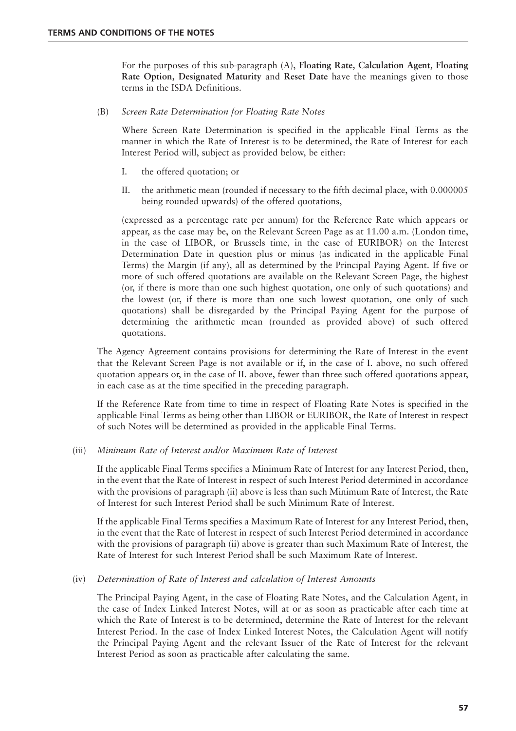For the purposes of this sub-paragraph (A), **Floating Rate, Calculation Agent, Floating Rate Option, Designated Maturity** and **Reset Date** have the meanings given to those terms in the ISDA Definitions.

(B) *Screen Rate Determination for Floating Rate Notes*

Where Screen Rate Determination is specified in the applicable Final Terms as the manner in which the Rate of Interest is to be determined, the Rate of Interest for each Interest Period will, subject as provided below, be either:

- I. the offered quotation; or
- II. the arithmetic mean (rounded if necessary to the fifth decimal place, with 0.000005 being rounded upwards) of the offered quotations,

(expressed as a percentage rate per annum) for the Reference Rate which appears or appear, as the case may be, on the Relevant Screen Page as at 11.00 a.m. (London time, in the case of LIBOR, or Brussels time, in the case of EURIBOR) on the Interest Determination Date in question plus or minus (as indicated in the applicable Final Terms) the Margin (if any), all as determined by the Principal Paying Agent. If five or more of such offered quotations are available on the Relevant Screen Page, the highest (or, if there is more than one such highest quotation, one only of such quotations) and the lowest (or, if there is more than one such lowest quotation, one only of such quotations) shall be disregarded by the Principal Paying Agent for the purpose of determining the arithmetic mean (rounded as provided above) of such offered quotations.

The Agency Agreement contains provisions for determining the Rate of Interest in the event that the Relevant Screen Page is not available or if, in the case of I. above, no such offered quotation appears or, in the case of II. above, fewer than three such offered quotations appear, in each case as at the time specified in the preceding paragraph.

If the Reference Rate from time to time in respect of Floating Rate Notes is specified in the applicable Final Terms as being other than LIBOR or EURIBOR, the Rate of Interest in respect of such Notes will be determined as provided in the applicable Final Terms.

# (iii) *Minimum Rate of Interest and/or Maximum Rate of Interest*

If the applicable Final Terms specifies a Minimum Rate of Interest for any Interest Period, then, in the event that the Rate of Interest in respect of such Interest Period determined in accordance with the provisions of paragraph (ii) above is less than such Minimum Rate of Interest, the Rate of Interest for such Interest Period shall be such Minimum Rate of Interest.

If the applicable Final Terms specifies a Maximum Rate of Interest for any Interest Period, then, in the event that the Rate of Interest in respect of such Interest Period determined in accordance with the provisions of paragraph (ii) above is greater than such Maximum Rate of Interest, the Rate of Interest for such Interest Period shall be such Maximum Rate of Interest.

# (iv) *Determination of Rate of Interest and calculation of Interest Amounts*

The Principal Paying Agent, in the case of Floating Rate Notes, and the Calculation Agent, in the case of Index Linked Interest Notes, will at or as soon as practicable after each time at which the Rate of Interest is to be determined, determine the Rate of Interest for the relevant Interest Period. In the case of Index Linked Interest Notes, the Calculation Agent will notify the Principal Paying Agent and the relevant Issuer of the Rate of Interest for the relevant Interest Period as soon as practicable after calculating the same.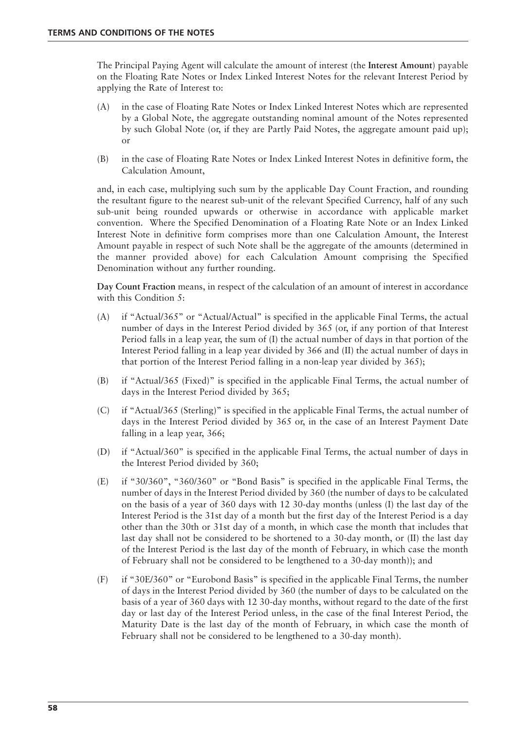The Principal Paying Agent will calculate the amount of interest (the **Interest Amount**) payable on the Floating Rate Notes or Index Linked Interest Notes for the relevant Interest Period by applying the Rate of Interest to:

- (A) in the case of Floating Rate Notes or Index Linked Interest Notes which are represented by a Global Note, the aggregate outstanding nominal amount of the Notes represented by such Global Note (or, if they are Partly Paid Notes, the aggregate amount paid up); or
- (B) in the case of Floating Rate Notes or Index Linked Interest Notes in definitive form, the Calculation Amount,

and, in each case, multiplying such sum by the applicable Day Count Fraction, and rounding the resultant figure to the nearest sub-unit of the relevant Specified Currency, half of any such sub-unit being rounded upwards or otherwise in accordance with applicable market convention. Where the Specified Denomination of a Floating Rate Note or an Index Linked Interest Note in definitive form comprises more than one Calculation Amount, the Interest Amount payable in respect of such Note shall be the aggregate of the amounts (determined in the manner provided above) for each Calculation Amount comprising the Specified Denomination without any further rounding.

**Day Count Fraction** means, in respect of the calculation of an amount of interest in accordance with this Condition 5:

- (A) if "Actual/365" or "Actual/Actual" is specified in the applicable Final Terms, the actual number of days in the Interest Period divided by 365 (or, if any portion of that Interest Period falls in a leap year, the sum of (I) the actual number of days in that portion of the Interest Period falling in a leap year divided by 366 and (II) the actual number of days in that portion of the Interest Period falling in a non-leap year divided by 365);
- (B) if "Actual/365 (Fixed)" is specified in the applicable Final Terms, the actual number of days in the Interest Period divided by 365;
- (C) if "Actual/365 (Sterling)" is specified in the applicable Final Terms, the actual number of days in the Interest Period divided by 365 or, in the case of an Interest Payment Date falling in a leap year, 366;
- (D) if "Actual/360" is specified in the applicable Final Terms, the actual number of days in the Interest Period divided by 360;
- (E) if "30/360", "360/360" or "Bond Basis" is specified in the applicable Final Terms, the number of days in the Interest Period divided by 360 (the number of days to be calculated on the basis of a year of 360 days with 12 30-day months (unless (I) the last day of the Interest Period is the 31st day of a month but the first day of the Interest Period is a day other than the 30th or 31st day of a month, in which case the month that includes that last day shall not be considered to be shortened to a 30-day month, or (II) the last day of the Interest Period is the last day of the month of February, in which case the month of February shall not be considered to be lengthened to a 30-day month)); and
- (F) if "30E/360" or "Eurobond Basis" is specified in the applicable Final Terms, the number of days in the Interest Period divided by 360 (the number of days to be calculated on the basis of a year of 360 days with 12 30-day months, without regard to the date of the first day or last day of the Interest Period unless, in the case of the final Interest Period, the Maturity Date is the last day of the month of February, in which case the month of February shall not be considered to be lengthened to a 30-day month).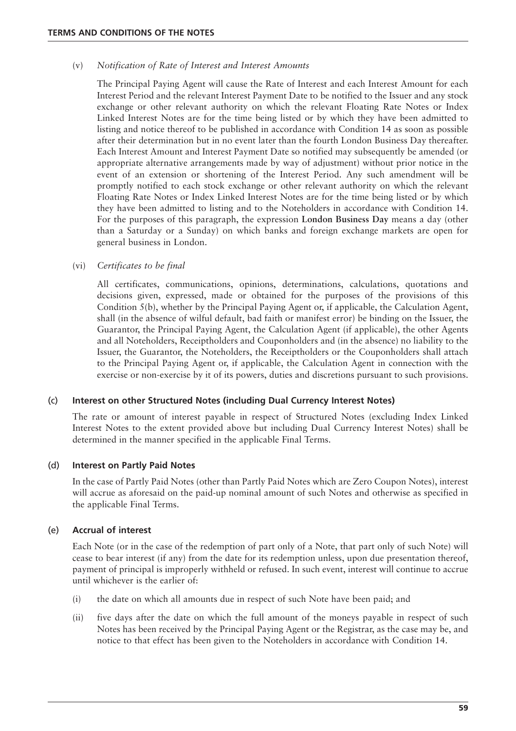#### (v) *Notification of Rate of Interest and Interest Amounts*

The Principal Paying Agent will cause the Rate of Interest and each Interest Amount for each Interest Period and the relevant Interest Payment Date to be notified to the Issuer and any stock exchange or other relevant authority on which the relevant Floating Rate Notes or Index Linked Interest Notes are for the time being listed or by which they have been admitted to listing and notice thereof to be published in accordance with Condition 14 as soon as possible after their determination but in no event later than the fourth London Business Day thereafter. Each Interest Amount and Interest Payment Date so notified may subsequently be amended (or appropriate alternative arrangements made by way of adjustment) without prior notice in the event of an extension or shortening of the Interest Period. Any such amendment will be promptly notified to each stock exchange or other relevant authority on which the relevant Floating Rate Notes or Index Linked Interest Notes are for the time being listed or by which they have been admitted to listing and to the Noteholders in accordance with Condition 14. For the purposes of this paragraph, the expression **London Business Day** means a day (other than a Saturday or a Sunday) on which banks and foreign exchange markets are open for general business in London.

#### (vi) *Certificates to be final*

All certificates, communications, opinions, determinations, calculations, quotations and decisions given, expressed, made or obtained for the purposes of the provisions of this Condition  $5(b)$ , whether by the Principal Paying Agent or, if applicable, the Calculation Agent, shall (in the absence of wilful default, bad faith or manifest error) be binding on the Issuer, the Guarantor, the Principal Paying Agent, the Calculation Agent (if applicable), the other Agents and all Noteholders, Receiptholders and Couponholders and (in the absence) no liability to the Issuer, the Guarantor, the Noteholders, the Receiptholders or the Couponholders shall attach to the Principal Paying Agent or, if applicable, the Calculation Agent in connection with the exercise or non-exercise by it of its powers, duties and discretions pursuant to such provisions.

#### (c) **Interest on other Structured Notes (including Dual Currency Interest Notes)**

The rate or amount of interest payable in respect of Structured Notes (excluding Index Linked Interest Notes to the extent provided above but including Dual Currency Interest Notes) shall be determined in the manner specified in the applicable Final Terms.

#### (d) **Interest on Partly Paid Notes**

In the case of Partly Paid Notes (other than Partly Paid Notes which are Zero Coupon Notes), interest will accrue as aforesaid on the paid-up nominal amount of such Notes and otherwise as specified in the applicable Final Terms.

#### (e) **Accrual of interest**

Each Note (or in the case of the redemption of part only of a Note, that part only of such Note) will cease to bear interest (if any) from the date for its redemption unless, upon due presentation thereof, payment of principal is improperly withheld or refused. In such event, interest will continue to accrue until whichever is the earlier of:

- (i) the date on which all amounts due in respect of such Note have been paid; and
- (ii) five days after the date on which the full amount of the moneys payable in respect of such Notes has been received by the Principal Paying Agent or the Registrar, as the case may be, and notice to that effect has been given to the Noteholders in accordance with Condition 14.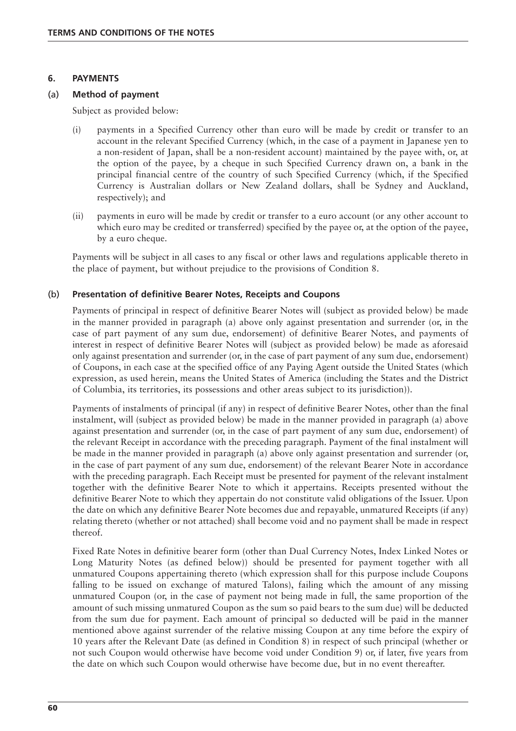#### **6. PAYMENTS**

#### (a) **Method of payment**

Subject as provided below:

- (i) payments in a Specified Currency other than euro will be made by credit or transfer to an account in the relevant Specified Currency (which, in the case of a payment in Japanese yen to a non-resident of Japan, shall be a non-resident account) maintained by the payee with, or, at the option of the payee, by a cheque in such Specified Currency drawn on, a bank in the principal financial centre of the country of such Specified Currency (which, if the Specified Currency is Australian dollars or New Zealand dollars, shall be Sydney and Auckland, respectively); and
- (ii) payments in euro will be made by credit or transfer to a euro account (or any other account to which euro may be credited or transferred) specified by the payee or, at the option of the payee, by a euro cheque.

Payments will be subject in all cases to any fiscal or other laws and regulations applicable thereto in the place of payment, but without prejudice to the provisions of Condition 8.

## (b) **Presentation of definitive Bearer Notes, Receipts and Coupons**

Payments of principal in respect of definitive Bearer Notes will (subject as provided below) be made in the manner provided in paragraph (a) above only against presentation and surrender (or, in the case of part payment of any sum due, endorsement) of definitive Bearer Notes, and payments of interest in respect of definitive Bearer Notes will (subject as provided below) be made as aforesaid only against presentation and surrender (or, in the case of part payment of any sum due, endorsement) of Coupons, in each case at the specified office of any Paying Agent outside the United States (which expression, as used herein, means the United States of America (including the States and the District of Columbia, its territories, its possessions and other areas subject to its jurisdiction)).

Payments of instalments of principal (if any) in respect of definitive Bearer Notes, other than the final instalment, will (subject as provided below) be made in the manner provided in paragraph (a) above against presentation and surrender (or, in the case of part payment of any sum due, endorsement) of the relevant Receipt in accordance with the preceding paragraph. Payment of the final instalment will be made in the manner provided in paragraph (a) above only against presentation and surrender (or, in the case of part payment of any sum due, endorsement) of the relevant Bearer Note in accordance with the preceding paragraph. Each Receipt must be presented for payment of the relevant instalment together with the definitive Bearer Note to which it appertains. Receipts presented without the definitive Bearer Note to which they appertain do not constitute valid obligations of the Issuer. Upon the date on which any definitive Bearer Note becomes due and repayable, unmatured Receipts (if any) relating thereto (whether or not attached) shall become void and no payment shall be made in respect thereof.

Fixed Rate Notes in definitive bearer form (other than Dual Currency Notes, Index Linked Notes or Long Maturity Notes (as defined below)) should be presented for payment together with all unmatured Coupons appertaining thereto (which expression shall for this purpose include Coupons falling to be issued on exchange of matured Talons), failing which the amount of any missing unmatured Coupon (or, in the case of payment not being made in full, the same proportion of the amount of such missing unmatured Coupon as the sum so paid bears to the sum due) will be deducted from the sum due for payment. Each amount of principal so deducted will be paid in the manner mentioned above against surrender of the relative missing Coupon at any time before the expiry of 10 years after the Relevant Date (as defined in Condition 8) in respect of such principal (whether or not such Coupon would otherwise have become void under Condition 9) or, if later, five years from the date on which such Coupon would otherwise have become due, but in no event thereafter.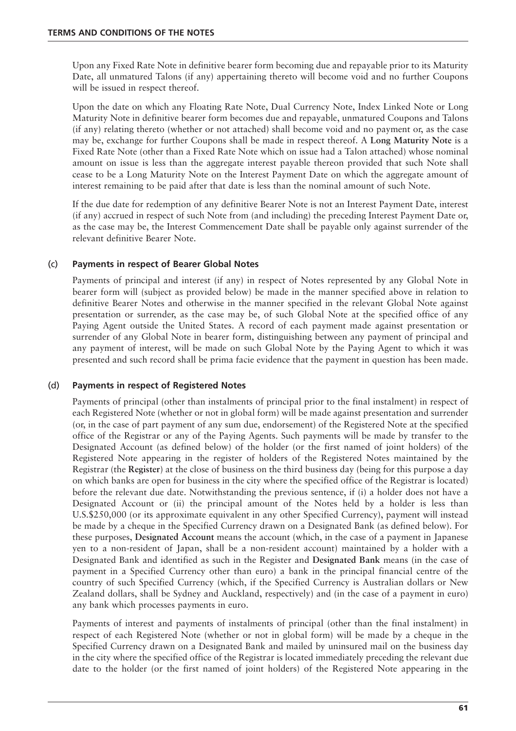Upon any Fixed Rate Note in definitive bearer form becoming due and repayable prior to its Maturity Date, all unmatured Talons (if any) appertaining thereto will become void and no further Coupons will be issued in respect thereof.

Upon the date on which any Floating Rate Note, Dual Currency Note, Index Linked Note or Long Maturity Note in definitive bearer form becomes due and repayable, unmatured Coupons and Talons (if any) relating thereto (whether or not attached) shall become void and no payment or, as the case may be, exchange for further Coupons shall be made in respect thereof. A **Long Maturity Note** is a Fixed Rate Note (other than a Fixed Rate Note which on issue had a Talon attached) whose nominal amount on issue is less than the aggregate interest payable thereon provided that such Note shall cease to be a Long Maturity Note on the Interest Payment Date on which the aggregate amount of interest remaining to be paid after that date is less than the nominal amount of such Note.

If the due date for redemption of any definitive Bearer Note is not an Interest Payment Date, interest (if any) accrued in respect of such Note from (and including) the preceding Interest Payment Date or, as the case may be, the Interest Commencement Date shall be payable only against surrender of the relevant definitive Bearer Note.

# (c) **Payments in respect of Bearer Global Notes**

Payments of principal and interest (if any) in respect of Notes represented by any Global Note in bearer form will (subject as provided below) be made in the manner specified above in relation to definitive Bearer Notes and otherwise in the manner specified in the relevant Global Note against presentation or surrender, as the case may be, of such Global Note at the specified office of any Paying Agent outside the United States. A record of each payment made against presentation or surrender of any Global Note in bearer form, distinguishing between any payment of principal and any payment of interest, will be made on such Global Note by the Paying Agent to which it was presented and such record shall be prima facie evidence that the payment in question has been made.

# (d) **Payments in respect of Registered Notes**

Payments of principal (other than instalments of principal prior to the final instalment) in respect of each Registered Note (whether or not in global form) will be made against presentation and surrender (or, in the case of part payment of any sum due, endorsement) of the Registered Note at the specified office of the Registrar or any of the Paying Agents. Such payments will be made by transfer to the Designated Account (as defined below) of the holder (or the first named of joint holders) of the Registered Note appearing in the register of holders of the Registered Notes maintained by the Registrar (the **Register**) at the close of business on the third business day (being for this purpose a day on which banks are open for business in the city where the specified office of the Registrar is located) before the relevant due date. Notwithstanding the previous sentence, if (i) a holder does not have a Designated Account or (ii) the principal amount of the Notes held by a holder is less than U.S.\$250,000 (or its approximate equivalent in any other Specified Currency), payment will instead be made by a cheque in the Specified Currency drawn on a Designated Bank (as defined below). For these purposes, **Designated Account** means the account (which, in the case of a payment in Japanese yen to a non-resident of Japan, shall be a non-resident account) maintained by a holder with a Designated Bank and identified as such in the Register and **Designated Bank** means (in the case of payment in a Specified Currency other than euro) a bank in the principal financial centre of the country of such Specified Currency (which, if the Specified Currency is Australian dollars or New Zealand dollars, shall be Sydney and Auckland, respectively) and (in the case of a payment in euro) any bank which processes payments in euro.

Payments of interest and payments of instalments of principal (other than the final instalment) in respect of each Registered Note (whether or not in global form) will be made by a cheque in the Specified Currency drawn on a Designated Bank and mailed by uninsured mail on the business day in the city where the specified office of the Registrar is located immediately preceding the relevant due date to the holder (or the first named of joint holders) of the Registered Note appearing in the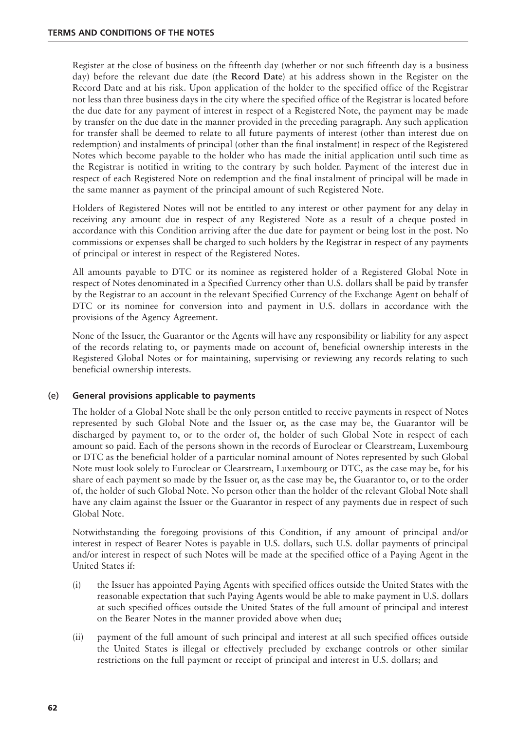Register at the close of business on the fifteenth day (whether or not such fifteenth day is a business day) before the relevant due date (the **Record Date**) at his address shown in the Register on the Record Date and at his risk. Upon application of the holder to the specified office of the Registrar not less than three business days in the city where the specified office of the Registrar is located before the due date for any payment of interest in respect of a Registered Note, the payment may be made by transfer on the due date in the manner provided in the preceding paragraph. Any such application for transfer shall be deemed to relate to all future payments of interest (other than interest due on redemption) and instalments of principal (other than the final instalment) in respect of the Registered Notes which become payable to the holder who has made the initial application until such time as the Registrar is notified in writing to the contrary by such holder. Payment of the interest due in respect of each Registered Note on redemption and the final instalment of principal will be made in the same manner as payment of the principal amount of such Registered Note.

Holders of Registered Notes will not be entitled to any interest or other payment for any delay in receiving any amount due in respect of any Registered Note as a result of a cheque posted in accordance with this Condition arriving after the due date for payment or being lost in the post. No commissions or expenses shall be charged to such holders by the Registrar in respect of any payments of principal or interest in respect of the Registered Notes.

All amounts payable to DTC or its nominee as registered holder of a Registered Global Note in respect of Notes denominated in a Specified Currency other than U.S. dollars shall be paid by transfer by the Registrar to an account in the relevant Specified Currency of the Exchange Agent on behalf of DTC or its nominee for conversion into and payment in U.S. dollars in accordance with the provisions of the Agency Agreement.

None of the Issuer, the Guarantor or the Agents will have any responsibility or liability for any aspect of the records relating to, or payments made on account of, beneficial ownership interests in the Registered Global Notes or for maintaining, supervising or reviewing any records relating to such beneficial ownership interests.

# (e) **General provisions applicable to payments**

The holder of a Global Note shall be the only person entitled to receive payments in respect of Notes represented by such Global Note and the Issuer or, as the case may be, the Guarantor will be discharged by payment to, or to the order of, the holder of such Global Note in respect of each amount so paid. Each of the persons shown in the records of Euroclear or Clearstream, Luxembourg or DTC as the beneficial holder of a particular nominal amount of Notes represented by such Global Note must look solely to Euroclear or Clearstream, Luxembourg or DTC, as the case may be, for his share of each payment so made by the Issuer or, as the case may be, the Guarantor to, or to the order of, the holder of such Global Note. No person other than the holder of the relevant Global Note shall have any claim against the Issuer or the Guarantor in respect of any payments due in respect of such Global Note.

Notwithstanding the foregoing provisions of this Condition, if any amount of principal and/or interest in respect of Bearer Notes is payable in U.S. dollars, such U.S. dollar payments of principal and/or interest in respect of such Notes will be made at the specified office of a Paying Agent in the United States if:

- (i) the Issuer has appointed Paying Agents with specified offices outside the United States with the reasonable expectation that such Paying Agents would be able to make payment in U.S. dollars at such specified offices outside the United States of the full amount of principal and interest on the Bearer Notes in the manner provided above when due;
- (ii) payment of the full amount of such principal and interest at all such specified offices outside the United States is illegal or effectively precluded by exchange controls or other similar restrictions on the full payment or receipt of principal and interest in U.S. dollars; and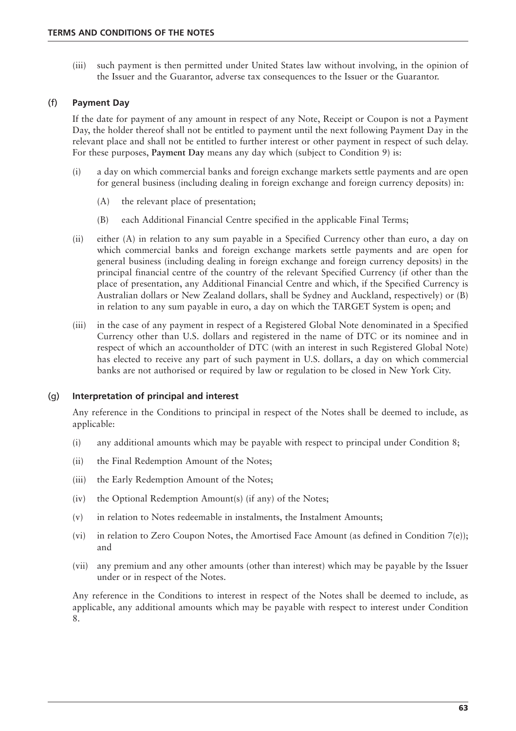(iii) such payment is then permitted under United States law without involving, in the opinion of the Issuer and the Guarantor, adverse tax consequences to the Issuer or the Guarantor.

# (f) **Payment Day**

If the date for payment of any amount in respect of any Note, Receipt or Coupon is not a Payment Day, the holder thereof shall not be entitled to payment until the next following Payment Day in the relevant place and shall not be entitled to further interest or other payment in respect of such delay. For these purposes, **Payment Day** means any day which (subject to Condition 9) is:

- (i) a day on which commercial banks and foreign exchange markets settle payments and are open for general business (including dealing in foreign exchange and foreign currency deposits) in:
	- (A) the relevant place of presentation;
	- (B) each Additional Financial Centre specified in the applicable Final Terms;
- (ii) either (A) in relation to any sum payable in a Specified Currency other than euro, a day on which commercial banks and foreign exchange markets settle payments and are open for general business (including dealing in foreign exchange and foreign currency deposits) in the principal financial centre of the country of the relevant Specified Currency (if other than the place of presentation, any Additional Financial Centre and which, if the Specified Currency is Australian dollars or New Zealand dollars, shall be Sydney and Auckland, respectively) or (B) in relation to any sum payable in euro, a day on which the TARGET System is open; and
- (iii) in the case of any payment in respect of a Registered Global Note denominated in a Specified Currency other than U.S. dollars and registered in the name of DTC or its nominee and in respect of which an accountholder of DTC (with an interest in such Registered Global Note) has elected to receive any part of such payment in U.S. dollars, a day on which commercial banks are not authorised or required by law or regulation to be closed in New York City.

# (g) **Interpretation of principal and interest**

Any reference in the Conditions to principal in respect of the Notes shall be deemed to include, as applicable:

- (i) any additional amounts which may be payable with respect to principal under Condition 8;
- (ii) the Final Redemption Amount of the Notes;
- (iii) the Early Redemption Amount of the Notes;
- (iv) the Optional Redemption Amount(s) (if any) of the Notes;
- (v) in relation to Notes redeemable in instalments, the Instalment Amounts;
- (vi) in relation to Zero Coupon Notes, the Amortised Face Amount (as defined in Condition 7(e)); and
- (vii) any premium and any other amounts (other than interest) which may be payable by the Issuer under or in respect of the Notes.

Any reference in the Conditions to interest in respect of the Notes shall be deemed to include, as applicable, any additional amounts which may be payable with respect to interest under Condition 8.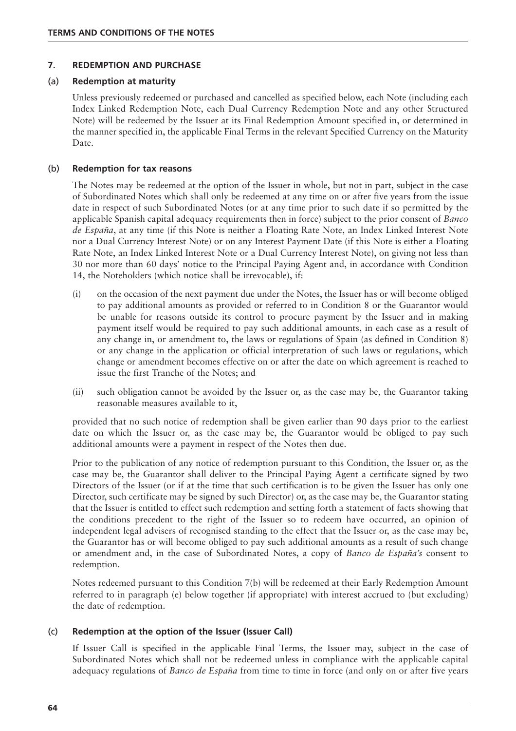## **7. REDEMPTION AND PURCHASE**

#### (a) **Redemption at maturity**

Unless previously redeemed or purchased and cancelled as specified below, each Note (including each Index Linked Redemption Note, each Dual Currency Redemption Note and any other Structured Note) will be redeemed by the Issuer at its Final Redemption Amount specified in, or determined in the manner specified in, the applicable Final Terms in the relevant Specified Currency on the Maturity Date.

#### (b) **Redemption for tax reasons**

The Notes may be redeemed at the option of the Issuer in whole, but not in part, subject in the case of Subordinated Notes which shall only be redeemed at any time on or after five years from the issue date in respect of such Subordinated Notes (or at any time prior to such date if so permitted by the applicable Spanish capital adequacy requirements then in force) subject to the prior consent of *Banco de España*, at any time (if this Note is neither a Floating Rate Note, an Index Linked Interest Note nor a Dual Currency Interest Note) or on any Interest Payment Date (if this Note is either a Floating Rate Note, an Index Linked Interest Note or a Dual Currency Interest Note), on giving not less than 30 nor more than 60 days' notice to the Principal Paying Agent and, in accordance with Condition 14, the Noteholders (which notice shall be irrevocable), if:

- (i) on the occasion of the next payment due under the Notes, the Issuer has or will become obliged to pay additional amounts as provided or referred to in Condition 8 or the Guarantor would be unable for reasons outside its control to procure payment by the Issuer and in making payment itself would be required to pay such additional amounts, in each case as a result of any change in, or amendment to, the laws or regulations of Spain (as defined in Condition 8) or any change in the application or official interpretation of such laws or regulations, which change or amendment becomes effective on or after the date on which agreement is reached to issue the first Tranche of the Notes; and
- (ii) such obligation cannot be avoided by the Issuer or, as the case may be, the Guarantor taking reasonable measures available to it,

provided that no such notice of redemption shall be given earlier than 90 days prior to the earliest date on which the Issuer or, as the case may be, the Guarantor would be obliged to pay such additional amounts were a payment in respect of the Notes then due.

Prior to the publication of any notice of redemption pursuant to this Condition, the Issuer or, as the case may be, the Guarantor shall deliver to the Principal Paying Agent a certificate signed by two Directors of the Issuer (or if at the time that such certification is to be given the Issuer has only one Director, such certificate may be signed by such Director) or, as the case may be, the Guarantor stating that the Issuer is entitled to effect such redemption and setting forth a statement of facts showing that the conditions precedent to the right of the Issuer so to redeem have occurred, an opinion of independent legal advisers of recognised standing to the effect that the Issuer or, as the case may be, the Guarantor has or will become obliged to pay such additional amounts as a result of such change or amendment and, in the case of Subordinated Notes, a copy of *Banco de España's* consent to redemption.

Notes redeemed pursuant to this Condition 7(b) will be redeemed at their Early Redemption Amount referred to in paragraph (e) below together (if appropriate) with interest accrued to (but excluding) the date of redemption.

# (c) **Redemption at the option of the Issuer (Issuer Call)**

If Issuer Call is specified in the applicable Final Terms, the Issuer may, subject in the case of Subordinated Notes which shall not be redeemed unless in compliance with the applicable capital adequacy regulations of *Banco de España* from time to time in force (and only on or after five years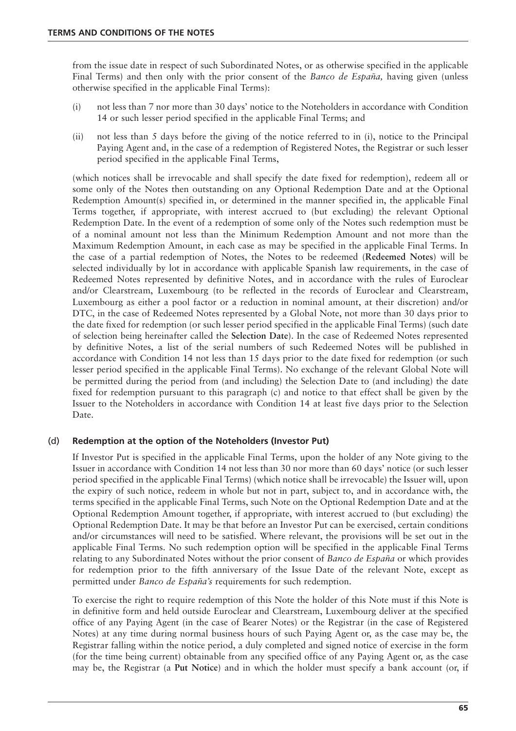from the issue date in respect of such Subordinated Notes, or as otherwise specified in the applicable Final Terms) and then only with the prior consent of the *Banco de España,* having given (unless otherwise specified in the applicable Final Terms):

- (i) not less than 7 nor more than 30 days' notice to the Noteholders in accordance with Condition 14 or such lesser period specified in the applicable Final Terms; and
- (ii) not less than 5 days before the giving of the notice referred to in (i), notice to the Principal Paying Agent and, in the case of a redemption of Registered Notes, the Registrar or such lesser period specified in the applicable Final Terms,

(which notices shall be irrevocable and shall specify the date fixed for redemption), redeem all or some only of the Notes then outstanding on any Optional Redemption Date and at the Optional Redemption Amount(s) specified in, or determined in the manner specified in, the applicable Final Terms together, if appropriate, with interest accrued to (but excluding) the relevant Optional Redemption Date. In the event of a redemption of some only of the Notes such redemption must be of a nominal amount not less than the Minimum Redemption Amount and not more than the Maximum Redemption Amount, in each case as may be specified in the applicable Final Terms. In the case of a partial redemption of Notes, the Notes to be redeemed (**Redeemed Notes**) will be selected individually by lot in accordance with applicable Spanish law requirements, in the case of Redeemed Notes represented by definitive Notes, and in accordance with the rules of Euroclear and/or Clearstream, Luxembourg (to be reflected in the records of Euroclear and Clearstream, Luxembourg as either a pool factor or a reduction in nominal amount, at their discretion) and/or DTC, in the case of Redeemed Notes represented by a Global Note, not more than 30 days prior to the date fixed for redemption (or such lesser period specified in the applicable Final Terms) (such date of selection being hereinafter called the **Selection Date**). In the case of Redeemed Notes represented by definitive Notes, a list of the serial numbers of such Redeemed Notes will be published in accordance with Condition 14 not less than 15 days prior to the date fixed for redemption (or such lesser period specified in the applicable Final Terms). No exchange of the relevant Global Note will be permitted during the period from (and including) the Selection Date to (and including) the date fixed for redemption pursuant to this paragraph (c) and notice to that effect shall be given by the Issuer to the Noteholders in accordance with Condition 14 at least five days prior to the Selection Date.

# (d) **Redemption at the option of the Noteholders (Investor Put)**

If Investor Put is specified in the applicable Final Terms, upon the holder of any Note giving to the Issuer in accordance with Condition 14 not less than 30 nor more than 60 days' notice (or such lesser period specified in the applicable Final Terms) (which notice shall be irrevocable) the Issuer will, upon the expiry of such notice, redeem in whole but not in part, subject to, and in accordance with, the terms specified in the applicable Final Terms, such Note on the Optional Redemption Date and at the Optional Redemption Amount together, if appropriate, with interest accrued to (but excluding) the Optional Redemption Date. It may be that before an Investor Put can be exercised, certain conditions and/or circumstances will need to be satisfied. Where relevant, the provisions will be set out in the applicable Final Terms. No such redemption option will be specified in the applicable Final Terms relating to any Subordinated Notes without the prior consent of *Banco de España* or which provides for redemption prior to the fifth anniversary of the Issue Date of the relevant Note, except as permitted under *Banco de España's* requirements for such redemption.

To exercise the right to require redemption of this Note the holder of this Note must if this Note is in definitive form and held outside Euroclear and Clearstream, Luxembourg deliver at the specified office of any Paying Agent (in the case of Bearer Notes) or the Registrar (in the case of Registered Notes) at any time during normal business hours of such Paying Agent or, as the case may be, the Registrar falling within the notice period, a duly completed and signed notice of exercise in the form (for the time being current) obtainable from any specified office of any Paying Agent or, as the case may be, the Registrar (a **Put Notice**) and in which the holder must specify a bank account (or, if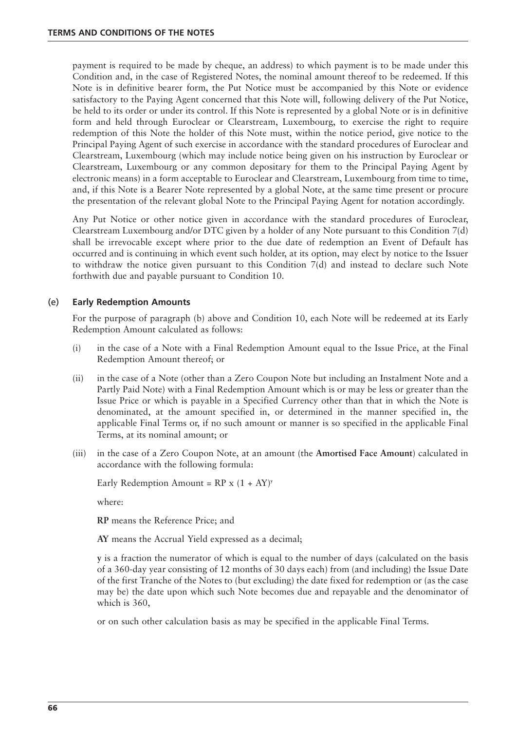payment is required to be made by cheque, an address) to which payment is to be made under this Condition and, in the case of Registered Notes, the nominal amount thereof to be redeemed. If this Note is in definitive bearer form, the Put Notice must be accompanied by this Note or evidence satisfactory to the Paying Agent concerned that this Note will, following delivery of the Put Notice, be held to its order or under its control. If this Note is represented by a global Note or is in definitive form and held through Euroclear or Clearstream, Luxembourg, to exercise the right to require redemption of this Note the holder of this Note must, within the notice period, give notice to the Principal Paying Agent of such exercise in accordance with the standard procedures of Euroclear and Clearstream, Luxembourg (which may include notice being given on his instruction by Euroclear or Clearstream, Luxembourg or any common depositary for them to the Principal Paying Agent by electronic means) in a form acceptable to Euroclear and Clearstream, Luxembourg from time to time, and, if this Note is a Bearer Note represented by a global Note, at the same time present or procure the presentation of the relevant global Note to the Principal Paying Agent for notation accordingly.

Any Put Notice or other notice given in accordance with the standard procedures of Euroclear, Clearstream Luxembourg and/or DTC given by a holder of any Note pursuant to this Condition 7(d) shall be irrevocable except where prior to the due date of redemption an Event of Default has occurred and is continuing in which event such holder, at its option, may elect by notice to the Issuer to withdraw the notice given pursuant to this Condition 7(d) and instead to declare such Note forthwith due and payable pursuant to Condition 10.

# (e) **Early Redemption Amounts**

For the purpose of paragraph (b) above and Condition 10, each Note will be redeemed at its Early Redemption Amount calculated as follows:

- (i) in the case of a Note with a Final Redemption Amount equal to the Issue Price, at the Final Redemption Amount thereof; or
- (ii) in the case of a Note (other than a Zero Coupon Note but including an Instalment Note and a Partly Paid Note) with a Final Redemption Amount which is or may be less or greater than the Issue Price or which is payable in a Specified Currency other than that in which the Note is denominated, at the amount specified in, or determined in the manner specified in, the applicable Final Terms or, if no such amount or manner is so specified in the applicable Final Terms, at its nominal amount; or
- (iii) in the case of a Zero Coupon Note, at an amount (the **Amortised Face Amount**) calculated in accordance with the following formula:

Early Redemption Amount =  $RP x (1 + AY)^y$ 

where:

**RP** means the Reference Price; and

**AY** means the Accrual Yield expressed as a decimal;

**y** is a fraction the numerator of which is equal to the number of days (calculated on the basis of a 360-day year consisting of 12 months of 30 days each) from (and including) the Issue Date of the first Tranche of the Notes to (but excluding) the date fixed for redemption or (as the case may be) the date upon which such Note becomes due and repayable and the denominator of which is 360,

or on such other calculation basis as may be specified in the applicable Final Terms.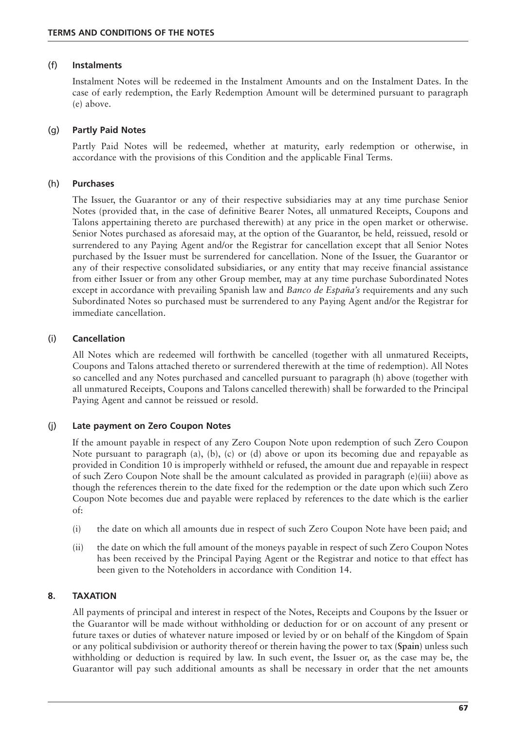#### (f) **Instalments**

Instalment Notes will be redeemed in the Instalment Amounts and on the Instalment Dates. In the case of early redemption, the Early Redemption Amount will be determined pursuant to paragraph (e) above.

#### (g) **Partly Paid Notes**

Partly Paid Notes will be redeemed, whether at maturity, early redemption or otherwise, in accordance with the provisions of this Condition and the applicable Final Terms.

#### (h) **Purchases**

The Issuer, the Guarantor or any of their respective subsidiaries may at any time purchase Senior Notes (provided that, in the case of definitive Bearer Notes, all unmatured Receipts, Coupons and Talons appertaining thereto are purchased therewith) at any price in the open market or otherwise. Senior Notes purchased as aforesaid may, at the option of the Guarantor, be held, reissued, resold or surrendered to any Paying Agent and/or the Registrar for cancellation except that all Senior Notes purchased by the Issuer must be surrendered for cancellation. None of the Issuer, the Guarantor or any of their respective consolidated subsidiaries, or any entity that may receive financial assistance from either Issuer or from any other Group member, may at any time purchase Subordinated Notes except in accordance with prevailing Spanish law and *Banco de España's* requirements and any such Subordinated Notes so purchased must be surrendered to any Paying Agent and/or the Registrar for immediate cancellation.

## (i) **Cancellation**

All Notes which are redeemed will forthwith be cancelled (together with all unmatured Receipts, Coupons and Talons attached thereto or surrendered therewith at the time of redemption). All Notes so cancelled and any Notes purchased and cancelled pursuant to paragraph (h) above (together with all unmatured Receipts, Coupons and Talons cancelled therewith) shall be forwarded to the Principal Paying Agent and cannot be reissued or resold.

# (j) **Late payment on Zero Coupon Notes**

If the amount payable in respect of any Zero Coupon Note upon redemption of such Zero Coupon Note pursuant to paragraph (a), (b), (c) or (d) above or upon its becoming due and repayable as provided in Condition 10 is improperly withheld or refused, the amount due and repayable in respect of such Zero Coupon Note shall be the amount calculated as provided in paragraph (e)(iii) above as though the references therein to the date fixed for the redemption or the date upon which such Zero Coupon Note becomes due and payable were replaced by references to the date which is the earlier of:

- (i) the date on which all amounts due in respect of such Zero Coupon Note have been paid; and
- (ii) the date on which the full amount of the moneys payable in respect of such Zero Coupon Notes has been received by the Principal Paying Agent or the Registrar and notice to that effect has been given to the Noteholders in accordance with Condition 14.

# **8. TAXATION**

All payments of principal and interest in respect of the Notes, Receipts and Coupons by the Issuer or the Guarantor will be made without withholding or deduction for or on account of any present or future taxes or duties of whatever nature imposed or levied by or on behalf of the Kingdom of Spain or any political subdivision or authority thereof or therein having the power to tax (**Spain**) unless such withholding or deduction is required by law. In such event, the Issuer or, as the case may be, the Guarantor will pay such additional amounts as shall be necessary in order that the net amounts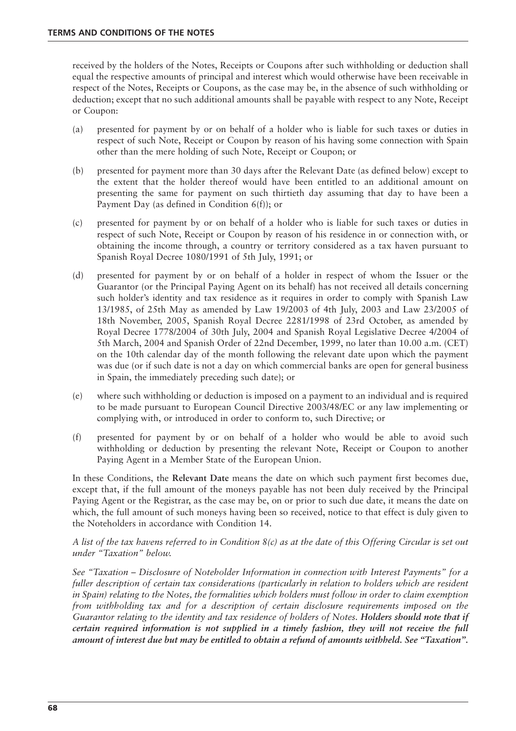received by the holders of the Notes, Receipts or Coupons after such withholding or deduction shall equal the respective amounts of principal and interest which would otherwise have been receivable in respect of the Notes, Receipts or Coupons, as the case may be, in the absence of such withholding or deduction; except that no such additional amounts shall be payable with respect to any Note, Receipt or Coupon:

- (a) presented for payment by or on behalf of a holder who is liable for such taxes or duties in respect of such Note, Receipt or Coupon by reason of his having some connection with Spain other than the mere holding of such Note, Receipt or Coupon; or
- (b) presented for payment more than 30 days after the Relevant Date (as defined below) except to the extent that the holder thereof would have been entitled to an additional amount on presenting the same for payment on such thirtieth day assuming that day to have been a Payment Day (as defined in Condition 6(f)); or
- (c) presented for payment by or on behalf of a holder who is liable for such taxes or duties in respect of such Note, Receipt or Coupon by reason of his residence in or connection with, or obtaining the income through, a country or territory considered as a tax haven pursuant to Spanish Royal Decree 1080/1991 of 5th July, 1991; or
- (d) presented for payment by or on behalf of a holder in respect of whom the Issuer or the Guarantor (or the Principal Paying Agent on its behalf) has not received all details concerning such holder's identity and tax residence as it requires in order to comply with Spanish Law 13/1985, of 25th May as amended by Law 19/2003 of 4th July, 2003 and Law 23/2005 of 18th November, 2005, Spanish Royal Decree 2281/1998 of 23rd October, as amended by Royal Decree 1778/2004 of 30th July, 2004 and Spanish Royal Legislative Decree 4/2004 of 5th March, 2004 and Spanish Order of 22nd December, 1999, no later than 10.00 a.m. (CET) on the 10th calendar day of the month following the relevant date upon which the payment was due (or if such date is not a day on which commercial banks are open for general business in Spain, the immediately preceding such date); or
- (e) where such withholding or deduction is imposed on a payment to an individual and is required to be made pursuant to European Council Directive 2003/48/EC or any law implementing or complying with, or introduced in order to conform to, such Directive; or
- (f) presented for payment by or on behalf of a holder who would be able to avoid such withholding or deduction by presenting the relevant Note, Receipt or Coupon to another Paying Agent in a Member State of the European Union.

In these Conditions, the **Relevant Date** means the date on which such payment first becomes due, except that, if the full amount of the moneys payable has not been duly received by the Principal Paying Agent or the Registrar, as the case may be, on or prior to such due date, it means the date on which, the full amount of such moneys having been so received, notice to that effect is duly given to the Noteholders in accordance with Condition 14.

*A list of the tax havens referred to in Condition 8(c) as at the date of this Offering Circular is set out under "Taxation" below.*

*See "Taxation – Disclosure of Noteholder Information in connection with Interest Payments" for a fuller description of certain tax considerations (particularly in relation to holders which are resident in Spain) relating to the Notes, the formalities which holders must follow in order to claim exemption from withholding tax and for a description of certain disclosure requirements imposed on the Guarantor relating to the identity and tax residence of holders of Notes. Holders should note that if certain required information is not supplied in a timely fashion, they will not receive the full amount of interest due but may be entitled to obtain a refund of amounts withheld. See "Taxation".*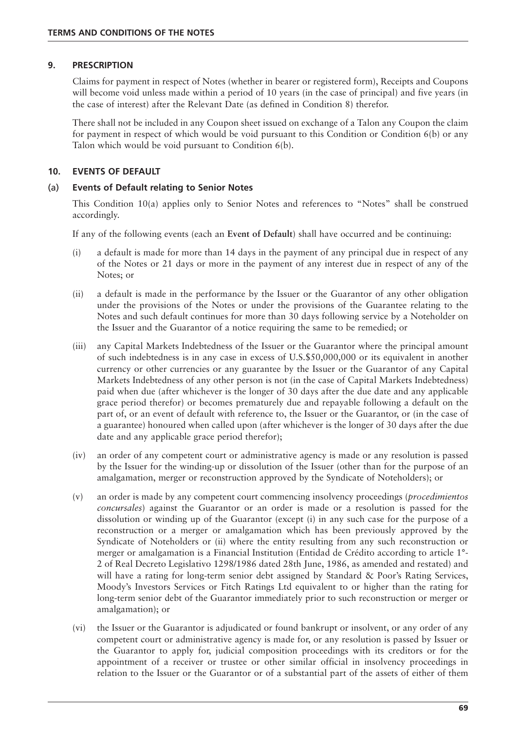#### **9. PRESCRIPTION**

Claims for payment in respect of Notes (whether in bearer or registered form), Receipts and Coupons will become void unless made within a period of 10 years (in the case of principal) and five years (in the case of interest) after the Relevant Date (as defined in Condition 8) therefor.

There shall not be included in any Coupon sheet issued on exchange of a Talon any Coupon the claim for payment in respect of which would be void pursuant to this Condition or Condition 6(b) or any Talon which would be void pursuant to Condition 6(b).

#### **10. EVENTS OF DEFAULT**

## (a) **Events of Default relating to Senior Notes**

This Condition 10(a) applies only to Senior Notes and references to "Notes" shall be construed accordingly.

If any of the following events (each an **Event of Default**) shall have occurred and be continuing:

- (i) a default is made for more than 14 days in the payment of any principal due in respect of any of the Notes or 21 days or more in the payment of any interest due in respect of any of the Notes; or
- (ii) a default is made in the performance by the Issuer or the Guarantor of any other obligation under the provisions of the Notes or under the provisions of the Guarantee relating to the Notes and such default continues for more than 30 days following service by a Noteholder on the Issuer and the Guarantor of a notice requiring the same to be remedied; or
- (iii) any Capital Markets Indebtedness of the Issuer or the Guarantor where the principal amount of such indebtedness is in any case in excess of U.S.\$50,000,000 or its equivalent in another currency or other currencies or any guarantee by the Issuer or the Guarantor of any Capital Markets Indebtedness of any other person is not (in the case of Capital Markets Indebtedness) paid when due (after whichever is the longer of 30 days after the due date and any applicable grace period therefor) or becomes prematurely due and repayable following a default on the part of, or an event of default with reference to, the Issuer or the Guarantor, or (in the case of a guarantee) honoured when called upon (after whichever is the longer of 30 days after the due date and any applicable grace period therefor);
- (iv) an order of any competent court or administrative agency is made or any resolution is passed by the Issuer for the winding-up or dissolution of the Issuer (other than for the purpose of an amalgamation, merger or reconstruction approved by the Syndicate of Noteholders); or
- (v) an order is made by any competent court commencing insolvency proceedings (*procedimientos concursales*) against the Guarantor or an order is made or a resolution is passed for the dissolution or winding up of the Guarantor (except (i) in any such case for the purpose of a reconstruction or a merger or amalgamation which has been previously approved by the Syndicate of Noteholders or (ii) where the entity resulting from any such reconstruction or merger or amalgamation is a Financial Institution (Entidad de Crédito according to article 1°- 2 of Real Decreto Legislativo 1298/1986 dated 28th June, 1986, as amended and restated) and will have a rating for long-term senior debt assigned by Standard & Poor's Rating Services, Moody's Investors Services or Fitch Ratings Ltd equivalent to or higher than the rating for long-term senior debt of the Guarantor immediately prior to such reconstruction or merger or amalgamation); or
- (vi) the Issuer or the Guarantor is adjudicated or found bankrupt or insolvent, or any order of any competent court or administrative agency is made for, or any resolution is passed by Issuer or the Guarantor to apply for, judicial composition proceedings with its creditors or for the appointment of a receiver or trustee or other similar official in insolvency proceedings in relation to the Issuer or the Guarantor or of a substantial part of the assets of either of them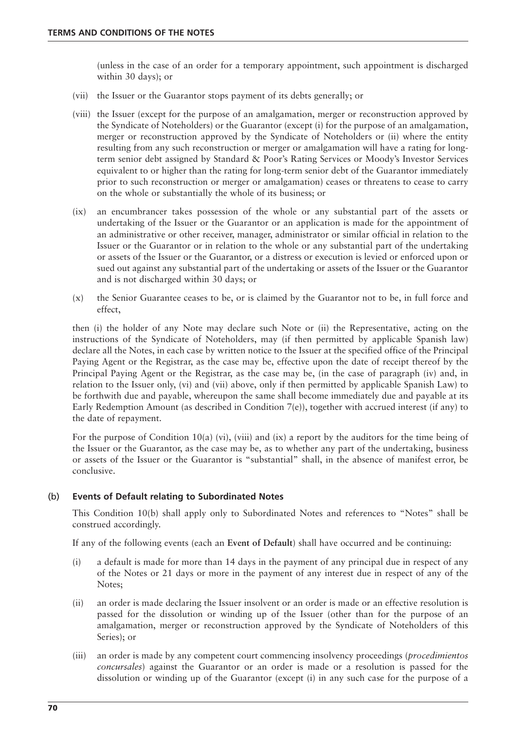(unless in the case of an order for a temporary appointment, such appointment is discharged within 30 days); or

- (vii) the Issuer or the Guarantor stops payment of its debts generally; or
- (viii) the Issuer (except for the purpose of an amalgamation, merger or reconstruction approved by the Syndicate of Noteholders) or the Guarantor (except (i) for the purpose of an amalgamation, merger or reconstruction approved by the Syndicate of Noteholders or (ii) where the entity resulting from any such reconstruction or merger or amalgamation will have a rating for longterm senior debt assigned by Standard & Poor's Rating Services or Moody's Investor Services equivalent to or higher than the rating for long-term senior debt of the Guarantor immediately prior to such reconstruction or merger or amalgamation) ceases or threatens to cease to carry on the whole or substantially the whole of its business; or
- (ix) an encumbrancer takes possession of the whole or any substantial part of the assets or undertaking of the Issuer or the Guarantor or an application is made for the appointment of an administrative or other receiver, manager, administrator or similar official in relation to the Issuer or the Guarantor or in relation to the whole or any substantial part of the undertaking or assets of the Issuer or the Guarantor, or a distress or execution is levied or enforced upon or sued out against any substantial part of the undertaking or assets of the Issuer or the Guarantor and is not discharged within 30 days; or
- (x) the Senior Guarantee ceases to be, or is claimed by the Guarantor not to be, in full force and effect,

then (i) the holder of any Note may declare such Note or (ii) the Representative, acting on the instructions of the Syndicate of Noteholders, may (if then permitted by applicable Spanish law) declare all the Notes, in each case by written notice to the Issuer at the specified office of the Principal Paying Agent or the Registrar, as the case may be, effective upon the date of receipt thereof by the Principal Paying Agent or the Registrar, as the case may be, (in the case of paragraph (iv) and, in relation to the Issuer only, (vi) and (vii) above, only if then permitted by applicable Spanish Law) to be forthwith due and payable, whereupon the same shall become immediately due and payable at its Early Redemption Amount (as described in Condition 7(e)), together with accrued interest (if any) to the date of repayment.

For the purpose of Condition 10(a) (vi), (viii) and (ix) a report by the auditors for the time being of the Issuer or the Guarantor, as the case may be, as to whether any part of the undertaking, business or assets of the Issuer or the Guarantor is "substantial" shall, in the absence of manifest error, be conclusive.

# (b) **Events of Default relating to Subordinated Notes**

This Condition 10(b) shall apply only to Subordinated Notes and references to "Notes" shall be construed accordingly.

If any of the following events (each an **Event of Default**) shall have occurred and be continuing:

- (i) a default is made for more than 14 days in the payment of any principal due in respect of any of the Notes or 21 days or more in the payment of any interest due in respect of any of the Notes;
- (ii) an order is made declaring the Issuer insolvent or an order is made or an effective resolution is passed for the dissolution or winding up of the Issuer (other than for the purpose of an amalgamation, merger or reconstruction approved by the Syndicate of Noteholders of this Series); or
- (iii) an order is made by any competent court commencing insolvency proceedings (*procedimientos concursales*) against the Guarantor or an order is made or a resolution is passed for the dissolution or winding up of the Guarantor (except (i) in any such case for the purpose of a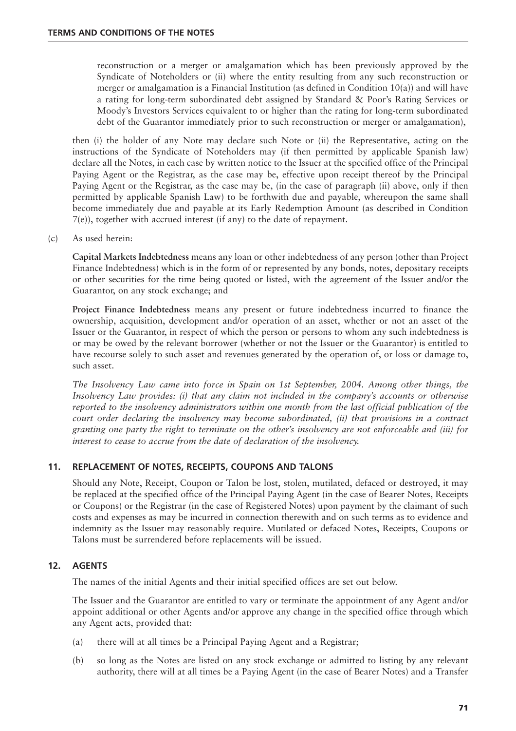reconstruction or a merger or amalgamation which has been previously approved by the Syndicate of Noteholders or (ii) where the entity resulting from any such reconstruction or merger or amalgamation is a Financial Institution (as defined in Condition 10(a)) and will have a rating for long-term subordinated debt assigned by Standard & Poor's Rating Services or Moody's Investors Services equivalent to or higher than the rating for long-term subordinated debt of the Guarantor immediately prior to such reconstruction or merger or amalgamation),

then (i) the holder of any Note may declare such Note or (ii) the Representative, acting on the instructions of the Syndicate of Noteholders may (if then permitted by applicable Spanish law) declare all the Notes, in each case by written notice to the Issuer at the specified office of the Principal Paying Agent or the Registrar, as the case may be, effective upon receipt thereof by the Principal Paying Agent or the Registrar, as the case may be, (in the case of paragraph (ii) above, only if then permitted by applicable Spanish Law) to be forthwith due and payable, whereupon the same shall become immediately due and payable at its Early Redemption Amount (as described in Condition 7(e)), together with accrued interest (if any) to the date of repayment.

(c) As used herein:

**Capital Markets Indebtedness** means any loan or other indebtedness of any person (other than Project Finance Indebtedness) which is in the form of or represented by any bonds, notes, depositary receipts or other securities for the time being quoted or listed, with the agreement of the Issuer and/or the Guarantor, on any stock exchange; and

**Project Finance Indebtedness** means any present or future indebtedness incurred to finance the ownership, acquisition, development and/or operation of an asset, whether or not an asset of the Issuer or the Guarantor, in respect of which the person or persons to whom any such indebtedness is or may be owed by the relevant borrower (whether or not the Issuer or the Guarantor) is entitled to have recourse solely to such asset and revenues generated by the operation of, or loss or damage to, such asset.

*The Insolvency Law came into force in Spain on 1st September, 2004. Among other things, the Insolvency Law provides: (i) that any claim not included in the company's accounts or otherwise reported to the insolvency administrators within one month from the last official publication of the court order declaring the insolvency may become subordinated, (ii) that provisions in a contract granting one party the right to terminate on the other's insolvency are not enforceable and (iii) for interest to cease to accrue from the date of declaration of the insolvency.*

# **11. REPLACEMENT OF NOTES, RECEIPTS, COUPONS AND TALONS**

Should any Note, Receipt, Coupon or Talon be lost, stolen, mutilated, defaced or destroyed, it may be replaced at the specified office of the Principal Paying Agent (in the case of Bearer Notes, Receipts or Coupons) or the Registrar (in the case of Registered Notes) upon payment by the claimant of such costs and expenses as may be incurred in connection therewith and on such terms as to evidence and indemnity as the Issuer may reasonably require. Mutilated or defaced Notes, Receipts, Coupons or Talons must be surrendered before replacements will be issued.

# **12. AGENTS**

The names of the initial Agents and their initial specified offices are set out below.

The Issuer and the Guarantor are entitled to vary or terminate the appointment of any Agent and/or appoint additional or other Agents and/or approve any change in the specified office through which any Agent acts, provided that:

- (a) there will at all times be a Principal Paying Agent and a Registrar;
- (b) so long as the Notes are listed on any stock exchange or admitted to listing by any relevant authority, there will at all times be a Paying Agent (in the case of Bearer Notes) and a Transfer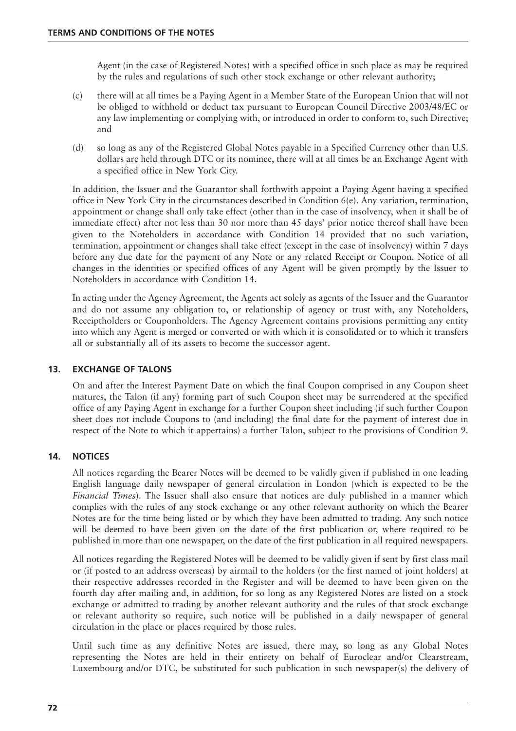Agent (in the case of Registered Notes) with a specified office in such place as may be required by the rules and regulations of such other stock exchange or other relevant authority;

- (c) there will at all times be a Paying Agent in a Member State of the European Union that will not be obliged to withhold or deduct tax pursuant to European Council Directive 2003/48/EC or any law implementing or complying with, or introduced in order to conform to, such Directive; and
- (d) so long as any of the Registered Global Notes payable in a Specified Currency other than U.S. dollars are held through DTC or its nominee, there will at all times be an Exchange Agent with a specified office in New York City.

In addition, the Issuer and the Guarantor shall forthwith appoint a Paying Agent having a specified office in New York City in the circumstances described in Condition  $6(e)$ . Any variation, termination, appointment or change shall only take effect (other than in the case of insolvency, when it shall be of immediate effect) after not less than 30 nor more than 45 days' prior notice thereof shall have been given to the Noteholders in accordance with Condition 14 provided that no such variation, termination, appointment or changes shall take effect (except in the case of insolvency) within 7 days before any due date for the payment of any Note or any related Receipt or Coupon. Notice of all changes in the identities or specified offices of any Agent will be given promptly by the Issuer to Noteholders in accordance with Condition 14.

In acting under the Agency Agreement, the Agents act solely as agents of the Issuer and the Guarantor and do not assume any obligation to, or relationship of agency or trust with, any Noteholders, Receiptholders or Couponholders. The Agency Agreement contains provisions permitting any entity into which any Agent is merged or converted or with which it is consolidated or to which it transfers all or substantially all of its assets to become the successor agent.

# **13. EXCHANGE OF TALONS**

On and after the Interest Payment Date on which the final Coupon comprised in any Coupon sheet matures, the Talon (if any) forming part of such Coupon sheet may be surrendered at the specified office of any Paying Agent in exchange for a further Coupon sheet including (if such further Coupon sheet does not include Coupons to (and including) the final date for the payment of interest due in respect of the Note to which it appertains) a further Talon, subject to the provisions of Condition 9.

# **14. NOTICES**

All notices regarding the Bearer Notes will be deemed to be validly given if published in one leading English language daily newspaper of general circulation in London (which is expected to be the *Financial Times*). The Issuer shall also ensure that notices are duly published in a manner which complies with the rules of any stock exchange or any other relevant authority on which the Bearer Notes are for the time being listed or by which they have been admitted to trading. Any such notice will be deemed to have been given on the date of the first publication or, where required to be published in more than one newspaper, on the date of the first publication in all required newspapers.

All notices regarding the Registered Notes will be deemed to be validly given if sent by first class mail or (if posted to an address overseas) by airmail to the holders (or the first named of joint holders) at their respective addresses recorded in the Register and will be deemed to have been given on the fourth day after mailing and, in addition, for so long as any Registered Notes are listed on a stock exchange or admitted to trading by another relevant authority and the rules of that stock exchange or relevant authority so require, such notice will be published in a daily newspaper of general circulation in the place or places required by those rules.

Until such time as any definitive Notes are issued, there may, so long as any Global Notes representing the Notes are held in their entirety on behalf of Euroclear and/or Clearstream, Luxembourg and/or DTC, be substituted for such publication in such newspaper(s) the delivery of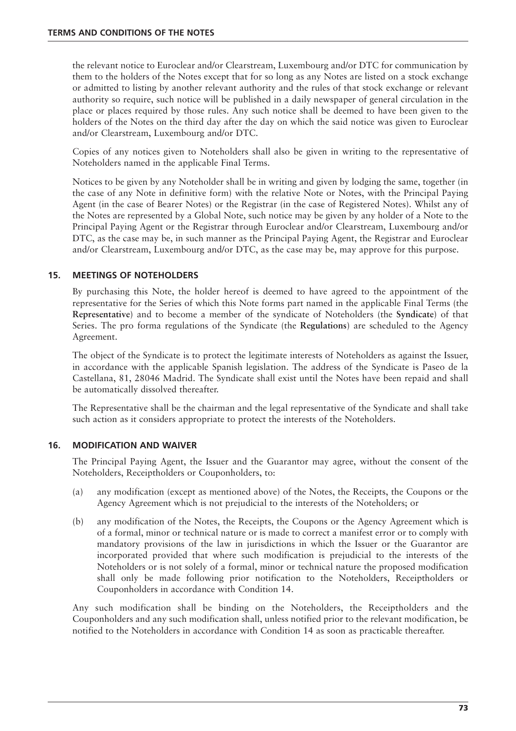the relevant notice to Euroclear and/or Clearstream, Luxembourg and/or DTC for communication by them to the holders of the Notes except that for so long as any Notes are listed on a stock exchange or admitted to listing by another relevant authority and the rules of that stock exchange or relevant authority so require, such notice will be published in a daily newspaper of general circulation in the place or places required by those rules. Any such notice shall be deemed to have been given to the holders of the Notes on the third day after the day on which the said notice was given to Euroclear and/or Clearstream, Luxembourg and/or DTC.

Copies of any notices given to Noteholders shall also be given in writing to the representative of Noteholders named in the applicable Final Terms.

Notices to be given by any Noteholder shall be in writing and given by lodging the same, together (in the case of any Note in definitive form) with the relative Note or Notes, with the Principal Paying Agent (in the case of Bearer Notes) or the Registrar (in the case of Registered Notes). Whilst any of the Notes are represented by a Global Note, such notice may be given by any holder of a Note to the Principal Paying Agent or the Registrar through Euroclear and/or Clearstream, Luxembourg and/or DTC, as the case may be, in such manner as the Principal Paying Agent, the Registrar and Euroclear and/or Clearstream, Luxembourg and/or DTC, as the case may be, may approve for this purpose.

# **15. MEETINGS OF NOTEHOLDERS**

By purchasing this Note, the holder hereof is deemed to have agreed to the appointment of the representative for the Series of which this Note forms part named in the applicable Final Terms (the **Representative**) and to become a member of the syndicate of Noteholders (the **Syndicate**) of that Series. The pro forma regulations of the Syndicate (the **Regulations**) are scheduled to the Agency Agreement.

The object of the Syndicate is to protect the legitimate interests of Noteholders as against the Issuer, in accordance with the applicable Spanish legislation. The address of the Syndicate is Paseo de la Castellana, 81, 28046 Madrid. The Syndicate shall exist until the Notes have been repaid and shall be automatically dissolved thereafter.

The Representative shall be the chairman and the legal representative of the Syndicate and shall take such action as it considers appropriate to protect the interests of the Noteholders.

#### **16. MODIFICATION AND WAIVER**

The Principal Paying Agent, the Issuer and the Guarantor may agree, without the consent of the Noteholders, Receiptholders or Couponholders, to:

- (a) any modification (except as mentioned above) of the Notes, the Receipts, the Coupons or the Agency Agreement which is not prejudicial to the interests of the Noteholders; or
- (b) any modification of the Notes, the Receipts, the Coupons or the Agency Agreement which is of a formal, minor or technical nature or is made to correct a manifest error or to comply with mandatory provisions of the law in jurisdictions in which the Issuer or the Guarantor are incorporated provided that where such modification is prejudicial to the interests of the Noteholders or is not solely of a formal, minor or technical nature the proposed modification shall only be made following prior notification to the Noteholders, Receiptholders or Couponholders in accordance with Condition 14.

Any such modification shall be binding on the Noteholders, the Receiptholders and the Couponholders and any such modification shall, unless notified prior to the relevant modification, be notified to the Noteholders in accordance with Condition 14 as soon as practicable thereafter.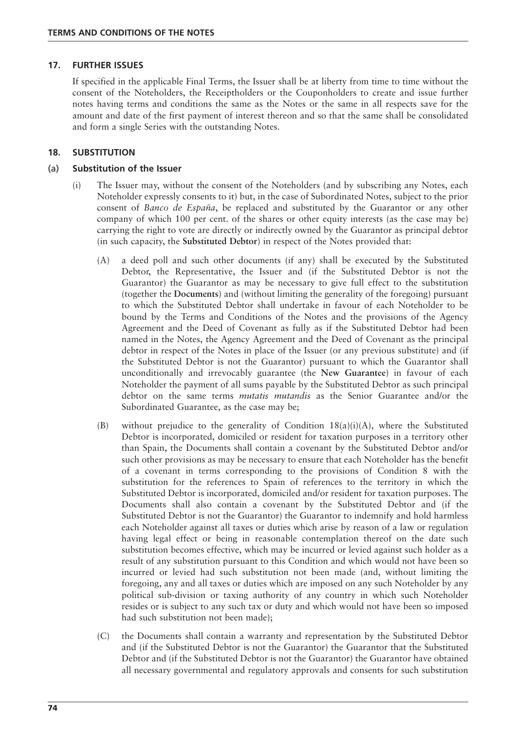#### **17. FURTHER ISSUES**

If specified in the applicable Final Terms, the Issuer shall be at liberty from time to time without the consent of the Noteholders, the Receiptholders or the Couponholders to create and issue further notes having terms and conditions the same as the Notes or the same in all respects save for the amount and date of the first payment of interest thereon and so that the same shall be consolidated and form a single Series with the outstanding Notes.

## **18. SUBSTITUTION**

#### (a) **Substitution of the Issuer**

- (i) The Issuer may, without the consent of the Noteholders (and by subscribing any Notes, each Noteholder expressly consents to it) but, in the case of Subordinated Notes, subject to the prior consent of *Banco de España*, be replaced and substituted by the Guarantor or any other company of which 100 per cent. of the shares or other equity interests (as the case may be) carrying the right to vote are directly or indirectly owned by the Guarantor as principal debtor (in such capacity, the **Substituted Debtor**) in respect of the Notes provided that:
	- (A) a deed poll and such other documents (if any) shall be executed by the Substituted Debtor, the Representative, the Issuer and (if the Substituted Debtor is not the Guarantor) the Guarantor as may be necessary to give full effect to the substitution (together the **Documents**) and (without limiting the generality of the foregoing) pursuant to which the Substituted Debtor shall undertake in favour of each Noteholder to be bound by the Terms and Conditions of the Notes and the provisions of the Agency Agreement and the Deed of Covenant as fully as if the Substituted Debtor had been named in the Notes, the Agency Agreement and the Deed of Covenant as the principal debtor in respect of the Notes in place of the Issuer (or any previous substitute) and (if the Substituted Debtor is not the Guarantor) pursuant to which the Guarantor shall unconditionally and irrevocably guarantee (the **New Guarantee**) in favour of each Noteholder the payment of all sums payable by the Substituted Debtor as such principal debtor on the same terms *mutatis mutandis* as the Senior Guarantee and/or the Subordinated Guarantee, as the case may be;
	- (B) without prejudice to the generality of Condition  $18(a)(i)(A)$ , where the Substituted Debtor is incorporated, domiciled or resident for taxation purposes in a territory other than Spain, the Documents shall contain a covenant by the Substituted Debtor and/or such other provisions as may be necessary to ensure that each Noteholder has the benefit of a covenant in terms corresponding to the provisions of Condition 8 with the substitution for the references to Spain of references to the territory in which the Substituted Debtor is incorporated, domiciled and/or resident for taxation purposes. The Documents shall also contain a covenant by the Substituted Debtor and (if the Substituted Debtor is not the Guarantor) the Guarantor to indemnify and hold harmless each Noteholder against all taxes or duties which arise by reason of a law or regulation having legal effect or being in reasonable contemplation thereof on the date such substitution becomes effective, which may be incurred or levied against such holder as a result of any substitution pursuant to this Condition and which would not have been so incurred or levied had such substitution not been made (and, without limiting the foregoing, any and all taxes or duties which are imposed on any such Noteholder by any political sub-division or taxing authority of any country in which such Noteholder resides or is subject to any such tax or duty and which would not have been so imposed had such substitution not been made);
	- (C) the Documents shall contain a warranty and representation by the Substituted Debtor and (if the Substituted Debtor is not the Guarantor) the Guarantor that the Substituted Debtor and (if the Substituted Debtor is not the Guarantor) the Guarantor have obtained all necessary governmental and regulatory approvals and consents for such substitution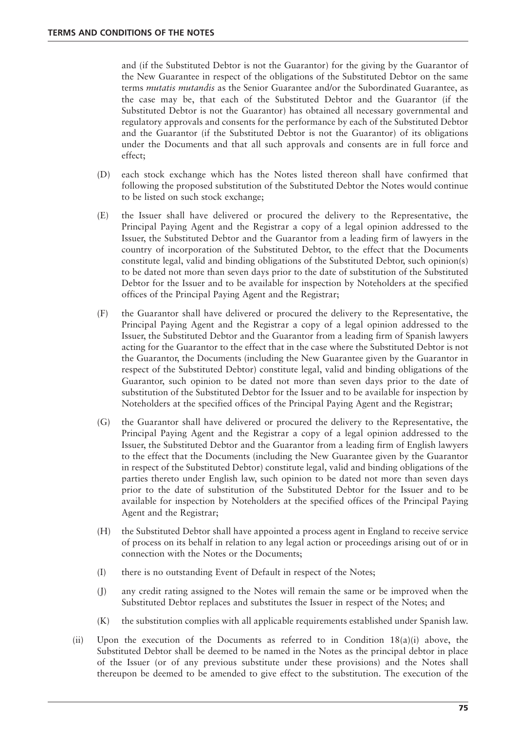and (if the Substituted Debtor is not the Guarantor) for the giving by the Guarantor of the New Guarantee in respect of the obligations of the Substituted Debtor on the same terms *mutatis mutandis* as the Senior Guarantee and/or the Subordinated Guarantee, as the case may be, that each of the Substituted Debtor and the Guarantor (if the Substituted Debtor is not the Guarantor) has obtained all necessary governmental and regulatory approvals and consents for the performance by each of the Substituted Debtor and the Guarantor (if the Substituted Debtor is not the Guarantor) of its obligations under the Documents and that all such approvals and consents are in full force and effect;

- (D) each stock exchange which has the Notes listed thereon shall have confirmed that following the proposed substitution of the Substituted Debtor the Notes would continue to be listed on such stock exchange;
- (E) the Issuer shall have delivered or procured the delivery to the Representative, the Principal Paying Agent and the Registrar a copy of a legal opinion addressed to the Issuer, the Substituted Debtor and the Guarantor from a leading firm of lawyers in the country of incorporation of the Substituted Debtor, to the effect that the Documents constitute legal, valid and binding obligations of the Substituted Debtor, such opinion(s) to be dated not more than seven days prior to the date of substitution of the Substituted Debtor for the Issuer and to be available for inspection by Noteholders at the specified offices of the Principal Paying Agent and the Registrar;
- (F) the Guarantor shall have delivered or procured the delivery to the Representative, the Principal Paying Agent and the Registrar a copy of a legal opinion addressed to the Issuer, the Substituted Debtor and the Guarantor from a leading firm of Spanish lawyers acting for the Guarantor to the effect that in the case where the Substituted Debtor is not the Guarantor, the Documents (including the New Guarantee given by the Guarantor in respect of the Substituted Debtor) constitute legal, valid and binding obligations of the Guarantor, such opinion to be dated not more than seven days prior to the date of substitution of the Substituted Debtor for the Issuer and to be available for inspection by Noteholders at the specified offices of the Principal Paying Agent and the Registrar;
- (G) the Guarantor shall have delivered or procured the delivery to the Representative, the Principal Paying Agent and the Registrar a copy of a legal opinion addressed to the Issuer, the Substituted Debtor and the Guarantor from a leading firm of English lawyers to the effect that the Documents (including the New Guarantee given by the Guarantor in respect of the Substituted Debtor) constitute legal, valid and binding obligations of the parties thereto under English law, such opinion to be dated not more than seven days prior to the date of substitution of the Substituted Debtor for the Issuer and to be available for inspection by Noteholders at the specified offices of the Principal Paying Agent and the Registrar;
- (H) the Substituted Debtor shall have appointed a process agent in England to receive service of process on its behalf in relation to any legal action or proceedings arising out of or in connection with the Notes or the Documents;
- (I) there is no outstanding Event of Default in respect of the Notes;
- (J) any credit rating assigned to the Notes will remain the same or be improved when the Substituted Debtor replaces and substitutes the Issuer in respect of the Notes; and
- (K) the substitution complies with all applicable requirements established under Spanish law.
- (ii) Upon the execution of the Documents as referred to in Condition  $18(a)(i)$  above, the Substituted Debtor shall be deemed to be named in the Notes as the principal debtor in place of the Issuer (or of any previous substitute under these provisions) and the Notes shall thereupon be deemed to be amended to give effect to the substitution. The execution of the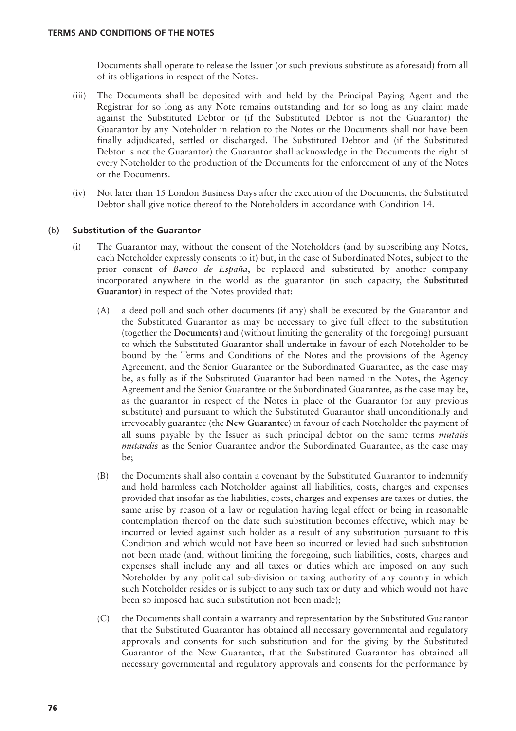Documents shall operate to release the Issuer (or such previous substitute as aforesaid) from all of its obligations in respect of the Notes.

- (iii) The Documents shall be deposited with and held by the Principal Paying Agent and the Registrar for so long as any Note remains outstanding and for so long as any claim made against the Substituted Debtor or (if the Substituted Debtor is not the Guarantor) the Guarantor by any Noteholder in relation to the Notes or the Documents shall not have been finally adjudicated, settled or discharged. The Substituted Debtor and (if the Substituted Debtor is not the Guarantor) the Guarantor shall acknowledge in the Documents the right of every Noteholder to the production of the Documents for the enforcement of any of the Notes or the Documents.
- (iv) Not later than 15 London Business Days after the execution of the Documents, the Substituted Debtor shall give notice thereof to the Noteholders in accordance with Condition 14.

#### (b) **Substitution of the Guarantor**

- (i) The Guarantor may, without the consent of the Noteholders (and by subscribing any Notes, each Noteholder expressly consents to it) but, in the case of Subordinated Notes, subject to the prior consent of *Banco de España*, be replaced and substituted by another company incorporated anywhere in the world as the guarantor (in such capacity, the **Substituted Guarantor**) in respect of the Notes provided that:
	- (A) a deed poll and such other documents (if any) shall be executed by the Guarantor and the Substituted Guarantor as may be necessary to give full effect to the substitution (together the **Documents**) and (without limiting the generality of the foregoing) pursuant to which the Substituted Guarantor shall undertake in favour of each Noteholder to be bound by the Terms and Conditions of the Notes and the provisions of the Agency Agreement, and the Senior Guarantee or the Subordinated Guarantee, as the case may be, as fully as if the Substituted Guarantor had been named in the Notes, the Agency Agreement and the Senior Guarantee or the Subordinated Guarantee, as the case may be, as the guarantor in respect of the Notes in place of the Guarantor (or any previous substitute) and pursuant to which the Substituted Guarantor shall unconditionally and irrevocably guarantee (the **New Guarantee**) in favour of each Noteholder the payment of all sums payable by the Issuer as such principal debtor on the same terms *mutatis mutandis* as the Senior Guarantee and/or the Subordinated Guarantee, as the case may be;
	- (B) the Documents shall also contain a covenant by the Substituted Guarantor to indemnify and hold harmless each Noteholder against all liabilities, costs, charges and expenses provided that insofar as the liabilities, costs, charges and expenses are taxes or duties, the same arise by reason of a law or regulation having legal effect or being in reasonable contemplation thereof on the date such substitution becomes effective, which may be incurred or levied against such holder as a result of any substitution pursuant to this Condition and which would not have been so incurred or levied had such substitution not been made (and, without limiting the foregoing, such liabilities, costs, charges and expenses shall include any and all taxes or duties which are imposed on any such Noteholder by any political sub-division or taxing authority of any country in which such Noteholder resides or is subject to any such tax or duty and which would not have been so imposed had such substitution not been made);
	- (C) the Documents shall contain a warranty and representation by the Substituted Guarantor that the Substituted Guarantor has obtained all necessary governmental and regulatory approvals and consents for such substitution and for the giving by the Substituted Guarantor of the New Guarantee, that the Substituted Guarantor has obtained all necessary governmental and regulatory approvals and consents for the performance by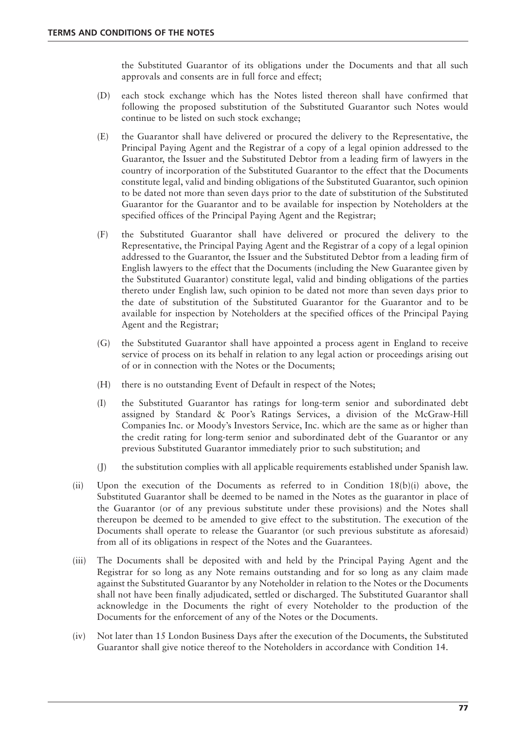the Substituted Guarantor of its obligations under the Documents and that all such approvals and consents are in full force and effect;

- (D) each stock exchange which has the Notes listed thereon shall have confirmed that following the proposed substitution of the Substituted Guarantor such Notes would continue to be listed on such stock exchange;
- (E) the Guarantor shall have delivered or procured the delivery to the Representative, the Principal Paying Agent and the Registrar of a copy of a legal opinion addressed to the Guarantor, the Issuer and the Substituted Debtor from a leading firm of lawyers in the country of incorporation of the Substituted Guarantor to the effect that the Documents constitute legal, valid and binding obligations of the Substituted Guarantor, such opinion to be dated not more than seven days prior to the date of substitution of the Substituted Guarantor for the Guarantor and to be available for inspection by Noteholders at the specified offices of the Principal Paying Agent and the Registrar;
- (F) the Substituted Guarantor shall have delivered or procured the delivery to the Representative, the Principal Paying Agent and the Registrar of a copy of a legal opinion addressed to the Guarantor, the Issuer and the Substituted Debtor from a leading firm of English lawyers to the effect that the Documents (including the New Guarantee given by the Substituted Guarantor) constitute legal, valid and binding obligations of the parties thereto under English law, such opinion to be dated not more than seven days prior to the date of substitution of the Substituted Guarantor for the Guarantor and to be available for inspection by Noteholders at the specified offices of the Principal Paying Agent and the Registrar;
- (G) the Substituted Guarantor shall have appointed a process agent in England to receive service of process on its behalf in relation to any legal action or proceedings arising out of or in connection with the Notes or the Documents;
- (H) there is no outstanding Event of Default in respect of the Notes;
- (I) the Substituted Guarantor has ratings for long-term senior and subordinated debt assigned by Standard & Poor's Ratings Services, a division of the McGraw-Hill Companies Inc. or Moody's Investors Service, Inc. which are the same as or higher than the credit rating for long-term senior and subordinated debt of the Guarantor or any previous Substituted Guarantor immediately prior to such substitution; and
- (J) the substitution complies with all applicable requirements established under Spanish law.
- (ii) Upon the execution of the Documents as referred to in Condition 18(b)(i) above, the Substituted Guarantor shall be deemed to be named in the Notes as the guarantor in place of the Guarantor (or of any previous substitute under these provisions) and the Notes shall thereupon be deemed to be amended to give effect to the substitution. The execution of the Documents shall operate to release the Guarantor (or such previous substitute as aforesaid) from all of its obligations in respect of the Notes and the Guarantees.
- (iii) The Documents shall be deposited with and held by the Principal Paying Agent and the Registrar for so long as any Note remains outstanding and for so long as any claim made against the Substituted Guarantor by any Noteholder in relation to the Notes or the Documents shall not have been finally adjudicated, settled or discharged. The Substituted Guarantor shall acknowledge in the Documents the right of every Noteholder to the production of the Documents for the enforcement of any of the Notes or the Documents.
- (iv) Not later than 15 London Business Days after the execution of the Documents, the Substituted Guarantor shall give notice thereof to the Noteholders in accordance with Condition 14.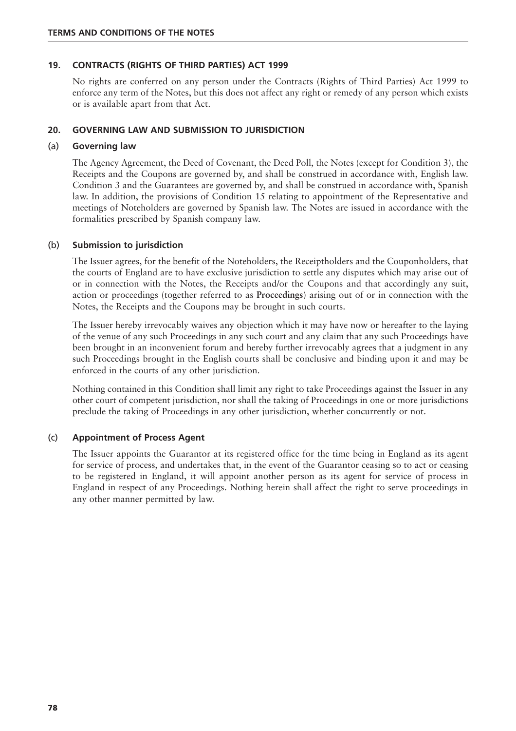#### **19. CONTRACTS (RIGHTS OF THIRD PARTIES) ACT 1999**

No rights are conferred on any person under the Contracts (Rights of Third Parties) Act 1999 to enforce any term of the Notes, but this does not affect any right or remedy of any person which exists or is available apart from that Act.

#### **20. GOVERNING LAW AND SUBMISSION TO JURISDICTION**

#### (a) **Governing law**

The Agency Agreement, the Deed of Covenant, the Deed Poll, the Notes (except for Condition 3), the Receipts and the Coupons are governed by, and shall be construed in accordance with, English law. Condition 3 and the Guarantees are governed by, and shall be construed in accordance with, Spanish law. In addition, the provisions of Condition 15 relating to appointment of the Representative and meetings of Noteholders are governed by Spanish law. The Notes are issued in accordance with the formalities prescribed by Spanish company law.

#### (b) **Submission to jurisdiction**

The Issuer agrees, for the benefit of the Noteholders, the Receiptholders and the Couponholders, that the courts of England are to have exclusive jurisdiction to settle any disputes which may arise out of or in connection with the Notes, the Receipts and/or the Coupons and that accordingly any suit, action or proceedings (together referred to as **Proceedings**) arising out of or in connection with the Notes, the Receipts and the Coupons may be brought in such courts.

The Issuer hereby irrevocably waives any objection which it may have now or hereafter to the laying of the venue of any such Proceedings in any such court and any claim that any such Proceedings have been brought in an inconvenient forum and hereby further irrevocably agrees that a judgment in any such Proceedings brought in the English courts shall be conclusive and binding upon it and may be enforced in the courts of any other jurisdiction.

Nothing contained in this Condition shall limit any right to take Proceedings against the Issuer in any other court of competent jurisdiction, nor shall the taking of Proceedings in one or more jurisdictions preclude the taking of Proceedings in any other jurisdiction, whether concurrently or not.

# (c) **Appointment of Process Agent**

The Issuer appoints the Guarantor at its registered office for the time being in England as its agent for service of process, and undertakes that, in the event of the Guarantor ceasing so to act or ceasing to be registered in England, it will appoint another person as its agent for service of process in England in respect of any Proceedings. Nothing herein shall affect the right to serve proceedings in any other manner permitted by law.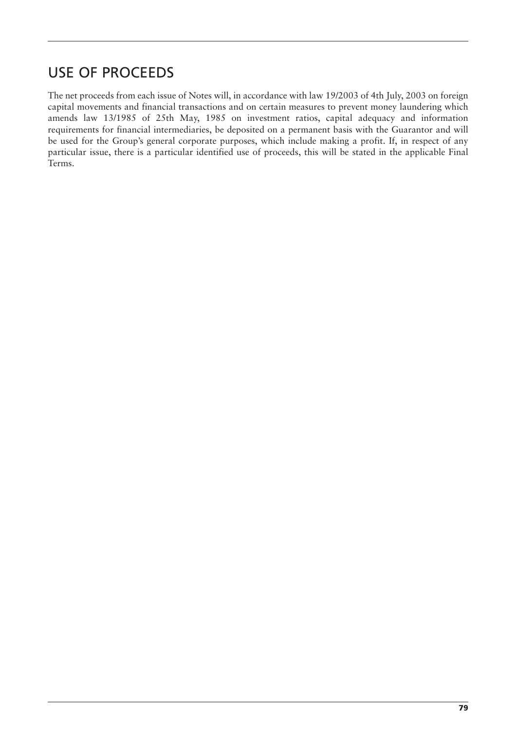# USE OF PROCEEDS

The net proceeds from each issue of Notes will, in accordance with law 19/2003 of 4th July, 2003 on foreign capital movements and financial transactions and on certain measures to prevent money laundering which amends law 13/1985 of 25th May, 1985 on investment ratios, capital adequacy and information requirements for financial intermediaries, be deposited on a permanent basis with the Guarantor and will be used for the Group's general corporate purposes, which include making a profit. If, in respect of any particular issue, there is a particular identified use of proceeds, this will be stated in the applicable Final Terms.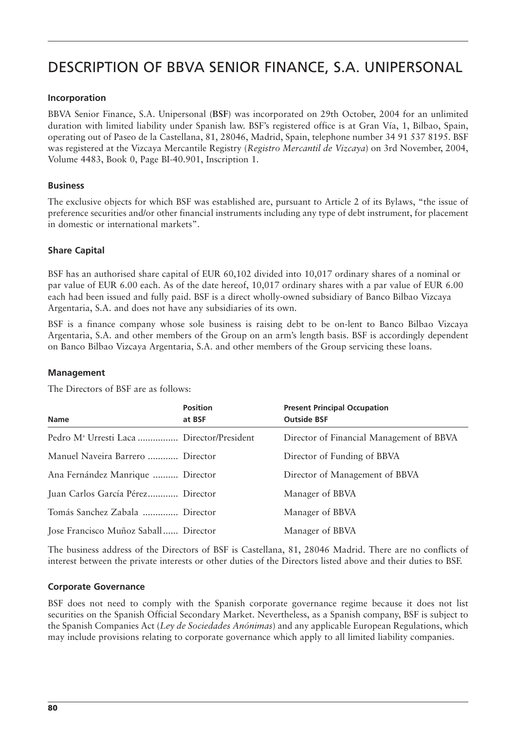# DESCRIPTION OF BBVA SENIOR FINANCE, S.A. UNIPERSONAL

## **Incorporation**

BBVA Senior Finance, S.A. Unipersonal (**BSF**) was incorporated on 29th October, 2004 for an unlimited duration with limited liability under Spanish law. BSF's registered office is at Gran Vía, 1, Bilbao, Spain, operating out of Paseo de la Castellana, 81, 28046, Madrid, Spain, telephone number 34 91 537 8195. BSF was registered at the Vizcaya Mercantile Registry (*Registro Mercantil de Vizcaya*) on 3rd November, 2004, Volume 4483, Book 0, Page BI-40.901, Inscription 1.

#### **Business**

The exclusive objects for which BSF was established are, pursuant to Article 2 of its Bylaws, "the issue of preference securities and/or other financial instruments including any type of debt instrument, for placement in domestic or international markets".

# **Share Capital**

BSF has an authorised share capital of EUR 60,102 divided into 10,017 ordinary shares of a nominal or par value of EUR 6.00 each. As of the date hereof, 10,017 ordinary shares with a par value of EUR 6.00 each had been issued and fully paid. BSF is a direct wholly-owned subsidiary of Banco Bilbao Vizcaya Argentaria, S.A. and does not have any subsidiaries of its own.

BSF is a finance company whose sole business is raising debt to be on-lent to Banco Bilbao Vizcaya Argentaria, S.A. and other members of the Group on an arm's length basis. BSF is accordingly dependent on Banco Bilbao Vizcaya Argentaria, S.A. and other members of the Group servicing these loans.

#### **Management**

The Directors of BSF are as follows:

| <b>Name</b>                                           | <b>Position</b><br>at BSF | <b>Present Principal Occupation</b><br><b>Outside BSF</b> |
|-------------------------------------------------------|---------------------------|-----------------------------------------------------------|
| Pedro M <sup>ª</sup> Urresti Laca  Director/President |                           | Director of Financial Management of BBVA                  |
| Manuel Naveira Barrero  Director                      |                           | Director of Funding of BBVA                               |
| Ana Fernández Manrique  Director                      |                           | Director of Management of BBVA                            |
| Juan Carlos García Pérez Director                     |                           | Manager of BBVA                                           |
| Tomás Sanchez Zabala  Director                        |                           | Manager of BBVA                                           |
| Jose Francisco Muñoz Saball Director                  |                           | Manager of BBVA                                           |

The business address of the Directors of BSF is Castellana, 81, 28046 Madrid. There are no conflicts of interest between the private interests or other duties of the Directors listed above and their duties to BSF.

#### **Corporate Governance**

BSF does not need to comply with the Spanish corporate governance regime because it does not list securities on the Spanish Official Secondary Market. Nevertheless, as a Spanish company, BSF is subject to the Spanish Companies Act (*Ley de Sociedades Anónimas*) and any applicable European Regulations, which may include provisions relating to corporate governance which apply to all limited liability companies.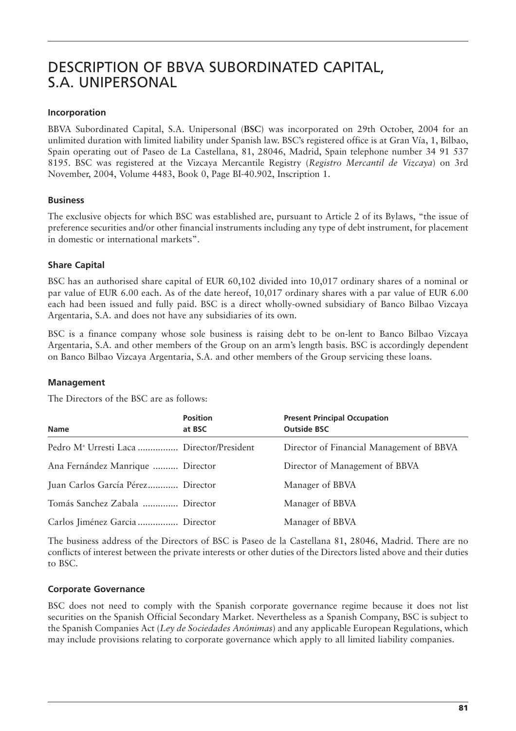# DESCRIPTION OF BBVA SUBORDINATED CAPITAL, S.A. UNIPERSONAL

# **Incorporation**

BBVA Subordinated Capital, S.A. Unipersonal (**BSC**) was incorporated on 29th October, 2004 for an unlimited duration with limited liability under Spanish law. BSC's registered office is at Gran Vía, 1, Bilbao, Spain operating out of Paseo de La Castellana, 81, 28046, Madrid, Spain telephone number 34 91 537 8195. BSC was registered at the Vizcaya Mercantile Registry (*Registro Mercantil de Vizcaya*) on 3rd November, 2004, Volume 4483, Book 0, Page BI-40.902, Inscription 1.

# **Business**

The exclusive objects for which BSC was established are, pursuant to Article 2 of its Bylaws, "the issue of preference securities and/or other financial instruments including any type of debt instrument, for placement in domestic or international markets".

# **Share Capital**

BSC has an authorised share capital of EUR 60,102 divided into 10,017 ordinary shares of a nominal or par value of EUR 6.00 each. As of the date hereof, 10,017 ordinary shares with a par value of EUR 6.00 each had been issued and fully paid. BSC is a direct wholly-owned subsidiary of Banco Bilbao Vizcaya Argentaria, S.A. and does not have any subsidiaries of its own.

BSC is a finance company whose sole business is raising debt to be on-lent to Banco Bilbao Vizcaya Argentaria, S.A. and other members of the Group on an arm's length basis. BSC is accordingly dependent on Banco Bilbao Vizcaya Argentaria, S.A. and other members of the Group servicing these loans.

# **Management**

The Directors of the BSC are as follows:

| <b>Name</b>                                           | <b>Position</b><br>at BSC | <b>Present Principal Occupation</b><br><b>Outside BSC</b> |
|-------------------------------------------------------|---------------------------|-----------------------------------------------------------|
| Pedro M <sup>ª</sup> Urresti Laca  Director/President |                           | Director of Financial Management of BBVA                  |
| Ana Fernández Manrique  Director                      |                           | Director of Management of BBVA                            |
| Juan Carlos García Pérez Director                     |                           | Manager of BBVA                                           |
| Tomás Sanchez Zabala  Director                        |                           | Manager of BBVA                                           |
| Carlos Jiménez Garcia Director                        |                           | Manager of BBVA                                           |

The business address of the Directors of BSC is Paseo de la Castellana 81, 28046, Madrid. There are no conflicts of interest between the private interests or other duties of the Directors listed above and their duties to BSC.

# **Corporate Governance**

BSC does not need to comply with the Spanish corporate governance regime because it does not list securities on the Spanish Official Secondary Market. Nevertheless as a Spanish Company, BSC is subject to the Spanish Companies Act (*Ley de Sociedades Anónimas*) and any applicable European Regulations, which may include provisions relating to corporate governance which apply to all limited liability companies.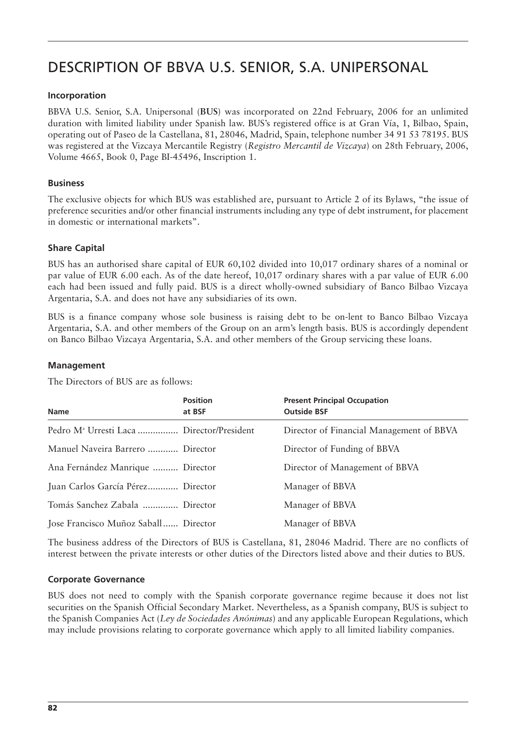# DESCRIPTION OF BBVA U.S. SENIOR, S.A. UNIPERSONAL

# **Incorporation**

BBVA U.S. Senior, S.A. Unipersonal (**BUS**) was incorporated on 22nd February, 2006 for an unlimited duration with limited liability under Spanish law. BUS's registered office is at Gran Vía, 1, Bilbao, Spain, operating out of Paseo de la Castellana, 81, 28046, Madrid, Spain, telephone number 34 91 53 78195. BUS was registered at the Vizcaya Mercantile Registry (*Registro Mercantil de Vizcaya*) on 28th February, 2006, Volume 4665, Book 0, Page BI-45496, Inscription 1.

# **Business**

The exclusive objects for which BUS was established are, pursuant to Article 2 of its Bylaws, "the issue of preference securities and/or other financial instruments including any type of debt instrument, for placement in domestic or international markets".

# **Share Capital**

BUS has an authorised share capital of EUR 60,102 divided into 10,017 ordinary shares of a nominal or par value of EUR 6.00 each. As of the date hereof, 10,017 ordinary shares with a par value of EUR 6.00 each had been issued and fully paid. BUS is a direct wholly-owned subsidiary of Banco Bilbao Vizcaya Argentaria, S.A. and does not have any subsidiaries of its own.

BUS is a finance company whose sole business is raising debt to be on-lent to Banco Bilbao Vizcaya Argentaria, S.A. and other members of the Group on an arm's length basis. BUS is accordingly dependent on Banco Bilbao Vizcaya Argentaria, S.A. and other members of the Group servicing these loans.

# **Management**

The Directors of BUS are as follows:

| <b>Name</b>                                           | <b>Position</b><br>at BSF | <b>Present Principal Occupation</b><br><b>Outside BSF</b> |
|-------------------------------------------------------|---------------------------|-----------------------------------------------------------|
| Pedro M <sup>ª</sup> Urresti Laca  Director/President |                           | Director of Financial Management of BBVA                  |
| Manuel Naveira Barrero  Director                      |                           | Director of Funding of BBVA                               |
| Ana Fernández Manrique  Director                      |                           | Director of Management of BBVA                            |
| Juan Carlos García Pérez Director                     |                           | Manager of BBVA                                           |
| Tomás Sanchez Zabala  Director                        |                           | Manager of BBVA                                           |
| Jose Francisco Muñoz Saball Director                  |                           | Manager of BBVA                                           |

The business address of the Directors of BUS is Castellana, 81, 28046 Madrid. There are no conflicts of interest between the private interests or other duties of the Directors listed above and their duties to BUS.

# **Corporate Governance**

BUS does not need to comply with the Spanish corporate governance regime because it does not list securities on the Spanish Official Secondary Market. Nevertheless, as a Spanish company, BUS is subject to the Spanish Companies Act (*Ley de Sociedades Anónimas*) and any applicable European Regulations, which may include provisions relating to corporate governance which apply to all limited liability companies.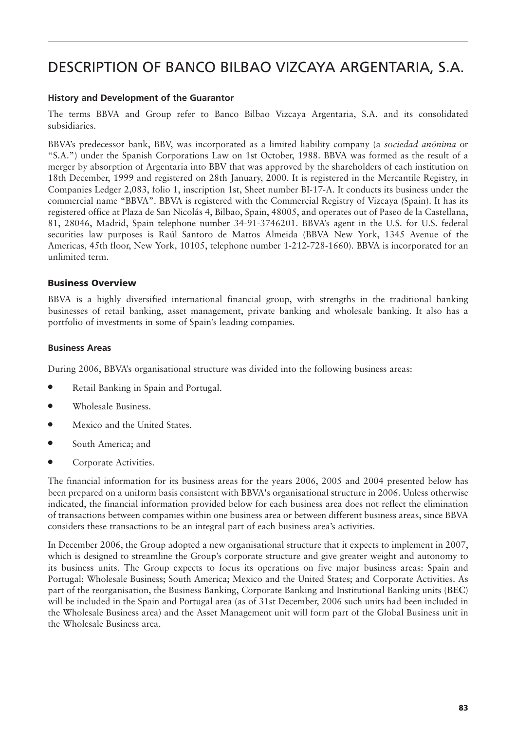# DESCRIPTION OF BANCO BILBAO VIZCAYA ARGENTARIA, S.A.

## **History and Development of the Guarantor**

The terms BBVA and Group refer to Banco Bilbao Vizcaya Argentaria, S.A. and its consolidated subsidiaries.

BBVA's predecessor bank, BBV, was incorporated as a limited liability company (a *sociedad anónima* or "S.A.") under the Spanish Corporations Law on 1st October, 1988. BBVA was formed as the result of a merger by absorption of Argentaria into BBV that was approved by the shareholders of each institution on 18th December, 1999 and registered on 28th January, 2000. It is registered in the Mercantile Registry, in Companies Ledger 2,083, folio 1, inscription 1st, Sheet number BI-17-A. It conducts its business under the commercial name "BBVA". BBVA is registered with the Commercial Registry of Vizcaya (Spain). It has its registered office at Plaza de San Nicolás 4, Bilbao, Spain, 48005, and operates out of Paseo de la Castellana, 81, 28046, Madrid, Spain telephone number 34-91-3746201. BBVA's agent in the U.S. for U.S. federal securities law purposes is Raúl Santoro de Mattos Almeida (BBVA New York, 1345 Avenue of the Americas, 45th floor, New York, 10105, telephone number 1-212-728-1660). BBVA is incorporated for an unlimited term.

#### **Business Overview**

BBVA is a highly diversified international financial group, with strengths in the traditional banking businesses of retail banking, asset management, private banking and wholesale banking. It also has a portfolio of investments in some of Spain's leading companies.

#### **Business Areas**

During 2006, BBVA's organisational structure was divided into the following business areas:

- Retail Banking in Spain and Portugal.
- Wholesale Business.
- Mexico and the United States.
- South America; and
- Corporate Activities.

The financial information for its business areas for the years 2006, 2005 and 2004 presented below has been prepared on a uniform basis consistent with BBVA's organisational structure in 2006. Unless otherwise indicated, the financial information provided below for each business area does not reflect the elimination of transactions between companies within one business area or between different business areas, since BBVA considers these transactions to be an integral part of each business area's activities.

In December 2006, the Group adopted a new organisational structure that it expects to implement in 2007, which is designed to streamline the Group's corporate structure and give greater weight and autonomy to its business units. The Group expects to focus its operations on five major business areas: Spain and Portugal; Wholesale Business; South America; Mexico and the United States; and Corporate Activities. As part of the reorganisation, the Business Banking, Corporate Banking and Institutional Banking units (**BEC**) will be included in the Spain and Portugal area (as of 31st December, 2006 such units had been included in the Wholesale Business area) and the Asset Management unit will form part of the Global Business unit in the Wholesale Business area.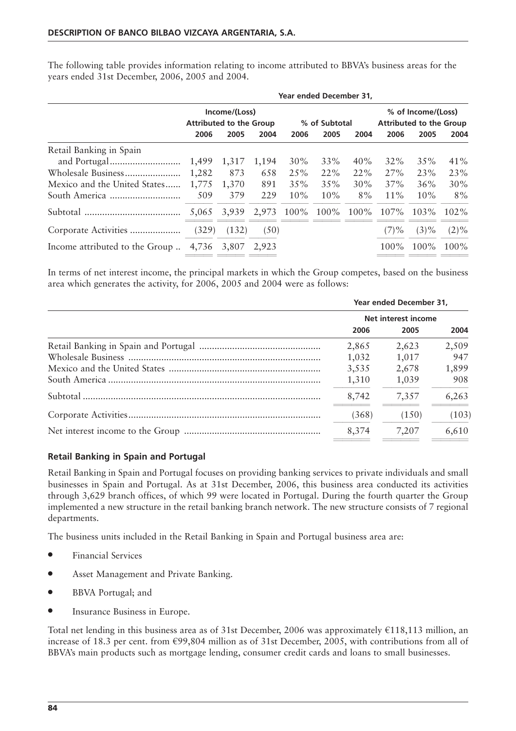The following table provides information relating to income attributed to BBVA's business areas for the years ended 31st December, 2006, 2005 and 2004.

|                                                   |                                |               |       |      | Year ended December 31, |        |         |                                |         |
|---------------------------------------------------|--------------------------------|---------------|-------|------|-------------------------|--------|---------|--------------------------------|---------|
|                                                   |                                | Income/(Loss) |       |      |                         |        |         | % of Income/(Loss)             |         |
|                                                   | <b>Attributed to the Group</b> |               |       |      | % of Subtotal           |        |         | <b>Attributed to the Group</b> |         |
|                                                   | 2006                           | 2005          | 2004  | 2006 | 2005                    | 2004   | 2006    | 2005                           | 2004    |
| Retail Banking in Spain                           |                                |               |       |      |                         |        |         |                                |         |
|                                                   | 1,499                          | 1,317         | 1,194 | 30%  | 33%                     | $40\%$ | $32\%$  | $35\%$                         | 41%     |
|                                                   | 1,282                          | 873           | 658   | 25%  | 22%                     | 22%    | 27%     | 23%                            | 23%     |
| Mexico and the United States                      | 1,775                          | 1,370         | 891   | 35%  | 35%                     | $30\%$ | $37\%$  | 36%                            | $30\%$  |
|                                                   | 509                            | 379           | 229   | 10%  | 10%                     | $8\%$  | $11\%$  | $10\%$                         | 8%      |
|                                                   |                                |               |       |      |                         |        |         |                                | 102%    |
|                                                   |                                | (132)         | (50)  |      |                         |        | $(7)\%$ | $(3)\%$                        | $(2)\%$ |
| Income attributed to the Group  4,736 3,807 2,923 |                                |               |       |      |                         |        | $100\%$ | $100\%$                        | $100\%$ |

In terms of net interest income, the principal markets in which the Group competes, based on the business area which generates the activity, for 2006, 2005 and 2004 were as follows:

| Year ended December 31, |                     |       |
|-------------------------|---------------------|-------|
|                         | Net interest income |       |
| 2006                    | 2005                | 2004  |
| 2,865                   | 2,623               | 2,509 |
| 1,032                   | 1,017               | 947   |
| 3,535                   | 2,678               | 1,899 |
| 1,310                   | 1,039               | 908   |
| 8,742                   | 7,357               | 6,263 |
| (368)                   | (150)               | (103) |
| 8,374                   | 7.207               | 6,610 |

# **Retail Banking in Spain and Portugal**

Retail Banking in Spain and Portugal focuses on providing banking services to private individuals and small businesses in Spain and Portugal. As at 31st December, 2006, this business area conducted its activities through 3,629 branch offices, of which 99 were located in Portugal. During the fourth quarter the Group implemented a new structure in the retail banking branch network. The new structure consists of 7 regional departments.

The business units included in the Retail Banking in Spain and Portugal business area are:

- Financial Services
- Asset Management and Private Banking.
- BBVA Portugal; and
- Insurance Business in Europe.

Total net lending in this business area as of 31st December, 2006 was approximately  $\epsilon$ 118,113 million, an increase of 18.3 per cent. from €99,804 million as of 31st December, 2005, with contributions from all of BBVA's main products such as mortgage lending, consumer credit cards and loans to small businesses.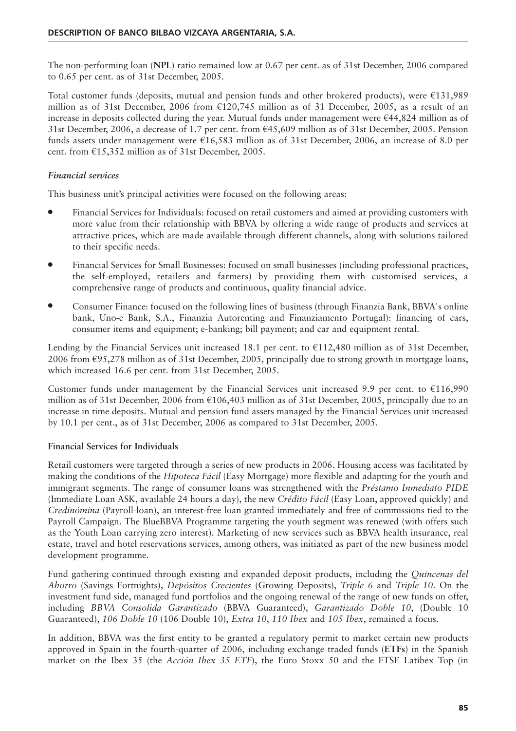The non-performing loan (**NPL**) ratio remained low at 0.67 per cent. as of 31st December, 2006 compared to 0.65 per cent. as of 31st December, 2005.

Total customer funds (deposits, mutual and pension funds and other brokered products), were  $\epsilon$ 131,989 million as of 31st December, 2006 from €120,745 million as of 31 December, 2005, as a result of an increase in deposits collected during the year. Mutual funds under management were  $\epsilon$ 44,824 million as of 31st December, 2006, a decrease of 1.7 per cent. from €45,609 million as of 31st December, 2005. Pension funds assets under management were €16,583 million as of 31st December, 2006, an increase of 8.0 per cent. from €15,352 million as of 31st December, 2005.

# *Financial services*

This business unit's principal activities were focused on the following areas:

- Financial Services for Individuals: focused on retail customers and aimed at providing customers with more value from their relationship with BBVA by offering a wide range of products and services at attractive prices, which are made available through different channels, along with solutions tailored to their specific needs.
- Financial Services for Small Businesses: focused on small businesses (including professional practices, the self-employed, retailers and farmers) by providing them with customised services, a comprehensive range of products and continuous, quality financial advice.
- Consumer Finance: focused on the following lines of business (through Finanzia Bank, BBVA's online bank, Uno-e Bank, S.A., Finanzia Autorenting and Finanziamento Portugal): financing of cars, consumer items and equipment; e-banking; bill payment; and car and equipment rental.

Lending by the Financial Services unit increased 18.1 per cent. to  $\epsilon$ 112,480 million as of 31st December, 2006 from €95,278 million as of 31st December, 2005, principally due to strong growth in mortgage loans, which increased 16.6 per cent. from 31st December, 2005.

Customer funds under management by the Financial Services unit increased 9.9 per cent. to  $\text{\textsterling}116,990$ million as of 31st December, 2006 from €106,403 million as of 31st December, 2005, principally due to an increase in time deposits. Mutual and pension fund assets managed by the Financial Services unit increased by 10.1 per cent., as of 31st December, 2006 as compared to 31st December, 2005.

# **Financial Services for Individuals**

Retail customers were targeted through a series of new products in 2006. Housing access was facilitated by making the conditions of the *Hipoteca Fácil* (Easy Mortgage) more flexible and adapting for the youth and immigrant segments. The range of consumer loans was strengthened with the *Préstamo Inmediato PIDE* (Immediate Loan ASK, available 24 hours a day), the new *Crédito Fácil* (Easy Loan, approved quickly) and *Credinómina* (Payroll-loan), an interest-free loan granted immediately and free of commissions tied to the Payroll Campaign. The BlueBBVA Programme targeting the youth segment was renewed (with offers such as the Youth Loan carrying zero interest). Marketing of new services such as BBVA health insurance, real estate, travel and hotel reservations services, among others, was initiated as part of the new business model development programme.

Fund gathering continued through existing and expanded deposit products, including the *Quincenas del Ahorro* (Savings Fortnights), *Depósitos Crecientes* (Growing Deposits), *Triple 6* and *Triple 10*. On the investment fund side, managed fund portfolios and the ongoing renewal of the range of new funds on offer, including *BBVA Consolida Garantizado* (BBVA Guaranteed), *Garantizado Doble 10*, (Double 10 Guaranteed), *106 Doble 10* (106 Double 10), *Extra 10*, *110 Ibex* and *105 Ibex*, remained a focus.

In addition, BBVA was the first entity to be granted a regulatory permit to market certain new products approved in Spain in the fourth-quarter of 2006, including exchange traded funds (**ETFs**) in the Spanish market on the Ibex 35 (the *Acción Ibex 35 ETF*), the Euro Stoxx 50 and the FTSE Latibex Top (in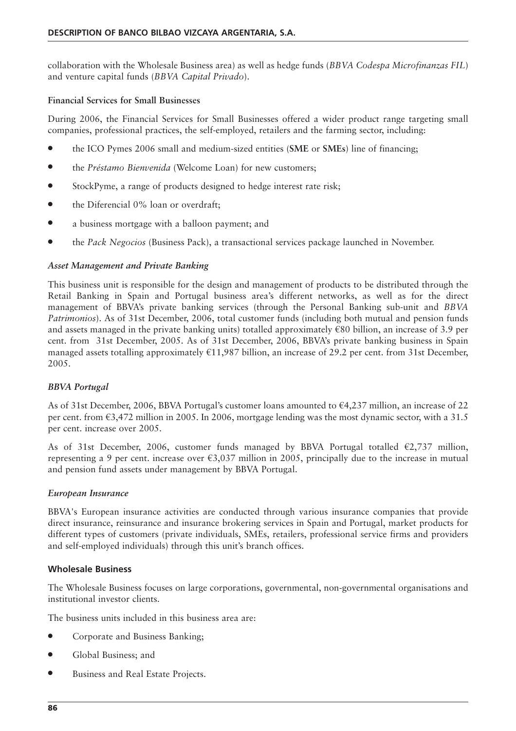collaboration with the Wholesale Business area) as well as hedge funds (*BBVA Codespa Microfinanzas FIL*) and venture capital funds (*BBVA Capital Privado*).

# **Financial Services for Small Businesses**

During 2006, the Financial Services for Small Businesses offered a wider product range targeting small companies, professional practices, the self-employed, retailers and the farming sector, including:

- the ICO Pymes 2006 small and medium-sized entities (**SME** or **SMEs**) line of financing;
- the *Préstamo Bienvenida* (Welcome Loan) for new customers;
- StockPyme, a range of products designed to hedge interest rate risk;
- the Diferencial 0% loan or overdraft;
- a business mortgage with a balloon payment; and
- the *Pack Negocios* (Business Pack), a transactional services package launched in November.

# *Asset Management and Private Banking*

This business unit is responsible for the design and management of products to be distributed through the Retail Banking in Spain and Portugal business area's different networks, as well as for the direct management of BBVA's private banking services (through the Personal Banking sub-unit and *BBVA Patrimonios*). As of 31st December, 2006, total customer funds (including both mutual and pension funds and assets managed in the private banking units) totalled approximately €80 billion, an increase of 3.9 per cent. from 31st December, 2005. As of 31st December, 2006, BBVA's private banking business in Spain managed assets totalling approximately  $\epsilon$ 11,987 billion, an increase of 29.2 per cent. from 31st December, 2005.

# *BBVA Portugal*

As of 31st December, 2006, BBVA Portugal's customer loans amounted to €4,237 million, an increase of 22 per cent. from €3,472 million in 2005. In 2006, mortgage lending was the most dynamic sector, with a 31.5 per cent. increase over 2005.

As of 31st December, 2006, customer funds managed by BBVA Portugal totalled  $\epsilon$ 2,737 million, representing a 9 per cent. increase over  $\epsilon$ 3,037 million in 2005, principally due to the increase in mutual and pension fund assets under management by BBVA Portugal.

# *European Insurance*

BBVA's European insurance activities are conducted through various insurance companies that provide direct insurance, reinsurance and insurance brokering services in Spain and Portugal, market products for different types of customers (private individuals, SMEs, retailers, professional service firms and providers and self-employed individuals) through this unit's branch offices.

# **Wholesale Business**

The Wholesale Business focuses on large corporations, governmental, non-governmental organisations and institutional investor clients.

The business units included in this business area are:

- Corporate and Business Banking;
- Global Business; and
- Business and Real Estate Projects.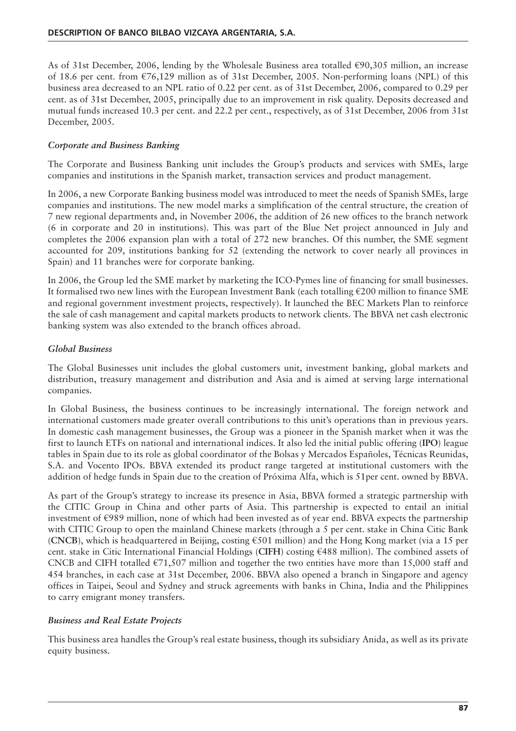As of 31st December, 2006, lending by the Wholesale Business area totalled €90,305 million, an increase of 18.6 per cent. from  $\epsilon$ 76,129 million as of 31st December, 2005. Non-performing loans (NPL) of this business area decreased to an NPL ratio of 0.22 per cent. as of 31st December, 2006, compared to 0.29 per cent. as of 31st December, 2005, principally due to an improvement in risk quality. Deposits decreased and mutual funds increased 10.3 per cent. and 22.2 per cent., respectively, as of 31st December, 2006 from 31st December, 2005.

# *Corporate and Business Banking*

The Corporate and Business Banking unit includes the Group's products and services with SMEs, large companies and institutions in the Spanish market, transaction services and product management.

In 2006, a new Corporate Banking business model was introduced to meet the needs of Spanish SMEs, large companies and institutions. The new model marks a simplification of the central structure, the creation of 7 new regional departments and, in November 2006, the addition of 26 new offices to the branch network (6 in corporate and 20 in institutions). This was part of the Blue Net project announced in July and completes the 2006 expansion plan with a total of 272 new branches. Of this number, the SME segment accounted for 209, institutions banking for 52 (extending the network to cover nearly all provinces in Spain) and 11 branches were for corporate banking.

In 2006, the Group led the SME market by marketing the ICO-Pymes line of financing for small businesses. It formalised two new lines with the European Investment Bank (each totalling €200 million to finance SME and regional government investment projects, respectively). It launched the BEC Markets Plan to reinforce the sale of cash management and capital markets products to network clients. The BBVA net cash electronic banking system was also extended to the branch offices abroad.

# *Global Business*

The Global Businesses unit includes the global customers unit, investment banking, global markets and distribution, treasury management and distribution and Asia and is aimed at serving large international companies.

In Global Business, the business continues to be increasingly international. The foreign network and international customers made greater overall contributions to this unit's operations than in previous years. In domestic cash management businesses, the Group was a pioneer in the Spanish market when it was the first to launch ETFs on national and international indices. It also led the initial public offering (**IPO**) league tables in Spain due to its role as global coordinator of the Bolsas y Mercados Españoles, Técnicas Reunidas, S.A. and Vocento IPOs. BBVA extended its product range targeted at institutional customers with the addition of hedge funds in Spain due to the creation of Próxima Alfa, which is 51per cent. owned by BBVA.

As part of the Group's strategy to increase its presence in Asia, BBVA formed a strategic partnership with the CITIC Group in China and other parts of Asia. This partnership is expected to entail an initial investment of €989 million, none of which had been invested as of year end. BBVA expects the partnership with CITIC Group to open the mainland Chinese markets (through a 5 per cent. stake in China Citic Bank (**CNCB**), which is headquartered in Beijing, costing €501 million) and the Hong Kong market (via a 15 per cent. stake in Citic International Financial Holdings (**CIFH**) costing €488 million). The combined assets of CNCB and CIFH totalled  $\epsilon$ 71,507 million and together the two entities have more than 15,000 staff and 454 branches, in each case at 31st December, 2006. BBVA also opened a branch in Singapore and agency offices in Taipei, Seoul and Sydney and struck agreements with banks in China, India and the Philippines to carry emigrant money transfers.

# *Business and Real Estate Projects*

This business area handles the Group's real estate business, though its subsidiary Anida, as well as its private equity business.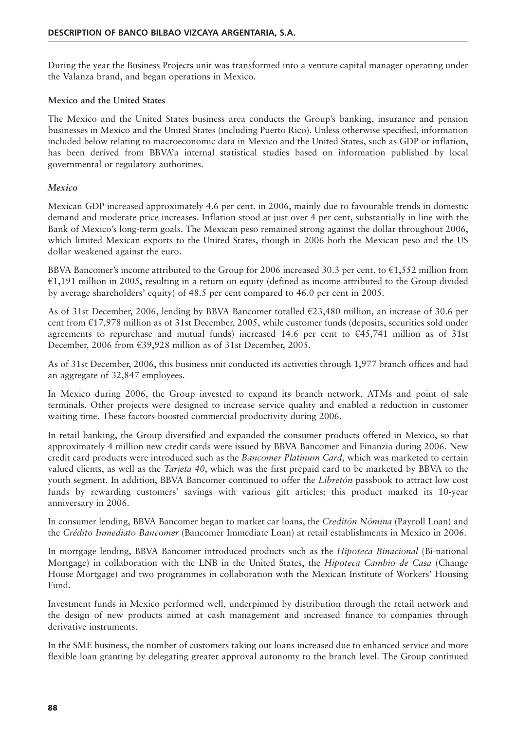During the year the Business Projects unit was transformed into a venture capital manager operating under the Valanza brand, and began operations in Mexico.

# **Mexico and the United States**

The Mexico and the United States business area conducts the Group's banking, insurance and pension businesses in Mexico and the United States (including Puerto Rico). Unless otherwise specified, information included below relating to macroeconomic data in Mexico and the United States, such as GDP or inflation, has been derived from BBVA'a internal statistical studies based on information published by local governmental or regulatory authorities.

# *Mexico*

Mexican GDP increased approximately 4.6 per cent. in 2006, mainly due to favourable trends in domestic demand and moderate price increases. Inflation stood at just over 4 per cent, substantially in line with the Bank of Mexico's long-term goals. The Mexican peso remained strong against the dollar throughout 2006, which limited Mexican exports to the United States, though in 2006 both the Mexican peso and the US dollar weakened against the euro.

BBVA Bancomer's income attributed to the Group for 2006 increased 30.3 per cent. to  $\epsilon$ 1,552 million from  $€1,191$  million in 2005, resulting in a return on equity (defined as income attributed to the Group divided by average shareholders' equity) of 48.5 per cent compared to 46.0 per cent in 2005.

As of 31st December, 2006, lending by BBVA Bancomer totalled €23,480 million, an increase of 30.6 per cent from  $\epsilon$ 17,978 million as of 31st December, 2005, while customer funds (deposits, securities sold under agreements to repurchase and mutual funds) increased 14.6 per cent to  $\epsilon$ 45,741 million as of 31st December, 2006 from €39,928 million as of 31st December, 2005.

As of 31st December, 2006, this business unit conducted its activities through 1,977 branch offices and had an aggregate of 32,847 employees.

In Mexico during 2006, the Group invested to expand its branch network, ATMs and point of sale terminals. Other projects were designed to increase service quality and enabled a reduction in customer waiting time. These factors boosted commercial productivity during 2006.

In retail banking, the Group diversified and expanded the consumer products offered in Mexico, so that approximately 4 million new credit cards were issued by BBVA Bancomer and Finanzia during 2006. New credit card products were introduced such as the *Bancomer Platinum Card*, which was marketed to certain valued clients, as well as the *Tarjeta 40*, which was the first prepaid card to be marketed by BBVA to the youth segment. In addition, BBVA Bancomer continued to offer the *Libretón* passbook to attract low cost funds by rewarding customers' savings with various gift articles; this product marked its 10-year anniversary in 2006.

In consumer lending, BBVA Bancomer began to market car loans, the *Creditón Nómina* (Payroll Loan) and the *Crédito Inmediato Bancomer* (Bancomer Immediate Loan) at retail establishments in Mexico in 2006.

In mortgage lending, BBVA Bancomer introduced products such as the *Hipoteca Binacional* (Bi-national Mortgage) in collaboration with the LNB in the United States, the *Hipoteca Cambio de Casa* (Change House Mortgage) and two programmes in collaboration with the Mexican Institute of Workers' Housing Fund.

Investment funds in Mexico performed well, underpinned by distribution through the retail network and the design of new products aimed at cash management and increased finance to companies through derivative instruments.

In the SME business, the number of customers taking out loans increased due to enhanced service and more flexible loan granting by delegating greater approval autonomy to the branch level. The Group continued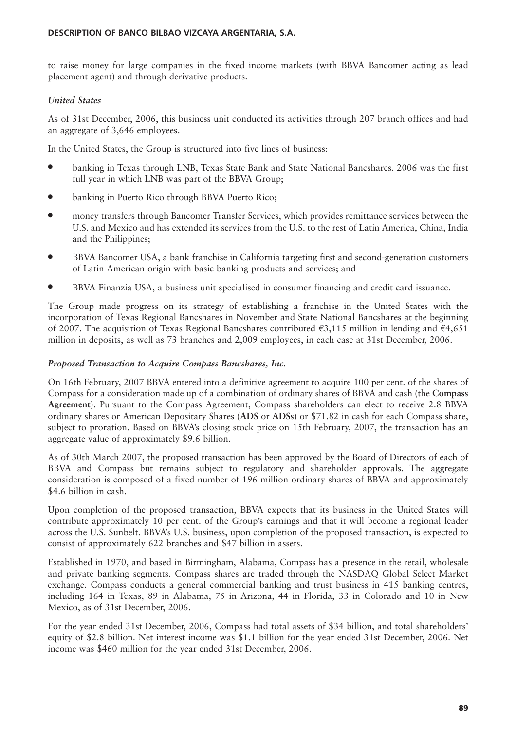to raise money for large companies in the fixed income markets (with BBVA Bancomer acting as lead placement agent) and through derivative products.

# *United States*

As of 31st December, 2006, this business unit conducted its activities through 207 branch offices and had an aggregate of 3,646 employees.

In the United States, the Group is structured into five lines of business:

- banking in Texas through LNB, Texas State Bank and State National Bancshares. 2006 was the first full year in which LNB was part of the BBVA Group;
- banking in Puerto Rico through BBVA Puerto Rico;
- money transfers through Bancomer Transfer Services, which provides remittance services between the U.S. and Mexico and has extended its services from the U.S. to the rest of Latin America, China, India and the Philippines;
- BBVA Bancomer USA, a bank franchise in California targeting first and second-generation customers of Latin American origin with basic banking products and services; and
- BBVA Finanzia USA, a business unit specialised in consumer financing and credit card issuance.

The Group made progress on its strategy of establishing a franchise in the United States with the incorporation of Texas Regional Bancshares in November and State National Bancshares at the beginning of 2007. The acquisition of Texas Regional Bancshares contributed €3,115 million in lending and €4,651 million in deposits, as well as 73 branches and 2,009 employees, in each case at 31st December, 2006.

#### *Proposed Transaction to Acquire Compass Bancshares, Inc.*

On 16th February, 2007 BBVA entered into a definitive agreement to acquire 100 per cent. of the shares of Compass for a consideration made up of a combination of ordinary shares of BBVA and cash (the **Compass Agreement**). Pursuant to the Compass Agreement, Compass shareholders can elect to receive 2.8 BBVA ordinary shares or American Depositary Shares (**ADS** or **ADSs**) or \$71.82 in cash for each Compass share, subject to proration. Based on BBVA's closing stock price on 15th February, 2007, the transaction has an aggregate value of approximately \$9.6 billion.

As of 30th March 2007, the proposed transaction has been approved by the Board of Directors of each of BBVA and Compass but remains subject to regulatory and shareholder approvals. The aggregate consideration is composed of a fixed number of 196 million ordinary shares of BBVA and approximately \$4.6 billion in cash.

Upon completion of the proposed transaction, BBVA expects that its business in the United States will contribute approximately 10 per cent. of the Group's earnings and that it will become a regional leader across the U.S. Sunbelt. BBVA's U.S. business, upon completion of the proposed transaction, is expected to consist of approximately 622 branches and \$47 billion in assets.

Established in 1970, and based in Birmingham, Alabama, Compass has a presence in the retail, wholesale and private banking segments. Compass shares are traded through the NASDAQ Global Select Market exchange. Compass conducts a general commercial banking and trust business in 415 banking centres, including 164 in Texas, 89 in Alabama, 75 in Arizona, 44 in Florida, 33 in Colorado and 10 in New Mexico, as of 31st December, 2006.

For the year ended 31st December, 2006, Compass had total assets of \$34 billion, and total shareholders' equity of \$2.8 billion. Net interest income was \$1.1 billion for the year ended 31st December, 2006. Net income was \$460 million for the year ended 31st December, 2006.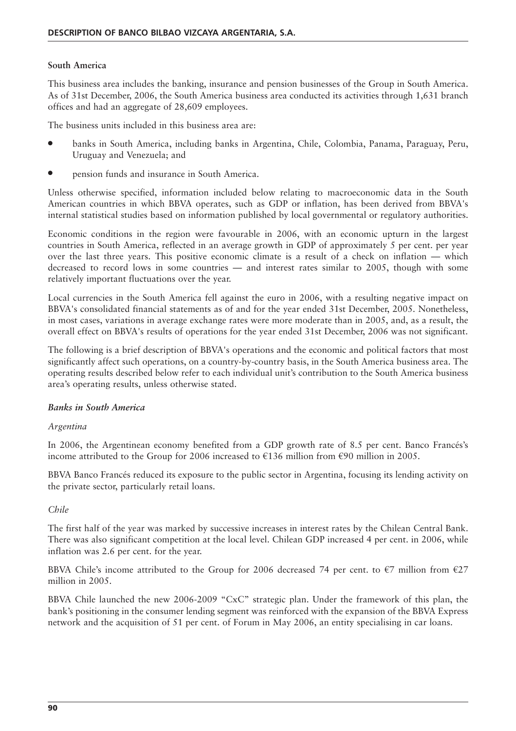## **South America**

This business area includes the banking, insurance and pension businesses of the Group in South America. As of 31st December, 2006, the South America business area conducted its activities through 1,631 branch offices and had an aggregate of 28,609 employees.

The business units included in this business area are:

- banks in South America, including banks in Argentina, Chile, Colombia, Panama, Paraguay, Peru, Uruguay and Venezuela; and
- pension funds and insurance in South America.

Unless otherwise specified, information included below relating to macroeconomic data in the South American countries in which BBVA operates, such as GDP or inflation, has been derived from BBVA's internal statistical studies based on information published by local governmental or regulatory authorities.

Economic conditions in the region were favourable in 2006, with an economic upturn in the largest countries in South America, reflected in an average growth in GDP of approximately 5 per cent. per year over the last three years. This positive economic climate is a result of a check on inflation — which decreased to record lows in some countries — and interest rates similar to 2005, though with some relatively important fluctuations over the year.

Local currencies in the South America fell against the euro in 2006, with a resulting negative impact on BBVA's consolidated financial statements as of and for the year ended 31st December, 2005. Nonetheless, in most cases, variations in average exchange rates were more moderate than in 2005, and, as a result, the overall effect on BBVA's results of operations for the year ended 31st December, 2006 was not significant.

The following is a brief description of BBVA's operations and the economic and political factors that most significantly affect such operations, on a country-by-country basis, in the South America business area. The operating results described below refer to each individual unit's contribution to the South America business area's operating results, unless otherwise stated.

#### *Banks in South America*

#### *Argentina*

In 2006, the Argentinean economy benefited from a GDP growth rate of 8.5 per cent. Banco Francés's income attributed to the Group for 2006 increased to €136 million from €90 million in 2005.

BBVA Banco Francés reduced its exposure to the public sector in Argentina, focusing its lending activity on the private sector, particularly retail loans.

# *Chile*

The first half of the year was marked by successive increases in interest rates by the Chilean Central Bank. There was also significant competition at the local level. Chilean GDP increased 4 per cent. in 2006, while inflation was 2.6 per cent. for the year.

BBVA Chile's income attributed to the Group for 2006 decreased 74 per cent. to  $\epsilon$ 7 million from  $\epsilon$ 27 million in 2005.

BBVA Chile launched the new 2006-2009 "CxC" strategic plan. Under the framework of this plan, the bank's positioning in the consumer lending segment was reinforced with the expansion of the BBVA Express network and the acquisition of 51 per cent. of Forum in May 2006, an entity specialising in car loans.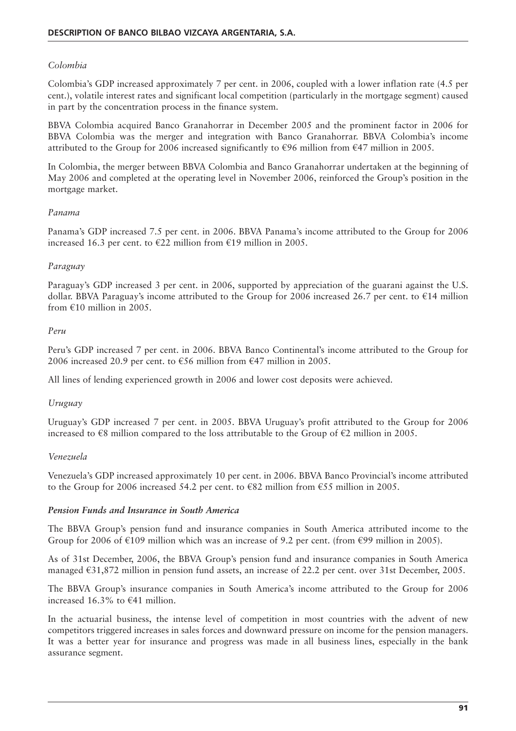# *Colombia*

Colombia's GDP increased approximately 7 per cent. in 2006, coupled with a lower inflation rate (4.5 per cent.), volatile interest rates and significant local competition (particularly in the mortgage segment) caused in part by the concentration process in the finance system.

BBVA Colombia acquired Banco Granahorrar in December 2005 and the prominent factor in 2006 for BBVA Colombia was the merger and integration with Banco Granahorrar. BBVA Colombia's income attributed to the Group for 2006 increased significantly to  $\epsilon$ 96 million from  $\epsilon$ 47 million in 2005.

In Colombia, the merger between BBVA Colombia and Banco Granahorrar undertaken at the beginning of May 2006 and completed at the operating level in November 2006, reinforced the Group's position in the mortgage market.

#### *Panama*

Panama's GDP increased 7.5 per cent. in 2006. BBVA Panama's income attributed to the Group for 2006 increased 16.3 per cent. to  $\epsilon$ 22 million from  $\epsilon$ 19 million in 2005.

# *Paraguay*

Paraguay's GDP increased 3 per cent. in 2006, supported by appreciation of the guarani against the U.S. dollar. BBVA Paraguay's income attributed to the Group for 2006 increased 26.7 per cent. to  $\epsilon$ 14 million from  $€10$  million in 2005.

# *Peru*

Peru's GDP increased 7 per cent. in 2006. BBVA Banco Continental's income attributed to the Group for 2006 increased 20.9 per cent. to  $\epsilon$ 56 million from  $\epsilon$ 47 million in 2005.

All lines of lending experienced growth in 2006 and lower cost deposits were achieved.

# *Uruguay*

Uruguay's GDP increased 7 per cent. in 2005. BBVA Uruguay's profit attributed to the Group for 2006 increased to  $\epsilon$ 8 million compared to the loss attributable to the Group of  $\epsilon$ 2 million in 2005.

# *Venezuela*

Venezuela's GDP increased approximately 10 per cent. in 2006. BBVA Banco Provincial's income attributed to the Group for 2006 increased 54.2 per cent. to €82 million from  $€55$  million in 2005.

#### *Pension Funds and Insurance in South America*

The BBVA Group's pension fund and insurance companies in South America attributed income to the Group for 2006 of  $\epsilon$ 109 million which was an increase of 9.2 per cent. (from  $\epsilon$ 99 million in 2005).

As of 31st December, 2006, the BBVA Group's pension fund and insurance companies in South America managed  $\epsilon$ 31,872 million in pension fund assets, an increase of 22.2 per cent. over 31st December, 2005.

The BBVA Group's insurance companies in South America's income attributed to the Group for 2006 increased 16.3% to €41 million.

In the actuarial business, the intense level of competition in most countries with the advent of new competitors triggered increases in sales forces and downward pressure on income for the pension managers. It was a better year for insurance and progress was made in all business lines, especially in the bank assurance segment.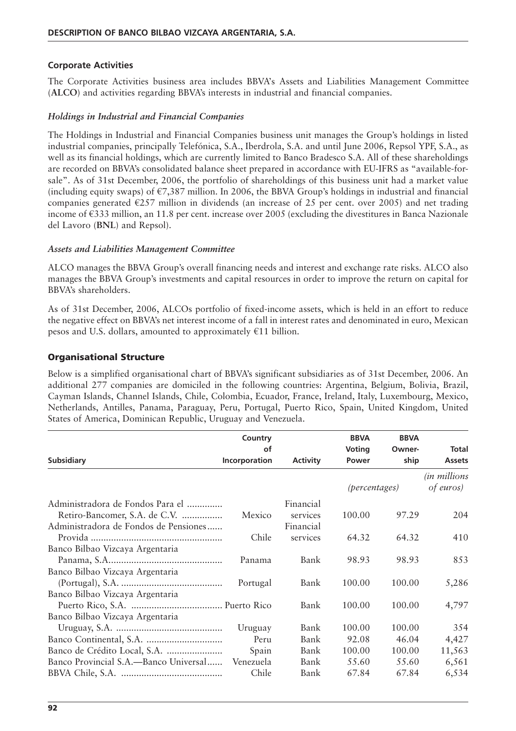# **Corporate Activities**

The Corporate Activities business area includes BBVA's Assets and Liabilities Management Committee (**ALCO**) and activities regarding BBVA's interests in industrial and financial companies.

# *Holdings in Industrial and Financial Companies*

The Holdings in Industrial and Financial Companies business unit manages the Group's holdings in listed industrial companies, principally Telefónica, S.A., Iberdrola, S.A. and until June 2006, Repsol YPF, S.A., as well as its financial holdings, which are currently limited to Banco Bradesco S.A. All of these shareholdings are recorded on BBVA's consolidated balance sheet prepared in accordance with EU-IFRS as "available-forsale". As of 31st December, 2006, the portfolio of shareholdings of this business unit had a market value (including equity swaps) of  $\epsilon$ 7,387 million. In 2006, the BBVA Group's holdings in industrial and financial companies generated  $\epsilon$ 257 million in dividends (an increase of 25 per cent. over 2005) and net trading income of €333 million, an 11.8 per cent. increase over 2005 (excluding the divestitures in Banca Nazionale del Lavoro (**BNL**) and Repsol).

# *Assets and Liabilities Management Committee*

ALCO manages the BBVA Group's overall financing needs and interest and exchange rate risks. ALCO also manages the BBVA Group's investments and capital resources in order to improve the return on capital for BBVA's shareholders.

As of 31st December, 2006, ALCOs portfolio of fixed-income assets, which is held in an effort to reduce the negative effect on BBVA's net interest income of a fall in interest rates and denominated in euro, Mexican pesos and U.S. dollars, amounted to approximately €11 billion.

# **Organisational Structure**

Below is a simplified organisational chart of BBVA's significant subsidiaries as of 31st December, 2006. An additional 277 companies are domiciled in the following countries: Argentina, Belgium, Bolivia, Brazil, Cayman Islands, Channel Islands, Chile, Colombia, Ecuador, France, Ireland, Italy, Luxembourg, Mexico, Netherlands, Antilles, Panama, Paraguay, Peru, Portugal, Puerto Rico, Spain, United Kingdom, United States of America, Dominican Republic, Uruguay and Venezuela.

|                                       | Country       |                 | <b>BBVA</b>   | <b>BBVA</b>   |                      |
|---------------------------------------|---------------|-----------------|---------------|---------------|----------------------|
|                                       | οf            |                 | <b>Voting</b> | Owner-        | <b>Total</b>         |
| <b>Subsidiary</b>                     | Incorporation | <b>Activity</b> | <b>Power</b>  | ship          | <b>Assets</b>        |
|                                       |               |                 |               |               | <i>(in millions)</i> |
|                                       |               |                 |               | (percentages) | of euros)            |
| Administradora de Fondos Para el      |               | Financial       |               |               |                      |
| Retiro-Bancomer, S.A. de C.V.         | Mexico        | services        | 100.00        | 97.29         | 204                  |
| Administradora de Fondos de Pensiones |               | Financial       |               |               |                      |
|                                       | Chile         | services        | 64.32         | 64.32         | 410                  |
| Banco Bilbao Vizcaya Argentaria       |               |                 |               |               |                      |
|                                       | Panama        | Bank            | 98.93         | 98.93         | 853                  |
| Banco Bilbao Vizcaya Argentaria       |               |                 |               |               |                      |
|                                       | Portugal      | Bank            | 100.00        | 100.00        | 5,286                |
| Banco Bilbao Vizcaya Argentaria       |               |                 |               |               |                      |
|                                       |               | Bank            | 100.00        | 100.00        | 4,797                |
| Banco Bilbao Vizcaya Argentaria       |               |                 |               |               |                      |
|                                       | Uruguay       | Bank            | 100.00        | 100.00        | 354                  |
|                                       | Peru          | Bank            | 92.08         | 46.04         | 4,427                |
|                                       | Spain         | Bank            | 100.00        | 100.00        | 11,563               |
| Banco Provincial S.A.—Banco Universal | Venezuela     | Bank            | 55.60         | 55.60         | 6,561                |
|                                       | Chile         | Bank            | 67.84         | 67.84         | 6,534                |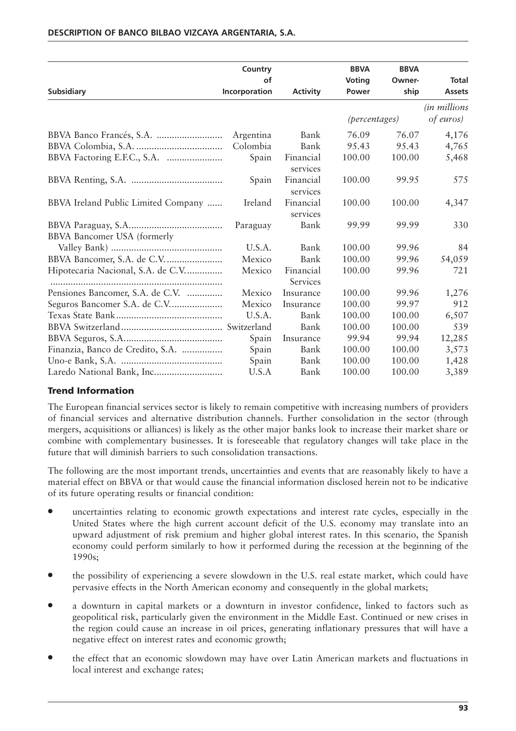|                                     | Country             |                       | <b>BBVA</b>          | <b>BBVA</b>    |                                    |
|-------------------------------------|---------------------|-----------------------|----------------------|----------------|------------------------------------|
| <b>Subsidiary</b>                   | of<br>Incorporation | <b>Activity</b>       | Voting<br>Power      | Owner-<br>ship | <b>Total</b><br><b>Assets</b>      |
|                                     |                     |                       | <i>(percentages)</i> |                | <i>(in millions</i> )<br>of euros) |
|                                     | Argentina           | Bank                  | 76.09                | 76.07          | 4,176                              |
|                                     | Colombia            | Bank                  | 95.43                | 95.43          | 4,765                              |
|                                     | Spain               | Financial<br>services | 100.00               | 100.00         | 5,468                              |
|                                     | Spain               | Financial<br>services | 100.00               | 99.95          | 575                                |
| BBVA Ireland Public Limited Company | Ireland             | Financial<br>services | 100.00               | 100.00         | 4,347                              |
|                                     | Paraguay            | Bank                  | 99.99                | 99.99          | 330                                |
| BBVA Bancomer USA (formerly         |                     |                       |                      |                |                                    |
|                                     | U.S.A.              | Bank                  | 100.00               | 99.96          | 84                                 |
| BBVA Bancomer, S.A. de C.V.         | Mexico              | Bank                  | 100.00               | 99.96          | 54,059                             |
| Hipotecaria Nacional, S.A. de C.V   | Mexico              | Financial<br>Services | 100.00               | 99.96          | 721                                |
| Pensiones Bancomer, S.A. de C.V.    | Mexico              | Insurance             | 100.00               | 99.96          | 1,276                              |
|                                     | Mexico              | Insurance             | 100.00               | 99.97          | 912                                |
|                                     | U.S.A.              | Bank                  | 100.00               | 100.00         | 6,507                              |
|                                     |                     | Bank                  | 100.00               | 100.00         | 539                                |
|                                     | Spain               | Insurance             | 99.94                | 99.94          | 12,285                             |
| Finanzia, Banco de Credito, S.A.    | Spain               | Bank                  | 100.00               | 100.00         | 3,573                              |
|                                     | Spain               | Bank                  | 100.00               | 100.00         | 1,428                              |
|                                     | U.S.A               | Bank                  | 100.00               | 100.00         | 3,389                              |

# **Trend Information**

The European financial services sector is likely to remain competitive with increasing numbers of providers of financial services and alternative distribution channels. Further consolidation in the sector (through mergers, acquisitions or alliances) is likely as the other major banks look to increase their market share or combine with complementary businesses. It is foreseeable that regulatory changes will take place in the future that will diminish barriers to such consolidation transactions.

The following are the most important trends, uncertainties and events that are reasonably likely to have a material effect on BBVA or that would cause the financial information disclosed herein not to be indicative of its future operating results or financial condition:

- uncertainties relating to economic growth expectations and interest rate cycles, especially in the United States where the high current account deficit of the U.S. economy may translate into an upward adjustment of risk premium and higher global interest rates. In this scenario, the Spanish economy could perform similarly to how it performed during the recession at the beginning of the 1990s;
- the possibility of experiencing a severe slowdown in the U.S. real estate market, which could have pervasive effects in the North American economy and consequently in the global markets;
- a downturn in capital markets or a downturn in investor confidence, linked to factors such as geopolitical risk, particularly given the environment in the Middle East. Continued or new crises in the region could cause an increase in oil prices, generating inflationary pressures that will have a negative effect on interest rates and economic growth;
- the effect that an economic slowdown may have over Latin American markets and fluctuations in local interest and exchange rates;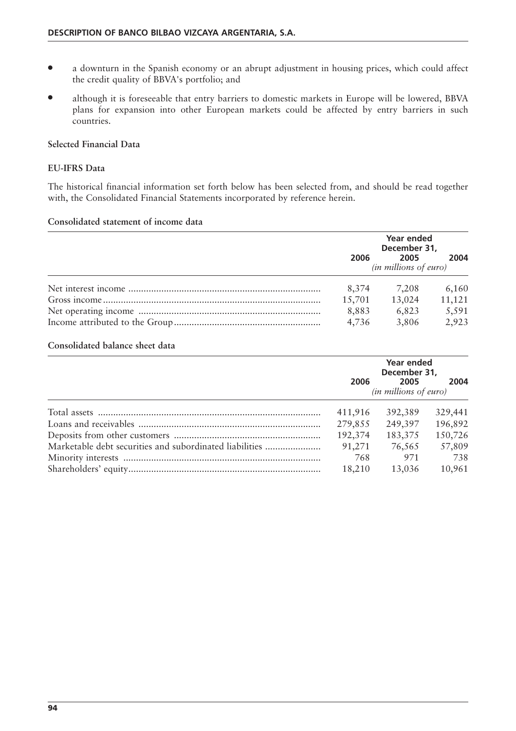- a downturn in the Spanish economy or an abrupt adjustment in housing prices, which could affect the credit quality of BBVA's portfolio; and
- although it is foreseeable that entry barriers to domestic markets in Europe will be lowered, BBVA plans for expansion into other European markets could be affected by entry barriers in such countries.

## **Selected Financial Data**

### **EU-IFRS Data**

The historical financial information set forth below has been selected from, and should be read together with, the Consolidated Financial Statements incorporated by reference herein.

# **Consolidated statement of income data**

|  | Year ended<br>December 31,<br>2006<br>2004<br>2005<br><i>(in millions of euro)</i> |        |        |
|--|------------------------------------------------------------------------------------|--------|--------|
|  |                                                                                    |        |        |
|  | 8,374                                                                              | 7.208  | 6,160  |
|  | 15,701                                                                             | 13,024 | 11,121 |
|  | 8,883                                                                              | 6,823  | 5,591  |
|  | 4,736                                                                              | 3,806  | 2,923  |

## **Consolidated balance sheet data**

|                                                         | Year ended<br>December 31, |                                      |         |  |
|---------------------------------------------------------|----------------------------|--------------------------------------|---------|--|
|                                                         | 2006                       | 2005<br><i>(in millions of euro)</i> | 2004    |  |
|                                                         | 411,916                    | 392,389                              | 329,441 |  |
|                                                         | 279,855                    | 249,397                              | 196,892 |  |
|                                                         | 192,374                    | 183,375                              | 150,726 |  |
| Marketable debt securities and subordinated liabilities | 91,271                     | 76,565                               | 57,809  |  |
|                                                         | 768                        | 971                                  | 738     |  |
|                                                         | 18,210                     | 13,036                               | 10,961  |  |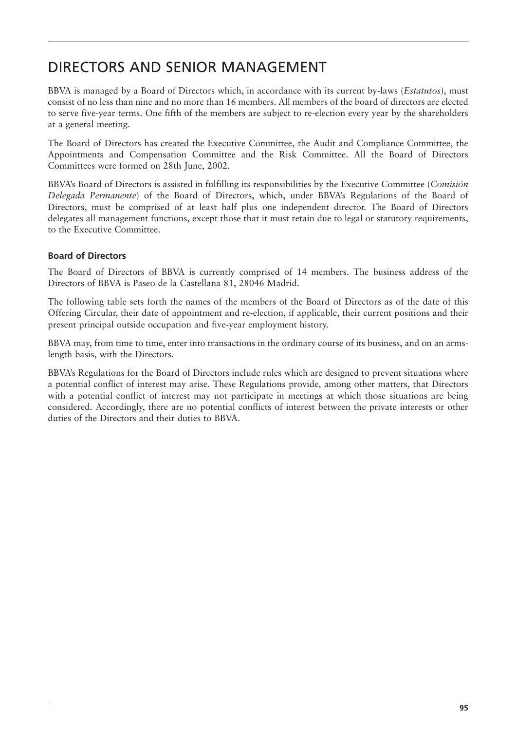# DIRECTORS AND SENIOR MANAGEMENT

BBVA is managed by a Board of Directors which, in accordance with its current by-laws (*Estatutos*), must consist of no less than nine and no more than 16 members. All members of the board of directors are elected to serve five-year terms. One fifth of the members are subject to re-election every year by the shareholders at a general meeting.

The Board of Directors has created the Executive Committee, the Audit and Compliance Committee, the Appointments and Compensation Committee and the Risk Committee. All the Board of Directors Committees were formed on 28th June, 2002.

BBVA's Board of Directors is assisted in fulfilling its responsibilities by the Executive Committee (*Comisión Delegada Permanente*) of the Board of Directors, which, under BBVA's Regulations of the Board of Directors, must be comprised of at least half plus one independent director. The Board of Directors delegates all management functions, except those that it must retain due to legal or statutory requirements, to the Executive Committee.

# **Board of Directors**

The Board of Directors of BBVA is currently comprised of 14 members. The business address of the Directors of BBVA is Paseo de la Castellana 81, 28046 Madrid.

The following table sets forth the names of the members of the Board of Directors as of the date of this Offering Circular, their date of appointment and re-election, if applicable, their current positions and their present principal outside occupation and five-year employment history.

BBVA may, from time to time, enter into transactions in the ordinary course of its business, and on an armslength basis, with the Directors.

BBVA's Regulations for the Board of Directors include rules which are designed to prevent situations where a potential conflict of interest may arise. These Regulations provide, among other matters, that Directors with a potential conflict of interest may not participate in meetings at which those situations are being considered. Accordingly, there are no potential conflicts of interest between the private interests or other duties of the Directors and their duties to BBVA.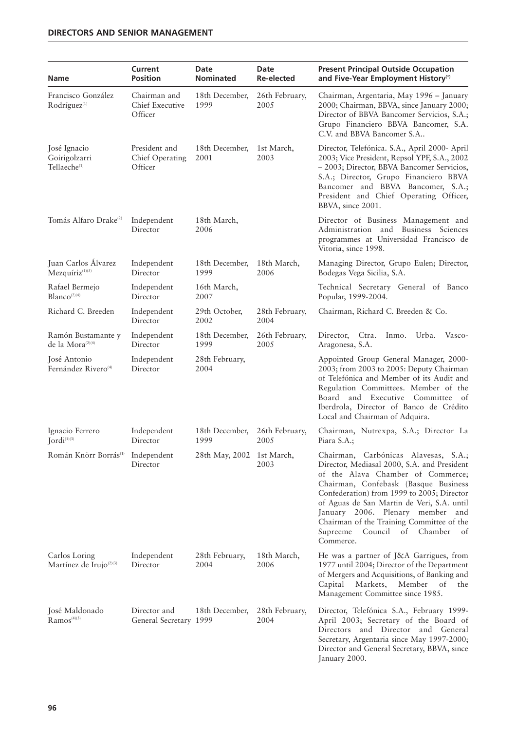| <b>Name</b>                                               | Current<br><b>Position</b>                  | Date<br><b>Nominated</b>  | Date<br><b>Re-elected</b> | <b>Present Principal Outside Occupation</b><br>and Five-Year Employment History <sup>(*)</sup>                                                                                                                                                                                                                                                                                                     |
|-----------------------------------------------------------|---------------------------------------------|---------------------------|---------------------------|----------------------------------------------------------------------------------------------------------------------------------------------------------------------------------------------------------------------------------------------------------------------------------------------------------------------------------------------------------------------------------------------------|
| Francisco González<br>Rodríguez <sup>(1)</sup>            | Chairman and<br>Chief Executive<br>Officer  | 18th December,<br>1999    | 26th February,<br>2005    | Chairman, Argentaria, May 1996 - January<br>2000; Chairman, BBVA, since January 2000;<br>Director of BBVA Bancomer Servicios, S.A.;<br>Grupo Financiero BBVA Bancomer, S.A.<br>C.V. and BBVA Bancomer S.A                                                                                                                                                                                          |
| José Ignacio<br>Goirigolzarri<br>Tellaeche <sup>(1)</sup> | President and<br>Chief Operating<br>Officer | 18th December,<br>2001    | 1st March,<br>2003        | Director, Telefónica. S.A., April 2000- April<br>2003; Vice President, Repsol YPF, S.A., 2002<br>- 2003; Director, BBVA Bancomer Servicios,<br>S.A.; Director, Grupo Financiero BBVA<br>Bancomer and BBVA Bancomer, S.A.;<br>President and Chief Operating Officer,<br>BBVA, since 2001.                                                                                                           |
| Tomás Alfaro Drake <sup>(2)</sup>                         | Independent<br>Director                     | 18th March,<br>2006       |                           | Director of Business Management and<br>Business Sciences<br>Administration and<br>programmes at Universidad Francisco de<br>Vitoria, since 1998.                                                                                                                                                                                                                                                   |
| Juan Carlos Álvarez<br>$Mez$ quíri $z^{(1)(3)}$           | Independent<br>Director                     | 18th December,<br>1999    | 18th March,<br>2006       | Managing Director, Grupo Eulen; Director,<br>Bodegas Vega Sicilia, S.A.                                                                                                                                                                                                                                                                                                                            |
| Rafael Bermejo<br>Blanco <sup>(2)(4)</sup>                | Independent<br>Director                     | 16th March,<br>2007       |                           | Technical Secretary General of Banco<br>Popular, 1999-2004.                                                                                                                                                                                                                                                                                                                                        |
| Richard C. Breeden                                        | Independent<br>Director                     | 29th October,<br>2002     | 28th February,<br>2004    | Chairman, Richard C. Breeden & Co.                                                                                                                                                                                                                                                                                                                                                                 |
| Ramón Bustamante y<br>de la Mora <sup>(2)(4)</sup>        | Independent<br>Director                     | 18th December,<br>1999    | 26th February,<br>2005    | Director, Ctra.<br>Inmo.<br>Urba.<br>Vasco-<br>Aragonesa, S.A.                                                                                                                                                                                                                                                                                                                                     |
| José Antonio<br>Fernández Rivero <sup>(4)</sup>           | Independent<br>Director                     | 28th February,<br>2004    |                           | Appointed Group General Manager, 2000-<br>2003; from 2003 to 2005: Deputy Chairman<br>of Telefónica and Member of its Audit and<br>Regulation Committees. Member of the<br>Board and Executive Committee<br>- of<br>Iberdrola, Director of Banco de Crédito<br>Local and Chairman of Adquira.                                                                                                      |
| Ignacio Ferrero<br>$Jordi^{(1)(3)}$                       | Independent<br>Director                     | 18th December,<br>1999    | 26th February,<br>2005    | Chairman, Nutrexpa, S.A.; Director La<br>Piara S.A.;                                                                                                                                                                                                                                                                                                                                               |
| Román Knörr Borrás <sup>(1)</sup> Independent             | Director                                    | 28th May, 2002 1st March, | 2003                      | Chairman, Carbónicas Alavesas, S.A.;<br>Director, Mediasal 2000, S.A. and President<br>of the Alava Chamber of Commerce;<br>Chairman, Confebask (Basque Business<br>Confederation) from 1999 to 2005; Director<br>of Aguas de San Martin de Veri, S.A. until<br>January 2006. Plenary member and<br>Chairman of the Training Committee of the<br>Council of Chamber<br>Supreeme<br>of<br>Commerce. |
| Carlos Loring<br>Martínez de Irujo <sup>(2)(3)</sup>      | Independent<br>Director                     | 28th February,<br>2004    | 18th March,<br>2006       | He was a partner of J&A Garrigues, from<br>1977 until 2004; Director of the Department<br>of Mergers and Acquisitions, of Banking and<br>Markets,<br>Member<br>Capital<br>of<br>the<br>Management Committee since 1985.                                                                                                                                                                            |
| José Maldonado<br>$Ramos^{(4)(5)}$                        | Director and<br>General Secretary 1999      | 18th December,            | 28th February,<br>2004    | Director, Telefónica S.A., February 1999-<br>April 2003; Secretary of the Board of<br>Directors and Director and General<br>Secretary, Argentaria since May 1997-2000;<br>Director and General Secretary, BBVA, since<br>January 2000.                                                                                                                                                             |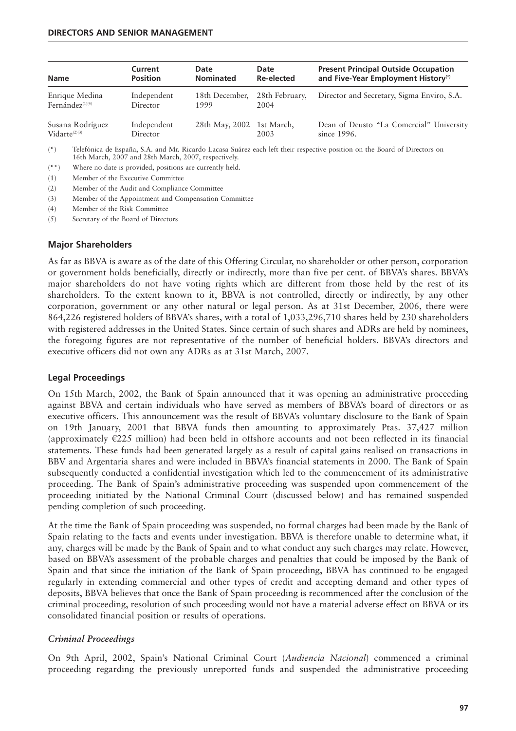| <b>Name</b>                            | Current                 | Date                      | Date           | <b>Present Principal Outside Occupation</b>             |
|----------------------------------------|-------------------------|---------------------------|----------------|---------------------------------------------------------|
|                                        | <b>Position</b>         | <b>Nominated</b>          | Re-elected     | and Five-Year Employment History <sup>(*)</sup>         |
| Enrique Medina                         | Independent             | 18th December,            | 28th February, | Director and Secretary, Sigma Enviro, S.A.              |
| Fernández <sup>(1)(4)</sup>            | Director                | 1999                      | 2004           |                                                         |
| Susana Rodríguez<br>$Vidarte^{(2)(3)}$ | Independent<br>Director | 28th May, 2002 1st March, | 2003           | Dean of Deusto "La Comercial" University<br>since 1996. |

(\*) Telefónica de España, S.A. and Mr. Ricardo Lacasa Suárez each left their respective position on the Board of Directors on 16th March, 2007 and 28th March, 2007, respectively.

(\*\*) Where no date is provided, positions are currently held.

(1) Member of the Executive Committee

(2) Member of the Audit and Compliance Committee

(3) Member of the Appointment and Compensation Committee

(4) Member of the Risk Committee

(5) Secretary of the Board of Directors

#### **Major Shareholders**

As far as BBVA is aware as of the date of this Offering Circular, no shareholder or other person, corporation or government holds beneficially, directly or indirectly, more than five per cent. of BBVA's shares. BBVA's major shareholders do not have voting rights which are different from those held by the rest of its shareholders. To the extent known to it, BBVA is not controlled, directly or indirectly, by any other corporation, government or any other natural or legal person. As at 31st December, 2006, there were 864,226 registered holders of BBVA's shares, with a total of 1,033,296,710 shares held by 230 shareholders with registered addresses in the United States. Since certain of such shares and ADRs are held by nominees, the foregoing figures are not representative of the number of beneficial holders. BBVA's directors and executive officers did not own any ADRs as at 31st March, 2007.

#### **Legal Proceedings**

On 15th March, 2002, the Bank of Spain announced that it was opening an administrative proceeding against BBVA and certain individuals who have served as members of BBVA's board of directors or as executive officers. This announcement was the result of BBVA's voluntary disclosure to the Bank of Spain on 19th January, 2001 that BBVA funds then amounting to approximately Ptas. 37,427 million (approximately  $E225$  million) had been held in offshore accounts and not been reflected in its financial statements. These funds had been generated largely as a result of capital gains realised on transactions in BBV and Argentaria shares and were included in BBVA's financial statements in 2000. The Bank of Spain subsequently conducted a confidential investigation which led to the commencement of its administrative proceeding. The Bank of Spain's administrative proceeding was suspended upon commencement of the proceeding initiated by the National Criminal Court (discussed below) and has remained suspended pending completion of such proceeding.

At the time the Bank of Spain proceeding was suspended, no formal charges had been made by the Bank of Spain relating to the facts and events under investigation. BBVA is therefore unable to determine what, if any, charges will be made by the Bank of Spain and to what conduct any such charges may relate. However, based on BBVA's assessment of the probable charges and penalties that could be imposed by the Bank of Spain and that since the initiation of the Bank of Spain proceeding, BBVA has continued to be engaged regularly in extending commercial and other types of credit and accepting demand and other types of deposits, BBVA believes that once the Bank of Spain proceeding is recommenced after the conclusion of the criminal proceeding, resolution of such proceeding would not have a material adverse effect on BBVA or its consolidated financial position or results of operations.

# *Criminal Proceedings*

On 9th April, 2002, Spain's National Criminal Court (*Audiencia Nacional*) commenced a criminal proceeding regarding the previously unreported funds and suspended the administrative proceeding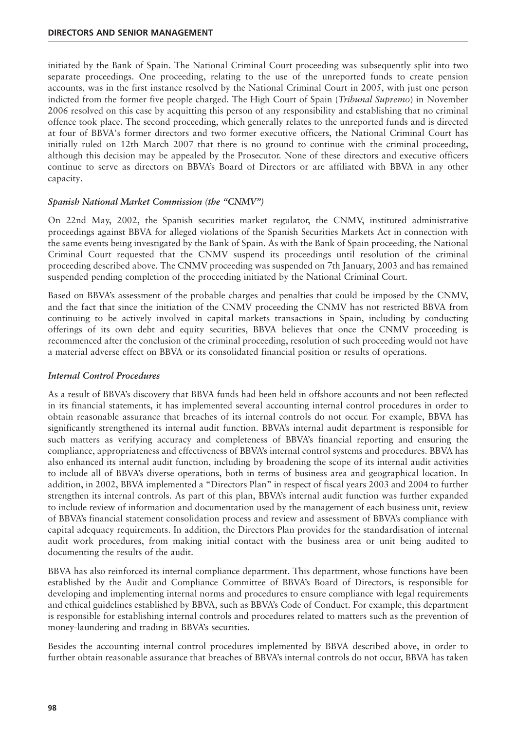initiated by the Bank of Spain. The National Criminal Court proceeding was subsequently split into two separate proceedings. One proceeding, relating to the use of the unreported funds to create pension accounts, was in the first instance resolved by the National Criminal Court in 2005, with just one person indicted from the former five people charged. The High Court of Spain (*Tribunal Supremo*) in November 2006 resolved on this case by acquitting this person of any responsibility and establishing that no criminal offence took place. The second proceeding, which generally relates to the unreported funds and is directed at four of BBVA's former directors and two former executive officers, the National Criminal Court has initially ruled on 12th March 2007 that there is no ground to continue with the criminal proceeding, although this decision may be appealed by the Prosecutor. None of these directors and executive officers continue to serve as directors on BBVA's Board of Directors or are affiliated with BBVA in any other capacity.

# *Spanish National Market Commission (the "CNMV")*

On 22nd May, 2002, the Spanish securities market regulator, the CNMV, instituted administrative proceedings against BBVA for alleged violations of the Spanish Securities Markets Act in connection with the same events being investigated by the Bank of Spain. As with the Bank of Spain proceeding, the National Criminal Court requested that the CNMV suspend its proceedings until resolution of the criminal proceeding described above. The CNMV proceeding was suspended on 7th January, 2003 and has remained suspended pending completion of the proceeding initiated by the National Criminal Court.

Based on BBVA's assessment of the probable charges and penalties that could be imposed by the CNMV, and the fact that since the initiation of the CNMV proceeding the CNMV has not restricted BBVA from continuing to be actively involved in capital markets transactions in Spain, including by conducting offerings of its own debt and equity securities, BBVA believes that once the CNMV proceeding is recommenced after the conclusion of the criminal proceeding, resolution of such proceeding would not have a material adverse effect on BBVA or its consolidated financial position or results of operations.

#### *Internal Control Procedures*

As a result of BBVA's discovery that BBVA funds had been held in offshore accounts and not been reflected in its financial statements, it has implemented several accounting internal control procedures in order to obtain reasonable assurance that breaches of its internal controls do not occur. For example, BBVA has significantly strengthened its internal audit function. BBVA's internal audit department is responsible for such matters as verifying accuracy and completeness of BBVA's financial reporting and ensuring the compliance, appropriateness and effectiveness of BBVA's internal control systems and procedures. BBVA has also enhanced its internal audit function, including by broadening the scope of its internal audit activities to include all of BBVA's diverse operations, both in terms of business area and geographical location. In addition, in 2002, BBVA implemented a "Directors Plan" in respect of fiscal years 2003 and 2004 to further strengthen its internal controls. As part of this plan, BBVA's internal audit function was further expanded to include review of information and documentation used by the management of each business unit, review of BBVA's financial statement consolidation process and review and assessment of BBVA's compliance with capital adequacy requirements. In addition, the Directors Plan provides for the standardisation of internal audit work procedures, from making initial contact with the business area or unit being audited to documenting the results of the audit.

BBVA has also reinforced its internal compliance department. This department, whose functions have been established by the Audit and Compliance Committee of BBVA's Board of Directors, is responsible for developing and implementing internal norms and procedures to ensure compliance with legal requirements and ethical guidelines established by BBVA, such as BBVA's Code of Conduct. For example, this department is responsible for establishing internal controls and procedures related to matters such as the prevention of money-laundering and trading in BBVA's securities.

Besides the accounting internal control procedures implemented by BBVA described above, in order to further obtain reasonable assurance that breaches of BBVA's internal controls do not occur, BBVA has taken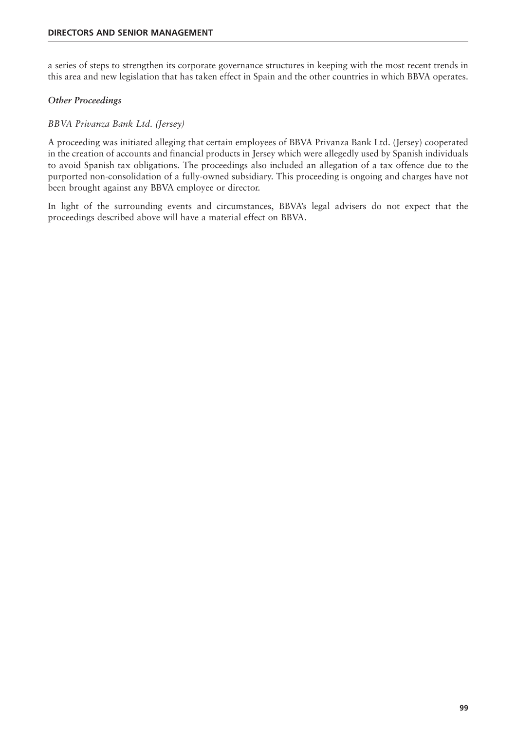a series of steps to strengthen its corporate governance structures in keeping with the most recent trends in this area and new legislation that has taken effect in Spain and the other countries in which BBVA operates.

# *Other Proceedings*

# *BBVA Privanza Bank Ltd. (Jersey)*

A proceeding was initiated alleging that certain employees of BBVA Privanza Bank Ltd. (Jersey) cooperated in the creation of accounts and financial products in Jersey which were allegedly used by Spanish individuals to avoid Spanish tax obligations. The proceedings also included an allegation of a tax offence due to the purported non-consolidation of a fully-owned subsidiary. This proceeding is ongoing and charges have not been brought against any BBVA employee or director.

In light of the surrounding events and circumstances, BBVA's legal advisers do not expect that the proceedings described above will have a material effect on BBVA.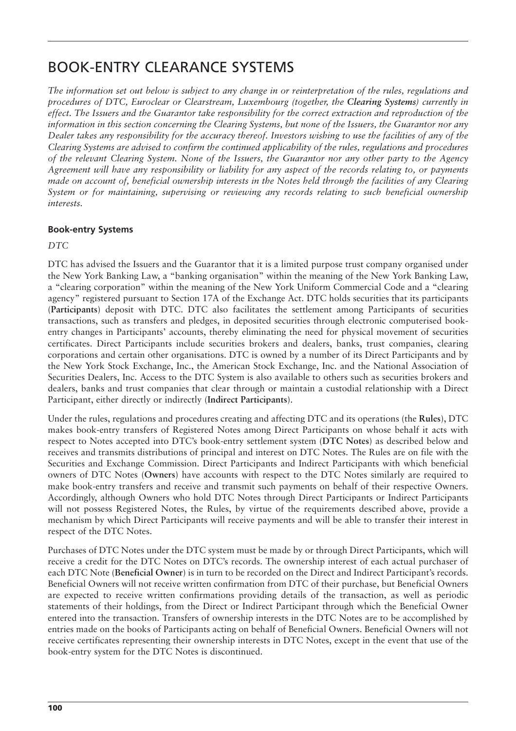# BOOK-ENTRY CLEARANCE SYSTEMS

*The information set out below is subject to any change in or reinterpretation of the rules, regulations and procedures of DTC, Euroclear or Clearstream, Luxembourg (together, the Clearing Systems) currently in effect. The Issuers and the Guarantor take responsibility for the correct extraction and reproduction of the information in this section concerning the Clearing Systems, but none of the Issuers, the Guarantor nor any Dealer takes any responsibility for the accuracy thereof. Investors wishing to use the facilities of any of the Clearing Systems are advised to confirm the continued applicability of the rules, regulations and procedures of the relevant Clearing System. None of the Issuers, the Guarantor nor any other party to the Agency Agreement will have any responsibility or liability for any aspect of the records relating to, or payments made on account of, beneficial ownership interests in the Notes held through the facilities of any Clearing System or for maintaining, supervising or reviewing any records relating to such beneficial ownership interests.*

# **Book-entry Systems**

*DTC*

DTC has advised the Issuers and the Guarantor that it is a limited purpose trust company organised under the New York Banking Law, a "banking organisation" within the meaning of the New York Banking Law, a "clearing corporation" within the meaning of the New York Uniform Commercial Code and a "clearing agency" registered pursuant to Section 17A of the Exchange Act. DTC holds securities that its participants (**Participants**) deposit with DTC. DTC also facilitates the settlement among Participants of securities transactions, such as transfers and pledges, in deposited securities through electronic computerised bookentry changes in Participants' accounts, thereby eliminating the need for physical movement of securities certificates. Direct Participants include securities brokers and dealers, banks, trust companies, clearing corporations and certain other organisations. DTC is owned by a number of its Direct Participants and by the New York Stock Exchange, Inc., the American Stock Exchange, Inc. and the National Association of Securities Dealers, Inc. Access to the DTC System is also available to others such as securities brokers and dealers, banks and trust companies that clear through or maintain a custodial relationship with a Direct Participant, either directly or indirectly (**Indirect Participants**).

Under the rules, regulations and procedures creating and affecting DTC and its operations (the **Rules**), DTC makes book-entry transfers of Registered Notes among Direct Participants on whose behalf it acts with respect to Notes accepted into DTC's book-entry settlement system (**DTC Notes**) as described below and receives and transmits distributions of principal and interest on DTC Notes. The Rules are on file with the Securities and Exchange Commission. Direct Participants and Indirect Participants with which beneficial owners of DTC Notes (**Owners**) have accounts with respect to the DTC Notes similarly are required to make book-entry transfers and receive and transmit such payments on behalf of their respective Owners. Accordingly, although Owners who hold DTC Notes through Direct Participants or Indirect Participants will not possess Registered Notes, the Rules, by virtue of the requirements described above, provide a mechanism by which Direct Participants will receive payments and will be able to transfer their interest in respect of the DTC Notes.

Purchases of DTC Notes under the DTC system must be made by or through Direct Participants, which will receive a credit for the DTC Notes on DTC's records. The ownership interest of each actual purchaser of each DTC Note (**Beneficial Owner**) is in turn to be recorded on the Direct and Indirect Participant's records. Beneficial Owners will not receive written confirmation from DTC of their purchase, but Beneficial Owners are expected to receive written confirmations providing details of the transaction, as well as periodic statements of their holdings, from the Direct or Indirect Participant through which the Beneficial Owner entered into the transaction. Transfers of ownership interests in the DTC Notes are to be accomplished by entries made on the books of Participants acting on behalf of Beneficial Owners. Beneficial Owners will not receive certificates representing their ownership interests in DTC Notes, except in the event that use of the book-entry system for the DTC Notes is discontinued.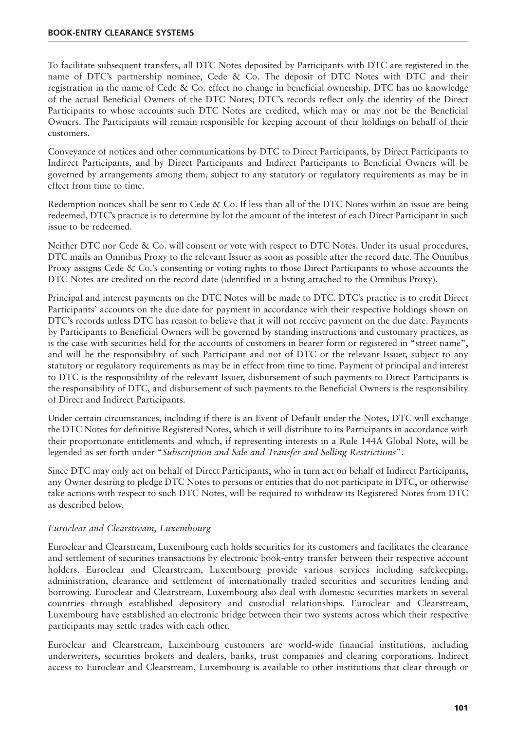To facilitate subsequent transfers, all DTC Notes deposited by Participants with DTC are registered in the name of DTC's partnership nominee, Cede & Co. The deposit of DTC Notes with DTC and their registration in the name of Cede & Co. effect no change in beneficial ownership. DTC has no knowledge of the actual Beneficial Owners of the DTC Notes; DTC's records reflect only the identity of the Direct Participants to whose accounts such DTC Notes are credited, which may or may not be the Beneficial Owners. The Participants will remain responsible for keeping account of their holdings on behalf of their customers.

Conveyance of notices and other communications by DTC to Direct Participants, by Direct Participants to Indirect Participants, and by Direct Participants and Indirect Participants to Beneficial Owners will be governed by arrangements among them, subject to any statutory or regulatory requirements as may be in effect from time to time.

Redemption notices shall be sent to Cede & Co. If less than all of the DTC Notes within an issue are being redeemed, DTC's practice is to determine by lot the amount of the interest of each Direct Participant in such issue to be redeemed.

Neither DTC nor Cede & Co. will consent or vote with respect to DTC Notes. Under its usual procedures, DTC mails an Omnibus Proxy to the relevant Issuer as soon as possible after the record date. The Omnibus Proxy assigns Cede & Co.'s consenting or voting rights to those Direct Participants to whose accounts the DTC Notes are credited on the record date (identified in a listing attached to the Omnibus Proxy).

Principal and interest payments on the DTC Notes will be made to DTC. DTC's practice is to credit Direct Participants' accounts on the due date for payment in accordance with their respective holdings shown on DTC's records unless DTC has reason to believe that it will not receive payment on the due date. Payments by Participants to Beneficial Owners will be governed by standing instructions and customary practices, as is the case with securities held for the accounts of customers in bearer form or registered in "street name", and will be the responsibility of such Participant and not of DTC or the relevant Issuer, subject to any statutory or regulatory requirements as may be in effect from time to time. Payment of principal and interest to DTC is the responsibility of the relevant Issuer, disbursement of such payments to Direct Participants is the responsibility of DTC, and disbursement of such payments to the Beneficial Owners is the responsibility of Direct and Indirect Participants.

Under certain circumstances, including if there is an Event of Default under the Notes, DTC will exchange the DTC Notes for definitive Registered Notes, which it will distribute to its Participants in accordance with their proportionate entitlements and which, if representing interests in a Rule 144A Global Note, will be legended as set forth under "*Subscription and Sale and Transfer and Selling Restrictions*".

Since DTC may only act on behalf of Direct Participants, who in turn act on behalf of Indirect Participants, any Owner desiring to pledge DTC Notes to persons or entities that do not participate in DTC, or otherwise take actions with respect to such DTC Notes, will be required to withdraw its Registered Notes from DTC as described below.

# *Euroclear and Clearstream, Luxembourg*

Euroclear and Clearstream, Luxembourg each holds securities for its customers and facilitates the clearance and settlement of securities transactions by electronic book-entry transfer between their respective account holders. Euroclear and Clearstream, Luxembourg provide various services including safekeeping, administration, clearance and settlement of internationally traded securities and securities lending and borrowing. Euroclear and Clearstream, Luxembourg also deal with domestic securities markets in several countries through established depository and custodial relationships. Euroclear and Clearstream, Luxembourg have established an electronic bridge between their two systems across which their respective participants may settle trades with each other.

Euroclear and Clearstream, Luxembourg customers are world-wide financial institutions, including underwriters, securities brokers and dealers, banks, trust companies and clearing corporations. Indirect access to Euroclear and Clearstream, Luxembourg is available to other institutions that clear through or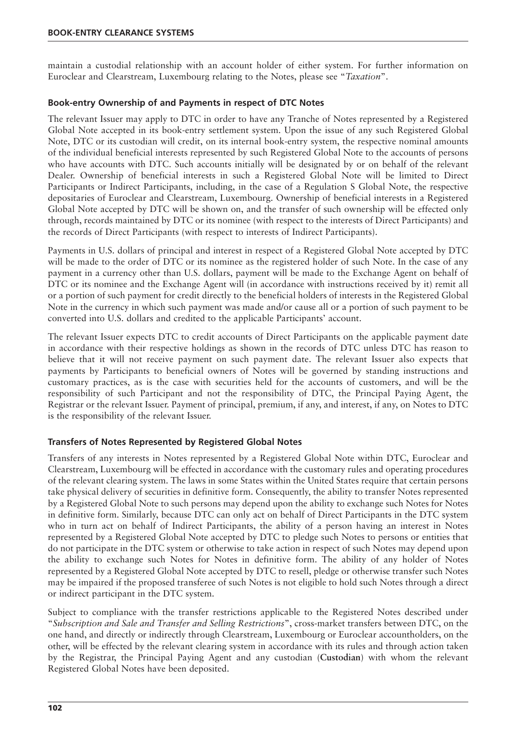maintain a custodial relationship with an account holder of either system. For further information on Euroclear and Clearstream, Luxembourg relating to the Notes, please see "*Taxation*".

# **Book-entry Ownership of and Payments in respect of DTC Notes**

The relevant Issuer may apply to DTC in order to have any Tranche of Notes represented by a Registered Global Note accepted in its book-entry settlement system. Upon the issue of any such Registered Global Note, DTC or its custodian will credit, on its internal book-entry system, the respective nominal amounts of the individual beneficial interests represented by such Registered Global Note to the accounts of persons who have accounts with DTC. Such accounts initially will be designated by or on behalf of the relevant Dealer. Ownership of beneficial interests in such a Registered Global Note will be limited to Direct Participants or Indirect Participants, including, in the case of a Regulation S Global Note, the respective depositaries of Euroclear and Clearstream, Luxembourg. Ownership of beneficial interests in a Registered Global Note accepted by DTC will be shown on, and the transfer of such ownership will be effected only through, records maintained by DTC or its nominee (with respect to the interests of Direct Participants) and the records of Direct Participants (with respect to interests of Indirect Participants).

Payments in U.S. dollars of principal and interest in respect of a Registered Global Note accepted by DTC will be made to the order of DTC or its nominee as the registered holder of such Note. In the case of any payment in a currency other than U.S. dollars, payment will be made to the Exchange Agent on behalf of DTC or its nominee and the Exchange Agent will (in accordance with instructions received by it) remit all or a portion of such payment for credit directly to the beneficial holders of interests in the Registered Global Note in the currency in which such payment was made and/or cause all or a portion of such payment to be converted into U.S. dollars and credited to the applicable Participants' account.

The relevant Issuer expects DTC to credit accounts of Direct Participants on the applicable payment date in accordance with their respective holdings as shown in the records of DTC unless DTC has reason to believe that it will not receive payment on such payment date. The relevant Issuer also expects that payments by Participants to beneficial owners of Notes will be governed by standing instructions and customary practices, as is the case with securities held for the accounts of customers, and will be the responsibility of such Participant and not the responsibility of DTC, the Principal Paying Agent, the Registrar or the relevant Issuer. Payment of principal, premium, if any, and interest, if any, on Notes to DTC is the responsibility of the relevant Issuer.

# **Transfers of Notes Represented by Registered Global Notes**

Transfers of any interests in Notes represented by a Registered Global Note within DTC, Euroclear and Clearstream, Luxembourg will be effected in accordance with the customary rules and operating procedures of the relevant clearing system. The laws in some States within the United States require that certain persons take physical delivery of securities in definitive form. Consequently, the ability to transfer Notes represented by a Registered Global Note to such persons may depend upon the ability to exchange such Notes for Notes in definitive form. Similarly, because DTC can only act on behalf of Direct Participants in the DTC system who in turn act on behalf of Indirect Participants, the ability of a person having an interest in Notes represented by a Registered Global Note accepted by DTC to pledge such Notes to persons or entities that do not participate in the DTC system or otherwise to take action in respect of such Notes may depend upon the ability to exchange such Notes for Notes in definitive form. The ability of any holder of Notes represented by a Registered Global Note accepted by DTC to resell, pledge or otherwise transfer such Notes may be impaired if the proposed transferee of such Notes is not eligible to hold such Notes through a direct or indirect participant in the DTC system.

Subject to compliance with the transfer restrictions applicable to the Registered Notes described under "*Subscription and Sale and Transfer and Selling Restrictions*", cross-market transfers between DTC, on the one hand, and directly or indirectly through Clearstream, Luxembourg or Euroclear accountholders, on the other, will be effected by the relevant clearing system in accordance with its rules and through action taken by the Registrar, the Principal Paying Agent and any custodian (**Custodian**) with whom the relevant Registered Global Notes have been deposited.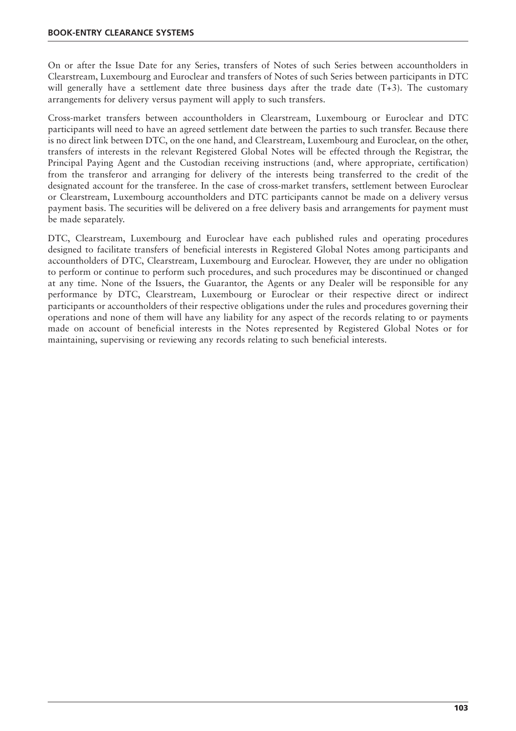On or after the Issue Date for any Series, transfers of Notes of such Series between accountholders in Clearstream, Luxembourg and Euroclear and transfers of Notes of such Series between participants in DTC will generally have a settlement date three business days after the trade date (T+3). The customary arrangements for delivery versus payment will apply to such transfers.

Cross-market transfers between accountholders in Clearstream, Luxembourg or Euroclear and DTC participants will need to have an agreed settlement date between the parties to such transfer. Because there is no direct link between DTC, on the one hand, and Clearstream, Luxembourg and Euroclear, on the other, transfers of interests in the relevant Registered Global Notes will be effected through the Registrar, the Principal Paying Agent and the Custodian receiving instructions (and, where appropriate, certification) from the transferor and arranging for delivery of the interests being transferred to the credit of the designated account for the transferee. In the case of cross-market transfers, settlement between Euroclear or Clearstream, Luxembourg accountholders and DTC participants cannot be made on a delivery versus payment basis. The securities will be delivered on a free delivery basis and arrangements for payment must be made separately.

DTC, Clearstream, Luxembourg and Euroclear have each published rules and operating procedures designed to facilitate transfers of beneficial interests in Registered Global Notes among participants and accountholders of DTC, Clearstream, Luxembourg and Euroclear. However, they are under no obligation to perform or continue to perform such procedures, and such procedures may be discontinued or changed at any time. None of the Issuers, the Guarantor, the Agents or any Dealer will be responsible for any performance by DTC, Clearstream, Luxembourg or Euroclear or their respective direct or indirect participants or accountholders of their respective obligations under the rules and procedures governing their operations and none of them will have any liability for any aspect of the records relating to or payments made on account of beneficial interests in the Notes represented by Registered Global Notes or for maintaining, supervising or reviewing any records relating to such beneficial interests.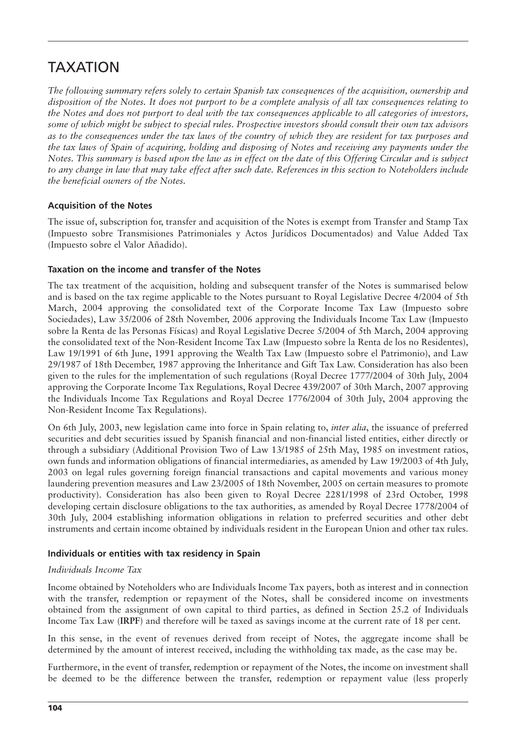# TAXATION

*The following summary refers solely to certain Spanish tax consequences of the acquisition, ownership and disposition of the Notes. It does not purport to be a complete analysis of all tax consequences relating to the Notes and does not purport to deal with the tax consequences applicable to all categories of investors, some of which might be subject to special rules. Prospective investors should consult their own tax advisors as to the consequences under the tax laws of the country of which they are resident for tax purposes and the tax laws of Spain of acquiring, holding and disposing of Notes and receiving any payments under the Notes. This summary is based upon the law as in effect on the date of this Offering Circular and is subject to any change in law that may take effect after such date. References in this section to Noteholders include the beneficial owners of the Notes.*

# **Acquisition of the Notes**

The issue of, subscription for, transfer and acquisition of the Notes is exempt from Transfer and Stamp Tax (Impuesto sobre Transmisiones Patrimoniales y Actos Jurídicos Documentados) and Value Added Tax (Impuesto sobre el Valor Añadido).

# **Taxation on the income and transfer of the Notes**

The tax treatment of the acquisition, holding and subsequent transfer of the Notes is summarised below and is based on the tax regime applicable to the Notes pursuant to Royal Legislative Decree 4/2004 of 5th March, 2004 approving the consolidated text of the Corporate Income Tax Law (Impuesto sobre Sociedades), Law 35/2006 of 28th November, 2006 approving the Individuals Income Tax Law (Impuesto sobre la Renta de las Personas Físicas) and Royal Legislative Decree 5/2004 of 5th March, 2004 approving the consolidated text of the Non-Resident Income Tax Law (Impuesto sobre la Renta de los no Residentes), Law 19/1991 of 6th June, 1991 approving the Wealth Tax Law (Impuesto sobre el Patrimonio), and Law 29/1987 of 18th December, 1987 approving the Inheritance and Gift Tax Law. Consideration has also been given to the rules for the implementation of such regulations (Royal Decree 1777/2004 of 30th July, 2004 approving the Corporate Income Tax Regulations, Royal Decree 439/2007 of 30th March, 2007 approving the Individuals Income Tax Regulations and Royal Decree 1776/2004 of 30th July, 2004 approving the Non-Resident Income Tax Regulations).

On 6th July, 2003, new legislation came into force in Spain relating to, *inter alia*, the issuance of preferred securities and debt securities issued by Spanish financial and non-financial listed entities, either directly or through a subsidiary (Additional Provision Two of Law 13/1985 of 25th May, 1985 on investment ratios, own funds and information obligations of financial intermediaries, as amended by Law 19/2003 of 4th July, 2003 on legal rules governing foreign financial transactions and capital movements and various money laundering prevention measures and Law 23/2005 of 18th November, 2005 on certain measures to promote productivity). Consideration has also been given to Royal Decree 2281/1998 of 23rd October, 1998 developing certain disclosure obligations to the tax authorities, as amended by Royal Decree 1778/2004 of 30th July, 2004 establishing information obligations in relation to preferred securities and other debt instruments and certain income obtained by individuals resident in the European Union and other tax rules.

# **Individuals or entities with tax residency in Spain**

# *Individuals Income Tax*

Income obtained by Noteholders who are Individuals Income Tax payers, both as interest and in connection with the transfer, redemption or repayment of the Notes, shall be considered income on investments obtained from the assignment of own capital to third parties, as defined in Section 25.2 of Individuals Income Tax Law (**IRPF**) and therefore will be taxed as savings income at the current rate of 18 per cent.

In this sense, in the event of revenues derived from receipt of Notes, the aggregate income shall be determined by the amount of interest received, including the withholding tax made, as the case may be.

Furthermore, in the event of transfer, redemption or repayment of the Notes, the income on investment shall be deemed to be the difference between the transfer, redemption or repayment value (less properly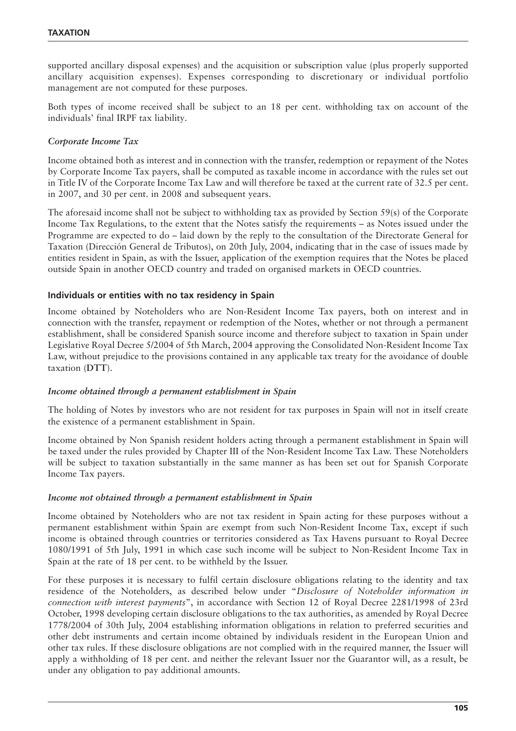supported ancillary disposal expenses) and the acquisition or subscription value (plus properly supported ancillary acquisition expenses). Expenses corresponding to discretionary or individual portfolio management are not computed for these purposes.

Both types of income received shall be subject to an 18 per cent. withholding tax on account of the individuals' final IRPF tax liability.

# *Corporate Income Tax*

Income obtained both as interest and in connection with the transfer, redemption or repayment of the Notes by Corporate Income Tax payers, shall be computed as taxable income in accordance with the rules set out in Title IV of the Corporate Income Tax Law and will therefore be taxed at the current rate of 32.5 per cent. in 2007, and 30 per cent. in 2008 and subsequent years.

The aforesaid income shall not be subject to withholding tax as provided by Section 59(s) of the Corporate Income Tax Regulations, to the extent that the Notes satisfy the requirements – as Notes issued under the Programme are expected to do – laid down by the reply to the consultation of the Directorate General for Taxation (Dirección General de Tributos), on 20th July, 2004, indicating that in the case of issues made by entities resident in Spain, as with the Issuer, application of the exemption requires that the Notes be placed outside Spain in another OECD country and traded on organised markets in OECD countries.

#### **Individuals or entities with no tax residency in Spain**

Income obtained by Noteholders who are Non-Resident Income Tax payers, both on interest and in connection with the transfer, repayment or redemption of the Notes, whether or not through a permanent establishment, shall be considered Spanish source income and therefore subject to taxation in Spain under Legislative Royal Decree 5/2004 of 5th March, 2004 approving the Consolidated Non-Resident Income Tax Law, without prejudice to the provisions contained in any applicable tax treaty for the avoidance of double taxation (**DTT**).

#### *Income obtained through a permanent establishment in Spain*

The holding of Notes by investors who are not resident for tax purposes in Spain will not in itself create the existence of a permanent establishment in Spain.

Income obtained by Non Spanish resident holders acting through a permanent establishment in Spain will be taxed under the rules provided by Chapter III of the Non-Resident Income Tax Law. These Noteholders will be subject to taxation substantially in the same manner as has been set out for Spanish Corporate Income Tax payers.

#### *Income not obtained through a permanent establishment in Spain*

Income obtained by Noteholders who are not tax resident in Spain acting for these purposes without a permanent establishment within Spain are exempt from such Non-Resident Income Tax, except if such income is obtained through countries or territories considered as Tax Havens pursuant to Royal Decree 1080/1991 of 5th July, 1991 in which case such income will be subject to Non-Resident Income Tax in Spain at the rate of 18 per cent. to be withheld by the Issuer.

For these purposes it is necessary to fulfil certain disclosure obligations relating to the identity and tax residence of the Noteholders, as described below under "*Disclosure of Noteholder information in connection with interest payments*", in accordance with Section 12 of Royal Decree 2281/1998 of 23rd October, 1998 developing certain disclosure obligations to the tax authorities, as amended by Royal Decree 1778/2004 of 30th July, 2004 establishing information obligations in relation to preferred securities and other debt instruments and certain income obtained by individuals resident in the European Union and other tax rules. If these disclosure obligations are not complied with in the required manner, the Issuer will apply a withholding of 18 per cent. and neither the relevant Issuer nor the Guarantor will, as a result, be under any obligation to pay additional amounts.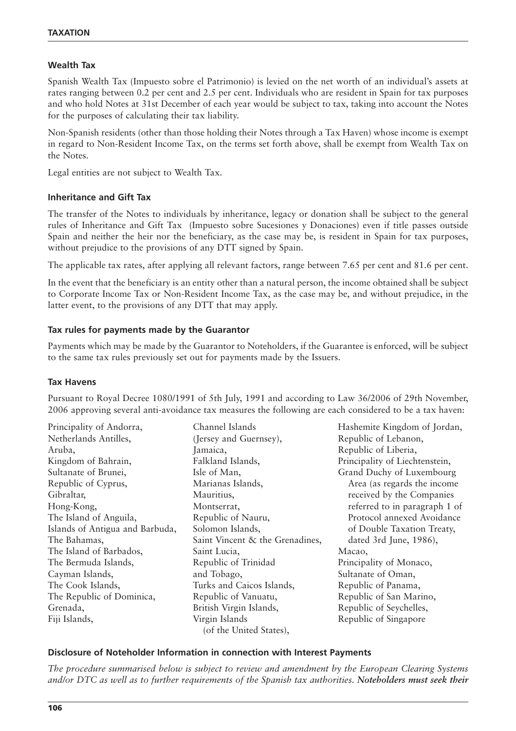# **Wealth Tax**

Spanish Wealth Tax (Impuesto sobre el Patrimonio) is levied on the net worth of an individual's assets at rates ranging between 0.2 per cent and 2.5 per cent. Individuals who are resident in Spain for tax purposes and who hold Notes at 31st December of each year would be subject to tax, taking into account the Notes for the purposes of calculating their tax liability.

Non-Spanish residents (other than those holding their Notes through a Tax Haven) whose income is exempt in regard to Non-Resident Income Tax, on the terms set forth above, shall be exempt from Wealth Tax on the Notes.

Legal entities are not subject to Wealth Tax.

#### **Inheritance and Gift Tax**

The transfer of the Notes to individuals by inheritance, legacy or donation shall be subject to the general rules of Inheritance and Gift Tax (Impuesto sobre Sucesiones y Donaciones) even if title passes outside Spain and neither the heir nor the beneficiary, as the case may be, is resident in Spain for tax purposes, without prejudice to the provisions of any DTT signed by Spain.

The applicable tax rates, after applying all relevant factors, range between 7.65 per cent and 81.6 per cent.

In the event that the beneficiary is an entity other than a natural person, the income obtained shall be subject to Corporate Income Tax or Non-Resident Income Tax, as the case may be, and without prejudice, in the latter event, to the provisions of any DTT that may apply.

#### **Tax rules for payments made by the Guarantor**

Payments which may be made by the Guarantor to Noteholders, if the Guarantee is enforced, will be subject to the same tax rules previously set out for payments made by the Issuers.

#### **Tax Havens**

Pursuant to Royal Decree 1080/1991 of 5th July, 1991 and according to Law 36/2006 of 29th November, 2006 approving several anti-avoidance tax measures the following are each considered to be a tax haven:

| Principality of Andorra,        |
|---------------------------------|
| Netherlands Antilles,           |
| Aruba,                          |
| Kingdom of Bahrain,             |
| Sultanate of Brunei,            |
| Republic of Cyprus,             |
| Gibraltar,                      |
| Hong-Kong,                      |
| The Island of Anguila,          |
| Islands of Antigua and Barbuda, |
| The Bahamas,                    |
| The Island of Barbados,         |
| The Bermuda Islands,            |
| Cayman Islands,                 |
| The Cook Islands,               |
| The Republic of Dominica,       |
| Grenada,                        |
| Fiji Islands,                   |
|                                 |

Channel Islands (Jersey and Guernsey), Jamaica, Falkland Islands, Isle of Man, Marianas Islands, Mauritius, Montserrat, Republic of Nauru, Solomon Islands, Saint Vincent & the Grenadines, Saint Lucia, Republic of Trinidad and Tobago, Turks and Caicos Islands, Republic of Vanuatu, British Virgin Islands, Virgin Islands (of the United States),

Hashemite Kingdom of Jordan, Republic of Lebanon, Republic of Liberia, Principality of Liechtenstein, Grand Duchy of Luxembourg Area (as regards the income received by the Companies referred to in paragraph 1 of Protocol annexed Avoidance of Double Taxation Treaty, dated 3rd June, 1986), Macao, Principality of Monaco, Sultanate of Oman, Republic of Panama, Republic of San Marino, Republic of Seychelles, Republic of Singapore

#### **Disclosure of Noteholder Information in connection with Interest Payments**

*The procedure summarised below is subject to review and amendment by the European Clearing Systems and/or DTC as well as to further requirements of the Spanish tax authorities. Noteholders must seek their*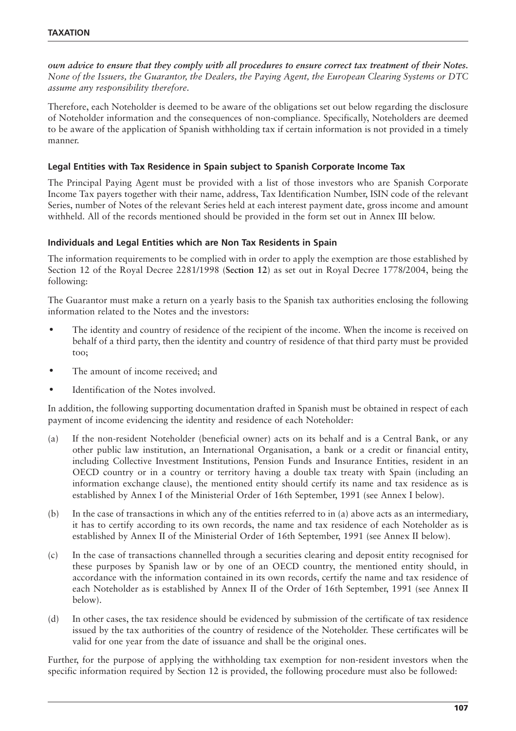*own advice to ensure that they comply with all procedures to ensure correct tax treatment of their Notes. None of the Issuers, the Guarantor, the Dealers, the Paying Agent, the European Clearing Systems or DTC assume any responsibility therefore.*

Therefore, each Noteholder is deemed to be aware of the obligations set out below regarding the disclosure of Noteholder information and the consequences of non-compliance. Specifically, Noteholders are deemed to be aware of the application of Spanish withholding tax if certain information is not provided in a timely manner.

## **Legal Entities with Tax Residence in Spain subject to Spanish Corporate Income Tax**

The Principal Paying Agent must be provided with a list of those investors who are Spanish Corporate Income Tax payers together with their name, address, Tax Identification Number, ISIN code of the relevant Series, number of Notes of the relevant Series held at each interest payment date, gross income and amount withheld. All of the records mentioned should be provided in the form set out in Annex III below.

#### **Individuals and Legal Entities which are Non Tax Residents in Spain**

The information requirements to be complied with in order to apply the exemption are those established by Section 12 of the Royal Decree 2281/1998 (**Section 12**) as set out in Royal Decree 1778/2004, being the following:

The Guarantor must make a return on a yearly basis to the Spanish tax authorities enclosing the following information related to the Notes and the investors:

- The identity and country of residence of the recipient of the income. When the income is received on behalf of a third party, then the identity and country of residence of that third party must be provided too;
- The amount of income received; and
- Identification of the Notes involved.

In addition, the following supporting documentation drafted in Spanish must be obtained in respect of each payment of income evidencing the identity and residence of each Noteholder:

- (a) If the non-resident Noteholder (beneficial owner) acts on its behalf and is a Central Bank, or any other public law institution, an International Organisation, a bank or a credit or financial entity, including Collective Investment Institutions, Pension Funds and Insurance Entities, resident in an OECD country or in a country or territory having a double tax treaty with Spain (including an information exchange clause), the mentioned entity should certify its name and tax residence as is established by Annex I of the Ministerial Order of 16th September, 1991 (see Annex I below).
- (b) In the case of transactions in which any of the entities referred to in (a) above acts as an intermediary, it has to certify according to its own records, the name and tax residence of each Noteholder as is established by Annex II of the Ministerial Order of 16th September, 1991 (see Annex II below).
- (c) In the case of transactions channelled through a securities clearing and deposit entity recognised for these purposes by Spanish law or by one of an OECD country, the mentioned entity should, in accordance with the information contained in its own records, certify the name and tax residence of each Noteholder as is established by Annex II of the Order of 16th September, 1991 (see Annex II below).
- (d) In other cases, the tax residence should be evidenced by submission of the certificate of tax residence issued by the tax authorities of the country of residence of the Noteholder. These certificates will be valid for one year from the date of issuance and shall be the original ones.

Further, for the purpose of applying the withholding tax exemption for non-resident investors when the specific information required by Section 12 is provided, the following procedure must also be followed: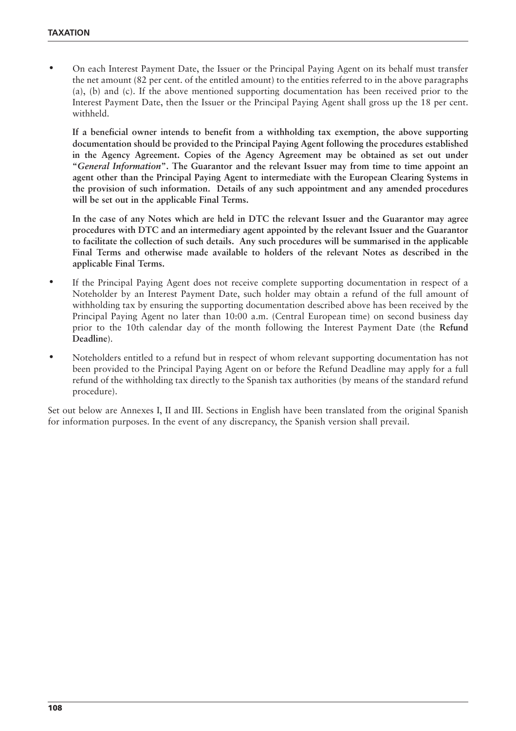• On each Interest Payment Date, the Issuer or the Principal Paying Agent on its behalf must transfer the net amount (82 per cent. of the entitled amount) to the entities referred to in the above paragraphs (a), (b) and (c). If the above mentioned supporting documentation has been received prior to the Interest Payment Date, then the Issuer or the Principal Paying Agent shall gross up the 18 per cent. withheld.

**If a beneficial owner intends to benefit from a withholding tax exemption, the above supporting documentation should be provided to the Principal Paying Agent following the procedures established in the Agency Agreement. Copies of the Agency Agreement may be obtained as set out under "***General Information***". The Guarantor and the relevant Issuer may from time to time appoint an agent other than the Principal Paying Agent to intermediate with the European Clearing Systems in the provision of such information. Details of any such appointment and any amended procedures will be set out in the applicable Final Terms.**

**In the case of any Notes which are held in DTC the relevant Issuer and the Guarantor may agree procedures with DTC and an intermediary agent appointed by the relevant Issuer and the Guarantor to facilitate the collection of such details. Any such procedures will be summarised in the applicable Final Terms and otherwise made available to holders of the relevant Notes as described in the applicable Final Terms.**

- If the Principal Paying Agent does not receive complete supporting documentation in respect of a Noteholder by an Interest Payment Date, such holder may obtain a refund of the full amount of withholding tax by ensuring the supporting documentation described above has been received by the Principal Paying Agent no later than 10:00 a.m. (Central European time) on second business day prior to the 10th calendar day of the month following the Interest Payment Date (the **Refund Deadline**).
- Noteholders entitled to a refund but in respect of whom relevant supporting documentation has not been provided to the Principal Paying Agent on or before the Refund Deadline may apply for a full refund of the withholding tax directly to the Spanish tax authorities (by means of the standard refund procedure).

Set out below are Annexes I, II and III. Sections in English have been translated from the original Spanish for information purposes. In the event of any discrepancy, the Spanish version shall prevail.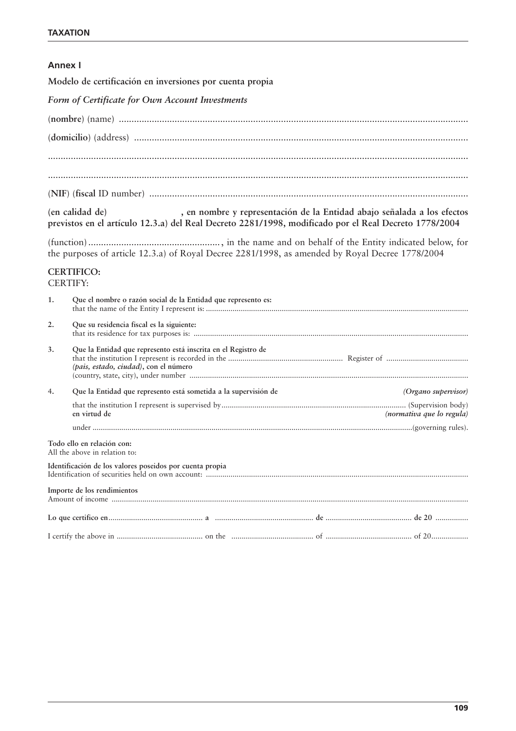#### **Annex I**

**Modelo de certificación en inversiones por cuenta propia**

*Form of Certificate for Own Account Investments*

|    | (en calidad de)<br>, en nombre y representación de la Entidad abajo señalada a los efectos<br>previstos en el artículo 12.3.a) del Real Decreto 2281/1998, modificado por el Real Decreto 1778/2004 |                           |
|----|-----------------------------------------------------------------------------------------------------------------------------------------------------------------------------------------------------|---------------------------|
|    | the purposes of article 12.3.a) of Royal Decree 2281/1998, as amended by Royal Decree 1778/2004                                                                                                     |                           |
|    | <b>CERTIFICO:</b><br><b>CERTIFY:</b>                                                                                                                                                                |                           |
| 1. | Que el nombre o razón social de la Entidad que represento es:                                                                                                                                       |                           |
| 2. | Que su residencia fiscal es la siguiente:                                                                                                                                                           |                           |
| 3. | Que la Entidad que represento está inscrita en el Registro de<br>(pais, estado, ciudad), con el número                                                                                              |                           |
| 4. | Que la Entidad que represento está sometida a la supervisión de                                                                                                                                     | (Organo supervisor)       |
|    | en virtud de                                                                                                                                                                                        | (normativa que lo regula) |
|    |                                                                                                                                                                                                     |                           |
|    | Todo ello en relación con:<br>All the above in relation to:                                                                                                                                         |                           |
|    | Identificación de los valores poseidos por cuenta propia                                                                                                                                            |                           |
|    | Importe de los rendimientos                                                                                                                                                                         |                           |
|    |                                                                                                                                                                                                     |                           |
|    |                                                                                                                                                                                                     |                           |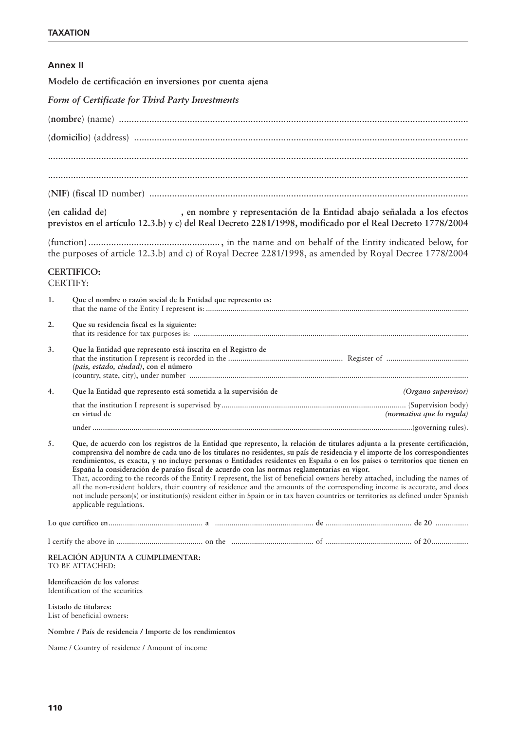#### **Annex II**

**Modelo de certificación en inversiones por cuenta ajena**

|  |  |  |  |  | Form of Certificate for Third Party Investments |
|--|--|--|--|--|-------------------------------------------------|
|--|--|--|--|--|-------------------------------------------------|

**(en calidad de) , en nombre y representación de la Entidad abajo señalada a los efectos previstos en el artículo 12.3.b) y c) del Real Decreto 2281/1998, modificado por el Real Decreto 1778/2004**

(function) ...................................................., in the name and on behalf of the Entity indicated below, for the purposes of article 12.3.b) and c) of Royal Decree 2281/1998, as amended by Royal Decree 1778/2004

#### **CERTIFICO:** CERTIFY:

| 1. | Que el nombre o razón social de la Entidad que represento es:                                                                                                                                                                                                                                                                                                                                                                                                                                                                                                                                                                                                                                                                                                                                                                                                                                                                   |  |  |  |
|----|---------------------------------------------------------------------------------------------------------------------------------------------------------------------------------------------------------------------------------------------------------------------------------------------------------------------------------------------------------------------------------------------------------------------------------------------------------------------------------------------------------------------------------------------------------------------------------------------------------------------------------------------------------------------------------------------------------------------------------------------------------------------------------------------------------------------------------------------------------------------------------------------------------------------------------|--|--|--|
| 2. | Que su residencia fiscal es la siguiente:                                                                                                                                                                                                                                                                                                                                                                                                                                                                                                                                                                                                                                                                                                                                                                                                                                                                                       |  |  |  |
| 3. | Que la Entidad que represento está inscrita en el Registro de<br>(pais, estado, ciudad), con el número                                                                                                                                                                                                                                                                                                                                                                                                                                                                                                                                                                                                                                                                                                                                                                                                                          |  |  |  |
| 4. | Que la Entidad que represento está sometida a la supervisión de<br>(Organo supervisor)                                                                                                                                                                                                                                                                                                                                                                                                                                                                                                                                                                                                                                                                                                                                                                                                                                          |  |  |  |
|    | en virtud de<br>(normativa que lo regula)                                                                                                                                                                                                                                                                                                                                                                                                                                                                                                                                                                                                                                                                                                                                                                                                                                                                                       |  |  |  |
|    |                                                                                                                                                                                                                                                                                                                                                                                                                                                                                                                                                                                                                                                                                                                                                                                                                                                                                                                                 |  |  |  |
| 5. | Que, de acuerdo con los registros de la Entidad que represento, la relación de titulares adjunta a la presente certificación,<br>comprensiva del nombre de cada uno de los titulares no residentes, su país de residencia y el importe de los correspondientes<br>rendimientos, es exacta, y no incluye personas o Entidades residentes en España o en los países o territorios que tienen en<br>España la consideración de paraíso fiscal de acuerdo con las normas reglamentarias en vigor.<br>That, according to the records of the Entity I represent, the list of beneficial owners hereby attached, including the names of<br>all the non-resident holders, their country of residence and the amounts of the corresponding income is accurate, and does<br>not include person(s) or institution(s) resident either in Spain or in tax haven countries or territories as defined under Spanish<br>applicable regulations. |  |  |  |
|    |                                                                                                                                                                                                                                                                                                                                                                                                                                                                                                                                                                                                                                                                                                                                                                                                                                                                                                                                 |  |  |  |
|    |                                                                                                                                                                                                                                                                                                                                                                                                                                                                                                                                                                                                                                                                                                                                                                                                                                                                                                                                 |  |  |  |
|    | RELACIÓN ADJUNTA A CUMPLIMENTAR:<br>TO BE ATTACHED:                                                                                                                                                                                                                                                                                                                                                                                                                                                                                                                                                                                                                                                                                                                                                                                                                                                                             |  |  |  |
|    | Identificación de los valores:<br>Identification of the securities                                                                                                                                                                                                                                                                                                                                                                                                                                                                                                                                                                                                                                                                                                                                                                                                                                                              |  |  |  |
|    | Listado de titulares:<br>List of beneficial owners:                                                                                                                                                                                                                                                                                                                                                                                                                                                                                                                                                                                                                                                                                                                                                                                                                                                                             |  |  |  |

**Nombre / País de residencia / Importe de los rendimientos**

Name / Country of residence / Amount of income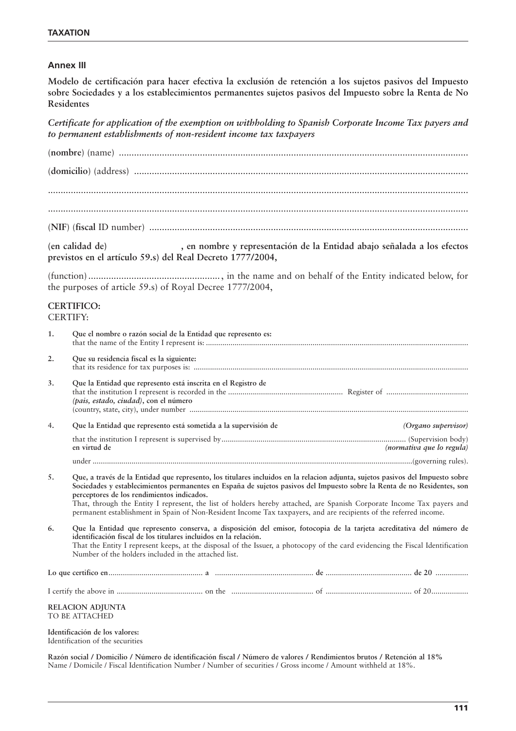#### **Annex III**

**Modelo de certificación para hacer efectiva la exclusión de retención a los sujetos pasivos del Impuesto sobre Sociedades y a los establecimientos permanentes sujetos pasivos del Impuesto sobre la Renta de No Residentes** 

*Certificate for application of the exemption on withholding to Spanish Corporate Income Tax payers and to permanent establishments of non-resident income tax taxpayers* 

(**nombre**) (name) .......................................................................................................................................... (**domicilio**) (address) .................................................................................................................................... ...................................................................................................................................................................... ...................................................................................................................................................................... (**NIF**) (**fiscal** ID number) .............................................................................................................................. **(en calidad de) , en nombre y representación de la Entidad abajo señalada a los efectos previstos en el artículo 59.s) del Real Decreto 1777/2004,** (function) ...................................................., in the name and on behalf of the Entity indicated below, for the purposes of article 59.s) of Royal Decree 1777/2004, **CERTIFICO:** CERTIFY: **1. Que el nombre o razón social de la Entidad que represento es:** that the name of the Entity I represent is: ................................................................................................................................ **2. Que su residencia fiscal es la siguiente:** that its residence for tax purposes is: ...................................................................................................................................... **3. Que la Entidad que represento está inscrita en el Registro de** that the institution I represent is recorded in the ........................................................ Register of ........................................ *(pais, estado, ciudad)***, con el número** (country, state, city), under number ........................................................................................................................................ 4**. Que la Entidad que represento está sometida a la supervisión de** *(Organo supervisor)* that the institution I represent is supervised by.......................................................................................... (Supervision body) **en virtud de** *(normativa que lo regula)* under ............................................................................................................................................................(governing rules). **5. Que, a través de la Entidad que represento, los titulares incluidos en la relacion adjunta, sujetos pasivos del Impuesto sobre Sociedades y establecimientos permanentes en España de sujetos pasivos del Impuesto sobre la Renta de no Residentes, son perceptores de los rendimientos indicados.** That, through the Entity I represent, the list of holders hereby attached, are Spanish Corporate Income Tax payers and permanent establishment in Spain of Non-Resident Income Tax taxpayers, and are recipients of the referred income. **6. Que la Entidad que represento conserva, a disposición del emisor, fotocopia de la tarjeta acreditativa del número de identificación fiscal de los titulares incluidos en la relación.** That the Entity I represent keeps, at the disposal of the Issuer, a photocopy of the card evidencing the Fiscal Identification Number of the holders included in the attached list. **Lo que certifico en**.............................................. **a** ................................................ **de** .......................................... **de 20** ................ I certify the above in .......................................... on the ........................................ of .......................................... of 20.................. **RELACION ADJUNTA** TO BE ATTACHED **Identificación de los valores:** Identification of the securities

**Razón social / Domicilio / Número de identificación fiscal / Número de valores / Rendimientos brutos / Retención al 18%** Name / Domicile / Fiscal Identification Number / Number of securities / Gross income / Amount withheld at 18%.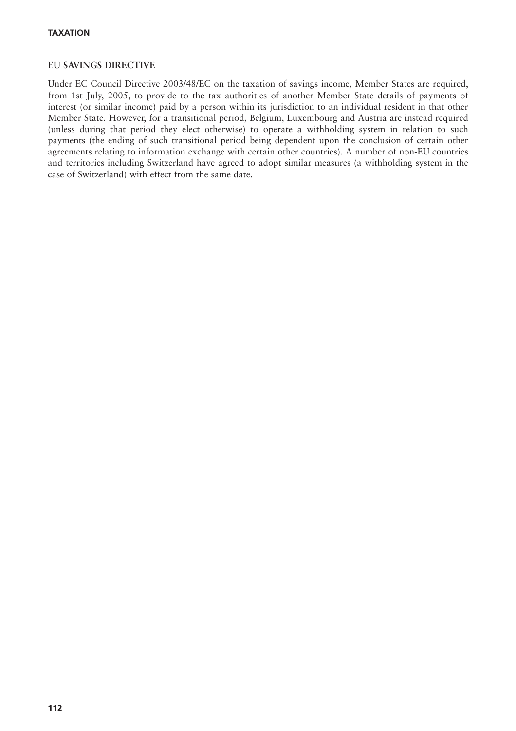#### **EU SAVINGS DIRECTIVE**

Under EC Council Directive 2003/48/EC on the taxation of savings income, Member States are required, from 1st July, 2005, to provide to the tax authorities of another Member State details of payments of interest (or similar income) paid by a person within its jurisdiction to an individual resident in that other Member State. However, for a transitional period, Belgium, Luxembourg and Austria are instead required (unless during that period they elect otherwise) to operate a withholding system in relation to such payments (the ending of such transitional period being dependent upon the conclusion of certain other agreements relating to information exchange with certain other countries). A number of non-EU countries and territories including Switzerland have agreed to adopt similar measures (a withholding system in the case of Switzerland) with effect from the same date.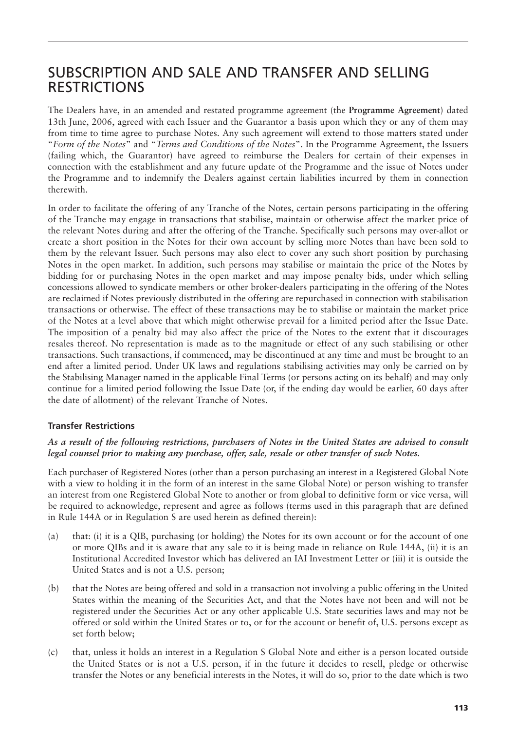### SUBSCRIPTION AND SALE AND TRANSFER AND SELLING RESTRICTIONS

The Dealers have, in an amended and restated programme agreement (the **Programme Agreement**) dated 13th June, 2006, agreed with each Issuer and the Guarantor a basis upon which they or any of them may from time to time agree to purchase Notes. Any such agreement will extend to those matters stated under "*Form of the Notes*" and "*Terms and Conditions of the Notes*". In the Programme Agreement, the Issuers (failing which, the Guarantor) have agreed to reimburse the Dealers for certain of their expenses in connection with the establishment and any future update of the Programme and the issue of Notes under the Programme and to indemnify the Dealers against certain liabilities incurred by them in connection therewith.

In order to facilitate the offering of any Tranche of the Notes, certain persons participating in the offering of the Tranche may engage in transactions that stabilise, maintain or otherwise affect the market price of the relevant Notes during and after the offering of the Tranche. Specifically such persons may over-allot or create a short position in the Notes for their own account by selling more Notes than have been sold to them by the relevant Issuer. Such persons may also elect to cover any such short position by purchasing Notes in the open market. In addition, such persons may stabilise or maintain the price of the Notes by bidding for or purchasing Notes in the open market and may impose penalty bids, under which selling concessions allowed to syndicate members or other broker-dealers participating in the offering of the Notes are reclaimed if Notes previously distributed in the offering are repurchased in connection with stabilisation transactions or otherwise. The effect of these transactions may be to stabilise or maintain the market price of the Notes at a level above that which might otherwise prevail for a limited period after the Issue Date. The imposition of a penalty bid may also affect the price of the Notes to the extent that it discourages resales thereof. No representation is made as to the magnitude or effect of any such stabilising or other transactions. Such transactions, if commenced, may be discontinued at any time and must be brought to an end after a limited period. Under UK laws and regulations stabilising activities may only be carried on by the Stabilising Manager named in the applicable Final Terms (or persons acting on its behalf) and may only continue for a limited period following the Issue Date (or, if the ending day would be earlier, 60 days after the date of allotment) of the relevant Tranche of Notes.

#### **Transfer Restrictions**

#### *As a result of the following restrictions, purchasers of Notes in the United States are advised to consult legal counsel prior to making any purchase, offer, sale, resale or other transfer of such Notes.*

Each purchaser of Registered Notes (other than a person purchasing an interest in a Registered Global Note with a view to holding it in the form of an interest in the same Global Note) or person wishing to transfer an interest from one Registered Global Note to another or from global to definitive form or vice versa, will be required to acknowledge, represent and agree as follows (terms used in this paragraph that are defined in Rule 144A or in Regulation S are used herein as defined therein):

- (a) that: (i) it is a QIB, purchasing (or holding) the Notes for its own account or for the account of one or more QIBs and it is aware that any sale to it is being made in reliance on Rule 144A, (ii) it is an Institutional Accredited Investor which has delivered an IAI Investment Letter or (iii) it is outside the United States and is not a U.S. person;
- (b) that the Notes are being offered and sold in a transaction not involving a public offering in the United States within the meaning of the Securities Act, and that the Notes have not been and will not be registered under the Securities Act or any other applicable U.S. State securities laws and may not be offered or sold within the United States or to, or for the account or benefit of, U.S. persons except as set forth below;
- (c) that, unless it holds an interest in a Regulation S Global Note and either is a person located outside the United States or is not a U.S. person, if in the future it decides to resell, pledge or otherwise transfer the Notes or any beneficial interests in the Notes, it will do so, prior to the date which is two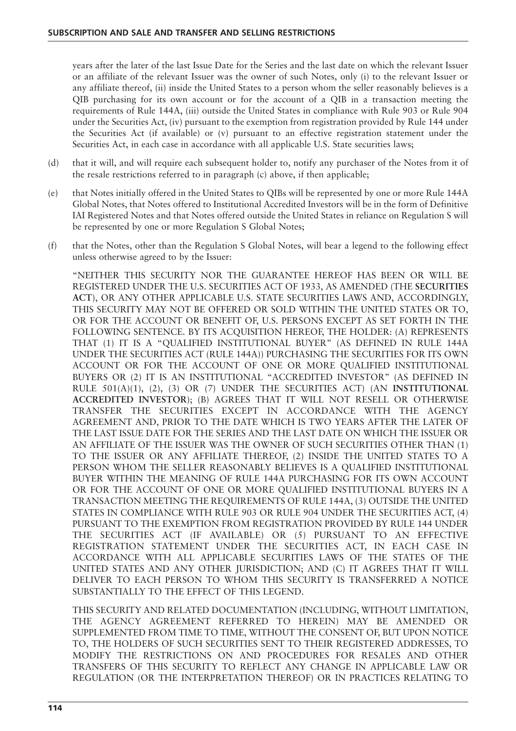years after the later of the last Issue Date for the Series and the last date on which the relevant Issuer or an affiliate of the relevant Issuer was the owner of such Notes, only (i) to the relevant Issuer or any affiliate thereof, (ii) inside the United States to a person whom the seller reasonably believes is a QIB purchasing for its own account or for the account of a QIB in a transaction meeting the requirements of Rule 144A, (iii) outside the United States in compliance with Rule 903 or Rule 904 under the Securities Act, (iv) pursuant to the exemption from registration provided by Rule 144 under the Securities Act (if available) or (v) pursuant to an effective registration statement under the Securities Act, in each case in accordance with all applicable U.S. State securities laws;

- (d) that it will, and will require each subsequent holder to, notify any purchaser of the Notes from it of the resale restrictions referred to in paragraph (c) above, if then applicable;
- (e) that Notes initially offered in the United States to QIBs will be represented by one or more Rule 144A Global Notes, that Notes offered to Institutional Accredited Investors will be in the form of Definitive IAI Registered Notes and that Notes offered outside the United States in reliance on Regulation S will be represented by one or more Regulation S Global Notes;
- (f) that the Notes, other than the Regulation S Global Notes, will bear a legend to the following effect unless otherwise agreed to by the Issuer:

"NEITHER THIS SECURITY NOR THE GUARANTEE HEREOF HAS BEEN OR WILL BE REGISTERED UNDER THE U.S. SECURITIES ACT OF 1933, AS AMENDED (THE **SECURITIES ACT**), OR ANY OTHER APPLICABLE U.S. STATE SECURITIES LAWS AND, ACCORDINGLY, THIS SECURITY MAY NOT BE OFFERED OR SOLD WITHIN THE UNITED STATES OR TO, OR FOR THE ACCOUNT OR BENEFIT OF, U.S. PERSONS EXCEPT AS SET FORTH IN THE FOLLOWING SENTENCE. BY ITS ACQUISITION HEREOF, THE HOLDER: (A) REPRESENTS THAT (1) IT IS A "QUALIFIED INSTITUTIONAL BUYER" (AS DEFINED IN RULE 144A UNDER THE SECURITIES ACT (RULE 144A)) PURCHASING THE SECURITIES FOR ITS OWN ACCOUNT OR FOR THE ACCOUNT OF ONE OR MORE QUALIFIED INSTITUTIONAL BUYERS OR (2) IT IS AN INSTITUTIONAL "ACCREDITED INVESTOR" (AS DEFINED IN RULE 501(A)(1), (2), (3) OR (7) UNDER THE SECURITIES ACT) (AN **INSTITUTIONAL ACCREDITED INVESTOR**); (B) AGREES THAT IT WILL NOT RESELL OR OTHERWISE TRANSFER THE SECURITIES EXCEPT IN ACCORDANCE WITH THE AGENCY AGREEMENT AND, PRIOR TO THE DATE WHICH IS TWO YEARS AFTER THE LATER OF THE LAST ISSUE DATE FOR THE SERIES AND THE LAST DATE ON WHICH THE ISSUER OR AN AFFILIATE OF THE ISSUER WAS THE OWNER OF SUCH SECURITIES OTHER THAN (1) TO THE ISSUER OR ANY AFFILIATE THEREOF, (2) INSIDE THE UNITED STATES TO A PERSON WHOM THE SELLER REASONABLY BELIEVES IS A QUALIFIED INSTITUTIONAL BUYER WITHIN THE MEANING OF RULE 144A PURCHASING FOR ITS OWN ACCOUNT OR FOR THE ACCOUNT OF ONE OR MORE QUALIFIED INSTITUTIONAL BUYERS IN A TRANSACTION MEETING THE REQUIREMENTS OF RULE 144A, (3) OUTSIDE THE UNITED STATES IN COMPLIANCE WITH RULE 903 OR RULE 904 UNDER THE SECURITIES ACT, (4) PURSUANT TO THE EXEMPTION FROM REGISTRATION PROVIDED BY RULE 144 UNDER THE SECURITIES ACT (IF AVAILABLE) OR (5) PURSUANT TO AN EFFECTIVE REGISTRATION STATEMENT UNDER THE SECURITIES ACT, IN EACH CASE IN ACCORDANCE WITH ALL APPLICABLE SECURITIES LAWS OF THE STATES OF THE UNITED STATES AND ANY OTHER JURISDICTION; AND (C) IT AGREES THAT IT WILL DELIVER TO EACH PERSON TO WHOM THIS SECURITY IS TRANSFERRED A NOTICE SUBSTANTIALLY TO THE EFFECT OF THIS LEGEND.

THIS SECURITY AND RELATED DOCUMENTATION (INCLUDING, WITHOUT LIMITATION, THE AGENCY AGREEMENT REFERRED TO HEREIN) MAY BE AMENDED OR SUPPLEMENTED FROM TIME TO TIME, WITHOUT THE CONSENT OF, BUT UPON NOTICE TO, THE HOLDERS OF SUCH SECURITIES SENT TO THEIR REGISTERED ADDRESSES, TO MODIFY THE RESTRICTIONS ON AND PROCEDURES FOR RESALES AND OTHER TRANSFERS OF THIS SECURITY TO REFLECT ANY CHANGE IN APPLICABLE LAW OR REGULATION (OR THE INTERPRETATION THEREOF) OR IN PRACTICES RELATING TO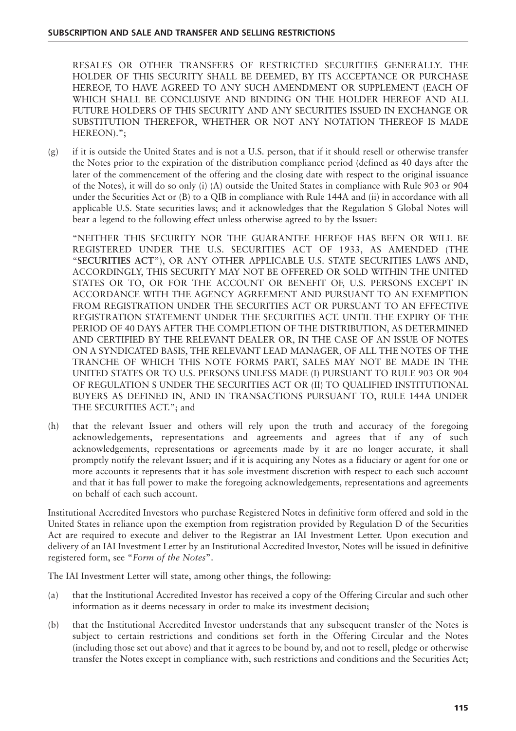RESALES OR OTHER TRANSFERS OF RESTRICTED SECURITIES GENERALLY. THE HOLDER OF THIS SECURITY SHALL BE DEEMED, BY ITS ACCEPTANCE OR PURCHASE HEREOF, TO HAVE AGREED TO ANY SUCH AMENDMENT OR SUPPLEMENT (EACH OF WHICH SHALL BE CONCLUSIVE AND BINDING ON THE HOLDER HEREOF AND ALL FUTURE HOLDERS OF THIS SECURITY AND ANY SECURITIES ISSUED IN EXCHANGE OR SUBSTITUTION THEREFOR, WHETHER OR NOT ANY NOTATION THEREOF IS MADE HEREON).";

(g) if it is outside the United States and is not a U.S. person, that if it should resell or otherwise transfer the Notes prior to the expiration of the distribution compliance period (defined as 40 days after the later of the commencement of the offering and the closing date with respect to the original issuance of the Notes), it will do so only (i) (A) outside the United States in compliance with Rule 903 or 904 under the Securities Act or (B) to a QIB in compliance with Rule 144A and (ii) in accordance with all applicable U.S. State securities laws; and it acknowledges that the Regulation S Global Notes will bear a legend to the following effect unless otherwise agreed to by the Issuer:

"NEITHER THIS SECURITY NOR THE GUARANTEE HEREOF HAS BEEN OR WILL BE REGISTERED UNDER THE U.S. SECURITIES ACT OF 1933, AS AMENDED (THE "**SECURITIES ACT**"), OR ANY OTHER APPLICABLE U.S. STATE SECURITIES LAWS AND, ACCORDINGLY, THIS SECURITY MAY NOT BE OFFERED OR SOLD WITHIN THE UNITED STATES OR TO, OR FOR THE ACCOUNT OR BENEFIT OF, U.S. PERSONS EXCEPT IN ACCORDANCE WITH THE AGENCY AGREEMENT AND PURSUANT TO AN EXEMPTION FROM REGISTRATION UNDER THE SECURITIES ACT OR PURSUANT TO AN EFFECTIVE REGISTRATION STATEMENT UNDER THE SECURITIES ACT. UNTIL THE EXPIRY OF THE PERIOD OF 40 DAYS AFTER THE COMPLETION OF THE DISTRIBUTION, AS DETERMINED AND CERTIFIED BY THE RELEVANT DEALER OR, IN THE CASE OF AN ISSUE OF NOTES ON A SYNDICATED BASIS, THE RELEVANT LEAD MANAGER, OF ALL THE NOTES OF THE TRANCHE OF WHICH THIS NOTE FORMS PART, SALES MAY NOT BE MADE IN THE UNITED STATES OR TO U.S. PERSONS UNLESS MADE (I) PURSUANT TO RULE 903 OR 904 OF REGULATION S UNDER THE SECURITIES ACT OR (II) TO QUALIFIED INSTITUTIONAL BUYERS AS DEFINED IN, AND IN TRANSACTIONS PURSUANT TO, RULE 144A UNDER THE SECURITIES ACT."; and

(h) that the relevant Issuer and others will rely upon the truth and accuracy of the foregoing acknowledgements, representations and agreements and agrees that if any of such acknowledgements, representations or agreements made by it are no longer accurate, it shall promptly notify the relevant Issuer; and if it is acquiring any Notes as a fiduciary or agent for one or more accounts it represents that it has sole investment discretion with respect to each such account and that it has full power to make the foregoing acknowledgements, representations and agreements on behalf of each such account.

Institutional Accredited Investors who purchase Registered Notes in definitive form offered and sold in the United States in reliance upon the exemption from registration provided by Regulation D of the Securities Act are required to execute and deliver to the Registrar an IAI Investment Letter. Upon execution and delivery of an IAI Investment Letter by an Institutional Accredited Investor, Notes will be issued in definitive registered form, see "*Form of the Notes*".

The IAI Investment Letter will state, among other things, the following:

- (a) that the Institutional Accredited Investor has received a copy of the Offering Circular and such other information as it deems necessary in order to make its investment decision;
- (b) that the Institutional Accredited Investor understands that any subsequent transfer of the Notes is subject to certain restrictions and conditions set forth in the Offering Circular and the Notes (including those set out above) and that it agrees to be bound by, and not to resell, pledge or otherwise transfer the Notes except in compliance with, such restrictions and conditions and the Securities Act;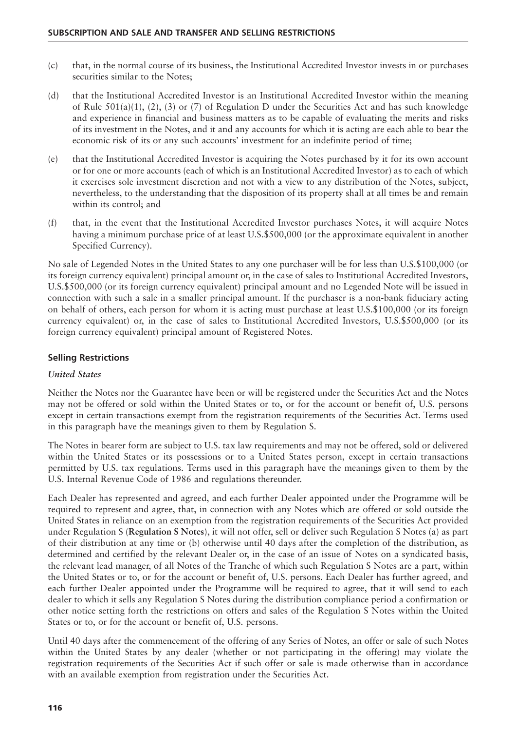- (c) that, in the normal course of its business, the Institutional Accredited Investor invests in or purchases securities similar to the Notes;
- (d) that the Institutional Accredited Investor is an Institutional Accredited Investor within the meaning of Rule  $501(a)(1)$ , (2), (3) or (7) of Regulation D under the Securities Act and has such knowledge and experience in financial and business matters as to be capable of evaluating the merits and risks of its investment in the Notes, and it and any accounts for which it is acting are each able to bear the economic risk of its or any such accounts' investment for an indefinite period of time;
- (e) that the Institutional Accredited Investor is acquiring the Notes purchased by it for its own account or for one or more accounts (each of which is an Institutional Accredited Investor) as to each of which it exercises sole investment discretion and not with a view to any distribution of the Notes, subject, nevertheless, to the understanding that the disposition of its property shall at all times be and remain within its control; and
- (f) that, in the event that the Institutional Accredited Investor purchases Notes, it will acquire Notes having a minimum purchase price of at least U.S.\$500,000 (or the approximate equivalent in another Specified Currency).

No sale of Legended Notes in the United States to any one purchaser will be for less than U.S.\$100,000 (or its foreign currency equivalent) principal amount or, in the case of sales to Institutional Accredited Investors, U.S.\$500,000 (or its foreign currency equivalent) principal amount and no Legended Note will be issued in connection with such a sale in a smaller principal amount. If the purchaser is a non-bank fiduciary acting on behalf of others, each person for whom it is acting must purchase at least U.S.\$100,000 (or its foreign currency equivalent) or, in the case of sales to Institutional Accredited Investors, U.S.\$500,000 (or its foreign currency equivalent) principal amount of Registered Notes.

#### **Selling Restrictions**

#### *United States*

Neither the Notes nor the Guarantee have been or will be registered under the Securities Act and the Notes may not be offered or sold within the United States or to, or for the account or benefit of, U.S. persons except in certain transactions exempt from the registration requirements of the Securities Act. Terms used in this paragraph have the meanings given to them by Regulation S.

The Notes in bearer form are subject to U.S. tax law requirements and may not be offered, sold or delivered within the United States or its possessions or to a United States person, except in certain transactions permitted by U.S. tax regulations. Terms used in this paragraph have the meanings given to them by the U.S. Internal Revenue Code of 1986 and regulations thereunder.

Each Dealer has represented and agreed, and each further Dealer appointed under the Programme will be required to represent and agree, that, in connection with any Notes which are offered or sold outside the United States in reliance on an exemption from the registration requirements of the Securities Act provided under Regulation S (**Regulation S Notes**), it will not offer, sell or deliver such Regulation S Notes (a) as part of their distribution at any time or (b) otherwise until 40 days after the completion of the distribution, as determined and certified by the relevant Dealer or, in the case of an issue of Notes on a syndicated basis, the relevant lead manager, of all Notes of the Tranche of which such Regulation S Notes are a part, within the United States or to, or for the account or benefit of, U.S. persons. Each Dealer has further agreed, and each further Dealer appointed under the Programme will be required to agree, that it will send to each dealer to which it sells any Regulation S Notes during the distribution compliance period a confirmation or other notice setting forth the restrictions on offers and sales of the Regulation S Notes within the United States or to, or for the account or benefit of, U.S. persons.

Until 40 days after the commencement of the offering of any Series of Notes, an offer or sale of such Notes within the United States by any dealer (whether or not participating in the offering) may violate the registration requirements of the Securities Act if such offer or sale is made otherwise than in accordance with an available exemption from registration under the Securities Act.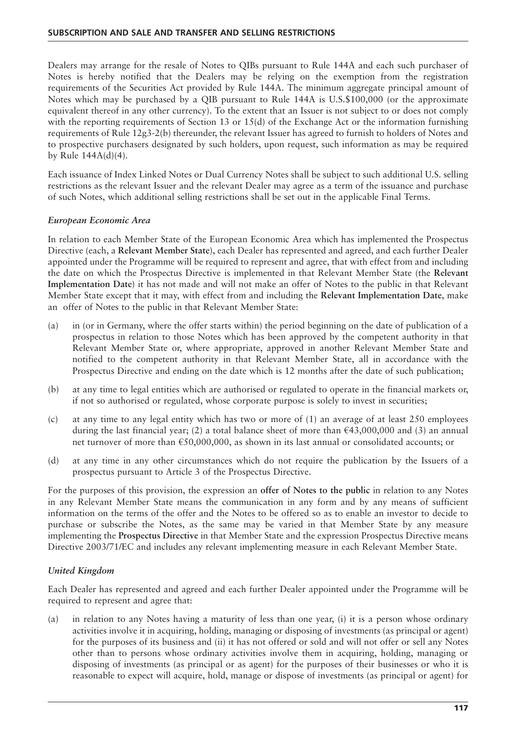Dealers may arrange for the resale of Notes to QIBs pursuant to Rule 144A and each such purchaser of Notes is hereby notified that the Dealers may be relying on the exemption from the registration requirements of the Securities Act provided by Rule 144A. The minimum aggregate principal amount of Notes which may be purchased by a QIB pursuant to Rule 144A is U.S.\$100,000 (or the approximate equivalent thereof in any other currency). To the extent that an Issuer is not subject to or does not comply with the reporting requirements of Section 13 or 15(d) of the Exchange Act or the information furnishing requirements of Rule 12g3-2(b) thereunder, the relevant Issuer has agreed to furnish to holders of Notes and to prospective purchasers designated by such holders, upon request, such information as may be required by Rule  $144A(d)(4)$ .

Each issuance of Index Linked Notes or Dual Currency Notes shall be subject to such additional U.S. selling restrictions as the relevant Issuer and the relevant Dealer may agree as a term of the issuance and purchase of such Notes, which additional selling restrictions shall be set out in the applicable Final Terms.

#### *European Economic Area*

In relation to each Member State of the European Economic Area which has implemented the Prospectus Directive (each, a **Relevant Member State**), each Dealer has represented and agreed, and each further Dealer appointed under the Programme will be required to represent and agree, that with effect from and including the date on which the Prospectus Directive is implemented in that Relevant Member State (the **Relevant Implementation Date**) it has not made and will not make an offer of Notes to the public in that Relevant Member State except that it may, with effect from and including the **Relevant Implementation Date**, make an offer of Notes to the public in that Relevant Member State:

- (a) in (or in Germany, where the offer starts within) the period beginning on the date of publication of a prospectus in relation to those Notes which has been approved by the competent authority in that Relevant Member State or, where appropriate, approved in another Relevant Member State and notified to the competent authority in that Relevant Member State, all in accordance with the Prospectus Directive and ending on the date which is 12 months after the date of such publication;
- (b) at any time to legal entities which are authorised or regulated to operate in the financial markets or, if not so authorised or regulated, whose corporate purpose is solely to invest in securities;
- (c) at any time to any legal entity which has two or more of (1) an average of at least 250 employees during the last financial year; (2) a total balance sheet of more than  $\epsilon$ 43,000,000 and (3) an annual net turnover of more than €50,000,000, as shown in its last annual or consolidated accounts; or
- (d) at any time in any other circumstances which do not require the publication by the Issuers of a prospectus pursuant to Article 3 of the Prospectus Directive.

For the purposes of this provision, the expression an **offer of Notes to the public** in relation to any Notes in any Relevant Member State means the communication in any form and by any means of sufficient information on the terms of the offer and the Notes to be offered so as to enable an investor to decide to purchase or subscribe the Notes, as the same may be varied in that Member State by any measure implementing the **Prospectus Directive** in that Member State and the expression Prospectus Directive means Directive 2003/71/EC and includes any relevant implementing measure in each Relevant Member State.

#### *United Kingdom*

Each Dealer has represented and agreed and each further Dealer appointed under the Programme will be required to represent and agree that:

(a) in relation to any Notes having a maturity of less than one year, (i) it is a person whose ordinary activities involve it in acquiring, holding, managing or disposing of investments (as principal or agent) for the purposes of its business and (ii) it has not offered or sold and will not offer or sell any Notes other than to persons whose ordinary activities involve them in acquiring, holding, managing or disposing of investments (as principal or as agent) for the purposes of their businesses or who it is reasonable to expect will acquire, hold, manage or dispose of investments (as principal or agent) for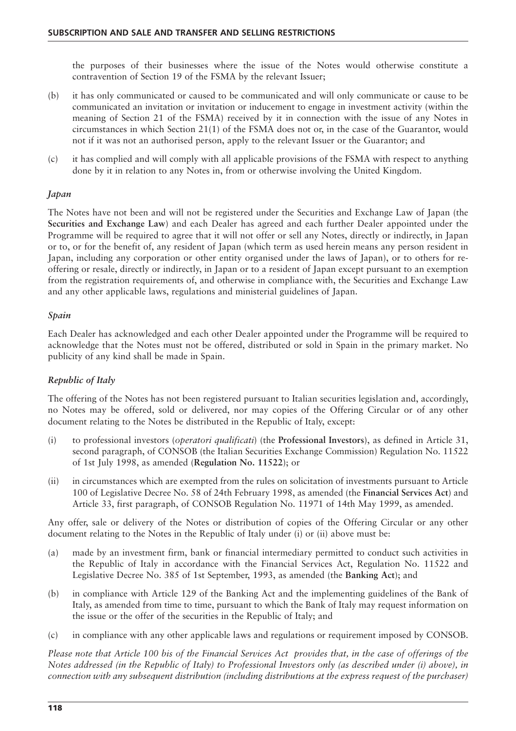the purposes of their businesses where the issue of the Notes would otherwise constitute a contravention of Section 19 of the FSMA by the relevant Issuer;

- (b) it has only communicated or caused to be communicated and will only communicate or cause to be communicated an invitation or invitation or inducement to engage in investment activity (within the meaning of Section 21 of the FSMA) received by it in connection with the issue of any Notes in circumstances in which Section 21(1) of the FSMA does not or, in the case of the Guarantor, would not if it was not an authorised person, apply to the relevant Issuer or the Guarantor; and
- (c) it has complied and will comply with all applicable provisions of the FSMA with respect to anything done by it in relation to any Notes in, from or otherwise involving the United Kingdom.

#### *Japan*

The Notes have not been and will not be registered under the Securities and Exchange Law of Japan (the **Securities and Exchange Law**) and each Dealer has agreed and each further Dealer appointed under the Programme will be required to agree that it will not offer or sell any Notes, directly or indirectly, in Japan or to, or for the benefit of, any resident of Japan (which term as used herein means any person resident in Japan, including any corporation or other entity organised under the laws of Japan), or to others for reoffering or resale, directly or indirectly, in Japan or to a resident of Japan except pursuant to an exemption from the registration requirements of, and otherwise in compliance with, the Securities and Exchange Law and any other applicable laws, regulations and ministerial guidelines of Japan.

#### *Spain*

Each Dealer has acknowledged and each other Dealer appointed under the Programme will be required to acknowledge that the Notes must not be offered, distributed or sold in Spain in the primary market. No publicity of any kind shall be made in Spain.

#### *Republic of Italy*

The offering of the Notes has not been registered pursuant to Italian securities legislation and, accordingly, no Notes may be offered, sold or delivered, nor may copies of the Offering Circular or of any other document relating to the Notes be distributed in the Republic of Italy, except:

- (i) to professional investors (*operatori qualificati*) (the **Professional Investors**), as defined in Article 31, second paragraph, of CONSOB (the Italian Securities Exchange Commission) Regulation No. 11522 of 1st July 1998, as amended (**Regulation No. 11522**); or
- (ii) in circumstances which are exempted from the rules on solicitation of investments pursuant to Article 100 of Legislative Decree No. 58 of 24th February 1998, as amended (the **Financial Services Act**) and Article 33, first paragraph, of CONSOB Regulation No. 11971 of 14th May 1999, as amended.

Any offer, sale or delivery of the Notes or distribution of copies of the Offering Circular or any other document relating to the Notes in the Republic of Italy under (i) or (ii) above must be:

- (a) made by an investment firm, bank or financial intermediary permitted to conduct such activities in the Republic of Italy in accordance with the Financial Services Act, Regulation No. 11522 and Legislative Decree No. 385 of 1st September, 1993, as amended (the **Banking Act**); and
- (b) in compliance with Article 129 of the Banking Act and the implementing guidelines of the Bank of Italy, as amended from time to time, pursuant to which the Bank of Italy may request information on the issue or the offer of the securities in the Republic of Italy; and
- (c) in compliance with any other applicable laws and regulations or requirement imposed by CONSOB.

*Please note that Article 100 bis of the Financial Services Act provides that, in the case of offerings of the Notes addressed (in the Republic of Italy) to Professional Investors only (as described under (i) above), in connection with any subsequent distribution (including distributions at the express request of the purchaser)*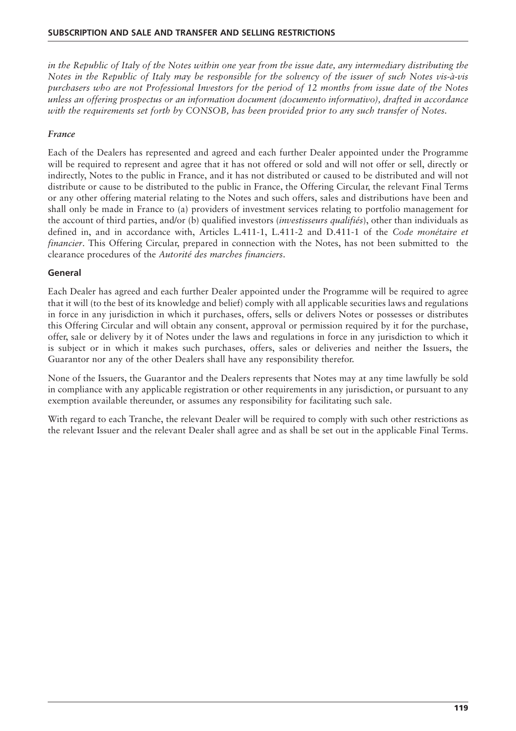*in the Republic of Italy of the Notes within one year from the issue date, any intermediary distributing the Notes in the Republic of Italy may be responsible for the solvency of the issuer of such Notes vis-à-vis purchasers who are not Professional Investors for the period of 12 months from issue date of the Notes unless an offering prospectus or an information document (documento informativo), drafted in accordance with the requirements set forth by CONSOB, has been provided prior to any such transfer of Notes.*

#### *France*

Each of the Dealers has represented and agreed and each further Dealer appointed under the Programme will be required to represent and agree that it has not offered or sold and will not offer or sell, directly or indirectly, Notes to the public in France, and it has not distributed or caused to be distributed and will not distribute or cause to be distributed to the public in France, the Offering Circular, the relevant Final Terms or any other offering material relating to the Notes and such offers, sales and distributions have been and shall only be made in France to (a) providers of investment services relating to portfolio management for the account of third parties, and/or (b) qualified investors (*investisseurs qualifiés*), other than individuals as defined in, and in accordance with, Articles L.411-1, L.411-2 and D.411-1 of the *Code monétaire et financier*. This Offering Circular, prepared in connection with the Notes, has not been submitted to the clearance procedures of the *Autorité des marches financiers*.

#### **General**

Each Dealer has agreed and each further Dealer appointed under the Programme will be required to agree that it will (to the best of its knowledge and belief) comply with all applicable securities laws and regulations in force in any jurisdiction in which it purchases, offers, sells or delivers Notes or possesses or distributes this Offering Circular and will obtain any consent, approval or permission required by it for the purchase, offer, sale or delivery by it of Notes under the laws and regulations in force in any jurisdiction to which it is subject or in which it makes such purchases, offers, sales or deliveries and neither the Issuers, the Guarantor nor any of the other Dealers shall have any responsibility therefor.

None of the Issuers, the Guarantor and the Dealers represents that Notes may at any time lawfully be sold in compliance with any applicable registration or other requirements in any jurisdiction, or pursuant to any exemption available thereunder, or assumes any responsibility for facilitating such sale.

With regard to each Tranche, the relevant Dealer will be required to comply with such other restrictions as the relevant Issuer and the relevant Dealer shall agree and as shall be set out in the applicable Final Terms.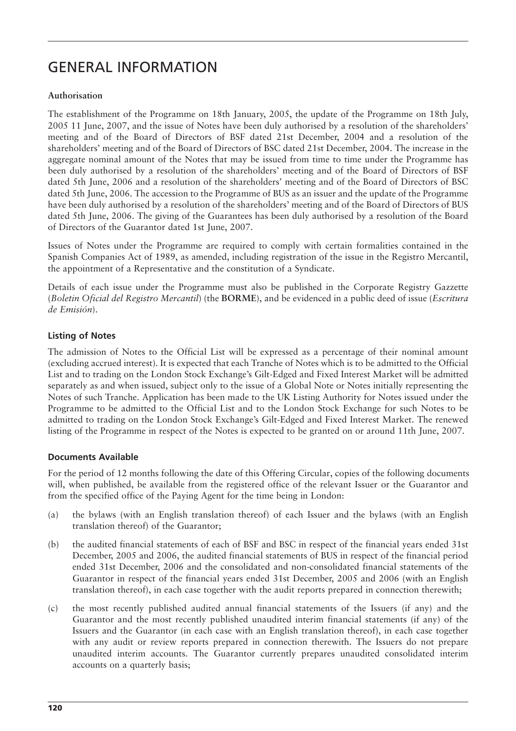## GENERAL INFORMATION

#### **Authorisation**

The establishment of the Programme on 18th January, 2005, the update of the Programme on 18th July, 2005 11 June, 2007, and the issue of Notes have been duly authorised by a resolution of the shareholders' meeting and of the Board of Directors of BSF dated 21st December, 2004 and a resolution of the shareholders' meeting and of the Board of Directors of BSC dated 21st December, 2004. The increase in the aggregate nominal amount of the Notes that may be issued from time to time under the Programme has been duly authorised by a resolution of the shareholders' meeting and of the Board of Directors of BSF dated 5th June, 2006 and a resolution of the shareholders' meeting and of the Board of Directors of BSC dated 5th June, 2006. The accession to the Programme of BUS as an issuer and the update of the Programme have been duly authorised by a resolution of the shareholders' meeting and of the Board of Directors of BUS dated 5th June, 2006. The giving of the Guarantees has been duly authorised by a resolution of the Board of Directors of the Guarantor dated 1st June, 2007.

Issues of Notes under the Programme are required to comply with certain formalities contained in the Spanish Companies Act of 1989, as amended, including registration of the issue in the Registro Mercantil, the appointment of a Representative and the constitution of a Syndicate.

Details of each issue under the Programme must also be published in the Corporate Registry Gazzette (*Boletin Oficial del Registro Mercantil*) (the **BORME**), and be evidenced in a public deed of issue (*Escritura de Emisión*).

#### **Listing of Notes**

The admission of Notes to the Official List will be expressed as a percentage of their nominal amount (excluding accrued interest). It is expected that each Tranche of Notes which is to be admitted to the Official List and to trading on the London Stock Exchange's Gilt-Edged and Fixed Interest Market will be admitted separately as and when issued, subject only to the issue of a Global Note or Notes initially representing the Notes of such Tranche. Application has been made to the UK Listing Authority for Notes issued under the Programme to be admitted to the Official List and to the London Stock Exchange for such Notes to be admitted to trading on the London Stock Exchange's Gilt-Edged and Fixed Interest Market. The renewed listing of the Programme in respect of the Notes is expected to be granted on or around 11th June, 2007.

#### **Documents Available**

For the period of 12 months following the date of this Offering Circular, copies of the following documents will, when published, be available from the registered office of the relevant Issuer or the Guarantor and from the specified office of the Paying Agent for the time being in London:

- (a) the bylaws (with an English translation thereof) of each Issuer and the bylaws (with an English translation thereof) of the Guarantor;
- (b) the audited financial statements of each of BSF and BSC in respect of the financial years ended 31st December, 2005 and 2006, the audited financial statements of BUS in respect of the financial period ended 31st December, 2006 and the consolidated and non-consolidated financial statements of the Guarantor in respect of the financial years ended 31st December, 2005 and 2006 (with an English translation thereof), in each case together with the audit reports prepared in connection therewith;
- (c) the most recently published audited annual financial statements of the Issuers (if any) and the Guarantor and the most recently published unaudited interim financial statements (if any) of the Issuers and the Guarantor (in each case with an English translation thereof), in each case together with any audit or review reports prepared in connection therewith. The Issuers do not prepare unaudited interim accounts. The Guarantor currently prepares unaudited consolidated interim accounts on a quarterly basis;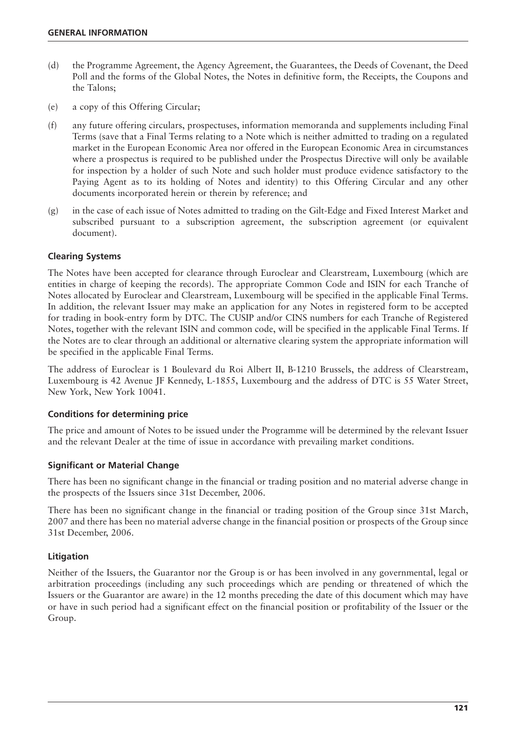- (d) the Programme Agreement, the Agency Agreement, the Guarantees, the Deeds of Covenant, the Deed Poll and the forms of the Global Notes, the Notes in definitive form, the Receipts, the Coupons and the Talons;
- (e) a copy of this Offering Circular;
- (f) any future offering circulars, prospectuses, information memoranda and supplements including Final Terms (save that a Final Terms relating to a Note which is neither admitted to trading on a regulated market in the European Economic Area nor offered in the European Economic Area in circumstances where a prospectus is required to be published under the Prospectus Directive will only be available for inspection by a holder of such Note and such holder must produce evidence satisfactory to the Paying Agent as to its holding of Notes and identity) to this Offering Circular and any other documents incorporated herein or therein by reference; and
- (g) in the case of each issue of Notes admitted to trading on the Gilt-Edge and Fixed Interest Market and subscribed pursuant to a subscription agreement, the subscription agreement (or equivalent document).

#### **Clearing Systems**

The Notes have been accepted for clearance through Euroclear and Clearstream, Luxembourg (which are entities in charge of keeping the records). The appropriate Common Code and ISIN for each Tranche of Notes allocated by Euroclear and Clearstream, Luxembourg will be specified in the applicable Final Terms. In addition, the relevant Issuer may make an application for any Notes in registered form to be accepted for trading in book-entry form by DTC. The CUSIP and/or CINS numbers for each Tranche of Registered Notes, together with the relevant ISIN and common code, will be specified in the applicable Final Terms. If the Notes are to clear through an additional or alternative clearing system the appropriate information will be specified in the applicable Final Terms.

The address of Euroclear is 1 Boulevard du Roi Albert II, B-1210 Brussels, the address of Clearstream, Luxembourg is 42 Avenue JF Kennedy, L-1855, Luxembourg and the address of DTC is 55 Water Street, New York, New York 10041.

#### **Conditions for determining price**

The price and amount of Notes to be issued under the Programme will be determined by the relevant Issuer and the relevant Dealer at the time of issue in accordance with prevailing market conditions.

#### **Significant or Material Change**

There has been no significant change in the financial or trading position and no material adverse change in the prospects of the Issuers since 31st December, 2006.

There has been no significant change in the financial or trading position of the Group since 31st March, 2007 and there has been no material adverse change in the financial position or prospects of the Group since 31st December, 2006.

#### **Litigation**

Neither of the Issuers, the Guarantor nor the Group is or has been involved in any governmental, legal or arbitration proceedings (including any such proceedings which are pending or threatened of which the Issuers or the Guarantor are aware) in the 12 months preceding the date of this document which may have or have in such period had a significant effect on the financial position or profitability of the Issuer or the Group.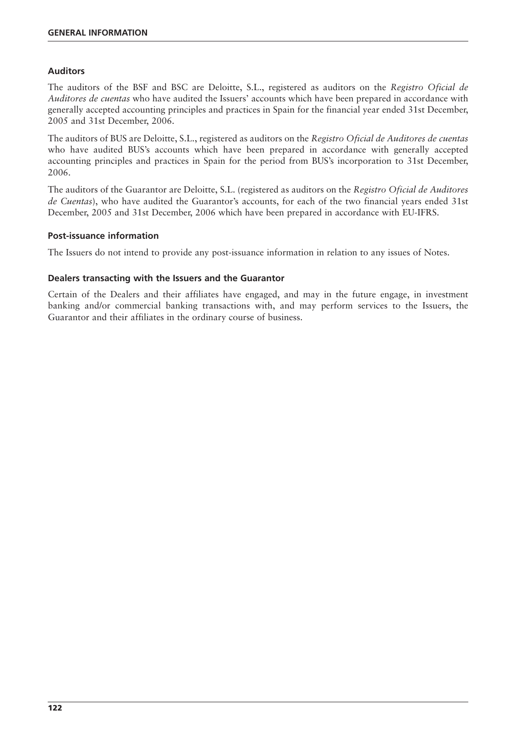#### **Auditors**

The auditors of the BSF and BSC are Deloitte, S.L., registered as auditors on the *Registro Oficial de Auditores de cuentas* who have audited the Issuers' accounts which have been prepared in accordance with generally accepted accounting principles and practices in Spain for the financial year ended 31st December, 2005 and 31st December, 2006.

The auditors of BUS are Deloitte, S.L., registered as auditors on the *Registro Oficial de Auditores de cuentas* who have audited BUS's accounts which have been prepared in accordance with generally accepted accounting principles and practices in Spain for the period from BUS's incorporation to 31st December, 2006.

The auditors of the Guarantor are Deloitte, S.L. (registered as auditors on the *Registro Oficial de Auditores de Cuentas*), who have audited the Guarantor's accounts, for each of the two financial years ended 31st December, 2005 and 31st December, 2006 which have been prepared in accordance with EU-IFRS.

#### **Post-issuance information**

The Issuers do not intend to provide any post-issuance information in relation to any issues of Notes.

#### **Dealers transacting with the Issuers and the Guarantor**

Certain of the Dealers and their affiliates have engaged, and may in the future engage, in investment banking and/or commercial banking transactions with, and may perform services to the Issuers, the Guarantor and their affiliates in the ordinary course of business.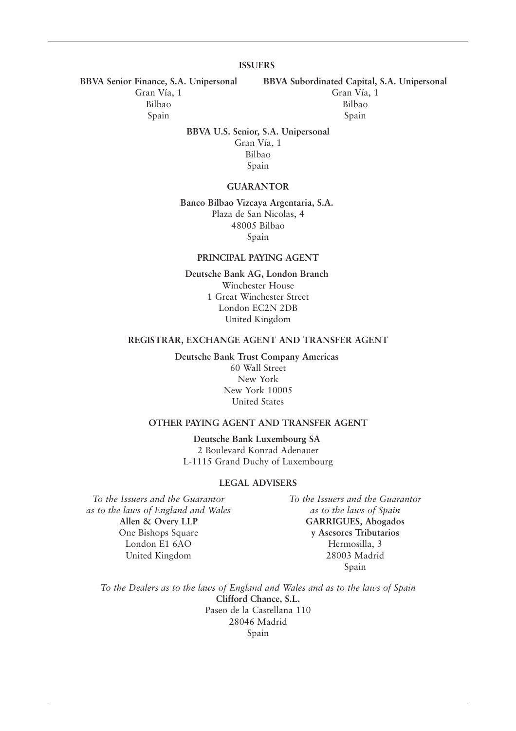#### **ISSUERS**

**BBVA Senior Finance, S.A. Unipersonal BBVA Subordinated Capital, S.A. Unipersonal**

Gran Vía, 1 Gran Vía, 1

Bilbao Bilbao Spain Spain Spain Spain

**BBVA U.S. Senior, S.A. Unipersonal**

Gran Vía, 1 Bilbao Spain

#### **GUARANTOR**

**Banco Bilbao Vizcaya Argentaria, S.A.** Plaza de San Nicolas, 4 48005 Bilbao Spain

#### **PRINCIPAL PAYING AGENT**

**Deutsche Bank AG, London Branch** Winchester House 1 Great Winchester Street London EC2N 2DB United Kingdom

#### **REGISTRAR, EXCHANGE AGENT AND TRANSFER AGENT**

**Deutsche Bank Trust Company Americas** 60 Wall Street New York New York 10005 United States

#### **OTHER PAYING AGENT AND TRANSFER AGENT**

**Deutsche Bank Luxembourg SA** 2 Boulevard Konrad Adenauer L-1115 Grand Duchy of Luxembourg

#### **LEGAL ADVISERS**

*To the Issuers and the Guarantor To the Issuers and the Guarantor as to the laws of England and Wales as to the laws of Spain* **Allen & Overy LLP GARRIGUES, Abogados** One Bishops Square **y Asesores Tributarios** London E1 6AO Hermosilla, 3<br>United Kingdom 28003 Madrid United Kingdom

Spain

*To the Dealers as to the laws of England and Wales and as to the laws of Spain* **Clifford Chance, S.L.** Paseo de la Castellana 110 28046 Madrid Spain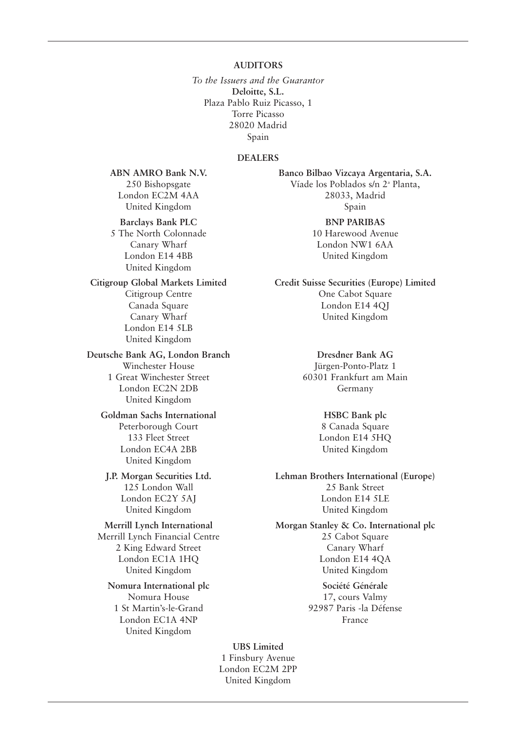#### **AUDITORS**

*To the Issuers and the Guarantor*  **Deloitte, S.L.** Plaza Pablo Ruiz Picasso, 1 Torre Picasso 28020 Madrid Spain

#### **DEALERS**

**Barclays Bank PLC** BNP PARIBAS 5 The North Colonnade 10 Harewood Avenue London E14 4BB United Kingdom United Kingdom

# London E14 5LB United Kingdom

**Deutsche Bank AG, London Branch Dresdner Bank AG** Winchester House Jürgen-Ponto-Platz 1 1 Great Winchester Street 60301 Frankfurt am Main London EC2N 2DB Germany United Kingdom

#### Goldman Sachs International **HSBC Bank plc** Peterborough Court 8 Canada Square 133 Fleet Street London E14 5HQ London EC4A 2BB United Kingdom United Kingdom

# Merrill Lynch Financial Centre 25 Cabot Square

#### **Nomura International plc** Société Générale Nomura House 17, cours Valmy 1 St Martin's-le-Grand 92987 Paris -la Défense London EC1A 4NP France

United Kingdom

**ABN AMRO Bank N.V. Banco Bilbao Vizcaya Argentaria, S.A.** 250 Bishopsgate Víade los Poblados s/n 2<sup>ª</sup> Planta, London EC2M 4AA 28033, Madrid United Kingdom Spain

Canary Wharf London NW1 6AA

**Citigroup Global Markets Limited Credit Suisse Securities (Europe) Limited** Citigroup Centre **One Cabot Square** Canada Square London E14 4QJ Canary Wharf United Kingdom

**J.P. Morgan Securities Ltd. Lehman Brothers International (Europe)** 125 London Wall 25 Bank Street London EC2Y 5AJ London E14 5LE United Kingdom United Kingdom

**Merrill Lynch International Morgan Stanley & Co. International plc** 2 King Edward Street Canary Wharf London EC1A 1HQ London E14 4QA United Kingdom United Kingdom

**UBS Limited** 1 Finsbury Avenue London EC2M 2PP United Kingdom